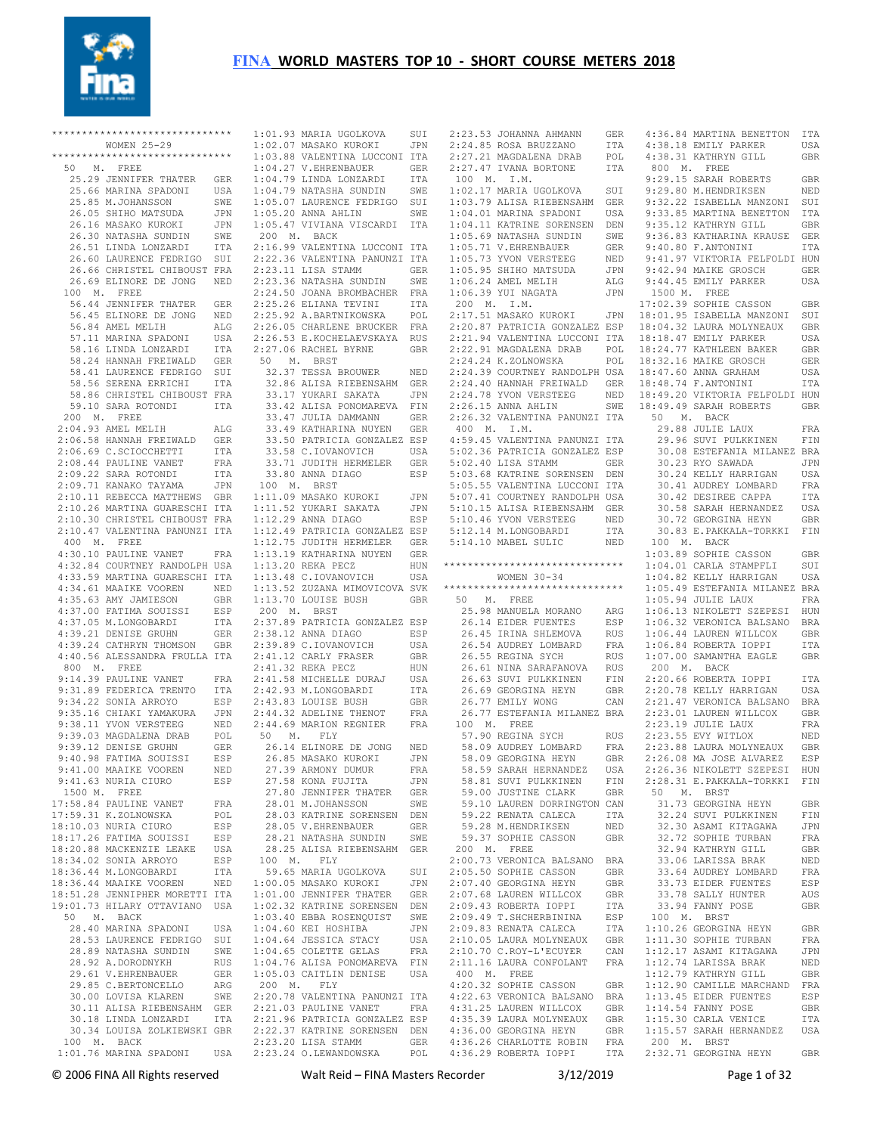

| *****************************<br>WOMEN 25-29                                                 |              | $1:0$<br>1:0        |
|----------------------------------------------------------------------------------------------|--------------|---------------------|
| *****************************                                                                |              | 1:0                 |
| 50 M. FREE                                                                                   |              | 1:0                 |
| 25.29 JENNIFER THATER                                                                        | GER          | 1:0                 |
| 25.66 MARINA SPADONI                                                                         | USA          | 1:0                 |
| 25.85 M.JOHANSSON<br>26.05 SHIHO MATSUDA                                                     | SWE<br>JPN   | 1:0<br>1:0          |
| 26.16 MASAKO KUROKI                                                                          | JPN          | 1:0                 |
| 26.30 NATASHA SUNDIN                                                                         | SWE          | 20                  |
| 26.51 LINDA LONZARDI                                                                         | ITA          | 2:1                 |
| 26.60 LAURENCE FEDRIGO SUI<br>26.66 CHRISTEL CHIBOUST FRA                                    |              | 2:2                 |
| 26.69 ELINORE DE JONG NED                                                                    |              | 2:2<br>2:2          |
| 100 M. FREE                                                                                  |              | 2:2                 |
| 56.44 JENNIFER THATER                                                                        | GER          | 2:2                 |
| 56.45 ELINORE DE JONG                                                                        | NED          | 2:2                 |
| 56.84 AMEL MELIH<br>$57.11$ MARINA SPADONI                                                   | ALG<br>USA   | 2:2<br>2:2          |
| 58.16 LINDA LONZARDI                                                                         | $_{\tt ITA}$ | 2:2                 |
| 58.24 HANNAH FREIWALD                                                                        | GER          | 50                  |
| 58.24 HANNAR FREERIGO SUI<br>58.41 LAURENCE FEDRIGO SUI                                      |              | 3.                  |
| 58.56 SERENA ERRICHI                                                                         | ITA          | 3.                  |
| 58.86 CHRISTEL CHIBOUST FRA<br>59.10 SARA ROTONDI                                            | ITA          | 3<br>3              |
| 200 M. FREE                                                                                  |              | 3                   |
| 2:04.93 AMEL MELIH                                                                           | ALG          | 3                   |
| 2:06.58 HANNAH FREIWALD                                                                      | GER          | 3                   |
| 2:06.69 C.SCIOCCHETTI                                                                        | ITA          | 3                   |
| 2:08.44 PAULINE VANET<br>2:09.22 SARA ROTONDI                                                | FRA<br>ITA   | 3<br>3              |
| 2:09.71 KANAKO TAYAMA                                                                        | JPN          | $10$                |
| 2:10.11 REBECCA MATTHEWS GBR                                                                 |              | 1:1                 |
| 2:10.26 MARTINA GUARESCHI ITA                                                                |              | 1:1                 |
| $2:10.30$ CHRISTEL CHIBOUST FRA                                                              |              | 1:1                 |
| 2:10.47 VALENTINA PANUNZI ITA<br>400 M. FREE                                                 |              | 1:1<br>1:1          |
| 4:30.10 PAULINE VANET                                                                        | FRA          | 1:1                 |
| 4:32.84 COURTNEY RANDOLPH USA                                                                |              | 1:1                 |
| 4.32.03 OCONOMIA GUARESCHI ITA<br>4.33.59 MARTINA GUARESCHI ITA<br>4.34 61 MAAIKE VOOREN NED |              | 1:1                 |
| 4:34.61 MAAIKE VOOREN<br>4:35.63 AMY JAMIESON                                                | GBR          | 1:1                 |
| 4:37.00 FATIMA SOUISSI                                                                       | ESP          | 1:1<br>20           |
| $4:37.05$ M.LONGOBARDI                                                                       | ITA          | 2:3                 |
| 4:39.21 DENISE GRUHN                                                                         | GER          | 2:3                 |
| 4:39.24 CATHRYN THOMSON GBR                                                                  |              | 2:3                 |
| 4:40.56 ALESSANDRA FRULLA ITA<br>800 M. FREE                                                 |              | 2:4<br>2:4          |
| 9:14.39 PAULINE VANET                                                                        | FRA          | 2:4                 |
| 9:31.89 FEDERICA TRENTO                                                                      | ITA          | 2:4                 |
| 9:34.22 SONIA ARROYO                                                                         | ESP          | 2:4                 |
| 9:35.16 CHIAKI YAMAKURA<br>9:38.11 YVON VERSTEEG                                             | JPN<br>NED   | 2:4<br>2:4          |
| 9:39.03 MAGDALENA DRAB                                                                       | POL          | 50                  |
| 9:39.12 DENISE GRUHN                                                                         | GER          | 2                   |
| 9:40.98 FATIMA SOUISSI                                                                       | ESP          | $\overline{c}$      |
| 9:41.00 MAAIKE VOOREN                                                                        | NED          | $\overline{c}$      |
| 9:41.63 NURIA CIURO<br>1500 M. FREE                                                          | ESP          | $\overline{c}$<br>2 |
| 17:58.84 PAULINE VANET                                                                       | FRA          | 2                   |
| 17:59.31 K.ZOLNOWSKA                                                                         | POL          | 2                   |
| 18:10.03 NURIA CIURO                                                                         | ESP          | 2                   |
| 18:17.26 FATIMA SOUISSI                                                                      | ESP          | 2                   |
| 18:20.88 MACKENZIE LEAKE<br>18:34.02 SONIA ARROYO                                            | USA<br>ESP   | 2<br>10             |
| 18:36.44 M.LONGOBARDI                                                                        | ITA          | 5                   |
| 18:36.44 MAAIKE VOOREN                                                                       | NED          | 1:0                 |
| 18:51.28 JENNIPHER MORETTI ITA                                                               |              | 1:0                 |
| 19:01.73 HILARY OTTAVIANO USA<br>50 M. BACK                                                  |              | 1:0<br>1:0          |
| 28.40 MARINA SPADONI                                                                         | USA          | 1:0                 |
| 28.53 LAURENCE FEDRIGO                                                                       | SUI          | 1:0                 |
| 28.89 NATASHA SUNDIN                                                                         | SWE          | 1:0                 |
| 28.92 A.DORODNYKH                                                                            | RUS          | 1:0                 |
| 29.61 V.EHRENBAUER<br>29.85 C.BERTONCELLO                                                    | GER          | 1:0<br>20           |
| 30.00 LOVISA KLAREN                                                                          | ARG<br>SWE   | 2:2                 |
| 30.11 ALISA RIEBENSAHM GER                                                                   |              | 2:2                 |
| 30.18 LINDA LONZARDI                                                                         | ITA          | 2:2                 |
| 30.34 LOUISA ZOLKIEWSKI GBR<br>100 M. BACK                                                   |              | 2:2<br>2:2          |

 100 M. BACK 1:01.76 MARINA SPADONI USA 2:23.20 LISA STAMM GER 2:23.24 O.LEWANDOWSKA POL 1:02.07 MASAKO KUROKI JPN 1:03.88 VALENTINA LUCCONI ITA 1:04.27 V.EHRENBAUER GER 1:04.79 LINDA LONZARDI ITA 1:04.79 NATASHA SUNDIN SWE 1:05.20 ANNA AHLIN SWE 1:05.47 VIVIANA VISCARDI ITA 2:22.36 VALENTINA PANUNZI ITA 2:23.11 LISA STAMM GER<br>
2:23.36 NATASHA SUNDIN SWE<br>
2:24.50 JOANA BROMBACHER FRA<br>
2:25.92 A.BARTNIKOWSKA POL<br>
2:25.92 A.BARTNIKOWSKA POL<br>
2:26.05 CHARLENE BRUCKER FRA<br>
2:26.53 E.KOCHELAEVSKAYA RUS<br>
2:27.06 RACHELAEVSKAYA R 32.37 TESSA BROUWER NED 32.86 ALISA RIEBENSAHM GER 33.17 YUKARI SAKATA JPN 33.42 ALISA PONOMAREVA FIN 33.50 PATRICIA GONZALEZ ESP<br>33.58 C.IOVANOVICH USA<br>33.71 JUDITH HERMELER GER<br>33.80 ANNA DIAGO ESP<br>100 M. BRST<br>1:11.09 MASAKO KUROKI JPN<br>1:11.52 YUKARI SAKATA JPN<br>1:12.29 ANNA DIAGO<br>1:12.49 PATRICIA GONZALEZ ESP<br>1:12.49 PAT 1:13.19 KATHARINA NUYEN GER 1:13.20 REKA PECZ HUN 1:13.48 C.IOVANOVICH USA 1:13.52 ZUZANA MIMOVICOVA SVK 1:13.70 LOUISE BUSH GBR<br>
2:37.89 PATRICIA GONZALEZ ESP<br>
2:37.89 PATRICIA GONZALEZ ESP<br>
2:39.89 C.IOVANOVICH USA<br>
2:41.12 CARLY FRASER GBR<br>
2:41.32 REKA PECZ HUN<br>
2:41.58 MICHELLE DURAJ USA 2:42.93 M.LONGOBARDI ITA 2:43.83 LOUISE BUSH GBR 2:44.32 ADELINE THENOT FRA 2:44.69 MARION REGNIER FRA M. FLY 26.14 ELINORE DE JONG NED 26.85 MASAKO KUROKI JPN 27.39 ARMONY DUMUR FRA 27.58 KONA FUJITA JPN 27.80 JENNIFER THATER GER 8.01 M.JOHANSSON 28.03 KATRINE SORENSEN DEN 28.05 V.EHRENBAUER GER 28.21 NATASHA SUNDIN SWE 28.25 ALISA RIEBENSAHM GER 100 M. FLY 1:01.00 JENNIFER THATER GER<br>
1:02.32 KATRINE SORENSEN DEN<br>
1:03.40 EBBA ROSENQUIST SWE<br>
1:04.60 KEI HOSHIBA JPN<br>
1:04.64 JESSICA STACY USA<br>
1:04.64 COLETTE GELAS FRA<br>
1:04.76 ALISA PONOMAREVA FIN 1:05.03 CAITLIN DENISE USA 200 M. FLY 2:20.78 VALENTINA PANUNZI ITA 2:22.37 KATRINE SORENSEN DEN

 1:01.93 MARIA UGOLKOVA SUI 2:23.53 JOHANNA AHMANN GER 4:36.84 MARTINA BENETTON ITA 1:05.07 LAURENCE FEDRIGO SUI 1:03.79 ALISA RIEBENSAHM GER 9:32.22 ISABELLA MANZONI SUI 200 M. BACK 2:16.99 VALENTINA LUCCONI ITA 1:05.69 NATASHA SUNDIN SWE 1:05.71 V.EHRENBAUER GER 9:36.83 KATHARINA KRAUSE GER 33.47 JULIA DAMMANN GER 33.49 KATHARINA NUYEN GER 2:26.32 VALENTINA PANUNZI ITA 400 M. I.M. 50 M. BACK 59.65 MARIA UGOLKOVA SUI 1:00.05 MASAKO KUROKI JPN 2:05.50 SOPHIE CASSON GBR 2:07.40 GEORGINA HEYN GBR 2:21.03 PAULINE VANET FRA 2:21.96 PATRICIA GONZALEZ ESP 4:31.25 LAUREN WILLCOX GBR 4:35.39 LAURA MOLYNEAUX GBR 2:24.85 ROSA BRUZZANO ITA<br>2:27.21 MAGDALENA DRAB POL 2:24.00 NOSA BROZZANO 11A<br>2:27.21 MAGDALENA DRAB POL<br>2:27.47 IVANA BORTONE 1TA  $2:27.47$  IVANA BORTONE 100 M. I.M. 1:02.17 MARIA UGOLKOVA SUI 1:04.01 MARINA SPADONI USA 1:04.11 KATRINE SORENSEN DEN 9:33.85 MARTINA BENETTON ITA 9:35.12 KATHRYN GILL GBR 1:05.73 YVON VERSTEEG NED 1:05.95 SHIHO MATSUDA JPN 1:06.24 AMEL MELIH ALG 1:06.39 YUI NAGATA JPN 200 M. I.M. 2:17.51 MASAKO KUROKI JPN 2:20.87 PATRICIA GONZALEZ ESP 2:21.94 VALENTINA LUCCONI ITA 2:22.91 MAGDALENA DRAB POL 2:24.24 K.ZOLNOWSKA POL 2:24.39 COURTNEY RANDOLPH USA 2:24.40 HANNAH FREIWALD GER 2:24.78 YVON VERSTEEG NED 2:26.15 ANNA AHLIN SWE 4:59.45 VALENTINA PANUNZI ITA 5:02.36 PATRICIA GONZALEZ ESP 5:02.40 LISA STAMM GER<br>5:05.68 KATRINE SORENSEN DEN<br>5:05.55 VALENTINA LUCCONI ITA<br>5:07.41 COURTNEY RANDOLPH USA<br>5:10.15 ALISA RIEBENSAHM GER<br>5:10.46 YVON VERSTEEG NED<br>5:12.14 MABEL SULIC NED 1:03.89 SOPHIE CASSON GBR \*\*\*\*\*\*\*\*\*\*\*\*\*\*\*\*\*\*\*\*\*\*\*\*\*\*\*\*\*\* WOMEN 30-34 \*\*\*\*\*\*\*\*\*\*\*\*\*\*\*\*\*\*\*\*\*\*\*\*\*\*\*\*\*\* 50 M. FREE<br>
25.98 MANUELA MORANO ARG<br>
26.14 EIDER FUENTES ESP<br>
26.54 AUDREY LOMBARD FRA<br>
26.55 REGINA SYCH RUS<br>
26.61 NINA SARAFANOVA RUS<br>
26.61 NINA SARAFANOVA RUS<br>
26.63 SUVI PULKKINEN FIN 26.69 GEORGINA HEYN GBR 26.77 EMILY WONG CAN 26.77 ESTEFANIA MILANEZ BRA 2:23.01 LAUREN WILLCOX GBR ERA 26.77 ESTEFANIA MILANEZ DINA<br>
FRA 100 M. FREE<br>
57.90 REGINA SYCH RUS<br>
NED 58.09 AUDREY LOMBARD FRA<br>
58.09 AUDREY LOMBARD FRA<br>
58.09 GEORGINA HEYN GER 57.90 REGINA SYCH RUS 58.09 AUDREY LOMBARD FRA 58.09 GEORGINA HEYN GBR 58.59 SARAH HERNANDEZ USA<br>58.81 SUVI PULKKINEN FIN<br>59.00 JUSTINE CLARK GBR<br>59.10 LAUREN DORRINGTON CAN<br>59.22 RENATA CALECA ITA 59.28 M.HENDRIKSEN NED 59.37 SOPHIE CASSON GBR 200 M. FREE 2:00.73 VERONICA BALSANO BRA 2:07.68 LAUREN WILLCOX GBR 2:09.43 ROBERTA IOPPI ITA 2:09.49 T.SHCHERBININA ESP 2:09.83 RENATA CALECA ITA 2:10.05 LAURA MOLYNEAUX GBR 2:10.70 C.ROY-L'ECUYER CAN 2:11.16 LAURA CONFOLANT FRA 400 M. FREE 4:20.32 SOPHIE CASSON GBR 4:20.32 SOPHIE CASSON GBR<br>4:22.63 VERONICA BALSANO BRA<br>4:31.25 LAUREN WILLCOX GBR 4:36.00 GEORGINA HEYN GBR 4:36.26 CHARLOTTE ROBIN FRA 4:36.29 ROBERTA IOPPI ITA 2:32.71 GEORGINA HEYN GBR

4:38.18 EMILY PARKER USA 4:38.31 KATHRYN GILL GBR 800 M. FREE 9:29.15 SARAH ROBERTS GBR<br>9:29 80 M HENDRIKSEN NED 9:29.80 M.HENDRIKSEN 9:40.80 F.ANTONINI ITA 9:41.97 VIKTORIA FELFOLDI HUN 9:42.94 MAIKE GROSCH GER 9:44.45 EMILY PARKER USA 1500 M. FREE 17:02.39 SOPHIE CASSON GBR 18:01.95 ISABELLA MANZONI SUI 18:04.32 LAURA MOLYNEAUX GBR 18:18.47 EMILY PARKER USA 18:24.77 KATHLEEN BAKER GBR 18:32.16 MAIKE GROSCH GER 18:47.60 ANNA GRAHAM USA 18:48.74 F.ANTONINI ITA 18:49.20 VIKTORIA FELFOLDI HUN 18:49.49 SARAH ROBERTS GBR 29.88 JULIE LAUX FRA 29.96 SUVI PULKKINEN FIN 30.08 ESTEFANIA MILANEZ BRA 30.23 RYO SAWADA JPN 30.24 KELLY HARRIGAN USA 30.41 AUDREY LOMBARD FRA 30.42 DESIREE CAPPA ITA 30.58 SARAH HERNANDEZ USA 30.72 GEORGINA HEYN GBR 30.83 E.PAKKALA-TORKKI FIN 100 M. BACK 1:04.01 CARLA STAMPFLI SUI 1:04.82 KELLY HARRIGAN USA 1:05.49 ESTEFANIA MILANEZ BRA 1:05.94 JULIE LAUX FRA<br>
1:06.13 NIKOLETT SZEPESI HUN<br>
1:06.32 VERONICA BALSANO BRA<br>
1:06.44 LAUREN WILLCOX GBR<br>
1:06.84 ROBERTA IOPPI ITA<br>
1:07.00 SAMANTHA EAGLE GBR<br>
200 M. BACK<br>
2:20.66 ROBERTA IOPPI ITA 2:20.78 KELLY HARRIGAN USA 2:21.47 VERONICA BALSANO BRA 2:23.19 JULIE LAUX FRA 2:23.55 EVY WITLOX NED 2:23.88 LAURA MOLYNEAUX GBR 2:26.08 MA JOSE ALVAREZ ESP<br>
2:26.36 NIKOLETT SZEPESI HUN<br>
2:28.31 E.PAKKALA-TORKKI FIN<br>
50 M. BRST<br>
31.73 GEORGINA HEYN GBR<br>
32.24 SUVI PULKKINEN FIN 32.30 ASAMI KITAGAWA JPN 32.72 SOPHIE TURBAN FRA 32.94 KATHRYN GILL GBR 33.06 LARISSA BRAK NED 33.64 AUDREY LOMBARD FRA 33.73 EIDER FUENTES ESP 33.78 SALLY HUNTER AUS<br>
33.94 FANNY POSE GBR<br>
100 M. BRST<br>
1:10.26 GEORGINA HEYN GBR<br>
1:11.30 SOPHIE TURBAN FRA<br>
1:12.17 ASAMI KITAGAWA JPN<br>
1:12.74 LARISSA BRAK NED 1:12.79 KATHRYN GILL GBR 1:12.90 CAMILLE MARCHAND FRA 1:13.45 EIDER FUENTES ESP 1:14.54 FANNY POSE GBR 1:15.30 CARLA VENICE ITA 1:15.57 SARAH HERNANDEZ USA 200 M. BRST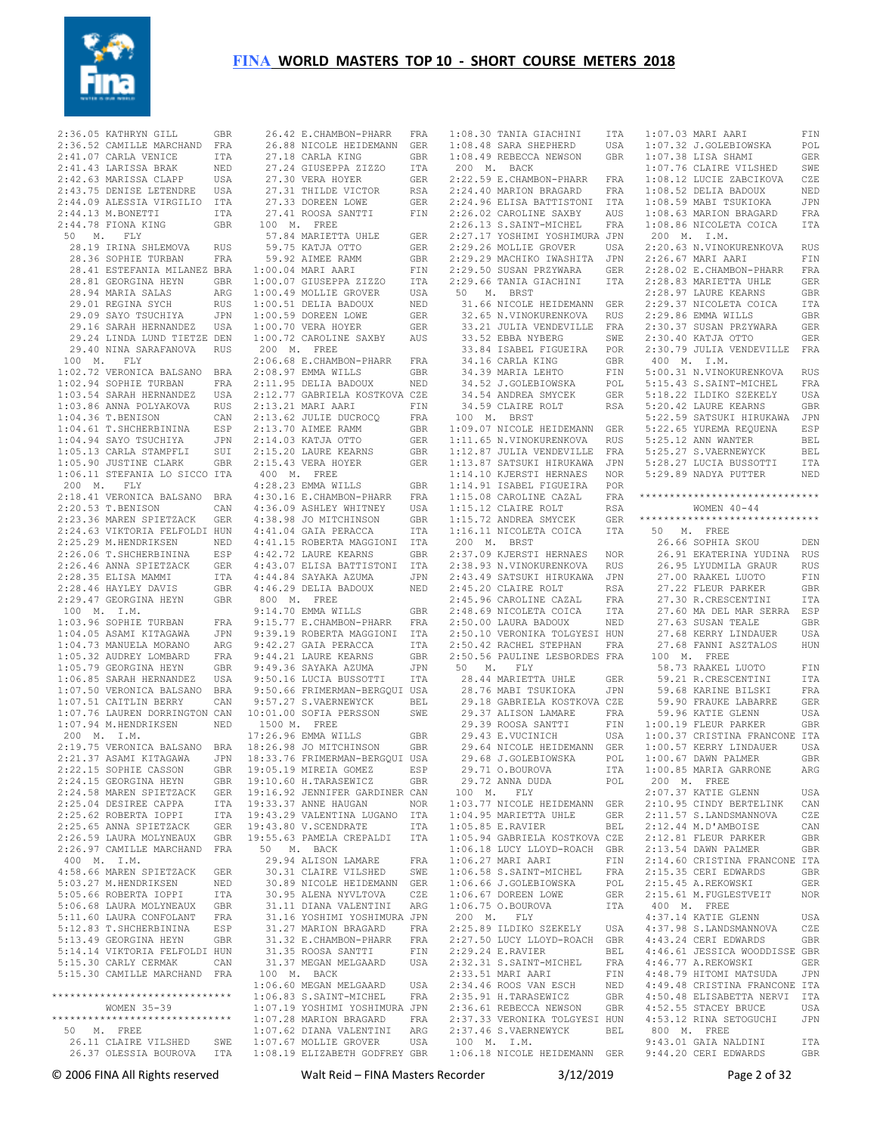

 $2:36.05$  KATHRYN GILL 2:36.52 CAMILLE MARCHAND FRA 2:41.07 CARLA VENICE ITA 2:41.43 LARISSA BRAK NED 2:42.63 MARISSA CLAPP USA 2:43.75 DENISE LETENDRE USA 2:44.09 ALESSIA VIRGILIO ITA 2:44.13 M.BONETTI ITA 2:44.78 FIONA KING GBR 50 M. FLY 28.19 IRINA SHLEMOVA RUS 28.36 SOPHIE TURBAN FRA 28.41 ESTEFANIA MILANEZ BRA 1:00.04 MARI AARI FIN 28.81 GEORGINA HEYN GBR 28.94 MARIA SALAS ARG 29.01 REGINA SYCH RUS 29.09 SAYO TSUCHIYA JPN 29.16 SARAH HERNANDEZ USA 29.24 LINDA LUND TIETZE DEN 29.40 NINA SARAFANOVA RUS 100 M. FLY 1:02.72 VERONICA BALSANO BRA 1:02.94 SOPHIE TURBAN FRA 1:03.54 SARAH HERNANDEZ USA 1:03.86 ANNA POLYAKOVA RUS  $1 \cdot 04$  36 T BENISON CAN 1:04.61 T.SHCHERBININA ESP 1:04.94 SAYO TSUCHIYA JPN 1:05.13 CARLA STAMPFLI SUI 1:05.90 JUSTINE CLARK GBR 1:06.11 STEFANIA LO SICCO ITA 200 M. FLY 2:18.41 VERONICA BALSANO BRA 2:20.53 T.BENISON CAN 2:23.36 MAREN SPIETZACK GER 2:24.63 VIKTORIA FELFOLDI HUN 2:25.29 M.HENDRIKSEN NED 2:26.06 T.SHCHERBININA ESP 2:26.46 ANNA SPIETZACK GER 2:28.35 ELISA MAMMI ITA 2:28.46 HAYLEY DAVIS GBR 2:29.47 GEORGINA HEYN GBR 100 M. I.M. 1:03.96 SOPHIE TURBAN FRA 1:04.05 ASAMI KITAGAWA JPN 1:04.73 MANUELA MORANO ARG 1:05.32 AUDREY LOMBARD FRA 1:05.79 GEORGINA HEYN GBR 1:06.85 SARAH HERNANDEZ USA 1:07.50 VERONICA BALSANO BRA 1:07.51 CAITLIN BERRY CAN 1:07.76 LAUREN DORRINGTON CAN 1:07.94 M.HENDRIKSEN NED 200 M. I.M. 2:19.75 VERONICA BALSANO BRA 2:21.37 ASAMI KITAGAWA JPN<br>2·22.15 SOPHIE CASSON GBR  $2:22.15$  SOPHIE CASSON 2:24.15 GEORGINA HEYN GBR 2:24.58 MAREN SPIETZACK GER 2:25.04 DESIREE CAPPA ITA 2:25.62 ROBERTA IOPPI ITA<br>2:25.65 ANNA SPIETZACK GER 2:25.65 ANNA SPIETZACK 2:26.59 LAURA MOLYNEAUX GBR 2:26.97 CAMILLE MARCHAND FRA 400 M. I.M. 4:58.66 MAREN SPIETZACK GER 5:03.27 M.HENDRIKSEN NED 5:05.66 ROBERTA IOPPI ITA 5:06.68 LAURA MOLYNEAUX GBR 5:11.60 LAURA CONFOLANT FRA 5:12.83 T.SHCHERBININA ESP 5:13.49 GEORGINA HEYN GBR 5:14.14 VIKTORIA FELFOLDI HUN<br>5:15.30 CARLY CERMAK CAN  $5:15.30$  CARLY CERMAK 5:15.30 CAMILLE MARCHAND FRA \*\*\*\*\*\*\*\*\*\*\*\*\*\*\*\*\*\*\*\*\*\*\*\*\*\*\*\*\*\* WOMEN 35-39 \*\*\*\*\*\*\*\*\*\*\*\*\*\*\*\*\*\*\*\*\*\*\*\*\*\*\*\*\*\* 50 M. FREE 26.11 CLAIRE VILSHED SWE 26.37 OLESSIA BOUROVA ITA 1:08.19 ELIZABETH GODFREY GBR

 26.42 E.CHAMBON-PHARR FRA 26.88 NICOLE HEIDEMANN GER 27.18 CARLA KING GBR 27.24 GIUSEPPA ZIZZO ITA 27.30 VERA HOYER GER 27.31 THILDE VICTOR RSA 27.33 DOREEN LOWE GER 27.41 ROOSA SANTTI FIN 100 M. FREE<br>57.84 MARIETTA UHLE 57.84 MARIETTA UHLE GER 59.75 KATJA OTTO GER 59.92 AIMEE RAMM GBR 1:00.07 GIUSEPPA ZIZZO ITA 1:00.49 MOLLIE GROVER USA 1:00.51 DELIA BADOUX NED 1:00.59 DOREEN LOWE GER 1:00.70 VERA HOYER GER 1:00.72 CAROLINE SAXBY AUS 200 M. FREE 2:06.68 E.CHAMBON-PHARR FRA 2:08.97 EMMA WILLS GBR 2:11.95 DELIA BADOUX NED 2:12.77 GABRIELA KOSTKOVA CZE 2:13.21 MARI AARI FIN 2:13.62 JULIE DUCROCQ FRA 2:13.70 AIMEE RAMM GBR 2:14.03 KATJA OTTO GER 2:15.20 LAURE KEARNS GBR<br>2:15.43 VERA HOYER GER  $2:15.43$  VERA HOYER 400 M. FREE 4:28.23 EMMA WILLS GBR 4:30.16 E.CHAMBON-PHARR FRA 4:36.09 ASHLEY WHITNEY USA 4:38.98 JO MITCHINSON GBR 4:41.04 GAIA PERACCA ITA 4:41.15 ROBERTA MAGGIONI ITA 4:42.72 LAURE KEARNS GBR 4:43.07 ELISA BATTISTONI ITA 4:44.84 SAYAKA AZUMA JPN 4:46.29 DELIA BADOUX 800 M. FREE 9:14.70 EMMA WILLS GBR 9:15.77 E.CHAMBON-PHARR FRA 9:39.19 ROBERTA MAGGIONI ITA 9:42.27 GAIA PERACCA ITA 9:44.21 LAURE KEARNS GBR 9:49.36 SAYAKA AZUMA JPN 9:50.16 LUCIA BUSSOTTI TTA 9:50.66 FRIMERMAN-BERGQUI USA 9:57.27 S.VAERNEWYCK BEL 10:01.00 SOFIA PERSSON SWE 1500 M. FREE 17:26.96 EMMA WILLS GBR 18:26.98 JO MITCHINSON GBR 18:33.76 FRIMERMAN-BERGQUI USA 19:05.19 MIREIA GOMEZ ESP 19:10.60 H.TARASEWICZ GBR 19:16.92 JENNIFER GARDINER CAN 19:33.37 ANNE HAUGAN NOR 19:43.29 VALENTINA LUGANO ITA 19:43.80 V.SCENDRATE ITA 19:55.63 PAMELA CREPALDI ITA 50 M. BACK 29.94 ALISON LAMARE FRA 30.31 CLAIRE VILSHED SWE 30.89 NICOLE HEIDEMANN GER 30.95 ALENA NYVLTOVA CZE 31.11 DIANA VALENTINI ARG 31.16 YOSHIMI YOSHIMURA JPN 31.27 MARION BRAGARD FRA 31.32 E.CHAMBON-PHARR FRA 31.35 ROOSA SANTTI FIN 31.37 MEGAN MELGAARD USA 100 M. BACK 1:06.60 MEGAN MELGAARD USA 1:06.83 S.SAINT-MICHEL FRA 1:07.19 YOSHIMI YOSHIMURA JPN 1:07.28 MARION BRAGARD FRA 1:07.62 DIANA VALENTINI ARG 1:07.67 MOLLIE GROVER USA

1:08.30 TANIA GIACHINI  $1:08.48$  SARA SHEPHERD  $1:08.49$  REBECCA NEWSON 200 M. BACK 2:22.59 E.CHAMBON-PHARR FRA 2:24.40 MARION BRAGARD FRA 2:24.96 ELISA BATTISTONI ITA 2:26.02 CAROLINE SAXBY AUS<br>2:26.13 S.SAINT-MICHEL FRA 2:26.13 S.SAINT-MICHEL 2:27.17 YOSHIMI YOSHIMURA JPN 2:29.26 MOLLIE GROVER USA 2:29.29 MACHIKO IWASHITA JPN 2:29.50 SUSAN PRZYWARA GER<br>2:29.66 TANIA GIACHINI ITA  $2.29.66$  TANIA GIACHINI 50 M. BRST 31.66 NICOLE HEIDEMANN GER 32.65 N.VINOKURENKOVA RUS 33.21 JULIA VENDEVILLE FRA 33.52 EBBA NYBERG SWE 33.84 ISABEL FIGUEIRA POR 34.16 CARLA KING GBR 34.39 MARIA LEHTO FIN 34.52 J.GOLEBIOWSKA POL 34.54 ANDREA SMYCEK GER 34.59 CLAIRE ROLT RSA 100 M. BRST 1:09.07 NICOLE HEIDEMANN GER 1:11.65 N.VINOKURENKOVA RUS 1:12.87 JULIA VENDEVILLE FRA 1:13.87 SATSUKI HIRUKAWA JPN 1:14.10 KJERSTI HERNAES NOR 1:14.91 ISABEL FIGUEIRA POR  $1:15.08$  CAROLINE CAZAL 1:15.12 CLAIRE ROLT RSA  $1:15.72$  ANDREA SMYCEK 1:16.11 NICOLETA COICA 200 M. BRST 2:37.09 KJERSTI HERNAES NOR 2:38.93 N.VINOKURENKOVA RUS 2:43.49 SATSUKI HIRUKAWA JPN 2:45.20 CLAIRE ROLT RSA<br>2:45.96 CAROLINE CAZAL FRA 2:45.96 CAROLINE CAZAL 2:48.69 NICOLETA COICA ITA 2:50.00 LAURA BADOUX NED 2:50.10 VERONIKA TOLGYESI HUN 50 M. FLY 28.44 MARIETTA UHLE GER  $29.39$  ROOSA SANTTI 29.43 E.VUCINICH 29.64 NICOLE HEIDEMANN GER<br>29.68 J.GOLEBIOWSKA POL 29.68 J.GOLEBIOWSKA POL 29.71 O.BOUROVA ITA 29.72 ANNA DUDA POL 100 M. FLY 1:03.77 NICOLE HEIDEMANN GER 1:04.95 MARIETTA UHLE GER 1:05.85 E.RAVIER BEL<br>1:05.94 GABRIELA KOSTKOVA CZE 1:06.18 LUCY LLOYD-ROACH GBR 1:06.27 MARI AARI FIN  $1:06.58$  S.SAINT-MICHEL 1:06.66 J.GOLEBIOWSKA POL 1:06.67 DOREEN LOWE GER 1:06.67 DOREEN LOWE GER<br>1:06.75 O.BOUROVA ITA 200 M. FLY 2:25.89 ILDIKO SZEKELY USA 2:27.50 LUCY LLOYD-ROACH GBR 2:29.24 E.RAVIER BEL<br>2:32.31 S.SAINT-MICHEL FRA  $2:32.31$  S.SAINT-MICHEL 2:33.51 MARI AARI FIN 2:34.46 ROOS VAN ESCH NED 2:35.91 H.TARASEWICZ GBR<br>2:36.61 REBECCA NEWSON GBR 2:36.61 REBECCA NEWSON 2:37.33 VERONIKA TOLGYESI HUN 2:37.46 S.VAERNEWYCK BEL 100 M. I.M.

 2:50.42 RACHEL STEPHAN FRA 2:50.56 PAULINE LESBORDES FRA 27.68 FANNI ASZTALOS HUN 100 M. FREE 28.76 MABI TSUKIOKA JPN 29.18 GABRIELA KOSTKOVA CZE 59.68 KARINE BILSKI FRA 59.90 FRAUKE LABARRE GER 29.37 ALISON LAMARE FRA 59.96 KATIE GLENN USA 1:00.19 FLEUR PARKER GBR 1:06.18 NICOLE HEIDEMANN GER 9:44.20 CERI EDWARDS GBR 1:07.03 MARI AARI FIN 1:07.32 J.GOLEBIOWSKA POL 1:07.38 LISA SHAMI GER 1:07.76 CLAIRE VILSHED SWE 1:08.12 LUCIE ZABCIKOVA CZE 1:08.52 DELIA BADOUX NED 1:08.59 MABI TSUKIOKA JPN 1:08.63 MARION BRAGARD FRA 1:08.86 NICOLETA COICA ITA 200 M. I.M. 2:20.63 N.VINOKURENKOVA RUS 2:26.67 MARI AARI FIN 2:28.02 E.CHAMBON-PHARR FRA 2:28.83 MARIETTA UHLE GER 2:28.97 LAURE KEARNS GBR 2:29.37 NICOLETA COICA ITA 2:29.86 EMMA WILLS GBR 2:30.37 SUSAN PRZYWARA GER 2:30.40 KATJA OTTO GER 2:30.79 JULIA VENDEVILLE FRA 400 M. I.M. 5:00.31 N.VINOKURENKOVA RUS 5:15.43 S.SAINT-MICHEL FRA 5:18.22 ILDIKO SZEKELY USA 5:20.42 LAURE KEARNS GBR 5:22.59 SATSUKI HIRUKAWA JPN 5:22.65 YUREMA REQUENA ESP 5:25.12 ANN WANTER BEL 5:25.27 S.VAERNEWYCK BEL 5:28.27 LUCIA BUSSOTTI ITA 5:29.89 NADYA PUTTER NED \*\*\*\*\*\*\*\*\*\*\*\*\*\*\*\*\*\*\*\*\*\*\*\*\*\*\*\*\*\* WOMEN 40-44 GER \*\*\*\*\*\*\*\*\*\*\*\*\*\*\*\*\*\*\*\*\*\* 50 M. FREE 26.66 SOPHIA SKOU DEN 26.91 EKATERINA YUDINA RUS 26.95 LYUDMILA GRAUR RUS 27.00 RAAKEL LUOTO FIN 27.22 FLEUR PARKER GBR 27.30 R.CRESCENTINI ITA 27.60 MA DEL MAR SERRA ESP 27.63 SUSAN TEALE GBR 27.68 KERRY LINDAUER USA 58.73 RAAKEL LUOTO FIN 59.21 R.CRESCENTINI ITA USA 1:00.37 CRISTINA FRANCONE ITA 1:00.57 KERRY LINDAUER USA 1:00.67 DAWN PALMER GBR 1:00.85 MARIA GARRONE ARG 200 M. FREE 2:07.37 KATIE GLENN USA 2:10.95 CINDY BERTELINK CAN 2:11.57 S.LANDSMANNOVA CZE 2:12.44 M.D'AMBOISE CAN 2:12.81 FLEUR PARKER GBR 2:13.54 DAWN PALMER GBR 2:14.60 CRISTINA FRANCONE ITA 2:15.35 CERI EDWARDS GBR 2:15.45 A.REKOWSKI GER 2:15.61 M.FUGLESTVEIT NOR 400 M. FREE 4:37.14 KATIE GLENN USA 4:37.98 S.LANDSMANNOVA CZE 4:43.24 CERI EDWARDS GBR 4:46.61 JESSICA WOODDISSE GBR 4:46.77 A.REKOWSKI GER 4:48.79 HITOMI MATSUDA JPN 4:49.48 CRISTINA FRANCONE ITA 4:50.48 ELISABETTA NERVI ITA 4:52.55 STACEY BRUCE USA 4:53.12 RINA SETOGUCHI JPN 800 M. FREE 9:43.01 GAIA NALDINI ITA

© 2006 FINA All Rights reserved Walt Reid – FINA Masters Recorder 3/12/2019 Page 2 of 32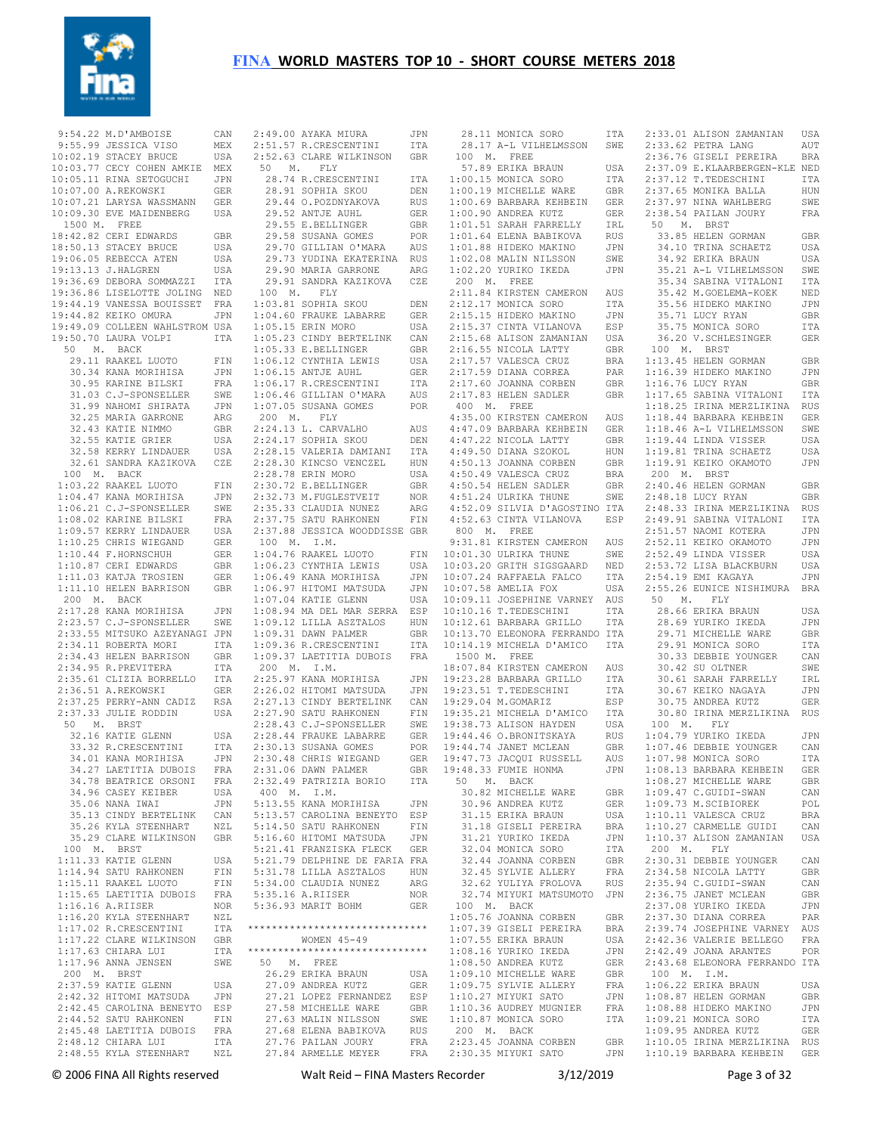

 9:54.22 M.D'AMBOISE CAN 9:55.99 JESSICA VISO MEX  $10 \cdot 02$  19 STACEY BRUCE 10:03.77 CECY COHEN AMKIE MEX 10:05.11 RINA SETOGUCHI JPN 10:07.00 A.REKOWSKI GER 10:07.21 LARYSA WASSMANN GER 10:09.30 EVE MAIDENBERG USA 1500 M. FREE 18:42.82 CERI EDWARDS GBR 18:50.13 STACEY BRUCE USA 19:06.05 REBECCA ATEN USA 19:13.13 J.HALGREN USA 19:36.69 DEBORA SOMMAZZI ITA 19:36.86 LISELOTTE JOLING NED 19:44.19 VANESSA BOUISSET FRA 19:44.82 KEIKO OMURA JPN 19:49.09 COLLEEN WAHLSTROM USA 19:50.70 LAURA VOLPI ITA 50 M. BACK 29.11 RAAKEL LUOTO FIN 30.95 KARINE BILSKI FRA 31.03 C.J-SPONSELLER SWE 31.99 NAHOMI SHIRATA JPN 32.25 MARIA GARRONE ARG 32.43 KATIE NIMMO GBR 32.55 KATIE GRIER USA 32.58 KERRY LINDAUER USA 32.61 SANDRA KAZIKOVA CZE 100 M. BACK 1:03.22 RAAKEL LUOTO FIN 1:04.47 KANA MORIHISA JPN 1:06.21 C.J-SPONSELLER SWE 1:08.02 KARINE BILSKI FRA 1:09.57 KERRY LINDAUER USA 1:10.25 CHRIS WIEGAND GER 1:10.44 F.HORNSCHUH GER 1:10.87 CERI EDWARDS GBR 1:11.03 KATJA TROSIEN GER<br>1:11.10 HELEN BARRISON GBR 1:11.10 HELEN BARRISON GBR 200 M. BACK 2:17.28 KANA MORIHISA JPN 2:23.57 C.J-SPONSELLER SWE 2:33.55 MITSUKO AZEYANAGI JPN 2:34.11 ROBERTA MORI ITA 2:34.43 HELEN BARRISON GBR 2:34.95 R.PREVITERA ITA 2:35.61 CLIZIA BORRELLO ITA 2:36.51 A.REKOWSKI GER 2:37.25 PERRY-ANN CADIZ RSA 2:37.33 JULIE RODDIN USA 50 M. BRST 32.16 KATIE GLENN USA 33.32 R.CRESCENTINI ITA 34.01 KANA MORIHISA JPN<br>34.27 LAETITIA DUBOIS FRA 34.27 LAETITIA DUBOIS FRA 34.78 BEATRICE ORSONI FRA 34.96 CASEY KEIBER USA 35.06 NANA IWAI JPN 35.13 CINDY BERTELINK CAN 35.26 KYLA STEENHART NZL 35.29 CLARE WILKINSON GBR 100 M. BRST 1:11.33 KATIE GLENN USA 1:11.00 NAILL 022....<br>1:14.94 SATU RAHKONEN FIN 1:15.11 RAAKEL LUOTO FIN 1:15.65 LAETITIA DUBOIS FRA  $1:16.16$  A.RIISER 1:16.20 KYLA STEENHART NZL<br>1·17.02 R.CRESCENTINI ITA 1:17.02 R.CRESCENTINI 1:17.22 CLARE WILKINSON GBR 1:17.63 CHIARA LUI ITA 1:17.96 ANNA JENSEN SWE 200 M. BRST 2:37.59 KATIE GLENN USA 2:42.32 HITOMI MATSUDA JPN 2:42.45 CAROLINA BENEYTO ESP 2:44.52 SATU RAHKONEN FIN 2:45.48 LAETITIA DUBOIS FRA 2:48.12 CHIARA LUI ITA

 30.34 KANA MORIHISA JPN 1:06.15 ANTJE AUHL GER 2:48.55 KYLA STEENHART NZL 27.84 ARMELLE MEYER FRA 2:49.00 AYAKA MIURA JPN 2:51.57 R.CRESCENTINI ITA 2:52.63 CLARE WILKINSON GBR 50 M. FLY 28.74 R.CRESCENTINI ITA 28.91 SOPHIA SKOU DEN 29.44 O.POZDNYAKOVA 29.52 ANTJE AUHL GER 29.55 E.BELLINGER GBR 29.58 SUSANA GOMES POR 29.70 GILLIAN O'MARA AUS 29.73 YUDINA EKATERINA RUS 29.90 MARIA GARRONE ARG 29.91 SANDRA KAZIKOVA CZE 100 M. FLY 1:03.81 SOPHIA SKOU DEN<br>1:04.66 -- 1:04.60 FRAUKE LABARRE GER 1:05.15 ERIN MORO USA 1:05.23 CINDY BERTELINK CAN 1:05.33 E.BELLINGER GBR 1:06.12 CYNTHIA LEWIS USA 1:06.17 R.CRESCENTINI ITA 1:06.46 GILLIAN O'MARA AUS 1:07.05 SUSANA GOMES POR 200 M. FLY 2:24.13 L. CARVALHO AUS 2:24.17 SOPHIA SKOU DEN 2:28.15 VALERIA DAMIANI ITA 2:28.30 KINCSO VENCZEL HUN  $2 \cdot 28$  78 ERIN MORO UISA 2:30.72 E.BELLINGER GBR 2:32.73 M.FUGLESTVEIT NOR 2:35.33 CLAUDIA NUNEZ ARG 2:37.75 SATU RAHKONEN FIN 2:37.88 JESSICA WOODDISSE GBR 100 M. I.M. 1:04.76 RAAKEL LUOTO FIN 1:06.23 CYNTHIA LEWIS USA 1:06.49 KANA MORIHISA JPN 1:06.97 HITOMI MATSUDA JPN 1:07.04 KATIE GLENN USA 1:08.94 MA DEL MAR SERRA ESP 1:09.12 LILLA ASZTALOS HUN 1:09.31 DAWN PALMER GBR 1:09.36 R.CRESCENTINI ITA 1:09.37 LAETITIA DUBOIS FRA 200 M. I.M.  $2.25.97$  KANA MORTHISA 2:26.02 HITOMI MATSUDA JPN 2:27.13 CINDY BERTELINK CAN 2:27.90 SATU RAHKONEN FIN 2:28.43 C.J-SPONSELLER SWE 2:28.44 FRAUKE LABARRE GER<br>2:30.13 SUSANA GOMES POR  $2:30.13$  SUSANA GOMES 2:30.48 CHRIS WIEGAND GER 2:31.06 DAWN PALMER GBR 2:32.49 PATRIZIA BORIO ITA 400 M. I.M. 5:13.55 KANA MORIHISA JPN 5:13.57 CAROLINA BENEYTO ESP 5:14.50 SATU RAHKONEN FIN 5:16.60 HITOMI MATSUDA JPN 5:21.41 FRANZISKA FLECK GER 5:21.79 DELPHINE DE FARIA FRA 5:31.78 LILLA ASZTALOS HUN 5:34.00 CLAUDIA NUNEZ ARG 5:35.16 A.RIISER NOR 5:36.93 MARIT BOHM GER \*\*\*\*\*\*\*\*\*\*\*\*\*\*\*\*\*\*\*\*\*\*\*\*\*\*\*\*\*\* WOMEN 45-49 \*\*\*\*\*\*\*\*\*\*\*\*\*\*\*\*\*\*\*\*\*\*\*\*\*\*\*\*\*\* 50 M. FREE 26.29 ERIKA BRAUN USA<br>26.29 ERIKA BRAUN USA<br>27.09 ANDREA KUTT 27.09 ANDREA KUTZ GER 27.21 LOPEZ FERNANDEZ ESP 27.58 MICHELLE WARE GBR 27.63 MALIN NILSSON SWE 27.68 ELENA BABIKOVA RUS 27.76 PAILAN JOURY FRA FRA 2:30.35 MIYUKI SATO

 28.11 MONICA SORO ITA 28.17 A-L VILHELMSSON SWE 2:33.62 PETRA LANG AUT 100 M. FREE 57.89 ERIKA BRAUN USA 1:00.15 MONICA SORO ITA 1:00.19 MICHELLE WARE GBR 1:00.69 BARBARA KEHBEIN GER 1:00.90 ANDREA KUTZ GER 1:01.51 SARAH FARRELLY IRL 1:01.64 ELENA BABIKOVA RUS 1:01.88 HIDEKO MAKINO JPN 1:02.08 MALIN NILSSON SWE 1:02.20 YURIKO IKEDA JPN 200 M. FREE 2:11.84 KIRSTEN CAMERON AUS 2:12.17 MONICA SORO ITA 2:15.15 HIDEKO MAKINO JPN 2:15.37 CINTA VILANOVA BSP<br>2:15.68 ALISON ZAMANIAN USA  $2 \cdot 15$  68 ALISON ZAMANIAN 2:15:00 ALLEADER LATTY GBR  $2:17.57$  VALESCA CRUZ  $2:17.59$  DIANA CORREA  $2:17.60$  JOANNA CORBEN 2:17.83 HELEN SADLER GBR 400 M. FREE 4:35.00 KIRSTEN CAMERON AUS 4:47.09 BARBARA KEHBEIN GER 4:47.22 NICOLA LATTY GBR 4:49.50 DIANA SZOKOL HUN 4:50.13 JOANNA CORBEN 4:50.49 VALESCA CRUZ BRA 4:50.54 HELEN SADLER GBR 4:51.24 ULRIKA THUNE SWE 4:52.09 SILVIA D'AGOSTINO ITA 4:52.63 CINTA VILANOVA ESP 2:48.33 IRINA MERZLIKINA RUS 2:49.91 SABINA VITALONI ITA 800 M. FREE 9:31.81 KIRSTEN CAMERON AUS 10:01.30 ULRIKA THUNE SWE 10:03.20 GRITH SIGSGAARD NED 10:07.24 RAFFAELA FALCO ITA 10:07.58 AMELIA FOX USA 10:09.11 JOSEPHINE VARNEY AUS 10:00.11 00021....<br>10:10.16 T.TEDESCHINI ITA 10:12.61 BARBARA GRILLO ITA 10:13.70 ELEONORA FERRANDO ITA 10:14.19 MICHELA D'AMICO ITA 1500 M. FREE 18:07.84 KIRSTEN CAMERON AUS JPN 19:23.28 BARBARA GRILLO ITA<br>JPN 19:23.51 T.TEDESCHINI ITA 19:23.51 T.TEDESCHINI 19:29.04 M.GOMARIZ ESP 19:35.21 MICHELA D'AMICO 19:38.73 ALISON HAYDEN USA GER 19:44.46 O.BRONITSKAYA 19:44.74 JANET MCLEAN GBR 19:47.73 JACQUI RUSSELL AUS 19:48.33 FUMIE HONMA JPN 50 M. BACK 30.82 MICHELLE WARE GBR<br>30.96 ANDREA KUTZ GER<br>31.15 ERIKA BRAUN USA 30.96 ANDREA KUTZ 31.15 ERIKA BRAUN مادة المسينية<br>31.18 GISELI PEREIRA - BRA<br>31.21 VUDTEO TERRA 31.21 YURIKO IKEDA JPN 32.04 MONICA SORO ITA 32.44 JOANNA CORBEN GBR 32.45 SYLVIE ALLERY 32.62 YULIYA FROLOVA RUS 32.74 MIYUKI MATSUMOTO JPN 100 M. BACK 1:05.76 JOANNA CORBEN GBR<br>1:07.39 GISELI PEREIRA BRA ----.<br>1:07.39 GISELI PEREIRA - BRA<br>1:07.55 ERIKA BRAUN - USA  $1:07.55$  ERIKA BRAUN 1:08.16 YURIKO IKEDA JPN<br>1·08.50 ANDREA KUTZ GER  $1:08.50$  ANDREA KUTZ 1:09.10 MICHELLE WARE GBR 1:09.75 SYLVIE ALLERY FRA 1:10.27 MIYUKI SATO JPN 1:10.36 AUDREY MUGNIER 1:10.87 MONICA SORO ITA 200 M. BACK 2:23.45 JOANNA CORBEN GBR 1:10.05 IRINA MERZLIKINA RUS

 2:33.01 ALISON ZAMANIAN USA 2:36.76 GISELI PEREIRA BRA 2:37.09 E.KLAARBERGEN-KLE NED 2:37.12 T.TEDESCHINI ITA 2:37.65 MONIKA BALLA HUN 2:37.97 NINA WAHLBERG SWE 2:38.54 PAILAN JOURY FRA 50 M. BRST 33.85 HELEN GORMAN GBR 34.10 TRINA SCHAETZ USA 34.92 ERIKA BRAUN USA 35.21 A-L VILHELMSSON SWE 35.34 SABINA VITALONI ITA 35.42 M.GOELEMA-KOEK NED 35.56 HIDEKO MAKINO JPN 35.71 LUCY RYAN GBR 35.75 MONICA SORO ITA 36.20 V.SCHLESINGER GER 100 M. BRST BRA 1:13.45 HELEN GORMAN GBR 1:16.39 HIDEKO MAKINO JPN 1:16.76 LUCY RYAN GBR 1:17.65 SABINA VITALONI ITA 1:18.25 IRINA MERZLIKINA RUS 1:18.44 BARBARA KEHBEIN GER 1:18.46 A-L VILHELMSSON SWE 1:19.44 LINDA VISSER USA 1:19.81 TRINA SCHAETZ USA 1:19.91 KEIKO OKAMOTO JPN 200 M. BRST 2:40.46 HELEN GORMAN GBR 2:48.18 LUCY RYAN GBR<br>2:48.33 TRINA MERZLIKINA RUS 2:51.57 NAOMI KOTERA JPN 2:52.11 KEIKO OKAMOTO JPN 2:52.49 LINDA VISSER USA 2:53.72 LISA BLACKBURN USA 2:54.19 EMI KAGAYA JPN 2:55.26 EUNICE NISHIMURA BRA 50 M. FLY 28.66 ERIKA BRAUN USA 28.69 YURIKO IKEDA JPN 29.71 MICHELLE WARE GBR 29.91 MONTCA SORO ITTA 30.33 DEBBIE YOUNGER CAN 30.42 SU OLTNER SWE 30.61 SARAH FARRELLY IRL 30.67 KEIKO NAGAYA JPN 30.75 ANDREA KUTZ GER 30.80 IRINA MERZLIKINA RUS 100 M. FLY 1:04.79 YURIKO IKEDA JPN 1:07.46 DEBBIE YOUNGER CAN 1:07.98 MONICA SORO ITA 1:08.13 BARBARA KEHBEIN GER 1:08.27 MICHELLE WARE GBR 1:09.47 C.GUIDI-SWAN CAN 1:09.73 M.SCIBIOREK POL 1:10.11 VALESCA CRUZ BRA<br>1:10 27 CARMELLE GUIDI CAN 1:10.27 CARMELLE GUIDI 1:10.37 ALISON ZAMANIAN USA 200 M. FLY 2:30.31 DEBBIE YOUNGER CAN 2:34.58 NICOLA LATTY GBR 2:35.94 C.GUIDI-SWAN CAN 2:36.75 JANET MCLEAN GBR 2:37.08 YURIKO IKEDA JPN 2:37.30 DIANA CORREA PAR 2:39.74 JOSEPHINE VARNEY AUS 2:42.36 VALERIE BELLEGO FRA 2:42.49 JOANA ARANTES POR 2:43.68 ELEONORA FERRANDO ITA 100 M. I.M. 1:06.22 ERIKA BRAUN USA 1:08.87 HELEN GORMAN GBR FRA 1:08.88 HIDEKO MAKINO JPN 1:09.21 MONTCA SORO TTA 1:09.95 ANDREA KUTZ GER 1:10.19 BARBARA KEHBEIN GER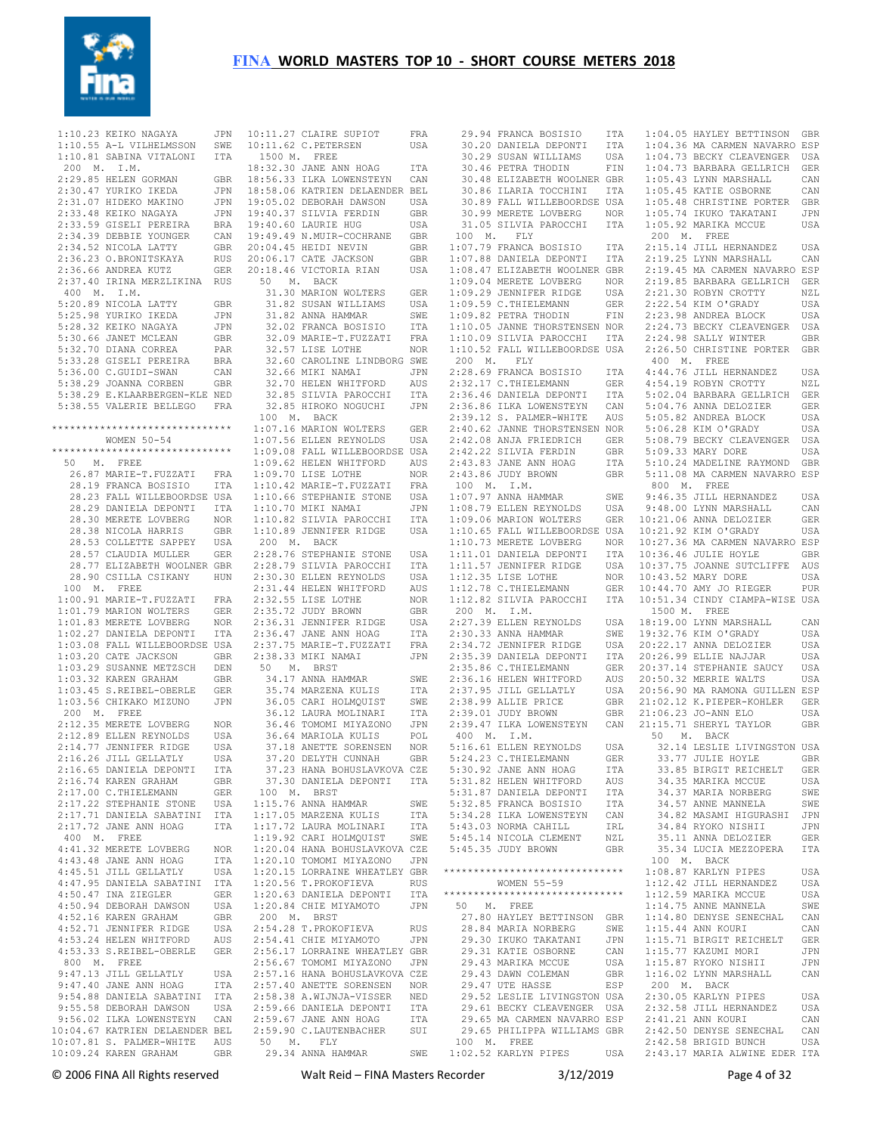

 $1:10.23$  KEIKO NAGAYA 200 M. I.M. 2:29.85 HELEN GORMAN GBR<br>2:30.47 YURIKO IKEDA JPN  $2:30.47$  YURIKO IKEDA 2:31.07 HIDEKO MAKINO 2:33.48 KEIKO NAGAYA JPN 2:33.59 GISELI PEREIRA BRA 2:34.39 DEBBIE YOUNGER CAN 2:34.52 NICOLA LATTY GBR 2:36.23 O.BRONITSKAYA RUS 2:36.66 ANDREA KUTZ GER 2:37.40 IRINA MERZLIKINA RUS 400 M. I.M. 5:20.89 NICOLA LATTY GBR 5:25.98 YURIKO IKEDA JPN 5:28.32 KEIKO NAGAYA JPN 5:30.66 JANET MCLEAN GBR 5:32.70 DIANA CORREA PAR 5:33.28 GISELI PEREIRA BRA 5:36.00 C.GUIDI-SWAN CAN 5:38.29 JOANNA CORBEN GBR 5:38.29 E.KLAARBERGEN-KLE NED 5:38.55 VALERIE BELLEGO FRA WOMEN 50-54 \*\*\*\*\*\*\*\*\*\*\*\*\*\*\*\*\*\*\*\*\*\*\*\*\*\*\*\*\*\* 50 M. FREE 26.87 MARIE-T.FUZZATI FRA 28.19 FRANCA BOSISIO ITA 28.23 FALL WILLEBOORDSE USA 28.29 DANIELA DEPONTI ITA 28.30 MERETE LOVBERG NOR 28.38 NICOLA HARRIS GBR 28.53 COLLETTE SAPPEY USA 28.57 CLAUDIA MULLER GER 28.77 ELIZABETH WOOLNER GBR 28.90 CSILLA CSIKANY HUN 100 M. FREE 1:00.91 MARIE-T.FUZZATI FRA 1:01.79 MARION WOLTERS GER 1:01.83 MERETE LOVBERG NOR 1:02.27 DANIELA DEPONTI ITA 1:03.08 FALL WILLEBOORDSE USA 1:03.20 CATE JACKSON GBR 1:03.29 SUSANNE METZSCH DEN 1:03.32 KAREN GRAHAM GBR 1:03.45 S.REIBEL-OBERLE GER<br>1:03.56 CHIKAKO MIZUNO JPN  $1:03.56$  CHIKAKO MIZUNO 200 M. FREE 2:12.35 MERETE LOVBERG NOR - . . . . .<br>2:12.89 ELLEN REYNOLDS USA<br>2·14.77 JENNIFER RIDGE USA  $2:14.77$  JENNIFER RIDGE 2:16.26 JILL GELLATLY USA<br>2:16.65 DANIELA DEPONTI ITA 2:16.65 DANIELA DEPONTI 2:16.74 KAREN GRAHAM GBR 2:17.00 C.THIELEMANN GER 2:17.22 STEPHANIE STONE USA 2:17.71 DANIELA SABATINI ITA 400 M. FREE 4:41.32 MERETE LOVBERG NOR 4.41.52 HERE -<br>4:43.48 JANE ANN HOAG ITA<br>4.45 51 JILL GELLATLY USA 4:45.51 JILL GELLATLY 4:47.95 DANIELA SABATINI ITA 4:50.47 INA ZIEGLER GER 4:50.94 DEBORAH DAWSON USA 4:52.16 KAREN GRAHAM GBR 4:52.71 JENNIFER RIDGE USA 4:53.24 HELEN WHITFORD AUS 4:53.33 S.REIBEL-OBERLE GER 800 M. FREE 9:47.13 JILL GELLATLY USA 9:47.40 JANE ANN HOAG ITA 9:54.88 DANIELA SABATINI ITA 9:55.58 DEBORAH DAWSON USA 9:56.02 ILKA LOWENSTEYN CAN 10:04.67 KATRIEN DELAENDER BEL 10:07.81 S. PALMER-WHITE AUS

1:10.55 A-L VILHELMSSON SWE 10:11.62 C.PETERSEN USA<br>1:10.81 SABINA VITALONI ITA 1500 M. FREE \*\*\*\*\*\*\*\*\*\*\*\*\*\*\*\*\*\*\*\*\*\*\*\*\*\*\*\*\*\* 1:07.16 MARION WOLTERS GER 2:17.72 JANE ANN HOAG ITA 1:17.72 LAURA MOLINARI ITA 10:09.24 KAREN GRAHAM GBR 29.34 ANNA HAMMAR SWE JPN 10:11.27 CLAIRE SUPIOT FRA 18:32.30 JANE ANN HOAG ITA 18:56.33 ILKA LOWENSTEYN CAN 18:58.06 KATRIEN DELAENDER BEL 19:05.02 DEBORAH DAWSON USA 19:40.37 SILVIA FERDIN GBR 19:40.60 LAURIE HUG USA 19:49.49 N.MUIR-COCHRANE GBR 20:04.45 HEIDI NEVIN GBR 20:06.17 CATE JACKSON GBR 20:18.46 VICTORIA RIAN USA 50 M. BACK 31.30 MARION WOLTERS GER 31.82 SUSAN WILLIAMS USA 31.82 ANNA HAMMAR SWE 32.02 FRANCA BOSISIO ITA 32.09 MARIE-T.FUZZATI FRA 32.57 LISE LOTHE NOR 32.60 CAROLINE LINDBORG SWE 32.66 MIKI NAMAI JPN 32.70 HELEN WHITFORD AUS 32.85 SILVIA PAROCCHI ITA 32.85 HIROKO NOGUCHI JPN 100 M. BACK 1:07.56 ELLEN REYNOLDS USA 1:09.08 FALL WILLEBOORDSE USA 1:09.62 HELEN WHITFORD AUS 1:09.70 LISE LOTHE NOR 1:10.42 MARIE-T.FUZZATI FRA 1:10.66 STEPHANIE STONE USA 1:10.70 MIKI NAMAI JPN 1:10.82 SILVIA PAROCCHI ITA 1:10.89 JENNIFER RIDGE USA 200 M. BACK 2:28.76 STEPHANIE STONE USA 2:28.79 SILVIA PAROCCHI ITA 2:30.30 ELLEN REYNOLDS USA 2:31.44 HELEN WHITFORD AUS 2:32.55 LISE LOTHE NOR 2:35.72 JUDY BROWN GBR 2:36.31 JENNIFER RIDGE USA 2:36.47 JANE ANN HOAG ITA 2:37.75 MARIE-T.FUZZATI FRA 2:38.33 MIKI NAMAI JPN 50 M. BRST 34.17 ANNA HAMMAR SWE<br>35.74 MARZENA KULIS ITA 35.74 MARZENA KULIS ITA 36.05 CARI HOLMQUIST SWE 36.12 LAURA MOLINARI ITA 36.46 TOMOMI MIYAZONO JPN 36.64 MARIOLA KULIS POL 37.18 ANETTE SORENSEN NOR 37.20 DELYTH CUNNAH GBR 37.23 HANA BOHUSLAVKOVA CZE 37.30 DANIELA DEPONTI ITA 100 M. BRST 1:15.76 ANNA HAMMAR SWE 1:17.05 MARZENA KULIS ITA 1:19.92 CARI HOLMQUIST SWE 1:20.04 HANA BOHUSLAVKOVA CZE 1:20.10 TOMOMI MIYAZONO JPN 1:20.15 LORRAINE WHEATLEY GBR 1:20.56 T.PROKOFIEVA RUS 1:20.63 DANIELA DEPONTI ITA 1:20.84 CHIE MIYAMOTO JPN 200 M. BRST 2:54.28 T.PROKOFIEVA RUS 2:54.41 CHIE MIYAMOTO JPN 2:56.17 LORRAINE WHEATLEY GBR 2:56.67 TOMOMI MIYAZONO JPN 2:57.16 HANA BOHUSLAVKOVA CZE 2:57.40 ANETTE SORENSEN NOR 2:58.38 A.WIJNJA-VISSER NED 2:59.66 DANIELA DEPONTI ITA 2:59.67 JANE ANN HOAG ITA 2:59.90 C.LAUTENBACHER SUI 50 M. FLY

 29.94 FRANCA BOSISIO ITA 30.20 DANIELA DEPONTI ITA 1:04.05 HAYLEY BETTINSON GBR 1:04.36 MA CARMEN NAVARRO ESP 30.20 DANIELA DEPONTI<br>30.29 SUSAN WILLIAMS 30.46 PETRA THODIN FIN 30.48 ELIZABETH WOOLNER GBR 30.86 ILARIA TOCCHINI ITA 30.89 FALL WILLEBOORDSE USA 30.99 MERETE LOVBERG NOR 31.05 SILVIA PAROCCHI ITA 100 M. FLY 1:07.79 FRANCA BOSISIO ITA<br>1:07.88 DANIELA DEPONTI ITA 1:07.88 DANIELA DEPONTI ITA 1:08.47 ELIZABETH WOOLNER GBR 1:09.04 MERETE LOVBERG NOR 1:09.29 JENNIFER RIDGE USA 1:09.59 C.THIELEMANN GER 1:09.82 PETRA THODIN FIN 1:10.05 JANNE THORSTENSEN NOR 1:10.09 SILVIA PAROCCHI ITA 1:10.52 FALL WILLEBOORDSE USA 200 M. FLY 2:28.69 FRANCA BOSISIO ITA<br>2:32.17 C.THIELEMANN GER  $2 \cdot 32$  17 C. THIELEMANN 2:36.46 DANIELA DEPONTI ITA 2:36.86 ILKA LOWENSTEYN CAN 2:39.12 S. PALMER-WHITE AUS 2:40.62 JANNE THORSTENSEN NOR 2:42.08 ANJA FRIEDRICH GER 2:42.22 SILVIA FERDIN GBR  $2 \cdot 43$  83 JANE ANN HOAG  $2:43.86$  JUDY BROWN 100 M. I.M.  $1 \cdot 07$  97 ANNA HAMMAR 1:08.79 ELLEN REYNOLDS USA 1:09.06 MARION WOLTERS GER 1:10.65 FALL WILLEBOORDSE USA 1:10.73 MERETE LOVBERG NOR 10:21.92 KIM O'GRADY USA 10:27.36 MA CARMEN NAVARRO ESP 1:11.01 DANIELA DEPONTI ITA 1:11.57 JENNIFER RIDGE USA 1:12.35 LISE LOTHE NOR 1:12.78 C.THIELEMANN GER 1:12.82 SILVIA PAROCCHI ITA 200 M. I.M. 2:27.39 ELLEN REYNOLDS  $2:30.33$  ANNA HAMMAR  $2:34.72$  JENNIFER RIDGE 2:35.39 DANIELA DEPONTI  $2:35.86$  C. THIELEMANN 2:36.16 HELEN WHITFORD  $2:37.95$  JILL GELLATLY 2:38.99 ALLIE PRICE 2:39.01 JUDY BROWN GBR 2:39.47 ILKA LOWENSTEYN CAN 21:06.23 JO-ANN ELO USA 21:15.71 SHERYL TAYLOR GBR 400 M. I.M. 5:16.61 ELLEN REYNOLDS USA 5:24.23 C.THIELEMANN GER 5:30.92 JANE ANN HOAG 5:31.82 HELEN WHITFORD AUS 5:31.87 DANIELA DEPONTI ITA 5:32.85 FRANCA BOSISIO 5:34.28 ILKA LOWENSTEYN CAN 5:43.03 NORMA CAHILL IRL 5:45.14 NICOLA CLEMENT NZL 5:45.35 JUDY BROWN GBR \*\*\*\*\*\*\*\*\*\*\*\*\*\*\*\*\*\*\*\*\*\*\*\*\*\*\*\*\*\* 1:08.87 KARLYN PIPES USA **MOMEN** 55-59 \*\*\*\*\*\*\*\*\*\*\*\*\*\*\*\*\*\*\*\*\*\*\*\*\*\*\*\* 1:12.59 MARIKA MCCUE USA 50 M. FREE .<br>27.80 HAYLEY BETTINSON GBR<br>28.84 MARIA NORBERG SWE 28.84 MARIA NORBERG SWE 29.30 IKUKO TAKATANI JPN 29.31 KATIE OSBORNE CAN 29.43 MARIKA MCCUE USA 29.43 DAWN COLEMAN GBR 29.47 UTE HASSE ESP 29.52 LESLIE LIVINGSTON USA 29.61 BECKY CLEAVENGER USA 29.65 MA CARMEN NAVARRO ESP 2:32.58 JILL HERNANDEZ USA 2:41.21 ANN KOURI CAN 29.65 PHILIPPA WILLIAMS GBR 2:42.50 DENYSE SENECHAL CAN 100 M. FREE 1:02.52 KARLYN PIPES USA 2:42.58 BRIGID BUNCH USA 2:43.17 MARIA ALWINE EDER ITA 1:04.36 MA CARMEN NAVARRO ESP<br>USA 1:04.73 BECKY CLEAVENGER USA 1:04.73 BARBARA GELLRICH GER 1:05.43 LYNN MARSHALL CAN 1:05.45 KATIE OSBORNE CAN 1:05.48 CHRISTINE PORTER GBR 1:05.74 IKUKO TAKATANI JPN 1:05.92 MARIKA MCCUE USA 200 M. FREE 2:15.14 JILL HERNANDEZ USA 2:19.25 LYNN MARSHALL CAN 2:19.45 MA CARMEN NAVARRO ESP 2:19.85 BARBARA GELLRICH GER 2:21.30 ROBYN CROTTY NZL 2:22.54 KIM O'GRADY USA 2:23.98 ANDREA BLOCK USA 2:24.73 BECKY CLEAVENGER USA 2:24.98 SALLY WINTER GBR 2:26.50 CHRISTINE PORTER GBR 400 M. FREE 4:44.76 JILL HERNANDEZ USA 4:54.19 ROBYN CROTTY NZL 5:02.04 BARBARA GELLRICH GER 5:04.76 ANNA DELOZIER GER 5:05.82 ANDREA BLOCK USA 5:06.28 KIM O'GRADY USA 5:08.79 BECKY CLEAVENGER USA 5:09.33 MARY DORE USA<br>5:10.24 MADELINE RAYMOND GBR 5:10.24 MADELINE RAYMOND GBR 5:11.08 MA CARMEN NAVARRO ESP 800 M. FREE SWE 9:46.35 JILL HERNANDEZ USA 9:48.00 LYNN MARSHALL CAN USA 9:48.00 LYNN MARSHALL CAN<br>GER 10:21.06 ANNA DELOZIER GER 10:36.46 JULIE HOYLE GBR 10:37.75 JOANNE SUTCLIFFE AUS 10:43.52 MARY DORE USA 10:44.70 AMY JO RIEGER PUR 10:51.34 CINDY CIAMPA-WISE USA 1500 M. FREE 18:19.00 LYNN MARSHALL CAN 19:32.76 KIM O'GRADY USA 20:22.17 ANNA DELOZIER USA 20:26.99 ELLIE NAJJAR USA 20:37.14 STEPHANIE SAUCY USA 20:50.32 MERRIE WALTS USA 20:56.90 MA RAMONA GUILLEN ESP 21:02.12 K.PIEPER-KOHLER GER 50 M. BACK 32.14 LESLIE LIVINGSTON USA 33.77 JULIE HOYLE GBR 33.85 BIRGIT REICHELT GER 34.35 MARIKA MCCUE USA 34.37 MARIA NORBERG SWE 34.57 ANNE MANNELA SWE 34.82 MASAMI HIGURASHI JPN 34.84 RYOKO NISHII JPN 35.11 ANNA DELOZIER GER 35.34 LUCIA MEZZOPERA ITA 100 M. BACK 1:12.42 JILL HERNANDEZ USA 1:14.75 ANNE MANNELA SWE 1:14.80 DENYSE SENECHAL CAN 1:15.44 ANN KOURI CAN 1:15.71 BIRGIT REICHELT GER  $1:15.77$  KAZUMI MORI 1:15.87 RYOKO NISHII JPN 1:16.02 LYNN MARSHALL CAN 200 M. BACK 2:30.05 KARLYN PIPES USA

© 2006 FINA All Rights reserved Walt Reid – FINA Masters Recorder 3/12/2019 Page 4 of 32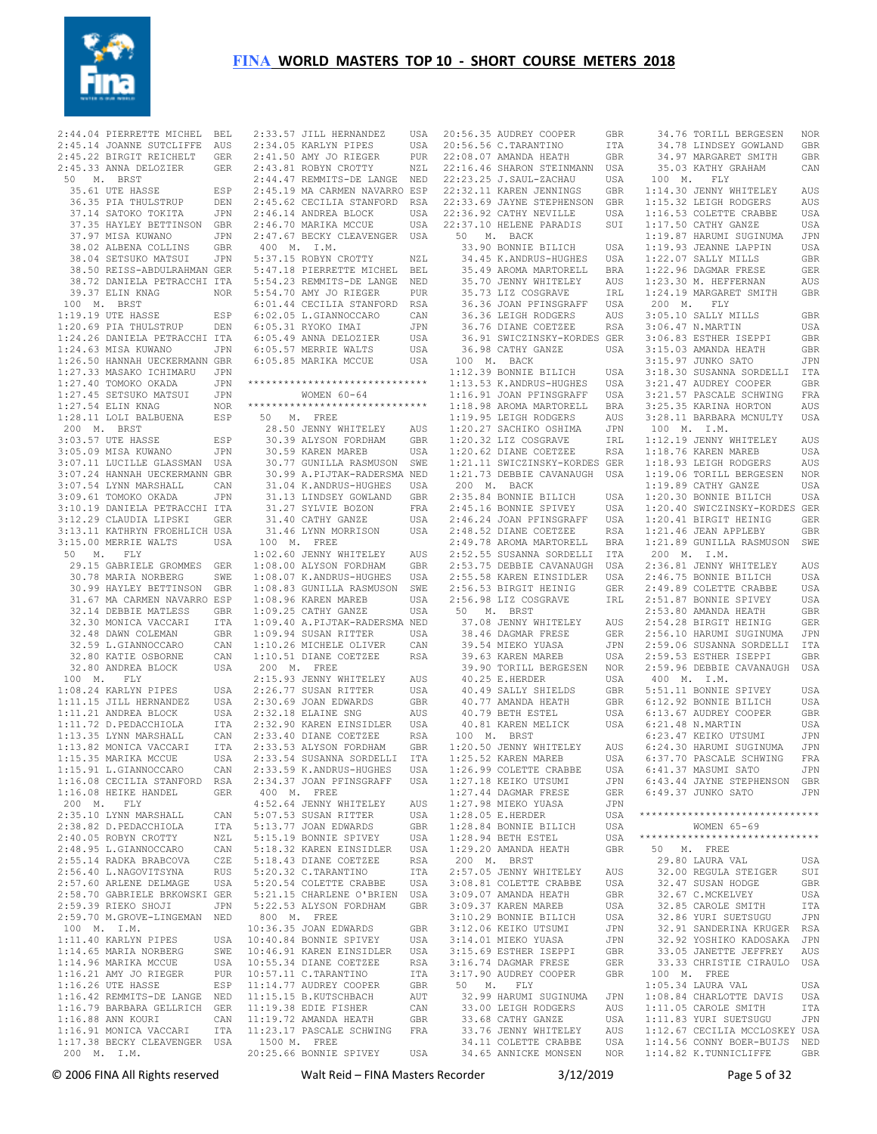

 2:45.14 JOANNE SUTCLIFFE AUS 2:45.22 BIRGIT REICHELT GER 2:45.33 ANNA DELOZIER GER 50 M. BRST 35.61 UTE HASSE ESP 36.35 PIA THULSTRUP DEN 37.14 SATOKO TOKITA JPN 37.35 HAYLEY BETTINSON GBR 37.97 MISA KUWANO JPN 38.02 ALBENA COLLINS GBR 38.04 SETSUKO MATSUI JPN 38.50 REISS-ABDULRAHMAN GER 38.72 DANIELA PETRACCHI ITA 39.37 ELIN KNAG NOR 100 M. BRST 1:19.19 UTE HASSE ESP 1:20.69 PIA THULSTRUP DEN 1:24.26 DANIELA PETRACCHI ITA 1:24.63 MISA KUWANO JPN 1:26.50 HANNAH UECKERMANN GBR 1:27.33 MASAKO ICHIMARU JPN 1:27.40 TOMOKO OKADA JPN 1:27.45 SETSUKO MATSUI JPN 1:27.54 ELIN KNAG NOR 1:28.11 LOLI BALBUENA ESP 200 M. BRST 3:03.57 UTE HASSE ESP 3:05.09 MISA KUWANO JPN 3:07.11 LUCILLE GLASSMAN USA 3:07.24 HANNAH UECKERMANN GBR 3:07.54 LYNN MARSHALL CAN 3:09.61 TOMOKO OKADA JPN 3:10.19 DANIELA PETRACCHI ITA 3:12.29 CLAUDIA LIPSKI GER 3:13.11 KATHRYN FROEHLICH USA 3:15.00 MERRIE WALTS USA 50 M. FLY 29.15 GABRIELE GROMMES GER 30.78 MARIA NORBERG SWE 30.99 HAYLEY BETTINSON GBR 31.67 MA CARMEN NAVARRO ESP 32.14 DEBBIE MATLESS GBR 32.30 MONICA VACCARI ITA 32.48 DAWN COLEMAN GBR 32.59 L.GIANNOCCARO CAN 32.80 KATIE OSBORNE CAN 32.80 ANDREA BLOCK USA 100 M. FLY 1:08.24 KARLYN PIPES USA 1:11.15 JILL HERNANDEZ USA 1:11.21 ANDREA BLOCK USA 1:11.72 D.PEDACCHIOLA ITA 1:13.35 LYNN MARSHALL CAN 1:13.82 MONICA VACCARI ITA 1:15.35 MARIKA MCCUE USA 1:15.91 L.GIANNOCCARO CAN 1:16.08 CECILIA STANFORD RSA<br>1:16.08 HEIKE HANDEL GER  $1:16.08$  HEIKE HANDEL 200 M. FLY 2:35.10 LYNN MARSHALL CAN 2:38.82 D.PEDACCHIOLA 2:40.05 ROBYN CROTTY NZL 2:48.95 L.GIANNOCCARO CAN 2:55.14 RADKA BRABCOVA CZE 2:56.40 L.NAGOVITSYNA RUS 2:57.60 ARLENE DELMAGE USA 2:58.70 GABRIELE BRKOWSKI GER 2:59.39 RIEKO SHOJI JPN 2:59.70 M.GROVE-LINGEMAN NED 100 M. I.M. 1:11.40 KARLYN PIPES USA 1:14.65 MARIA NORBERG SWE 1:14.96 MARIKA MCCUE USA 1:16.21 AMY JO RIEGER PUR 1:16.26 UTE HASSE ESP 1:16.42 REMMITS-DE LANGE NED 1:16.79 BARBARA GELLRICH GER 11:19.38 EDIE FISHER CAN 1:16.88 ANN KOURI CAN 1:16.91 MONICA VACCARI ITA 1:17.38 BECKY CLEAVENGER USA 200 M. I.M.

 2:44.04 PIERRETTE MICHEL BEL 2:33.57 JILL HERNANDEZ USA 20:56.35 AUDREY COOPER GBR 2:34.05 KARLYN PIPES USA 2:41.50 AMY JO RIEGER PUR 2:43.81 ROBYN CROTTY NZL 2:44.47 REMMITS-DE LANGE NED 2:45.19 MA CARMEN NAVARRO ESP 2:45.62 CECILIA STANFORD RSA 2:46.14 ANDREA BLOCK USA 2:46.70 MARIKA MCCUE USA 2:47.67 BECKY CLEAVENGER USA 400 M. I.M. 5:37.15 ROBYN CROTTY NZL 5:47.18 PIERRETTE MICHEL BEL 5:54.23 REMMITS-DE LANGE NED 5:54.70 AMY JO RIEGER PUR 6:01.44 CECILIA STANFORD RSA 6:02.05 L.GIANNOCCARO CAN 6:05.31 RYOKO IMAI JPN 6:05.49 ANNA DELOZIER USA 6:05.57 MERRIE WALTS USA 6:05.85 MARIKA MCCUE USA \*\*\*\*\*\*\*\*\*\*\*\*\*\*\*\*\*\*\*\*\*\*\*\*\*\*\*\*\*\* WOMEN 60-64 \*\*\*\*\*\*\*\*\*\*\*\*\*\*\*\*\*\*\*\*\*\*\*\*\*\*\*\*\*\* 50 M. FREE 28.50 JENNY WHITELEY AUS 30.39 ALYSON FORDHAM GBR 30.59 KAREN MAREB USA 30.77 GUNILLA RASMUSON SWE 30.99 A.PIJTAK-RADERSMA NED 31.04 K.ANDRUS-HUGHES USA 31.13 LINDSEY GOWLAND GBR 31.27 SYLVIE BOZON FRA<br>31.27 SYLVIE BOZON FRA 31.40 CATHY GANZE USA 31.46 LYNN MORRISON USA 100 M. FREE 1:02.60 JENNY WHITELEY AUS 1:08.00 ALYSON FORDHAM GBR 1:08.07 K.ANDRUS-HUGHES USA 1:08.83 GUNILLA RASMUSON SWE 1:08.96 KAREN MAREB USA 1:09.25 CATHY GANZE USA 1:09.40 A.PIJTAK-RADERSMA NED 1:09.94 SUSAN RITTER USA 1:10.26 MICHELE OLIVER CAN 1:10.51 DIANE COETZEE RSA 200 M. FREE 2:15.93 JENNY WHITELEY AUS<br>2:26.77 SUSAN RITTER USA  $2:26.77$  SUSAN RITTER 2:30.69 JOAN EDWARDS GBR 2:32.18 ELAINE SNG AUS 2:32.90 KAREN EINSIDLER USA 2:33.40 DIANE COETZEE RSA 2:33.53 ALYSON FORDHAM GBR 2:33.54 SUSANNA SORDELLI ITA 2:33.59 K.ANDRUS-HUGHES USA 2:34.37 JOAN PFINSGRAFF USA 400 M. FREE 4:52.64 JENNY WHITELEY AUS 5:07.53 SUSAN RITTER USA 5:13.77 JOAN EDWARDS GBR 5:15.19 BONNIE SPIVEY USA<br>5:18.32 KAREN EINSIDLER USA 5:18.32 KAREN EINSIDLER 5:18.43 DIANE COETZEE RSA 5:20.32 C.TARANTINO ITA 5:20.54 COLETTE CRABBE USA 5:21.15 CHARLENE O'BRIEN USA 5:22.53 ALYSON FORDHAM GBR 800 M. FREE 10:36.35 JOAN EDWARDS GBR 10:40.84 BONNIE SPIVEY USA<br>10:46 91 KAREN EINSIDLER USA 10:46.91 KAREN EINSIDLER 10:55.34 DIANE COETZEE RSA<br>10:57 11 C TARANTINO 1TA  $10 \cdot 57$  11 C. TARANTINO 11:14.77 AUDREY COOPER GBR -<br>11:15.15 B.KUTSCHBACH AUT<br>11:19.38 EDIE FISHER CAN  $11:19.72$  AMANDA HEATH GBR 11:23.17 PASCALE SCHWING FRA 1500 M. FREE 20:25.66 BONNIE SPIVEY USA

20:56.56 C.TARANTINO ITA 22:08.07 AMANDA HEATH GBR 22:16.46 SHARON STEINMANN USA 22:23.25 J.SAUL-ZACHAU USA  $22:32.11$  KAREN JENNINGS 22:33.69 JAYNE STEPHENSON GBR 22:36.92 CATHY NEVILLE USA<br>22:37.10 HELENE PARADIS SUI  $22:37.10$  HELENE PARADIS 50 M. BACK 33.90 BONNIE BILICH USA<br>34.45 K.ANDRUS-HUGHES USA 34.45 K.ANDRUS-HUGHES 35.49 AROMA MARTORELL BRA<br>35.70 JENNY WHITELEY AUS<br>35.73 LIZ COSGRAVE IRL 35.70 JENNY WHITELEY 35.73 LIZ COSGRAVE 36.36 JOAN PFINSGRAFF USA 36.36 LEIGH RODGERS AUS 36.76 DIANE COETZEE RSA 36.91 SWICZINSKY-KORDES GER 36.98 CATHY GANZE USA 100 M. BACK 1:12.39 BONNIE BILICH USA 1:13.53 K.ANDRUS-HUGHES USA 1:16.91 JOAN PFINSGRAFF USA 1:18.98 AROMA MARTORELL BRA 1:19.95 LEIGH RODGERS AUS 1:20.27 SACHIKO OSHIMA JPN 1:20.32 LIZ COSGRAVE IRL 1:20.62 DIANE COETZEE RSA 1:21.11 SWICZINSKY-KORDES GER 1:21.73 DEBBIE CAVANAUGH USA 200 M. BACK 2:35.84 BONNIE BILICH USA 2:45.16 BONNIE SPIVEY USA<br>2:46.24 JOAN PFINSGRAFF USA 2:46.24 JOAN PFINSGRAFF USA<br>2:48.52 DIANE COETZEE RSA  $2:48.52$  DIANE COETZEE 2:49.78 AROMA MARTORELL BRA 2:52.55 SUSANNA SORDELLI ITA<br>2:53.75 DEBBIE CAVANAUGH USA 2:53.75 DEBBIE CAVANAUGH USA<br>2:55.58 KAREN EINSIDLER USA 2:55.58 KAREN EINSIDLER 2:56.53 BIRGIT HEINIG GER<br>2:56.53 BIRGIT HEINIG GER<br>2:56.98 LIZ COSGRAVE IRL  $2:56.98$  LIZ COSGRAVE 50 M. BRST 37.08 JENNY WHITELEY AUS 98.46 DAGMAR FRESE GER<br>39.54 MIEKO YUASA JPN<br>39.63 KAREN MAREB USA 39.54 MIEKO YUASA 39.63 KAREN MAREB 39.90 TORILL BERGESEN NOR 40.25 E.HERDER USA 40.49 SALLY SHIELDS GBR 40.77 AMANDA HEATH GBR 40.79 BETH ESTEL 40.81 KAREN MELICK 100 M. BRST 1:20.50 JENNY WHITELEY AUS<br>1:25.52 KAREN MAREB USA  $1:25.52$  KAREN MAREB 1:26.99 COLETTE CRABBE USA 1:27.18 KEIKO UTSUMI JPN 1:27.44 DAGMAR FRESE GER 1:27.98 MIEKO YUASA JPN 1:28.05 E.HERDER USA<br>1:28.84 BONNIE BILICH USA  $1:28.84$  BONNIE BILICH 1:28.94 BETH ESTEL USA  $1:29.20$  AMANDA HEATH 200 M. BRST 2:57.05 JENNY WHITELEY AUS 3:08.81 COLETTE CRABBE USA<br>3:09.07 AMANDA HEATH GBR 3:09.07 AMANDA HEATH GBR<br>3:09.37 KAREN MAREB USA 3:09.37 KAREN MAREB 3:10.29 BONNIE BILICH USA<br>3:12.06 KEIKO UTSUMI JPN 3:12.06 KEIKO UTSUMI 3:14.01 MIEKO YUASA JPN 3:15.69 ESTHER ISEPPI GBR<br>3:16.74 DAGMAR FRESE GER<br>3:16.74 DAGMAR FRESE GBR 3:16.74 DAGMAR FRESE 3:17.90 AUDREY COOPER GBR 50 M. FLY 32.99 HARUMI SUGINUMA JPN 1:08.84 CHARLOTTE DAVIS USA 33.00 LEIGH RODGERS 33.68 CATHY GANZE USA 33.76 JENNY WHITELEY 34.11 COLETTE CRABBE 34.65 ANNICKE MONSEN NOR 1:14.82 K.TUNNICLIFFE GBR 34.76 TORILL BERGESEN NOR

 34.78 LINDSEY GOWLAND GBR 34.97 MARGARET SMITH GBR 35.03 KATHY GRAHAM CAN 100 M. FLY<br>1:14.30 JENNY WHITELEY 1:14.30 JENNY WHITELEY AUS 1:15.32 LEIGH RODGERS AUS 1:16.53 COLETTE CRABBE USA 1:17.50 CATHY GANZE USA 1:19.87 HARUMI SUGINUMA JPN 1:19.93 JEANNE LAPPIN USA 1:22.07 SALLY MILLS GBR 1:22.96 DAGMAR FRESE GER 1:23.30 M. HEFFERNAN AUS 1:24.19 MARGARET SMITH GBR 200 M. FLY 3:05.10 SALLY MILLS GBR 3:06.47 N.MARTIN USA 3:06.83 ESTHER ISEPPI GBR 3:15.03 AMANDA HEATH GBR 3:15.97 JUNKO SATO JPN 3:18.30 SUSANNA SORDELLI ITA 3:21.47 AUDREY COOPER GBR 3:21.57 PASCALE SCHWING FRA 3:25.35 KARINA HORTON AUS 3:28.11 BARBARA MCNULTY USA 100 M. I.M. 1:12.19 JENNY WHITELEY AUS 1:18.76 KAREN MAREB USA 1:18.93 LEIGH RODGERS AUS 1:19.06 TORILL BERGESEN NOR 1:19.89 CATHY GANZE USA 1:20.30 BONNIE BILICH USA 1:20.40 SWICZINSKY-KORDES GER 1:20.41 BIRGIT HEINIG GER 1:21.46 JEAN APPLEBY GBR 1:21.89 GUNILLA RASMUSON SWE 200 M. I.M. 2:36.81 JENNY WHITELEY AUS 2:46.75 BONNIE BILICH USA 2:49.89 COLETTE CRABBE USA 2:51.87 BONNIE SPIVEY USA 2:53.80 AMANDA HEATH GBR 2:54.28 BIRGIT HEINIG GER 2:56.10 HARUMI SUGINUMA JPN 2:59.06 SUSANNA SORDELLI ITA 2:59.53 ESTHER ISEPPI GBR 2:59.96 DEBBIE CAVANAUGH USA 400 M. I.M. 5:51.11 BONNIE SPIVEY USA 6:12.92 BONNIE BILICH USA 6:13.67 AUDREY COOPER GBR USA 6:13.67 AUDREY COOPER GBR<br>USA 6:21.48 N.MARTIN USA 6:23.47 KEIKO UTSUMI JPN 6:24.30 HARUMI SUGINUMA JPN 6:37.70 PASCALE SCHWING FRA 6:41.37 MASUMI SATO JPN 6:43.44 JAYNE STEPHENSON GBR  $6.49$  37 JUNKO SATO JPN \*\*\*\*\*\*\*\*\*\*\*\*\*\*\*\*\*\*\*\*\*\*\*\*\*\*\*\*\*\* WOMEN 65-69 \*\*\*\*\*\*\*\*\*\*\*\*\*\*\*\*\*\*\*\*\*\*\*\*\*\*\*\*\*\* GBR 50 M. FREE 29.80 LAURA VAL USA 32.00 REGULA STEIGER SUI 32.47 SUSAN HODGE GBR 32.67 C.MCKELVEY USA 32.85 CAROLE SMITH ITA 32.86 YURI SUETSUGU JPN 32.91 SANDERINA KRUGER RSA 32.92 YOSHIKO KADOSAKA JPN 33.05 JANETTE JEFFREY AUS 33.33 CHRISTIE CIRAULO USA 100 M. FREE 1:05.34 LAURA VAL USA AUS 1:11.05 CAROLE SMITH ITA 1:11.83 YURI SUETSUGU JPN 1:12.67 CECILIA MCCLOSKEY USA 1:14.56 CONNY BOER-BUIJS NED

© 2006 FINA All Rights reserved Walt Reid – FINA Masters Recorder 3/12/2019 Page 5 of 32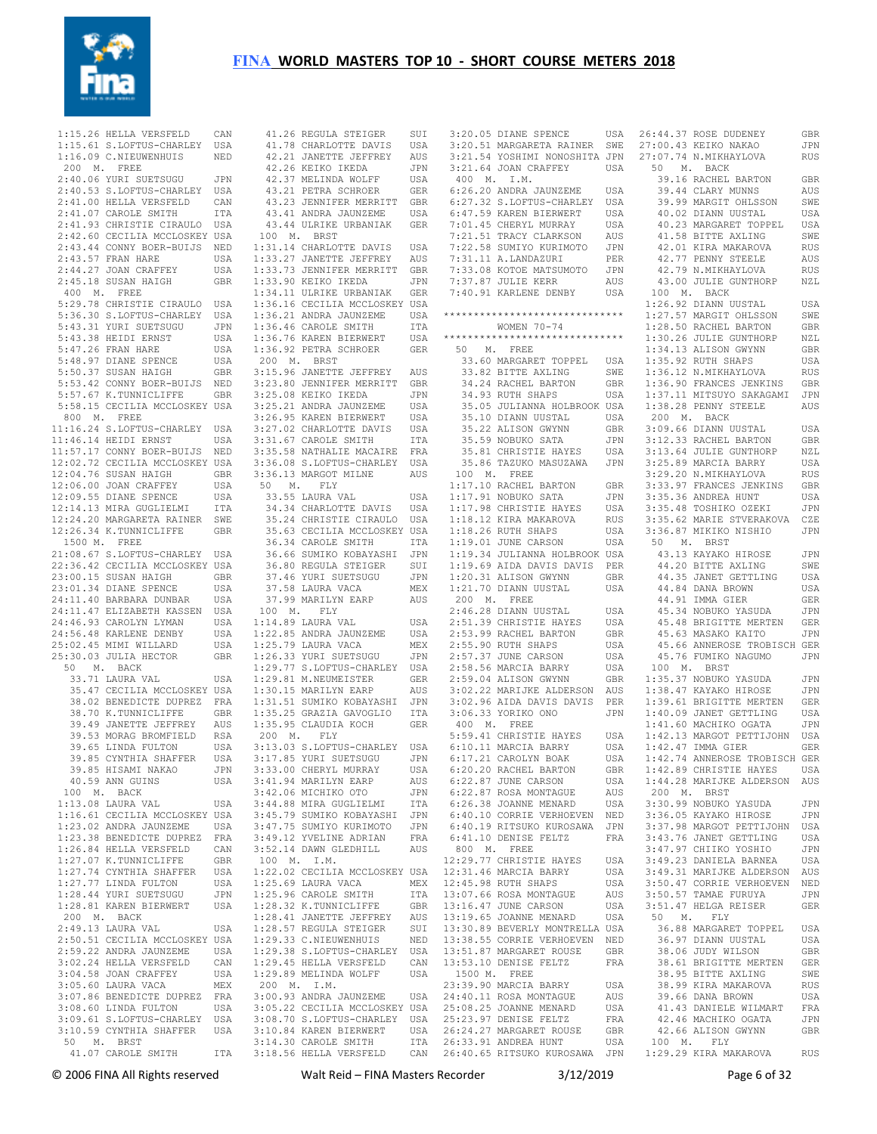

|              | 1:15.26 HELLA VERSFELD                                                                                                                          | CAN         | $\overline{4}$ |
|--------------|-------------------------------------------------------------------------------------------------------------------------------------------------|-------------|----------------|
|              | 1:15.61 S.LOFTUS-CHARLEY USA                                                                                                                    |             | $\overline{4}$ |
|              |                                                                                                                                                 |             |                |
|              | 1:16.09 C.NIEUWENHUIS                                                                                                                           | NED         | $\overline{4}$ |
| 200 M. FREE  |                                                                                                                                                 |             | $\sqrt{4}$     |
|              | 2:40.06 YURI SUETSUGU                                                                                                                           | JPN         | $\sqrt{4}$     |
|              | 2:40.53 S.LOFTUS-CHARLEY USA                                                                                                                    |             | $\overline{4}$ |
|              | 2:41.00 HELLA VERSFELD                                                                                                                          | CAN         | $\overline{4}$ |
|              |                                                                                                                                                 |             | $\overline{4}$ |
|              | 2:41.07 CAROLE SMITH                                                                                                                            | ITA         |                |
|              | 2:41.93 CHRISTIE CIRAULO                                                                                                                        | USA         | $\sqrt{4}$     |
|              | 2:42.60 CECILIA MCCLOSKEY USA                                                                                                                   |             | 10             |
|              | 2:43.44 CONNY BOER-BUIJS                                                                                                                        | NED         | 1:3            |
|              | 2:43.57 FRAN HARE                                                                                                                               | USA         | 1:3            |
|              | 2:44.27 JOAN CRAFFEY                                                                                                                            | USA         | 1:3            |
|              | $2:45.18$ SUSAN HAIGH                                                                                                                           | GBR         | 1:3            |
|              |                                                                                                                                                 |             |                |
| 400 M. FREE  |                                                                                                                                                 |             | 1:3            |
|              | 5:29.78 CHRISTIE CIRAULO USA                                                                                                                    |             | 1:3            |
|              | 5:36.30 S.LOFTUS-CHARLEY USA                                                                                                                    |             | 1:3            |
|              | 5:43.31 YURI SUETSUGU                                                                                                                           | JPN         | 1:3            |
|              | 5:43.38 HEIDI ERNST                                                                                                                             | USA         | 1:3            |
|              | 5:47.26 FRAN HARE                                                                                                                               | USA         | 1:3            |
|              |                                                                                                                                                 | USA         | 20             |
|              | 5:48.97 DIANE SPENCE<br>5:50.37 SUSAN HAIGH                                                                                                     |             |                |
|              |                                                                                                                                                 | GBR         | 3:1            |
|              | 5:53.42 CONNY BOER-BUIJS                                                                                                                        | NED         | 3:2            |
|              | 5:57.67 K.TUNNICLIFFE                                                                                                                           | GBR         | 3:2            |
|              | 5:58.15 CECILIA MCCLOSKEY USA                                                                                                                   |             | 3:2            |
| 800 M. FREE  |                                                                                                                                                 |             | 3:2            |
|              | 11:16.24 S.LOFTUS-CHARLEY USA                                                                                                                   |             | 3:2            |
|              | 11:46.14 HEIDI ERNST                                                                                                                            | USA         | 3:3            |
|              | 11:57.17 CONNY BOER-BUIJS                                                                                                                       | NED         | 3:3            |
|              |                                                                                                                                                 |             |                |
|              | 12:02.72 CECILIA MCCLOSKEY USA                                                                                                                  |             | 3:3            |
|              | 12:04.76 SUSAN HAIGH                                                                                                                            | GBR         | 3:3            |
|              | 12:06.00 JOAN CRAFFEY                                                                                                                           | USA         | 50             |
|              | 12:09.55 DIANE SPENCE                                                                                                                           | USA         | 3              |
|              | 12:14.13 MIRA GUGLIELMI                                                                                                                         | ITA         | 3              |
|              | 12:24.20 MARGARETA RAINER                                                                                                                       | SWE         | 3              |
|              | 12:26.34 K.TUNNICLIFFE                                                                                                                          |             | 3              |
|              |                                                                                                                                                 | GBR         |                |
| 1500 M. FREE |                                                                                                                                                 |             | $\mathbf{3}$   |
|              | 21:08.67 S.LOFTUS-CHARLEY USA                                                                                                                   |             | $\mathbf{3}$   |
|              | 22:36.42 CECILIA MCCLOSKEY USA                                                                                                                  |             | 3              |
|              | 23:00.15 SUSAN HAIGH                                                                                                                            | GBR         | $\mathbf{3}$   |
|              | 23:01.34 DIANE SPENCE                                                                                                                           | USA         | 3              |
|              | 24:11.40 BARBARA DUNBAR                                                                                                                         | USA         | 3              |
|              | 24:11.47 ELIZABETH KASSEN USA                                                                                                                   |             | 10             |
|              | 24:46.93 CAROLYN LYMAN                                                                                                                          | USA         | 1:1            |
|              |                                                                                                                                                 |             |                |
|              | 24:56.48 KARLENE DENBY                                                                                                                          | USA         | 1:2            |
|              | 25:02.45 MIMI WILLARD                                                                                                                           | USA         | 1:2            |
|              | 25:30.03 JULIA HECTOR                                                                                                                           | GBR         | 1:2            |
| 50           | M. BACK                                                                                                                                         |             | 1:2            |
|              | 33.71 LAURA VAL                                                                                                                                 | USA         | 1:2            |
|              | 35.47 CECILIA MCCLOSKEY USA                                                                                                                     |             | 1:3            |
|              | 38.02 BENEDICTE DUPREZ FRA                                                                                                                      |             | 1:3            |
|              | 38.70 K.TUNNICLIFFE                                                                                                                             | GBR         | 1:3            |
|              | 39.49 JANETTE JEFFREY                                                                                                                           | AUS         |                |
|              |                                                                                                                                                 |             | 1:3            |
|              | 39.53 MORAG BROMFIELD                                                                                                                           | RSA         | 20             |
|              | 39.65 LINDA FULTON                                                                                                                              | USA         | 3:1            |
|              | 39.85 CYNTHIA SHAFFER                                                                                                                           | USA         | 3:1            |
|              | 39.85 HISAMI NAKAO                                                                                                                              | JPN         | 3:3            |
|              | 40.59 ANN GUINS                                                                                                                                 | USA         | 3:4            |
|              | 100 M. BACK                                                                                                                                     |             | 3:4            |
|              | 1:13.08 LAURA VAL                                                                                                                               | USA         | 3:4            |
|              | 1:16.61 CECILIA MCCLOSKEY USA                                                                                                                   |             | 3:4            |
|              |                                                                                                                                                 |             |                |
|              |                                                                                                                                                 |             | 3:4            |
|              | 1:23.02 ANDRA JAUNZEME USA<br>1:23.38 BENEDICTE DUPREZ FRA<br>1:26.84 HELLA VERSFELD CAN<br>1:26.84 ELLA VERSFELD CAN                           |             | 3:4            |
|              |                                                                                                                                                 |             | 3:5            |
|              | 1:27.07 K.TUNNICLIFFE                                                                                                                           | GBR<br>USA  | $10$           |
|              | $1:27.74$ CYNTHIA SHAFFER                                                                                                                       |             | 1:2            |
|              | 1:27.77 LINDA FULTON                                                                                                                            | USA         | 1:2            |
|              |                                                                                                                                                 |             | 1:2            |
|              | 1:28.44 YURI SUETSUGU<br>1:28.81 KAREN BIERWERT                                                                                                 | JPN<br>USA  | 1:2            |
| 200 M. BACK  |                                                                                                                                                 |             | 1:2            |
|              | 2:49.13 LAURA VAL                                                                                                                               | USA         |                |
|              |                                                                                                                                                 |             | 1:2            |
|              | 2:50.51 CECILIA MCCLOSKEY USA                                                                                                                   |             | 1:2            |
|              | 2:59.22 ANDRA JAUNZEME                                                                                                                          | USA         | 1:2            |
|              | 3:02.24 HELLA VERSFELD CAN                                                                                                                      |             | 1:2            |
|              | 3:04.58 JOAN CRAFFEY                                                                                                                            | USA         | 1:2            |
|              | $3:05.60$ LAURA VACA                                                                                                                            | ${\tt MEX}$ | 20             |
|              |                                                                                                                                                 |             | 3:0            |
|              |                                                                                                                                                 |             |                |
|              |                                                                                                                                                 |             | 3:0            |
|              |                                                                                                                                                 |             |                |
|              |                                                                                                                                                 |             | 3:0            |
|              | 3:07.86 BENEDICTE DUPREZ<br>3:07.86 BENEDICTE DUPREZ<br>3:08.60 LINDA FULTON USA<br>3:09.61 S.LOFTUS-CHARLEY USA<br>3:10.59 CYNTHIA SHAFFER USA |             | 3:1            |
| 50           | M. BRST<br>41.07 CAROLE SMITH ITA                                                                                                               |             | 3:1<br>3:1     |

 41.26 REGULA STEIGER SUI 41.78 CHARLOTTE DAVIS USA 42.21 JANETTE JEFFREY AUS 42.26 KEIKO IKEDA JPN 2.37 MELINDA WOLFF USA 43.21 PETRA SCHROER GER 43.23 JENNIFER MERRITT GBR 43.41 ANDRA JAUNZEME USA 43.44 ULRIKE URBANIAK GER 100 M. BRST 31.14 CHARLOTTE DAVIS USA<br>33.27 JANETTE JEFFREY AUS 1:33.27 JANETTE JEFFREY AUS 1:33.73 JENNIFER MERRITT GBR 1:33.90 KEIKO IKEDA JPN 1:34.11 ULRIKE URBANIAK GER 1:36.16 CECILIA MCCLOSKEY USA 1:36.46 CAROLE SMITH ITA 1:36.76 KAREN BIERWERT USA 1:36.92 PETRA SCHROER GER 200 M. BRST 3:15.96 JANETTE JEFFREY AUS 3:23.80 JENNIFER MERRITT GBR .<br>25.08 KEIKO IKEDA JPN<br>25.21 ANDRA JAUNZEME USA  $\begin{tabular}{llllllllll} 3:25.21 & \text{ANDRA JAUNZEME} & \text{USA} \\ 3:27.02 & \text{KAREN BIERWERT} & \text{USA} \\ 3:27.02 & \text{CHARLOTTE DAVIS} & \text{USA} \\ 3:31.67 & \text{CARLOLE SMITH} & \text{ITTA} \\ 3:35.58 & \text{NATHALIE MCAIREF} & \text{FRA} \\ 3:36.08 & \text{S. LOFTUS-CHARLEY} & \text{USA} \\ 3:36.13 & \text{MARGOTU MLINE} & \text{AUS} \\ 50 & \text{M. FLY} & \$  36.66 SUMIKO KOBAYASHI JPN 36.80 REGULA STEIGER SUI 37.46 YURI SUETSUGU JPN 37.58 LAURA VACA MEX 37.99 MARILYN EARP AUS 100 M. FLY 1:14.89 LAURA VAL USA 22.85 ANDRA JAUNZEME USA 1:25.79 LAURA VACA MEX 1:26.33 YURI SUETSUGU JPN 19 77 S. LOFTUS-CHARLEY USA 1:29.81 M.NEUMEISTER GER 15 MARILYN EARP AUS 1:31.51 SUMIKO KOBAYASHI JPN 1:35.95 CLAUDIA KOCH GER 200 M. FLY<br>
3:13.03 S.LOFTUS-CHARLEY USA<br>
3:33.00 CHERYL MURRAY USA<br>
3:41.94 MARILYN EARP AUS<br>
3:42.06 MICHIKO OTO JPN<br>
3:42.06 MICHIKO OTO JPN<br>
3:45.79 SUMIKO KOBAYASHI JTA<br>
3:45.79 SUMIKO KOBAYASHI JPN 3:47.75 SUMIYO KURIMOTO JPN 100 M. I.M. 1:22.02 CECILIA MCCLOSKEY USA<br>
1:25.69 LAURA VACA MEX<br>
1:25.96 CAROLE SMITH ITA<br>
1:28.32 K.TUNNICLIFFE GBR<br>
1:28.41 JANETTE JEFFREY AUS<br>
1:28.41 JANETTE JEFFREY AUS<br>
1:29.33 C.NIEUWENHUIS NED 1:29.38 S.LOFTUS-CHARLEY USA 1:29.45 HELLA VERSFELD CAN 1:29.89 MELINDA WOLFF USA

 1:36.21 ANDRA JAUNZEME USA \*\*\*\*\*\*\*\*\*\*\*\*\*\*\*\*\*\*\*\*\*\*\*\*\*\*\*\*\*\* 1:27.57 MARGIT OHLSSON SWE 1:35.25 GRAZIA GAVOGLIO ITA 3:06.33 YORIKO ONO JPN 1:40.09 JANET GETTLING USA 3:49.12 YVELINE ADRIAN FRA 6:41.10 DENISE FELTZ FRA 3:43.76 JANET GETTLING USA<br>3:52.14 DAWN GLEDHILL AUS 800 M. FREE 3:47.97 CHIIKO YOSHIO JPN 200 M. I.M. 3:00.93 ANDRA JAUNZEME USA 23:39.90 MARCIA BARRY USA 24:40.11 ROSA MONTAGUE AUS 3:05.22 CECILIA MCCLOSKEY USA 3:08.70 S.LOFTUS-CHARLEY USA 25:08.25 JOANNE MENARD USA 25:23.97 DENISE FELTZ FRA 3:10.84 KAREN BIERWERT USA 3:14.30 CAROLE SMITH ITA 26:24.27 MARGARET ROUSE GBR 26:33.91 ANDREA HUNT USA 3:20.05 DIANE SPENCE USA 3:20.51 MARGARETA RAINER SWE 3:21.54 YOSHIMI NONOSHITA JPN  $3:21.64$  JOAN CRAFFEY USA 50 400 M. I.M. 6:26.20 ANDRA JAUNZEME USA 6:27.32 S.LOFTUS-CHARLEY USA 6:47.59 KAREN BIERWERT USA 7:01.45 CHERYL MURRAY USA 40.02 DIANN UUSTAL USA 40.23 MARGARET TOPPEL USA 7:21.51 TRACY CLARKSON AUS 7:22.58 SUMIYO KURIMOTO JPN 41.58 BITTE AXLING SWE 42.01 KIRA MAKAROVA RUS 7:31.11 A.LANDAZURI PER 7:33.08 KOTOE MATSUMOTO JPN 7:37.87 JULIE KERR AUS 7:40.91 KARLENE DENBY USA WOMEN 70-74 \*\*\*\*\*\*\*\*\*\*\*\*\*\*\*\*\*\*\*\*\*\*\*\*\*\*\*\*\*\* 1:28.50 RACHEL BARTON GBR 1:30.26 JULIE GUNTHORP NZL 50 M. FREE 33.60 MARGARET TOPPEL USA 1:35.92 RUTH SHAPS USA 33.82 BITTE AXLING SWE 34.24 RACHEL BARTON GBR 1:36.12 N.MIKHAYLOVA RUS 1:36.90 FRANCES JENKINS GBR 34.93 RUTH SHAPS USA 1:37.11 MITSUYO SAKAGAMI JPN 35.05 JULIANNA HOLBROOK USA 35.10 DIANN UUSTAL USA 35.22 ALISON GWYNN GBR 35.59 NOBUKO SATA JPN 35.81 CHRISTIE HAYES USA 35.86 TAZUKO MASUZAWA JPN 100 M. FREE 1:17.10 RACHEL BARTON GBR 1:17.91 NOBUKO SATA JPN 1:17.98 CHRISTIE HAYES USA 1:18.12 KIRA MAKAROVA RUS 1:18.26 RUTH SHAPS USA 1:19.01 JUNE CARSON USA 1:19.34 JULIANNA HOLBROOK USA 1:19.69 AIDA DAVIS DAVIS PER 44.20 BITTE AXLING SWE 1:20.31 ALISON GWYNN GBR 1:21.70 DIANN UUSTAL USA 44.35 JANET GETTLING USA 44.84 DANA BROWN USA 44.91 IMMA GIER GER 200 M. FREE 2:46.28 DIANN UUSTAL USA 2:51.39 CHRISTIE HAYES USA 2:53.99 RACHEL BARTON GBR 2:55.90 RUTH SHAPS USA 2:58.56 MARCIA BARRY USA 2:59.04 ALISON GWYNN GBR 3:02.22 MARIJKE ALDERSON AUS 3:02.96 AIDA DAVIS DAVIS PER 1:38.47 KAYAKO HIROSE JPN 1:39.61 BRIGITTE MERTEN GER 400 M. FREE 1:41.60 MACHIKO OGATA JPN 5:59.41 CHRISTIE HAYES USA 1:42.13 MARGOT PETTIJOHN USA 5:59.41 CHRISTIE HAYES USA 6:10.11 MARCIA BARRY USA 6:27.21 CAROLYN BOAK USA 6:20.20 RACHEL BARTON GBR 6:22.87 JUNE CARSON USA 6:22.87 CORRIE VERHOEVEN NED 6:40.110 CORRIE VERHOEVEN NED 6:40.19 RITSUKO KUROSAWA JPN 12:29.77 CHRISTIE HAYES USA 3:49.23 DANIELA BARNEA 12:31.46 MARCIA BARRY USA<br>
12:45.98 RUTH SHAPS USA<br>
13:07.66 ROSA MONTAGUE AUS<br>
13:16.47 JUNE CARSON USA<br>
13:19.65 JOANNE MENARD USA<br>
13:30.89 BEVERLY MONTRELLA USA 13:38.55 CORRIE VERHOEVEN NED 13:51.87 MARGARET ROUSE GBR 13:53.10 DENISE FELTZ FRA 1500 M. FREE

 3:18.56 HELLA VERSFELD CAN 26:40.65 RITSUKO KUROSAWA JPN 1:29.29 KIRA MAKAROVA RUS 26:44.37 ROSE DUDENEY GBR 27:00.43 KEIKO NAKAO JPN 27:07.74 N.MIKHAYLOVA RUS M. BACK 39.16 RACHEL BARTON GBR<br>39.44 CLARY MUNNS 39.44 CLARY MUNNS AUS 39.99 MARGIT OHLSSON SWE 42.77 PENNY STEELE AUS 42.79 N.MIKHAYLOVA RUS 43.00 JULIE GUNTHORP NZL 100 M. BACK 1:26.92 DIANN UUSTAL USA 1:34.13 ALISON GWYNN GBR<br>1:35 92 RUTH SHAPS USA 1:38.28 PENNY STEELE AUS  $\begin{tabular}{llllllll} 200 & \text{M.} & \text{BACK} & & & \text{USA} \\ 3:09.66 & \text{DIAN UUSTAL} & \text{USA} & & \text{GBR} \\ 3:12.33 & \text{RAGHEL BARTON} & \text{GBR} \\ 3:13.64 & \text{JULIE GUNTHORP} & \text{NZL} \\ 3:25.89 & \text{MARCHA BARY} & \text{USA} \\ 3:29.20 & \text{MIKHAVLOVA} & \text{RUS} \\ 3:33.97 & \text{FRANCES JENINS} & \text{GBR} \\ 3:35.36 & \text{ANDREA$  43.13 KAYAKO HIROSE JPN 45.34 NOBUKO YASUDA JPN<br>45.48 BRIGITTE MERTEN GER<br>45.63 MASAKO KAITO<br>45.66 ANNEROSE TROBISCH GER 45.76 FUMIKO NAGUMO JPN 100 M. BRST 1:35.37 NOBUKO YASUDA JPN 1:41.60 MACHIKO OGATA JPN 1:42.13 MARGOT PETTIJOHN USA<br>1:42.74 AMNEROSE TROBISCH GER<br>1:42.74 AMNEROSE TROBISCH GER<br>1:42.89 CHRISTIE HAYES USA<br>1:44.28 MARIJKE ALDERSON AUS<br>200 M. BRST<br>3:30.99 NOBUKO YASUDA JPN<br>3:36.05 KAYAKO HIROSE JPN 3:37.98 MARGOT PETTIJOHN USA 3:49.23 DANIELA BARNEA USA 3:50.47 CORRIE ZLEBRSON AUS 3:50.57 TAMAE FURUYA JPN 3:51.47 HELGA REISER GER 50 M. FLY 36.88 MARGARET TOPPEL USA 36.97 DIANN UUSTAL USA 38.06 JUDY WILSON GBR 38.61 BRIGITTE MERTEN GER 38.95 BITTE AXLING SWE 38.99 KIRA MAKAROVA RUS 39.66 DANA BROWN USA 41.43 DANIELE WILMART FRA 42.46 MACHIKO OGATA JPN 42.66 ALISON GWYNN GBR 100 M. FLY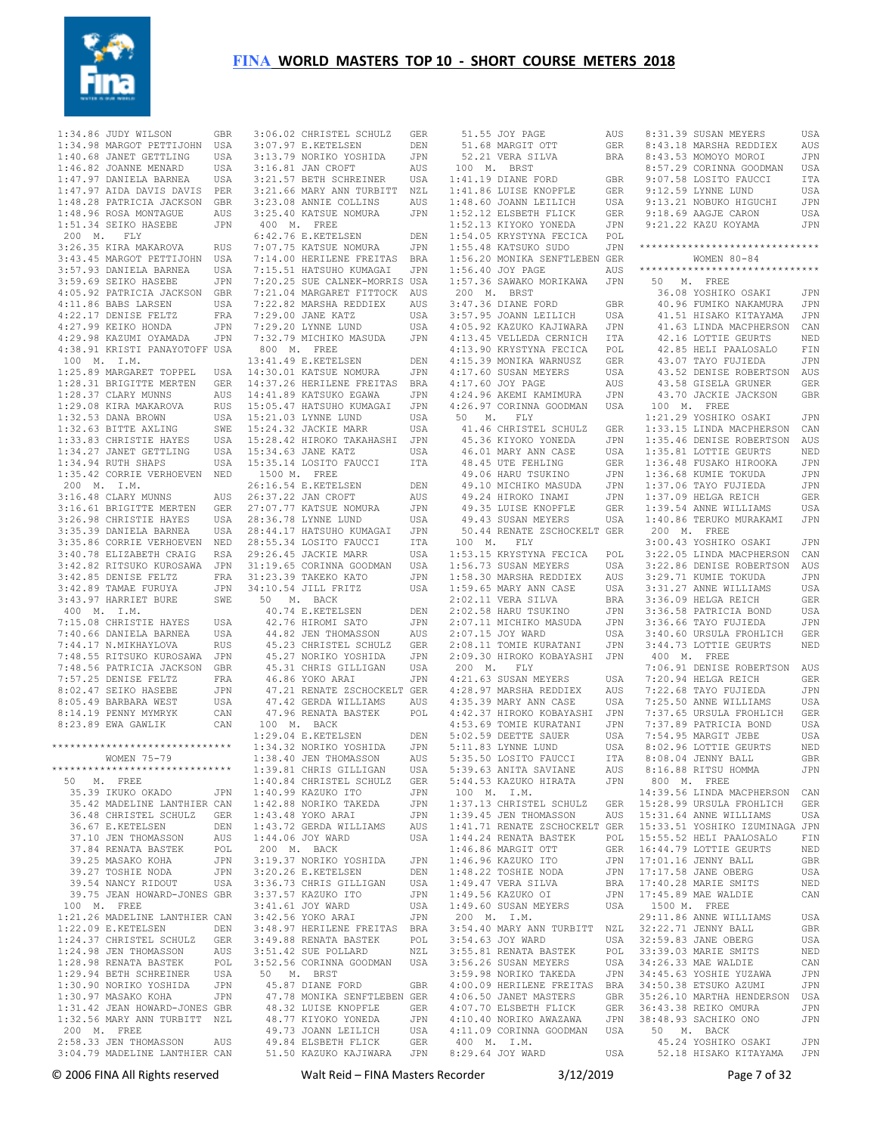

 1:34.86 JUDY WILSON GBR 1:34.98 MARGOT PETTIJOHN USA 1:40.68 JANET GETTLING USA 1:46.82 JOANNE MENARD USA 1:47.97 DANIELA BARNEA USA 1:47.97 AIDA DAVIS DAVIS PER 1:48.28 PATRICIA JACKSON GBR 1:48.96 ROSA MONTAGUE AUS 1:51.34 SEIKO HASEBE JPN 200 M. FLY 3:26.35 KIRA MAKAROVA RUS 3:43.45 MARGOT PETTIJOHN USA 3:57.93 DANIELA BARNEA USA 3:59.69 SEIKO HASEBE JPN 4:05.92 PATRICIA JACKSON GBR 4:11.86 BABS LARSEN USA 4:22.17 DENISE FELTZ FRA<br>4:27.99 KEIKO HONDA JPN 4:27.99 KEIKO HONDA 4:29.98 KAZUMI OYAMADA JPN 4:38.91 KRISTI PANAYOTOFF USA 100 M. I.M. 1:25.89 MARGARET TOPPEL 1:28.31 BRIGITTE MERTEN GER 1:28.37 CLARY MUNNS AUS 1:29.08 KIRA MAKAROVA RUS 1:32.53 DANA BROWN USA 1:32.63 BITTE AXLING SWE 1:33.83 CHRISTIE HAYES USA  $1:34.27$  JANET GETTLING  $1.34$  94 RUTH SHAPS 1:35.42 CORRIE VERHOEVEN NED 200 M. I.M. 3:16.48 CLARY MUNNS AUS 3:16.61 BRIGITTE MERTEN GER 3:26.98 CHRISTIE HAYES USA 3:35.39 DANIELA BARNEA USA 3:35.86 CORRIE VERHOEVEN NED 3:40.78 ELIZABETH CRAIG RSA 3:42.82 RITSUKO KUROSAWA JPN 3:42.85 DENISE FELTZ FRA 3:42.89 TAMAE FURUYA JPN 3:43.97 HARRIET BURE SWE 400 M. I.M. 7:15.08 CHRISTIE HAYES USA 7:40.66 DANIELA BARNEA USA 7:44.17 N.MIKHAYLOVA RUS 7:48.55 RITSUKO KUROSAWA JPN 7:48.56 PATRICIA JACKSON GBR 7:57.25 DENISE FELTZ FRA 8:02.47 SEIKO HASEBE JPN 8:05.49 BARBARA WEST USA 8:14.19 PENNY MYMRYK CAN 8:23.89 EWA GAWLIK CAN \*\*\*\*\*\*\*\*\*\*\*\*\*\*\*\*\*\*\*\*\*\*\*\*\*\*\*\*\*\* WOMEN 75-79 \*\*\*\*\*\*\*\*\*\*\*\*\*\*\*\*\*\*\*\*\*\*\*\*\*\*\*\*\*\* 50 M. FREE 35.39 IKUKO OKADO JPN 35.42 MADELINE LANTHIER CAN 36.48 CHRISTEL SCHULZ GER 36.67 E.KETELSEN DEN 37.10 JEN THOMASSON AUS 37.84 RENATA BASTEK POL 39.25 MASAKO KOHA JPN 39.27 TOSHIE NODA JPN 39.54 NANCY RIDOUT USA 39.75 JEAN HOWARD-JONES GBR 100 M. FREE 1:21.26 MADELINE LANTHIER CAN 1:22.09 E.KETELSEN DEN 1:24.37 CHRISTEL SCHULZ GER 1:24.98 JEN THOMASSON AUS 1:28.98 RENATA BASTEK POL 1:29.94 BETH SCHREINER USA 1:30.90 NORIKO YOSHIDA JPN 1:30.97 MASAKO KOHA JPN 1:31.42 JEAN HOWARD-JONES GBR 1:32.56 MARY ANN TURBITT NZL 200 M. FREE<br>2:58.33 JEN THOMASSON

 3:06.02 CHRISTEL SCHULZ GER 51.55 JOY PAGE AUS 3:07.97 E.KETELSEN DEN 3:13.79 NORIKO YOSHIDA JPN 3:16.81 JAN CROFT AUS 3:21.57 BETH SCHREINER USA 3:21.66 MARY ANN TURBITT NZL 3:23.08 ANNIE COLLINS AUS 3:25.40 KATSUE NOMURA JPN 400 M. FREE 6:42.76 E.KETELSEN DEN 7:07.75 KATSUE NOMURA JPN 7:14.00 HERILENE FREITAS BRA 7:15.51 HATSUHO KUMAGAI JPN 7:20.25 SUE CALNEK-MORRIS USA 7:21.04 MARGARET FITTOCK AUS 7:22.82 MARSHA REDDIEX AUS 7:29.00 JANE KATZ USA 7:29.20 LYNNE LUND USA 7:32.79 MICHIKO MASUDA JPN 800 M. FREE 13:41.49 E.KETELSEN DEN 14:30.01 KATSUE NOMURA JPN 14:37.26 HERILENE FREITAS BRA 14:41.89 KATSUKO EGAWA JPN 15:05.47 HATSUHO KUMAGAI JPN 15:21.03 LYNNE LUND USA 15:24.32 JACKIE MARR USA 15:28.42 HIROKO TAKAHASHI JPN 15:34.63 JANE KATZ USA 15:35.14 LOSITO FAUCCI ITA 1500 M. FREE 26:16.54 E.KETELSEN DEN 26:37.22 JAN CROFT AUS 27:07.77 KATSUE NOMURA JPN 28:36.78 LYNNE LUND USA 28:44.17 HATSUHO KUMAGAI JPN 28:55.34 LOSITO FAUCCI ITA  $29.26$  45 JACKIE MARR 31:19.65 CORINNA GOODMAN USA 31:23.39 TAKEKO KATO JPN 34:10.54 JILL FRITZ USA 50 M. BACK 40.74 E.KETELSEN DEN 42.76 HIROMI SATO JPN<br>
44.82 JEN THOMASSON AUS<br>
45.23 CHRISTEL SCHULZ GER<br>
45.27 NORIKO YOSHIDA JPN<br>
45.31 CHRIS GILLIGAN USA<br>
46.86 YOKO ARAI JPN 47.21 RENATE ZSCHOCKELT GER 47.42 GERDA WILLIAMS AUS 47.96 RENATA BASTEK POL 100 M. BACK 1:29.04 E.KETELSEN DEN 1:34.32 NORIKO YOSHIDA JPN 1:38.40 JEN THOMASSON AUS  $1:39.81$  CHRIS GILLIGAN 1:40.84 CHRISTEL SCHULZ GER 1:40.99 KAZUKO ITO JPN 1:42.88 NORIKO TAKEDA JPN 1:43.48 YOKO ARAI JPN 1:43.72 GERDA WILLIAMS AUS<br>1:44.06 JOY WARD USA  $1:44.06$  JOY WARD 200 M. BACK 3:19.37 NORIKO YOSHIDA JPN 3:20.26 E.KETELSEN DEN 3:36.73 CHRIS GILLIGAN USA 3:37.57 KAZUKO ITO JPN 3:41.61 JOY WARD USA 3:42.56 YOKO ARAI JPN 3:48.97 HERILENE FREITAS BRA 3:49.88 RENATA BASTEK POL 3:51.42 SUE POLLARD NZL 3:52.56 CORINNA GOODMAN USA 50 M. BRST 45.87 DIANE FORD GBR 47.78 MONIKA SENFTLEBEN GER 48.32 LUISE KNOPFLE GER 48.77 KIYOKO YONEDA JPN 49.73 JOANN LEILICH USA

2:58.33 JEN THOMASSON AUS 49.84 ELSBETH FLICK GER 400 M. I.M. 45.24 YOSHIKO OSAKI JPN<br>3:04.79 MADELINE LANTHIER CAN 51.50 KAZUKO KAJIWARA JPN 8:29.64 JOY WARD USA 52.18 HISAKO KITA 51.68 MARGIT OTT GER 52.21 VERA SILVA BRA 100 M. BRST 1:41.19 DIANE FORD GBR 1:41.86 LUISE KNOPFLE GER 1:11:00 B015B NNSTIBB<br>1:48.60 JOANN LEILICH 1:52.12 ELSBETH FLICK GER<br>1:52.13 KIYOKO YONEDA JPN 1:52.13 KIYOKO YONEDA 1:54.05 KRYSTYNA FECICA POL  $1:55.48$  KATSUKO SUDO 1:56.20 MONIKA SENFTLEBEN GER 1:56.40 JOY PAGE AUS 1:57.36 SAWAKO MORIKAWA JPN 200 M. BRST 3:47.36 DIANE FORD GBR 3:57.95 JOANN LEILICH USA 4:05.92 KAZUKO KAJIWARA JPN 4:13.45 VELLEDA CERNICH ITA 4:13.90 KRYSTYNA FECICA POL 4:15.39 MONIKA WARNUSZ GER 4:17.60 SUSAN MEYERS USA 4:17.60 JOY PAGE AUS 4:24.96 AKEMI KAMIMURA JPN 4:26.97 CORINNA GOODMAN USA 50 M. FLY 41.46 CHRISTEL SCHULZ GER 45.36 KIYOKO YONEDA 46.01 MARY ANN CASE USA<br>48.45 UTE FEHLING GER 48.45 UTE FEHLING 49.06 HARU TSUKINO JPN 49.10 MICHIKO MASUDA JPN 49.24 HIROKO INAMI JPN 49.35 LUISE KNOPFLE GER<br>49.43 SUSAN MEYERS USA 49.43 SUSAN MEYERS 50.44 RENATE ZSCHOCKELT GER 100 M. FLY 1:53.15 KRYSTYNA FECICA POL 1:56.73 SUSAN MEYERS USA 1:58.30 MARSHA REDDIEX AUS 1:59.65 MARY ANN CASE USA 2:02.11 VERA SILVA BRA 2:02.58 HARU TSUKINO JPN 2:07.11 MICHIKO MASUDA JPN 2:07.15 JOY WARD USA 2:08.11 TOMIE KURATANI JPN 2:09.30 HIROKO KOBAYASHI JPN 200 M. FLY 4:21.63 SUSAN MEYERS USA 4:28.97 MARSHA REDDIEX AUS  $4:35.39$  MARY ANN CASE 4:42.37 HIROKO KOBAYASHI JPN<br>4:53.69 TOMIE KURATANI JPN 4:53.69 TOMIE KURATANI  $5:02.59$  DEETTE SAUER  $5:11.83$  LYNNE LUND 5:35.50 LOSITO FAUCCI ITA 5:39.63 ANITA SAVIANE AUS 5:44.53 KAZUKO HIRATA JPN 800 M. FREE 100 M. I.M. 1:37.13 CHRISTEL SCHULZ GER 1:39.45 JEN THOMASSON AUS 15:28.99 URSULA FROHLICH GER 15:31.64 ANNE WILLIAMS USA 1:41.71 RENATE ZSCHOCKELT GER 1:44.24 RENATA BASTEK POL 15:33.51 YOSHIKO IZUMINAGA JPN 15:55.52 HELI PAALOSALO FIN  $1:46.86$  MARGIT OTT  $1:46.96$  KAZUKO ITO 1:48.22 TOSHIE NODA JPN 1:49.47 VERA SILVA BRA 1:49.56 KAZUKO OI JPN 1:49.60 SUSAN MEYERS USA 17:45.89 MAE WALDIE CAN 1500 M. FREE 200 M. I.M. 3:54.40 MARY ANN TURBITT NZL 3:54.63 JOY WARD USA 3:55.81 RENATA BASTEK POL 3:56.26 SUSAN MEYERS USA 3:59.98 NORIKO TAKEDA JPN 4:00.09 HERILENE FREITAS BRA 34:50.38 ETSUKO AZUMI JPN 4:06.50 JANET MASTERS GBR 4:07.70 ELSBETH FLICK GER  $4:10.40$  NORIKO AWAZAWA 4:11.09 CORINNA GOODMAN USA 50 M. BACK

AUS 8:31.39 SUSAN MEYERS USA 8:43.18 MARSHA REDDIEX AUS 8:43.53 MOMOYO MOROI JPN 8:57.29 CORINNA GOODMAN USA 9:07.58 LOSITO FAUCCI ITA 9:12.59 LYNNE LUND USA 9:13.21 NOBUKO HIGUCHI JPN 9:18.69 AAGJE CARON USA 9:21.22 KAZU KOYAMA JPN \*\*\*\*\*\*\*\*\*\*\*\*\*\*\*\*\*\*\*\*\*\*\*\*\*\*\*\*\*\* WOMEN 80-84 \*\*\*\*\*\*\*\*\*\*\*\*\*\*\*\*\*\*\*\*\*\*\*\*\*\*\*\*\*\* 50 M. FREE 36.08 YOSHIKO OSAKI JPN 40.96 FUMIKO NAKAMURA JPN 41.51 HISAKO KITAYAMA JPN 41.63 LINDA MACPHERSON CAN 42.16 LOTTIE GEURTS NED 42.85 HELI PAALOSALO FIN 43.07 TAYO FUJIEDA JPN USA 43.52 DENISE ROBERTSON AUS<br>AUS 43.58 GISELA GRUNER GER 43.58 GISELA GRUNER GER 43.70 JACKIE JACKSON GBR 100 M. FREE 1:21.29 YOSHIKO OSAKI JPN 1:33.15 LINDA MACPHERSON CAN 1:35.46 DENISE ROBERTSON AUS 1:35.81 LOTTIE GEURTS NED 1:36.48 FUSAKO HIROOKA JPN 1:36.68 KUMIE TOKUDA JPN 1:37.06 TAYO FUJIEDA JPN 1:37.09 HELGA REICH GER 1:39.54 ANNE WILLIAMS USA 1:40.86 TERUKO MURAKAMI JPN 200 M. FREE 3:00.43 YOSHIKO OSAKI JPN 3:22.05 LINDA MACPHERSON CAN 3:22.86 DENISE ROBERTSON AUS 3:29.71 KUMIE TOKUDA JPN 3:31.27 ANNE WILLIAMS USA 3:36.09 HELGA REICH GER 3:36.58 PATRICIA BOND USA 3:36.66 TAYO FUJIEDA JPN 3:40.60 URSULA FROHLICH GER 3:44.73 LOTTIE GEURTS NED 400 M. FREE 7:06.91 DENISE ROBERTSON AUS 7:20.94 HELGA REICH GER 7:22.68 TAYO FUJIEDA JPN 7:25.50 ANNE WILLIAMS USA 7:37.65 URSULA FROHLICH GER 7:37.89 PATRICIA BOND USA 7:54.95 MARGIT JEBE USA 8:02.96 LOTTIE GEURTS NED 8:08.04 JENNY BALL GBR 8:16.88 RITSU HOMMA JPN 14:39.56 LINDA MACPHERSON CAN 16:44.79 LOTTIE GEURTS NED 17:01.16 JENNY BALL GBR 17:17.58 JANE OBERG USA 17:40.28 MARIE SMITS NED 29:11.86 ANNE WILLIAMS USA 32:22.71 JENNY BALL GBR<br>32:59.83 JANE OBERG USA<br>33:39.03 MARIE SMITS NED<br>34:26.33 MAE WALDIE CAN 34:45.63 YOSHIE YUZAWA JPN 35:26.10 MARTHA HENDERSON USA 36:43.38 REIKO OMURA JPN 38:48.93 SACHIKO ONO JPN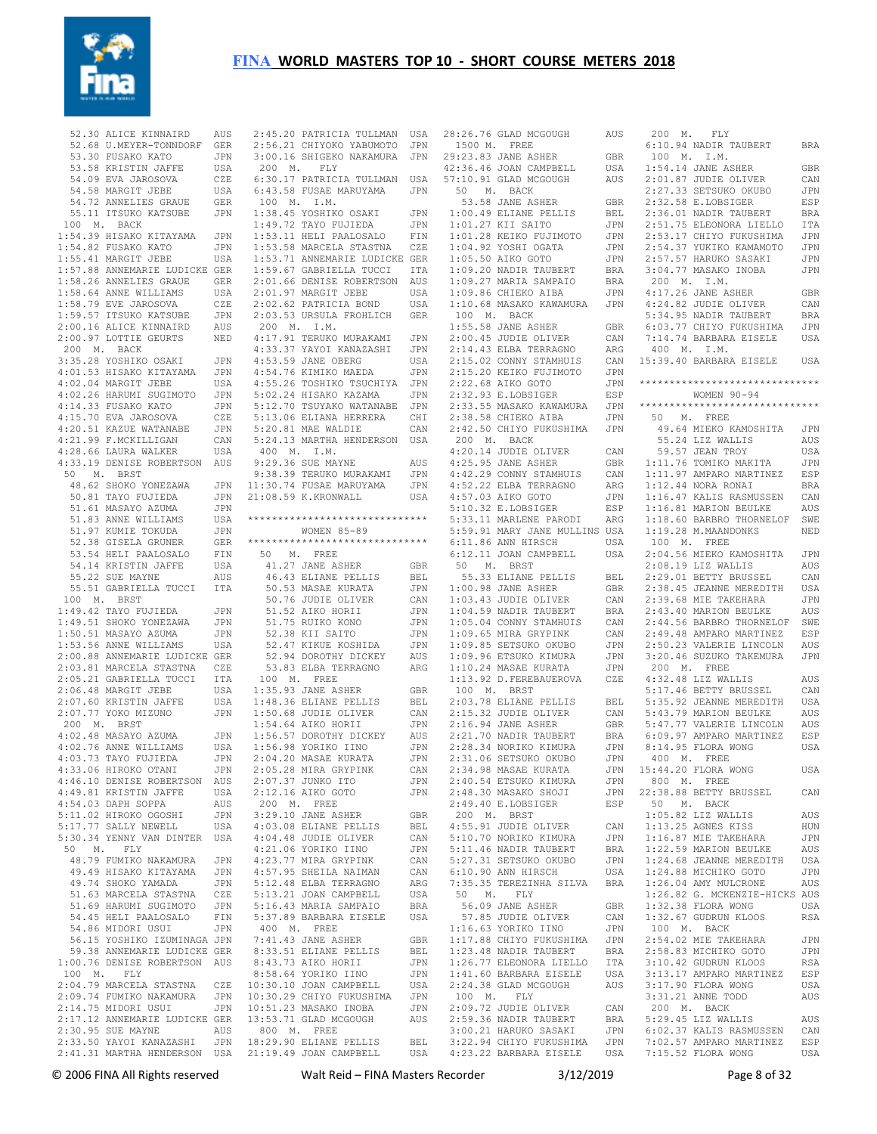

52.30 ALICE KINNAIRD 52.68 U.MEYER-TONNDORF GER 53.30 FUSAKO KATO JPN 53.58 KRISTIN JAFFE USA 54.09 EVA JAROSOVA CZE 54.58 MARGIT JEBE USA 54.72 ANNELIES GRAUE GER 55.11 ITSUKO KATSUBE JPN 100 M. BACK 1:54.39 HISAKO KITAYAMA JPN 1:54.82 FUSAKO KATO JPN 1:55.41 MARGIT JEBE USA 1:57.88 ANNEMARIE LUDICKE GER 1:58.26 ANNELIES GRAUE GER 1:58.64 ANNE WILLIAMS USA 1:58.79 EVE JAROSOVA CZE 1:59.57 ITSUKO KATSUBE JPN 2:00.16 ALICE KINNAIRD AUS 2:00.97 LOTTIE GEURTS NED 200 M. BACK 3:35.28 YOSHIKO OSAKI JPN 4:01.53 HISAKO KITAYAMA JPN 4:02.04 MARGIT JEBE USA 4:02.26 HARUMI SUGIMOTO JPN 4:14.33 FUSAKO KATO JPN 4:15.70 EVA JAROSOVA CZE 4:20.51 KAZUE WATANABE JPN  $4:20.31 \text{ hours}$   $\ldots$ <br> $4:21.99 \text{ F.MCKILLIGAN}$  CAN 4:28.66 LAURA WALKER USA 4:33.19 DENISE ROBERTSON AUS 50 M. BRST 48.62 SHOKO YONEZAWA JPN 50.81 TAYO FUJIEDA 51.61 MASAYO AZUMA JPN 51.83 ANNE WILLIAMS USA 51.97 KUMIE TOKUDA JPN 52.38 GISELA GRUNER GER 53.54 HELI PAALOSALO FIN 54.14 KRISTIN JAFFE USA 55.22 SUE MAYNE AUS 55.51 GABRIELLA TUCCI ITA 100 M. BRST 1:49.42 TAYO FUJIEDA JPN<br>1:49.51 SHOKO YONEZAWA JPN  $1:49.51$  SHOKO YONEZAWA 1:50.51 MASAYO AZUMA JPN 1:53.56 ANNE WILLIAMS USA 2:00.88 ANNEMARIE LUDICKE GER 2:03.81 MARCELA STASTNA CZE 2:05.21 GABRIELLA TUCCI ITA 2:06.48 MARGIT JEBE USA 2:07.60 KRISTIN JAFFE USA  $2:07.77$  YOKO MIZUNO 200 M. BRST 4:02.48 MASAYO AZUMA 4:02.76 ANNE WILLIAMS USA<br>4:03.73 TAYO FUJIEDA JPN  $4:03.73$  TAYO FUJIEDA 4:33.06 HIROKO OTANI JPN 4:46.10 DENISE ROBERTSON AUS 4:49.81 KRISTIN JAFFE USA  $4.54$   $03$  DAPH SOPPA alls 5:11.02 HIROKO OGOSHI JPN  $5:17.77$  SALLY NEWELL 5:30.34 YENNY VAN DINTER USA 50 M. FLY 48.79 FUMIKO NAKAMURA JPN 49.49 HISAKO KITAYAMA JPN 49.74 SHOKO YAMADA JPN<br>51.63 MARCELA STASTNA CZE 51.63 MARCELA STASTNA CZE 51.69 HARUMI SUGIMOTO JPN<br>54.45 HELI PAALOSALO FIN 54.45 HELI PAALOSALO 54.86 MIDORI USUI JPN 56.15 YOSHIKO IZUMINAGA JPN 59.38 ANNEMARIE LUDICKE GER 1:00.76 DENISE ROBERTSON AUS 100 M. FLY 2:04.79 MARCELA STASTNA CZE 2:09.74 FUMIKO NAKAMURA JPN 10:30.10 JOAN CAMPBELL USA 10:30.29 CHIYO FUKUSHIMA JPN 2:14.75 MIDORI USUI JPN 2:17.12 ANNEMARIE LUDICKE GER 2:30.95 SUE MAYNE AUS 2:33.50 YAYOI KANAZASHI JPN 800 M. FREE 18:29.90 ELIANE PELLIS BEL 2:41.31 MARTHA HENDERSON USA 21:19.49 JOAN CAMPBELL USA

 2:45.20 PATRICIA TULLMAN USA 28:26.76 GLAD MCGOUGH AUS 200 M. FLY 2:56.21 CHIYOKO YABUMOTO JPN 3:00.16 SHIGEKO NAKAMURA JPN 200 M. FLY 6:30.17 PATRICIA TULLMAN USA 6:43.58 FUSAE MARUYAMA JPN 100 M. I.M. 1:38.45 YOSHIKO OSAKI JPN 1:49.72 TAYO FUJIEDA JPN 1:53.11 HELI PAALOSALO FIN 1:53.58 MARCELA STASTNA CZE 1:53.71 ANNEMARIE LUDICKE GER 1:59.67 GABRIELLA TUCCI ITA 2:01.66 DENISE ROBERTSON AUS 2:01.97 MARGIT JEBE USA 2:02.62 PATRICIA BOND USA 2:03.53 URSULA FROHLICH GER 200 M. I.M. 4:17.91 TERUKO MURAKAMI JPN 4:33.37 YAYOI KANAZASHI JPN 4:53.59 JANE OBERG USA 4:54.76 KIMIKO MAEDA JPN 4:55.26 TOSHIKO TSUCHIYA JPN 5:02.24 HISAKO KAZAMA JPN 5:12.70 TSUYAKO WATANABE JPN 5:13.06 ELIANA HERRERA CHI 5:20.81 MAE WALDIE CAN 5:24.13 MARTHA HENDERSON USA 400 M. I.M. 9:29.36 SUE MAYNE AUS 9:38.39 TERUKO MURAKAMI JPN 11:30.74 FUSAE MARUYAMA JPN 21:08.59 K.KRONWALL USA \*\*\*\*\*\*\*\*\*\*\*\*\*\*\*\*\*\*\*\*\*\*\*\*\*\*\*\*\*\* WOMEN 85-89 \*\*\*\*\*\*\*\*\*\*\*\*\*\*\*\*\*\*\*\*\*\*\*\*\*\*\*\*\*\* 50 M. FREE 41.27 JANE ASHER GBR 46.43 ELIANE PELLIS BEL 50.53 MASAE KURATA JPN 50.76 JUDIE OLIVER CAN 51.52 AIKO HORII JPN 51.75 RUIKO KONO JPN 52.38 KII SAITO JPN 52.47 KIKUE KOSHIDA JPN 52.94 DOROTHY DICKEY AUS 53.83 ELBA TERRAGNO ARG 100 M. FREE 1:35.93 JANE ASHER GBR 1:48.36 ELIANE PELLIS BEL JPN 1:50.68 JUDIE OLIVER CAN 1:54.64 AIKO HORII JPN JPN 1:56.57 DOROTHY DICKEY AUS 1:56.98 YORIKO IINO JPN 2:04.20 MASAE KURATA JPN 2:05.28 MIRA GRYPINK CAN 2:07.37 JUNKO ITO JPN 2:12.16 AIKO GOTO JPN 200 M. FREE 3:29.10 JANE ASHER GBR<br>4:03.08 ELIANE PELLIS BEL 4:03.08 ELIANE PELLIS BEL 4:04.48 JUDIE OLIVER CAN 4:21.06 YORIKO IINO JPN 4:23.77 MIRA GRYPINK CAN 4:57.95 SHEILA NAIMAN CAN 5:12.48 ELBA TERRAGNO ARG 5:13.21 JOAN CAMPBELL USA 5:16.43 MARIA SAMPAIO BRA 5:37.89 BARBARA EISELE USA 400 M. FREE 7:41.43 JANE ASHER GBR 8:33.51 ELIANE PELLIS BEL 8:43.73 AIKO HORII JPN 8:58.64 YORIKO IINO JPN 10:51.23 MASAKO INOBA JPN 13:53.71 GLAD MCGOUGH AUS

 1500 M. FREE 29:23.83 JANE ASHER GBR 42:36.46 JOAN CAMPBELL USA<br>57:10.91 GLAD MCGOUGH AUS 57:10.91 GLAD MCGOUGH AUS 50 M. BACK  $53.58$  JANE ASHER 1:00.49 ELIANE PELLIS BEL  $1:01.27$  KII SAITO 1:01.28 KEIKO FUJIMOTO JPN 1:04.92 YOSHI OGATA JPN 1:05.50 AIKO GOTO JPN<br>1:09.20 NADIR TAUBERT BRA  $1:09.20$  NADIR TAUBERT 1:09.27 MARIA SAMPAIO BRA  $1:09.86$  Chirko aiba 1:10.68 MASAKO KAWAMURA JPN 100 M. BACK 1:55.58 JANE ASHER GBR 2:00.45 JUDIE OLIVER CAN 2:14.43 ELBA TERRAGNO ARG  $2 \cdot 15$  02 CONNY STAMHUIS 2:15.20 KEIKO FUJIMOTO JPN  $2 \cdot 22.68$  AIKO GOTO  $JPN$  2:32.93 E.LOBSIGER ESP 2:33.55 MASAKO KAWAMURA JPN  $2.38$  58 CHIEKO AIBA 2:42.50 CHIYO FUKUSHIMA JPN 200 M. BACK 4:20.14 JUDIE OLIVER CAN  $4.25$  95 JANE ASHER  $4 \cdot 42.29$  CONNY STAMHUIS 4:52.22 ELBA TERRAGNO 4:57.03 AIKO GOTO JPN 5:10.32 E.LOBSIGER ESP 5:33.11 MARLENE PARODI 5:59.91 MARY JANE MULLINS USA 6:11.86 ANN HIRSCH USA  $6:12.11$  JOAN CAMPBELL. 50 M. BRST 55.33 ELIANE PELLIS BEL 1:00.98 JANE ASHER GBR 1:03.43 JUDIE OLIVER CAN 1:04.59 NADIR TAUBERT BRA 1:05.04 CONNY STAMHUIS CAN 1:09.65 MIRA GRYPINK CAN<br>1:09.85 SETSUKO OKUBO JPN  $1 \cdot 09$ .85 SETSUKO OKUBO 1:09.96 ETSUKO KIMURA JPN 1:10.24 MASAE KURATA JPN 1:13.92 D.FEREBAUEROVA CZE 100 M. BRST 2:03.78 ELIANE PELLIS BEL 2:15.32 JUDIE OLIVER CAN<br>2:16.94 JANE ASHER GBR 2:16.94 JANE ASHER GBR<br>2:21.70 NADIR TAUBERT BRA  $2:21.70$  NADIR TAUBERT 2:28.34 NORIKO KIMURA JPN 2:31.06 SETSUKO OKUBO JPN  $2:34.98$  MASAE KURATA 2:40.54 ETSUKO KIMURA JPN 2:40.54 Brown Arrest<br>2:48.30 MASAKO SHOJI JPN<br>2:48.30 MASAKO SHOJI PRP 2:49.40 E.LOBSIGER ESP 200 M. BRST 4:55.91 JUDIE OLIVER 5:10.70 NORIKO KIMURA JPN 5:11.46 NADIR TAUBERT 5:27.31 SETSUKO OKUBO JPN<br>6:10.90 ANN HIRSCH USA<br>5.10.90 ANN HIRSCH USA  $6:10.90$  ANN HIRSCH 7:35.35 TEREZINHA SILVA BRA 50 M. FLY 56.09 JANE ASHER GBR 57.85 JUDIE OLIVER 1:16.63 YORIKO IINO JPN 1:17.88 CHIYO FUKUSHIMA JPN 1:23.48 NADIR TAUBERT BRA 1:26.77 ELEONORA LIELLO ITA 1:41.60 BARBARA EISELE USA 2:24.38 GLAD MCGOUGH AUS 100 M. FLY 2:09.72 JUDIE OLIVER CAN 2:59.36 NADIR TAUBERT BRA<br>3:00.21 HARUKO SASAKI JPN 3:00.21 HARUKO SASAKI 3:22.94 CHIYO FUKUSHIMA JPN

© 2006 FINA All Rights reserved Walt Reid – FINA Masters Recorder 3/12/2019 Page 8 of 32 4:23.22 BARBARA EISELE USA 7:15.52 FLORA WONG USA 6:10.94 NADIR TAUBERT BRA 100 M. I.M. 1:54.14 JANE ASHER GBR 2:01.87 JUDIE OLIVER CAN<br>2:27.33 SETSUKO OKURO JPN  $2:27.33$  SETSUKO OKUBO GBR 2:32.58 E.LOBSTGER ESP 2:36.01 NADIR TAUBERT BRA 2:51.75 ELEONORA LIELLO ITA 2:53.17 CHIYO FUKUSHIMA JPN 2:54.37 YUKIKO KAMAMOTO JPN 2:57.57 HARUKO SASAKI JPN 3:04.77 MASAKO INOBA JPN 200 M. I.M. 4:17.26 JANE ASHER GBR<br>4:24.82 JUDIE OLIVER CAN 4:24.82 JUDIE OLIVER 5:34.95 NADIR TAUBERT BRA 6:03.77 CHIYO FUKUSHIMA JPN 7:14.74 BARBARA EISELE USA 400 M. I.M. 15:39.40 BARBARA EISELE USA \*\*\*\*\*\*\*\*\*\*\*\*\*\*\*\*\*\*\*\*\*\*\*\*\*\*\*\*\*\* WOMEN 90-94 \*\*\*\*\*\*\*\*\*\*\*\*\*\*\*\*\*\*\*\*\*\*\*\*\*\*\*\*\*\* 50 M. FREE 49.64 MIEKO KAMOSHITA JPN 55.24 LIZ WALLIS AUS 59.57 JEAN TROY USA 1:11.76 TOMIKO MAKITA JPN 1:11.97 AMPARO MARTINEZ ESP 1:12.44 NORA RONAI BRA 1:16.47 KALIS RASMUSSEN CAN 1:16.81 MARION BEULKE AUS 1:18.60 BARBRO THORNELOF SWE 1:19.28 M.MAANDONKS NED 100 M. FREE 2:04.56 MIEKO KAMOSHITA JPN 2:08.19 LIZ WALLIS AUS 2:29.01 BETTY BRUSSEL CAN 2:38.45 JEANNE MEREDITH USA 2:39.68 MIE TAKEHARA JPN 2:43.40 MARION BEULKE AUS 2:44.56 BARBRO THORNELOF SWE 2:49.48 AMPARO MARTINEZ ESP 2:50.23 VALERIE LINCOLN AUS 3:20.46 SUZUKO TAKEMURA JPN 200 M. FREE  $4 \cdot 32$  48 LTZ WALLIS AUS 5:17.46 BETTY BRUSSEL CAN 5:35.92 JEANNE MEREDITH USA 5:43.79 MARION BEULKE AUS 5:47.77 VALERIE LINCOLN AUS 6:09.97 AMPARO MARTINEZ ESP 8:14.95 FLORA WONG USA 400 M. FREE JPN 15:44.20 FLORA WONG USA 800 M. FREE 22:38.88 BETTY BRUSSEL CAN 50 M. BACK  $1 \cdot 05$  82 LTZ WALLIS AUS 1:13.25 AGNES KISS HUN 1:16.87 MIE TAKEHARA JPN 1:22.59 MARION BEULKE AUS 1:24.68 JEANNE MEREDITH USA 1:24.88 MICHIKO GOTO JPN 1:26.04 AMY MULCRONE AUS 1:26.82 G. MCKENZIE-HICKS AUS 1:32.38 FLORA WONG USA 1:32.67 GUDRUN KLOOS RSA 100 M. BACK 2:54.02 MIE TAKEHARA JPN 2:58.83 MICHIKO GOTO JPN 3:10.42 GUDRUN KLOOS RSA 3:13.17 AMPARO MARTINEZ ESP 3:17.90 FLORA WONG USA 3:31.21 ANNE TODD AUS 200 M. BACK 5:29.45 LIZ WALLIS AUS 6:02.37 KALIS RASMUSSEN CAN 7:02.57 AMPARO MARTINEZ ESP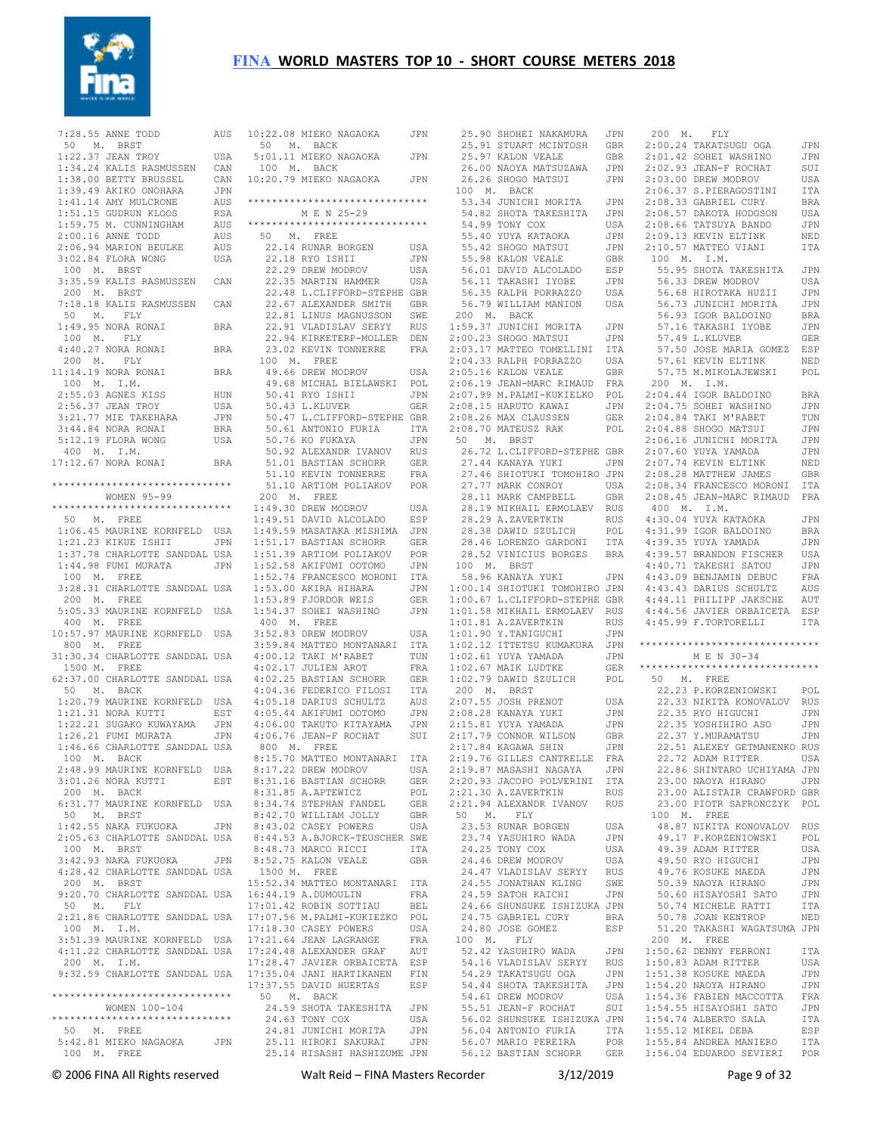

 7:28.55 ANNE TODD AUS 50 M. BRST 1:22.37 JEAN TROY USA 1:34.24 KALIS RASMUSSEN CAN 1:38.00 BETTY BRUSSEL CAN 1:39.49 AKIKO ONOHARA JPN 1:41.14 AMY MULCRONE AUS 1:51.15 GUDRUN KLOOS RSA 1:59.75 M. CUNNINGHAM AUS 2:00.16 ANNE TODD AUS 2:06.94 MARION BEULKE AUS 3:02.84 FLORA WONG USA 100 M. BRST 3:35.59 KALIS RASMUSSEN CAN 200 M. BRST 7:18.18 KALIS RASMUSSEN CAN 50 M. FLY 1:49.95 NORA RONAI BRA 100 M. FLY 4:40.27 NORA RONAI BRA 200 M. FLY 11:14.19 NORA RONAI BRA 100 M. I.M. 2:55.03 AGNES KISS HUN 2:56.37 JEAN TROY USA 3:21.77 MIE TAKEHARA JPN 3:44.84 NORA RONAI BRA 5:12.19 FLORA WONG USA 400 M. I.M. 17:12.67 NORA RONAI BRA \*\*\*\*\*\*\*\*\*\*\*\*\*\*\*\*\*\*\*\*\*\*\*\*\*\*\*\*\*\* WOMEN 95-99 \*\*\*\*\*\*\*\*\*\*\*\*\*\*\*\*\*\*\*\*\*\*\*\*\*\*\*\*\*\* 50 M. FREE 1:06.45 MAURINE KORNFELD USA 1:21.23 KIKUE ISHII JPN 1:37.78 CHARLOTTE SANDDAL USA 1:44.98 FUMI MURATA JPN 100 M. FREE 3:28.31 CHARLOTTE SANDDAL USA 200 M. FREE 5:05.33 MAURINE KORNFELD USA 400 M. FREE 10:57.97 MAURINE KORNFELD USA 800 M. FREE 31:30.34 CHARLOTTE SANDDAL USA 1500 M. FREE 62:37.00 CHARLOTTE SANDDAL USA 50 M. BACK 1:20.79 MAURINE KORNFELD USA 1:21.31 NORA KUTTI EST 1:22.21 SUGAKO KUWAYAMA JPN 1:26.21 FUMI MURATA JPN 1:46.66 CHARLOTTE SANDDAL USA 100 M. BACK 2:48.99 MAURINE KORNFELD USA 3:01.26 NORA KUTTI EST 200 M. BACK 6:31.77 MAURINE KORNFELD USA 50 M. BRST 1:42.55 NAKA FUKUOKA JPN 2:05.63 CHARLOTTE SANDDAL USA 100 M. BRST 3:42.93 NAKA FUKUOKA JPN 4:28.42 CHARLOTTE SANDDAL USA 200 M. BRST 9:20.70 CHARLOTTE SANDDAL USA 50 M. FLY 2:21.86 CHARLOTTE SANDDAL USA 100 M. I.M. 3:51.39 MAURINE KORNFELD USA 4:11.22 CHARLOTTE SANDDAL USA 200 M. I.M. 9:32.59 CHARLOTTE SANDDAL USA \*\*\*\*\*\*\*\*\*\*\*\*\*\*\*\*\*\*\*\*\*\*\*\*\*\*\*\*\*\* WOMEN 100-104 \*\*\*\*\*\*\*\*\*\*\*\*\*\*\*\*\*\*\*\*\*\*\*\*\*\*\*\*\*\* 50 M. FREE 5:42.81 MIEKO NAGAOKA JPN 100 M. FREE

|  |  |  |  | 10:22.08 MIEKO NAGAOKA<br>50 M. BACK         |  |               |  |  |                                                   |                                                       | JPN                                                     |
|--|--|--|--|----------------------------------------------|--|---------------|--|--|---------------------------------------------------|-------------------------------------------------------|---------------------------------------------------------|
|  |  |  |  |                                              |  |               |  |  | 5:01.11 MIEKO NAGAOKA                             |                                                       | JPN                                                     |
|  |  |  |  | 100 M. BACK<br>10:20.79 MIEKO NAGAOKA        |  |               |  |  |                                                   |                                                       | JPN                                                     |
|  |  |  |  | M E N 25-29                                  |  |               |  |  |                                                   |                                                       | ******************************                          |
|  |  |  |  | 50 M. FREE                                   |  |               |  |  |                                                   |                                                       | ******************************                          |
|  |  |  |  | 22.14 RUNAR BORGEN                           |  |               |  |  |                                                   |                                                       | USA                                                     |
|  |  |  |  | 22.18 RYO ISHII                              |  |               |  |  |                                                   |                                                       | JPN                                                     |
|  |  |  |  | 22.29 DREW MODROV                            |  |               |  |  |                                                   | 22.35 MARTIN HAMMER                                   | USA                                                     |
|  |  |  |  |                                              |  |               |  |  |                                                   |                                                       | USA<br>22.48 L.CLIFFORD-STEPHE GBR                      |
|  |  |  |  |                                              |  |               |  |  |                                                   |                                                       | GBR                                                     |
|  |  |  |  |                                              |  |               |  |  |                                                   | 22.67 ALEXANDER SMITH<br>22.81 LINUS MAGNUSSON        | SWE                                                     |
|  |  |  |  |                                              |  |               |  |  | 22.91 VLADISLAV SERYY                             |                                                       | <b>RUS</b>                                              |
|  |  |  |  |                                              |  |               |  |  |                                                   | 22.94 KIRKETERP-MOLLER                                | DEN                                                     |
|  |  |  |  | 100 M. FREE                                  |  |               |  |  |                                                   | 23.02 KEVIN TONNERRE                                  | FRA                                                     |
|  |  |  |  | 49.66 DREW MODROV                            |  |               |  |  |                                                   |                                                       | USA                                                     |
|  |  |  |  |                                              |  |               |  |  |                                                   | 49.68 MICHAL BIELAWSKI                                | POL                                                     |
|  |  |  |  | 50.41 RYO ISHII                              |  |               |  |  |                                                   |                                                       | JPN                                                     |
|  |  |  |  | 50.43 L.KLUVER                               |  |               |  |  |                                                   |                                                       | <b>GER</b>                                              |
|  |  |  |  |                                              |  |               |  |  |                                                   |                                                       | 50.47 L.CLIFFORD-STEPHE GBR<br>50.61 ANTONIO FURIA ITA  |
|  |  |  |  | 50.76 KO FUKAYA                              |  |               |  |  |                                                   |                                                       | JPN                                                     |
|  |  |  |  |                                              |  |               |  |  |                                                   | 50.92 ALEXANDR IVANOV<br>51.01 RASTIAN SCHORR         | <b>RUS</b>                                              |
|  |  |  |  |                                              |  |               |  |  | 51.01 BASTIAN SCHORR                              |                                                       | GER                                                     |
|  |  |  |  |                                              |  |               |  |  | 51.10 KEVIN TONNERRE                              |                                                       | FRA                                                     |
|  |  |  |  |                                              |  |               |  |  |                                                   | 51.10 ARTIOM POLIAKOV                                 | POR                                                     |
|  |  |  |  | 200 M. FREE<br>1:49.30 DREW MODROV           |  |               |  |  |                                                   |                                                       | USA                                                     |
|  |  |  |  |                                              |  |               |  |  |                                                   | 1:49.51 DAVID ALCOLADO                                | ESP                                                     |
|  |  |  |  |                                              |  |               |  |  |                                                   | 1:49.59 MASATAKA MISHIMA                              | JPN                                                     |
|  |  |  |  |                                              |  |               |  |  | 1:51.17 BASTIAN SCHORR                            |                                                       | GER                                                     |
|  |  |  |  |                                              |  |               |  |  |                                                   | 1:51.39 ARTIOM POLIAKOV<br>1:50.59 AKIEUMI OOTOMO     | POR                                                     |
|  |  |  |  |                                              |  |               |  |  | 1:52.58 AKIFUMI OOTOMO                            |                                                       | JPN                                                     |
|  |  |  |  |                                              |  |               |  |  |                                                   | 1:52.74 FRANCESCO MORONI                              | ITA<br>JPN                                              |
|  |  |  |  | 1:53.00 AKIRA HIHARA<br>1:53.89 FJORDOR WEIS |  |               |  |  |                                                   |                                                       | GER                                                     |
|  |  |  |  |                                              |  |               |  |  | $1:54.37$ SOHEI WASHINO                           |                                                       | JPN                                                     |
|  |  |  |  | 400 M. FREE<br>3:52.83 DREW MODROV           |  |               |  |  |                                                   |                                                       | USA                                                     |
|  |  |  |  |                                              |  |               |  |  |                                                   | 3:59.84 MATTEO MONTANARI                              | ITA                                                     |
|  |  |  |  |                                              |  |               |  |  |                                                   | 4:00.12 TAKI M'RABET                                  | TUN                                                     |
|  |  |  |  | 4:02.17 JULIEN AROT                          |  |               |  |  |                                                   |                                                       | FRA                                                     |
|  |  |  |  |                                              |  |               |  |  | 4:02.25 BASTIAN SCHORR                            |                                                       | GER<br>ITA                                              |
|  |  |  |  |                                              |  |               |  |  | 4:04.36 FEDERICO FILOSI<br>4:05.18 DARIUS SCHULTZ |                                                       | AUS                                                     |
|  |  |  |  |                                              |  |               |  |  | 4:05.44 AKIFUMI OOTOMO                            |                                                       | JPN                                                     |
|  |  |  |  |                                              |  |               |  |  | 4:06.00 TAKUTO KITAYAMA                           |                                                       | JPN                                                     |
|  |  |  |  | $4:06.76$ JEAN-F ROCHAT<br>800 M. FREE       |  |               |  |  |                                                   |                                                       | SUI                                                     |
|  |  |  |  |                                              |  |               |  |  |                                                   | 8:15.70 MATTEO MONTANARI                              | ITA                                                     |
|  |  |  |  | 8:17.22 DREW MODROV                          |  |               |  |  |                                                   |                                                       | USA                                                     |
|  |  |  |  | 8:31.85 A.APTEWICZ                           |  |               |  |  | 8:31.16 BASTIAN SCHORR                            |                                                       | GER<br>POL                                              |
|  |  |  |  |                                              |  |               |  |  |                                                   | 8:34.74 STEPHAN FANDEL                                | <b>GER</b>                                              |
|  |  |  |  |                                              |  |               |  |  | 8:42.70 WILLIAM JOLLY                             |                                                       | GBR                                                     |
|  |  |  |  | 8:43.02 CASEY POWERS                         |  |               |  |  |                                                   |                                                       | USA                                                     |
|  |  |  |  |                                              |  |               |  |  |                                                   |                                                       | 8:44.53 A.BJORCK-TEUSCHER SWE                           |
|  |  |  |  | 8:48.73 MARCO RICCI<br>8:52.75 KALON VEALE   |  |               |  |  |                                                   |                                                       | ITA                                                     |
|  |  |  |  | 1500 M. FREE                                 |  |               |  |  |                                                   |                                                       | GBR                                                     |
|  |  |  |  | 16:44.19 A.DUMOULIN                          |  |               |  |  |                                                   | 15:52.34 MATTEO MONTANARI                             | ITA<br>$_{\rm FRA}$                                     |
|  |  |  |  |                                              |  |               |  |  |                                                   | 17:01.42 ROBIN SOTTIAU                                | BEL                                                     |
|  |  |  |  |                                              |  |               |  |  |                                                   | 17:07.56 M.PALMI-KUKIEZKO                             | POL                                                     |
|  |  |  |  | 17:18.30 CASEY POWERS                        |  |               |  |  |                                                   |                                                       | USA                                                     |
|  |  |  |  | 17:21.64 JEAN LAGRANGE                       |  |               |  |  |                                                   |                                                       | FRA                                                     |
|  |  |  |  |                                              |  |               |  |  | 17:24.48 ALEXANDER GRAF                           |                                                       | AUT                                                     |
|  |  |  |  |                                              |  |               |  |  |                                                   | 17:28.47 JAVIER ORBAICETA<br>17:35.04 JANI HARTIKANEN | ESP<br>FIN                                              |
|  |  |  |  | 17:37.55 DAVID HUERTAS<br>50 M. BACK         |  |               |  |  |                                                   |                                                       | ESP                                                     |
|  |  |  |  |                                              |  |               |  |  |                                                   | 24.59 SHOTA TAKESHITA                                 | JPN                                                     |
|  |  |  |  | 24.63 TONY COX                               |  |               |  |  |                                                   |                                                       | USA                                                     |
|  |  |  |  |                                              |  |               |  |  | 24.81 JUNICHI MORITA                              |                                                       | JPN                                                     |
|  |  |  |  |                                              |  |               |  |  |                                                   |                                                       | 25.11 HIROKI SAKURAI JPN<br>25.14 HISASHI HASHIZUME JPN |
|  |  |  |  |                                              |  | المثمرا بالما |  |  | <b>FINIA</b>                                      |                                                       |                                                         |

 25.90 SHOHEI NAKAMURA JPN 25.91 STUART MCINTOSH GBR 25.97 KALON VEALE GBR 26.00 NAOYA MATSUZAWA JPN 26.26 SHOGO MATSUI 100 M. BACK 53.34 JUNICHI MORITA JPN 54.82 SHOTA TAKESHITA JPN 54.99 TONY COX USA 2:08.57 DAKOTA HODGSON USA 2:08.66 TATSUYA BANDO JPN 55.40 YUYA KATAOKA JPN 55.42 SHOGO MATSUI JPN 2:09.13 KEVIN ELTINK NED 2:10.57 MATTEO VIANI ITA 55.98 KALON VEALE 56.01 DAVID ALCOLADO ESP 56.11 TAKASHI IYOBE JPN 56.35 RALPH PORRAZZO 56.79 WILLIAM MANION USA 200 M. BACK 1:59.37 JUNICHI MORITA JPN<br>2:00.23 SHOGO MATSUI JPN  $2 \cdot 00.23$  shogo matsuit 2:03.17 MATTEO TOMELLINI ITA 2:04.33 RALPH PORRAZZO USA 2:05.16 KALON VEALE GBR 2:06.19 JEAN-MARC RIMAUD FRA 200 M. I.M. 2:07.99 M.PALMI-KUKIELKO POL 2:08.15 HARUTO KAWAI JPN 2:08.26 MAX CLAUSSEN GER 2:08.70 MATEUSZ RAK POL 50 M. BRST 26.72 L.CLIFFORD-STEPHE GBR 27.44 KANAYA YUKI JPN 27.46 SHIOTUKI TOMOHIRO JPN 27.77 MARK CONROY USA 28.11 MARK CAMPBELL GBR 2:08.34 FRANCESCO MORONI ITA 2:08.45 JEAN-MARC RIMAUD FRA 28.19 MIKHAIL ERMOLAEV RUS 28.29 A.ZAVERTKIN RUS 4:30.04 YUYA KATAOKA JPN 28.38 DAWID SZULICH POL 28.46 LORENZO GARDONI ITA 4:31.99 IGOR BALDOINO BRA 4:39.35 YUYA YAMADA JPN 28.52 VINICIUS BORGES BRA 4:39.57 BRANDON FISCHER USA 100 M. BRST<br>
58.96 KANAYA YUKI JPN<br>
1:00.14 SHIOTUKI TOMOHIRO JPN<br>
1:00.67 L.CLIFFORD-STEPHE GBR<br>
1:01.58 MIKHAIL ERMOLAEV RUS 1:01.81 A.ZAVERTKIN RUS 4:45.99 F.TORTORELLI ITA 1:01.90 Y.TANIGUCHI JPN 1:02.12 ITTETSU KUMAKURA JPN \*\*\*\*\*\*\*\*\*\*\*\*\*\*\*\*\*\*\*\*\*\*\*\*\*\*\*\*\*\* 1:02.61 YUYA YAMADA JPN 1:02.67 MAIK LUDTKE GER 1:02.79 DAWID SZULICH POL 50 M. FREE 200 M. BRST<br>2:07.55 JOSH PRENOT USA<br>2:08.28 KANAYA YUKI JPN<br>2:15.81 YUYA YAMADA JPN 2:17.79 CONNOR WILSON GBR 2:17.84 KAGAWA SHIN JPN 22.37 Y.MURAMATSU JPN 2:19.76 GILLES CANTRELLE FRA 22.72 ADAM RITTER USA 2:19.87 MASASHI NAGAYA JPN 2:20.93 JACOPO POLVERINI ITA 2:21.30 A.ZAVERTKIN RUS 2:21.94 ALEXANDR IVANOV RUS 50 M. FLY 23.53 RUNAR BORGEN USA 23.74 YASUHIRO WADA JPN 24.25 TONY COX USA 24.46 DREW MODROV USA 24.47 VLADISLAV SERYY RUS 24.55 JONATHAN KLING SWE 24.59 SATOH KAICHI JPN 24.66 SHUNSUKE ISHIZUKA JPN 24.75 GABRIEL CURY BRA 24.80 JOSE GOMEZ ESP 100 M. FLY 52.42 YASUHIRO WADA 54.16 VLADISLAV SERYY RUS 54.29 TAKATSUGU OGA JPN 54.44 SHOTA TAKESHITA JPN<br>54.61 DREW MODROV USA<br>55.51 JEAN-F ROCHAT SUI<br>56.02 SHUNSUKE ISHIZUKA JPN 56.04 ANTONIO FURIA ITA 56.07 MARIO PEREIRA POR 1:55.12 MIKEL DEBA ESP 1:55.84 ANDREA MANIERO ITA 56.12 BASTIAN SCHORR GER 1:56.04 EDUARDO SEVIERI POR GBR 100 M. I.M.

 200 M. FLY 2:00.24 TAKATSUGU OGA JPN 2:01.42 SOHEI WASHINO JPN 2:02.93 JEAN-F ROCHAT SUI JPN 2:02.93 JEAN-F ROCHAT SUI<br>JPN 2:03.00 DREW MODROV USA 2:06.37 S.PIERAGOSTINI ITA 2:08.33 GABRIEL CURY BRA 55.95 SHOTA TAKESHITA JPN 56.33 DREW MODROV USA 56.68 HIROTAKA HUZII JPN 56.73 JUNICHI MORITA JPN 56.93 IGOR BALDOINO BRA 57.16 TAKASHI IYOBE JPN 57.49 L.KLUVER GER 57.50 JOSE MARIA GOMEZ ESP 57.61 KEVIN ELTINK NED 57.75 M.MIKOLAJEWSKI POL 2:04.44 IGOR BALDOINO BRA 2:04.75 SOHEI WASHINO JPN 2:04.84 TAKI M'RABET TUN 2:04.88 SHOGO MATSUI JPN 2:06.16 JUNICHI MORITA JPN 2:07.60 YUYA YAMADA JPN 2:07.74 KEVIN ELTINK NED 2:08.28 MATTHEW JAMES GBR 400 M. I.M. 4:40.71 TAKESHI SATOU JPN 4:43.09 BENJAMIN DEBUC FRA 4:43.43 DARIUS SCHULTZ AUS 4:44.11 PHILIPP JAKSCHE AUT 4:44.56 JAVIER ORBAICETA ESP M E N 30-34 \*\*\*\*\*\*\*\*\*\*\*\*\*\*\*\*\*\*\*\*\*\*\*\*\*\*\*\*\*\* 22.23 P.KORZENIOWSKI – POL<br>22.33 NIKITA KONOVALOV RUS 22.33 NIKITA KONOVALOV RUS 22.35 RYO HIGUCHI JPN 22.35 YOSHIHIRO ASO JPN 22.51 ALEXEY GETMANENKO RUS 22.86 SHINTARO UCHIYAMA JPN 23.00 NAOYA HIRANO JPN 23.00 ALISTAIR CRAWFORD GBR 23.00 PIOTR SAFRONCZYK POL 100 M. FREE 48.87 NIKITA KONOVALOV RUS 49.17 P.KORZENIOWSKI POL 49.39 ADAM RITTER USA 49.50 RYO HIGUCHI JPN 49.76 KOSUKE MAEDA JPN 50.39 NAOYA HIRANO JPN 50.60 HISAYOSHI SATO SO.COM THE RATTI ITA<br>50.74 MICHELE RATTI ITA<br>50.78 JOAN KENTROP NED 50.78 JOAN KENTROP 51.20 TAKASHI WAGATSUMA JPN 200 M. FREE JPN 1:50.62 DENNY FERRONI ITA 1:50.83 ADAM RITTER USA 1:51.38 KOSUKE MAEDA JPN 1:54.20 NAOYA HIRANO JPN 1:54.36 FABIEN MACCOTTA FRA 1:54.55 HISAYOSHI SATO JPN 1:54.74 ALBERTO SALA ITA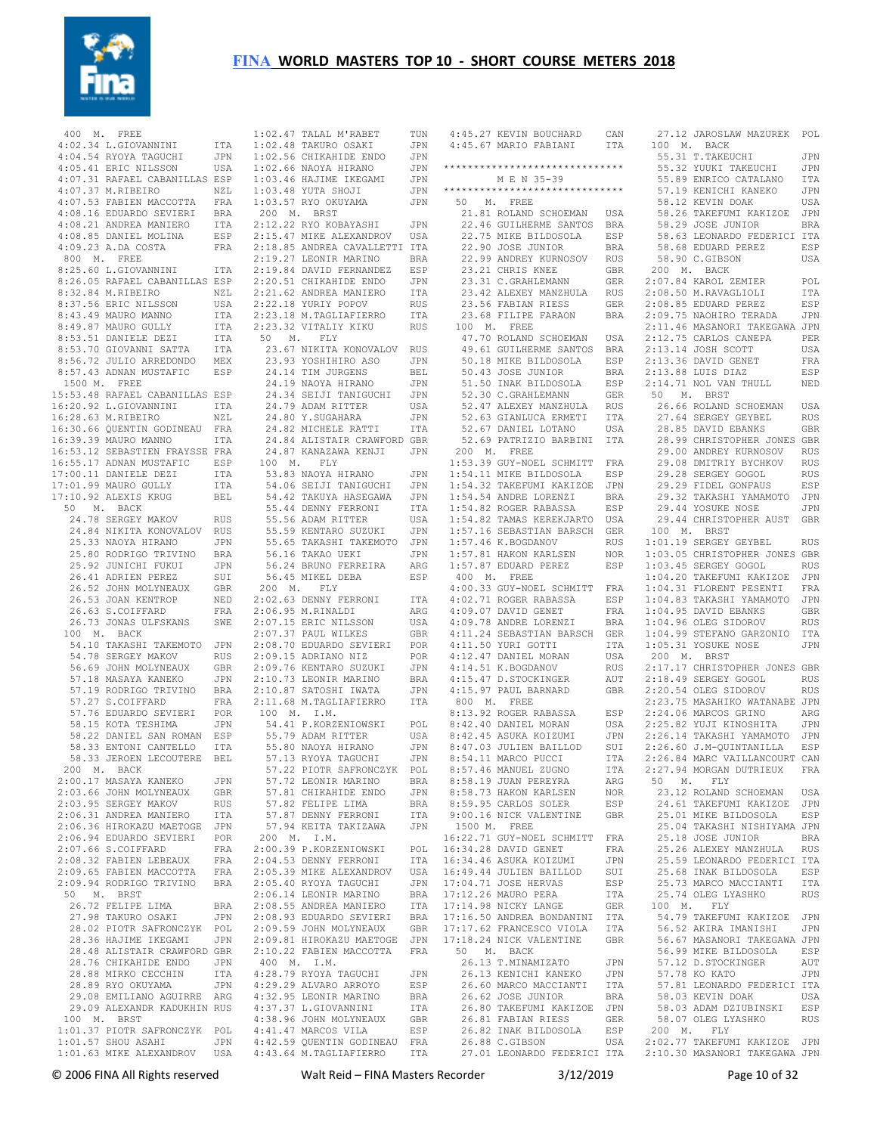

|                      | 400 M. FREE                    |            | 1:02.  |
|----------------------|--------------------------------|------------|--------|
|                      | 4:02.34 L.GIOVANNINI           | ITA        | 1:02.  |
|                      | 4:04.54 RYOYA TAGUCHI          | JPN        | 1:02.  |
|                      | 4:05.41 ERIC NILSSON           | USA        | 1:02.  |
|                      | 4:07.31 RAFAEL CABANILLAS ESP  |            | 1:03.  |
|                      | 4:07.37 M.RIBEIRO              |            |        |
|                      |                                | NZL        | 1:03.  |
|                      | 4:07.53 FABIEN MACCOTTA        | FRA        | 1:03.  |
|                      | 4:08.16 EDUARDO SEVIERI        | BRA        | 200    |
|                      | 4:08.21 ANDREA MANIERO         | ITA        | 2:12.2 |
|                      | 4:08.85 DANIEL MOLINA          | ESP        | 2:15.  |
|                      | 4:09.23 A.DA COSTA             | FRA        | 2:18.1 |
|                      | 800 M. FREE                    |            | 2:19.2 |
|                      |                                |            |        |
|                      | 8:25.60 L.GIOVANNINI           | ITA        | 2:19.1 |
|                      | 8:26.05 RAFAEL CABANILLAS ESP  |            | 2:20.1 |
|                      | 8:32.84 M.RIBEIRO              | NZL        | 2:21.  |
|                      | 8:37.56 ERIC NILSSON           | USA        | 2:22.1 |
|                      | 8:43.49 MAURO MANNO            | ITA        | 2:23.  |
|                      | 8:49.87 MAURO GULLY            | ITA        | 2:23.  |
|                      | 8:53.51 DANIELE DEZI           | ITA        | 50     |
|                      | 8:53.70 GIOVANNI SATTA         |            |        |
|                      |                                | ITA        | 23.1   |
|                      | 8:56.72 JULIO ARREDONDO        | MEX        | 23.1   |
|                      | 8:57.43 ADNAN MUSTAFIC         | ESP        | 24.1   |
|                      | 1500 M. FREE                   |            | 24.1   |
|                      | 15:53.48 RAFAEL CABANILLAS ESP |            | 24.3   |
|                      | 16:20.92 L.GIOVANNINI          | ITA        | 24.7   |
|                      | 16:28.63 M.RIBEIRO             | NZL        | 24.1   |
|                      |                                |            |        |
|                      | 16:30.66 QUENTIN GODINEAU      | FRA        | 24.1   |
|                      | 16:39.39 MAURO MANNO           | ITA        | 24.1   |
|                      | 16:53.12 SEBASTIEN FRAYSSE FRA |            | 24.1   |
|                      | 16:55.17 ADNAN MUSTAFIC        | ESP        | 100    |
|                      | 17:00.11 DANIELE DEZI          | ITA        | 53.1   |
|                      | 17:01.99 MAURO GULLY           | ITA        | 54.1   |
|                      | 17:10.92 ALEXIS KRUG           |            | 54.4   |
|                      |                                | BEL        |        |
| 50                   | M. BACK                        |            | 55.4   |
|                      | 24.78 SERGEY MAKOV             | RUS        | 55.    |
|                      | 24.84 NIKITA KONOVALOV         | RUS        | 55.5   |
|                      | 25.33 NAOYA HIRANO             | JPN        | 55.1   |
|                      | 25.80 RODRIGO TRIVINO          | BRA        | 56.1   |
|                      | 25.92 JUNICHI FUKUI            | JPN        | 56.1   |
|                      | 26.41 ADRIEN PEREZ             | SUI        | 56.4   |
|                      |                                |            |        |
|                      | 26.52 JOHN MOLYNEAUX           | GBR        | 200    |
|                      | 26.53 JOAN KENTROP             | NED        | 2:02.  |
|                      | 26.63 S.COIFFARD               | FRA        | 2:06.1 |
|                      | 26.73 JONAS ULFSKANS           | SWE        | 2:07.  |
| 100 M.               | BACK                           |            | 2:07.  |
|                      | 54.10 TAKASHI TAKEMOTO         | JPN        | 2:08.  |
|                      | 54.78 SERGEY MAKOV             | RUS        | 2:09.1 |
|                      | 56.69 JOHN MOLYNEAUX           | GBR        | 2:09.  |
|                      | 57.18 MASAYA KANEKO            | JPN        | 2:10.7 |
|                      | 57.19 RODRIGO TRIVINO          |            |        |
|                      |                                | BRA        | 2:10.1 |
|                      | 57.27 S.COIFFARD               | FRA        | 2:11.  |
|                      | 57.76 EDUARDO SEVIERI          | POR        | 100    |
|                      | 58.15 KOTA TESHIMA             | JPN        | 54.4   |
|                      | 58.22 DANIEL SAN ROMAN         | ESP        | 55.    |
|                      | 58.33 ENTONI CANTELLO          | ITA        | 55.1   |
|                      | 58.33 JEROEN LECOUTERE         | BEL        | 57.1   |
|                      | 200 M. BACK                    |            | 57.2   |
|                      | 2:00.17 MASAYA KANEKO          | JPN        | 57.7   |
|                      | 2:03.66 JOHN MOLYNEAUX         |            |        |
|                      |                                | <b>GBR</b> | 57.1   |
|                      | 2:03.95 SERGEY MAKOV           | <b>RUS</b> | 57.8   |
|                      | 2:06.31 ANDREA MANIERO         | ITA        | 57.1   |
|                      | 2:06.36 HIROKAZU MAETOGE       | JPN        | 57.1   |
|                      | 2:06.94 EDUARDO SEVIERI        | POR        | 200    |
|                      | 2:07.66 S.COIFFARD             | FRA        | 2:00.1 |
|                      | 2:08.32 FABIEN LEBEAUX         | FRA        | 2:04.  |
|                      | 2:09.65 FABIEN MACCOTTA        | FRA        |        |
|                      |                                |            | 2:05.  |
|                      | 2:09.94 RODRIGO TRIVINO        | BRA        | 2:05.  |
| M <sub>1</sub><br>50 | <b>BRST</b>                    |            | 2:06.  |
|                      | 26.72 FELIPE LIMA              | BRA        | 2:08.  |
|                      | 27.98 TAKURO OSAKI             | JPN        | 2:08.1 |
|                      | 28.02 PIOTR SAFRONCZYK         | POL        | 2:09.5 |
|                      | 28.36 HAJIME IKEGAMI           | JPN        | 2:09.1 |
|                      | 28.48 ALISTAIR CRAWFORD GBR    |            | 2:10.2 |
|                      | 28.76 CHIKAHIDE ENDO           | JPN        | 400    |
|                      |                                |            |        |
|                      | 28.88 MIRKO CECCHIN            | ITA        | 4:28.  |
|                      | 28.89 RYO OKUYAMA              | JPN        | 4:29.2 |
|                      | 29.08 EMILIANO AGUIRRE         | ARG        | 4:32.  |
|                      | 29.09 ALEXANDR KADUKHIN RUS    |            | 4:37.  |
| 100 M.               | BRST                           |            | 4:38.  |
|                      | 1:01.37 PIOTR SAFRONCZYK       | POL        | 4:41.  |
|                      | 1:01.57 SHOU ASAHI             | JPN        | 4:42.  |
|                      | 1:01.63 MIKE ALEXANDROV        | USA        | 4:43.  |
|                      |                                |            |        |

| 1:02.47 TALAL M'RABET TUN                                                                                                                                                                                                                              |                     |
|--------------------------------------------------------------------------------------------------------------------------------------------------------------------------------------------------------------------------------------------------------|---------------------|
| NOTE: 1988 TAKURO OSAKI NAMANI 1:02.56 CHIKAHIDE ENDO JPN 1:02.66 NAOYA HIRANO JPN 1:03.46 HAJIME IKEGAMI JPN 1:03.57 RYO OKUYAMA JPN 1:03.57 RYO OKUYAMA JPN 200 M. BRST                                                                              |                     |
|                                                                                                                                                                                                                                                        |                     |
|                                                                                                                                                                                                                                                        |                     |
|                                                                                                                                                                                                                                                        |                     |
|                                                                                                                                                                                                                                                        |                     |
|                                                                                                                                                                                                                                                        |                     |
| 200 11. 2002<br>2:12.22 RYO KOBAYASHI JPN<br>2:15.47 MIKE ALEXANDROV USA                                                                                                                                                                               | JPN                 |
|                                                                                                                                                                                                                                                        |                     |
|                                                                                                                                                                                                                                                        |                     |
|                                                                                                                                                                                                                                                        |                     |
|                                                                                                                                                                                                                                                        |                     |
|                                                                                                                                                                                                                                                        |                     |
| 2:18.85 ANDREA CANALLETTI TTA<br>2:19.85 ANDREA CAVALLETTI TTA<br>2:19.27 LEONIR MARINO BRA<br>2:19.84 DAVID FERNANDEZ ESP<br>2:20.51 CHIKAHIDE ENDO JPN<br>2:21.62 ANDREA MANIERO ITA<br>2:23.18 M.TAGLIAFIERRO ITA<br>2:23.18 M.TAGLIAFIERRO ITA<br> |                     |
|                                                                                                                                                                                                                                                        |                     |
|                                                                                                                                                                                                                                                        |                     |
| 50 M. FLY<br>23.67 NIKITA KONOVALOV RUS                                                                                                                                                                                                                |                     |
|                                                                                                                                                                                                                                                        | JPN                 |
|                                                                                                                                                                                                                                                        | BEL                 |
| 23.93 YOSHIHIRO ASO<br>24.14 TIM JURGENS<br>24.19 NAOYA HIRANO                                                                                                                                                                                         | JPN                 |
| 24.34 SEIJI TANIGUCHI<br>24.79 ADAM RITTER<br>24.80 Y.SUGAHARA                                                                                                                                                                                         | JPN                 |
|                                                                                                                                                                                                                                                        | USA                 |
| 24.82 MICHELE RATTI<br>24.84 ALICHELE RATTI                                                                                                                                                                                                            | JPN                 |
|                                                                                                                                                                                                                                                        | ITA                 |
| 24.84 ALISTAIR CRAWFORD GBR<br>24.87 KANAZAWA KENJI JPN                                                                                                                                                                                                |                     |
| 100 M. FLY                                                                                                                                                                                                                                             |                     |
| 53.83 NAOYA HIRANO JPN<br>53.83 NAOYA HIRANO JPN<br>54.06 SEIJI TANIGUCHI JPN                                                                                                                                                                          |                     |
|                                                                                                                                                                                                                                                        |                     |
|                                                                                                                                                                                                                                                        | JPN                 |
| 54.42 TAKUYA HASEGAWA<br>55.44 DENNY FERRONI<br>55.56 ADAM RITTER                                                                                                                                                                                      | ITA                 |
| 55.50 ADAM RIIIDR<br>55.59 KENTARO SUZUKI                                                                                                                                                                                                              | USA<br>JPN          |
| 55.65 TAKASHI TAKEMOTO JPN                                                                                                                                                                                                                             |                     |
| 56.16 TAKAO UEKI                                                                                                                                                                                                                                       | JPN                 |
| 56.16 IARAO OERI<br>56.24 BRUNO FERREIRA<br>56.45 MIKEL DEBA                                                                                                                                                                                           | ARG                 |
| 56.45 MIKEL DEBA                                                                                                                                                                                                                                       | ESP                 |
| 200 M. FLY                                                                                                                                                                                                                                             |                     |
| 2:02.63 DENNY FERRONI                                                                                                                                                                                                                                  | ITA<br>ARG          |
| 2:07.15 ERIC NILSSON<br>2:07.15 ERIC NILSSON<br>2:07.37 PAUL WILKES<br>2:08.70 FDILATE                                                                                                                                                                 | USA                 |
|                                                                                                                                                                                                                                                        | GBR                 |
| 2:08.70 EDUARDO SEVIERI<br>2:09.15 ADRIANO NIZ                                                                                                                                                                                                         |                     |
|                                                                                                                                                                                                                                                        | POR                 |
|                                                                                                                                                                                                                                                        | POR                 |
|                                                                                                                                                                                                                                                        | JPN                 |
|                                                                                                                                                                                                                                                        | BRA                 |
|                                                                                                                                                                                                                                                        | JPN                 |
| 2:09.15 ADRIANO NIZ<br>2:09.15 ADRIANO NIZ<br>2:09.76 KENTARO SUZUKI<br>2:10.73 LEONIR MARINO<br>2:10.87 SATOSHI IWATA<br>2:11.68 M.TAGLIAFIERRO                                                                                                       | ITA                 |
| 100 M. I.M.                                                                                                                                                                                                                                            |                     |
|                                                                                                                                                                                                                                                        |                     |
|                                                                                                                                                                                                                                                        |                     |
|                                                                                                                                                                                                                                                        |                     |
| 00 M. 1.m.<br>54.41 P.KORZENIOWSKI POL<br>55.79 ADAM RITTER USA<br>55.80 NAOYA HIRANO JPN<br>57.13 RYOYA TAGUCHI JPN<br>77.00 DIOTER SAFRONCZYK POL<br>57.22 PIOTR SAFRONCZYK                                                                          | POL                 |
| 57.72 LEONIR MARINO                                                                                                                                                                                                                                    | <b>BRA</b>          |
|                                                                                                                                                                                                                                                        | JPN                 |
| 57.81 CHIKAHIDE ENDO<br>57.82 FELIPE LIMA                                                                                                                                                                                                              | BRA<br>ITA          |
| 57.82 FELIPE LIMA<br>57.87 DENNY FERRONI<br>57.94 KEITA TAKIZAWA                                                                                                                                                                                       | JPN                 |
| 200 M. I.M.                                                                                                                                                                                                                                            |                     |
|                                                                                                                                                                                                                                                        | POL                 |
| 2:00.39 P.KORZENIOWSKI<br>2:04.53 DENNY FERRONI                                                                                                                                                                                                        | ITA                 |
| 2:05.39 MIKE ALEXANDROV USA                                                                                                                                                                                                                            |                     |
|                                                                                                                                                                                                                                                        |                     |
|                                                                                                                                                                                                                                                        |                     |
|                                                                                                                                                                                                                                                        |                     |
|                                                                                                                                                                                                                                                        |                     |
| 2:05.40 RYON TAGUCHI JPN<br>2:05.40 RYON TAGUCHI JPN<br>2:06.14 LEONIR MARINO BRA<br>2:08.55 ANDREA MANIERO ITA<br>2:08.93 EDUARDO SEVIERI BRA<br>2:09.59 JOHN MOLYNEAUX GER<br>2:09.81 HIROKAZU MAETOGE JPN<br>2:09.81 HIROKAZU MAETOGE JPN           |                     |
| 2:10.22 FABIEN MACCOTTA                                                                                                                                                                                                                                | FRA                 |
| 400 M. I.M.                                                                                                                                                                                                                                            |                     |
| $4:28.79$ RYOYA TAGUCHI<br>4:29.29 ALVARO ARROYO                                                                                                                                                                                                       | $_{\rm JPN}$<br>ESP |
|                                                                                                                                                                                                                                                        | BRA                 |
|                                                                                                                                                                                                                                                        | ITA                 |
|                                                                                                                                                                                                                                                        | GBR                 |
| 4:32.95 LEONIR MARINO<br>4:37.37 L.GIOVANNINI<br>4:38.96 JOHN MOLYNEAUX<br>4:41.47 MARCOS VILA<br>4:42.59 QUENTIN GODINEAU FRA                                                                                                                         | ESP                 |

|                                                                                                             | CAN                         |
|-------------------------------------------------------------------------------------------------------------|-----------------------------|
| 4:45.27 KEVIN BOUCHARD<br>4:45.67 MARIO FABIANI                                                             | ITA                         |
|                                                                                                             |                             |
| ******************************                                                                              |                             |
| M E N 35-39                                                                                                 |                             |
| ******************************                                                                              |                             |
| 50 M. FREE                                                                                                  |                             |
| 21.81 ROLAND SCHOEMAN                                                                                       | USA                         |
| 22.46 GUILHERME SANTOS                                                                                      | <b>BRA</b>                  |
|                                                                                                             |                             |
| 22.75 MIKE BILDOSOLA ESP<br>22.90 JOSE JUNIOR BRA<br>22.99 ANDREY KURNOSOV RUS<br>22.99 ANDREY KURNOSOV RUS |                             |
| 23.21 CHRIS KNEE                                                                                            | GBR                         |
| 23.21 CHRIS KNEE<br>23.31 C.GRAHLEMANN                                                                      |                             |
|                                                                                                             |                             |
| 23.56 FABIAN RIESS                                                                                          | GER                         |
| 23.68 FILIPE FARAON BRA                                                                                     |                             |
| 100 M. FREE                                                                                                 |                             |
| 47.70 ROLAND SCHOEMAN                                                                                       | USA                         |
| 49.61 GUILHERME SANTOS BRA<br>50.18 MIKE BILDOSOLA ESP                                                      |                             |
|                                                                                                             | <b>BRA</b>                  |
| 50.43 JOSE JUNIOR                                                                                           |                             |
| 51.50 INAK BILDOSOLA ESP<br>52.30 C.GRAHLEMANN GER                                                          |                             |
|                                                                                                             | <b>RUS</b>                  |
| 52.47 ALEXEY MANZHULA<br>52.63 GIANLUCA ERMETI<br>52.67 DANIEL LOTANO                                       | ITA                         |
|                                                                                                             | USA                         |
| 52.69 PATRIZIO BARBINI                                                                                      | ITA                         |
| 200 M. FREE                                                                                                 |                             |
| 1:53.39 GUY-NOEL SCHMITT FRA                                                                                |                             |
| 1:54.11 MIKE BILDOSOLA                                                                                      | ESP                         |
| 1:54.32 TAKEFUMI KAKIZOE JPN<br>1:54.54 ANDRE LORENZI BRA<br>1:54.82 ROGER RABASSA ESP                      |                             |
|                                                                                                             |                             |
| 1:54.82 ROGER RABASSA                                                                                       | ESP                         |
| 1:54.82 TAMAS KEREKJARTO                                                                                    | USA                         |
| 1:57.16 SEBASTIAN BARSCH GER<br>$1:57.46$ K.BOGDANOV                                                        | RUS                         |
|                                                                                                             | <b>NOR</b>                  |
| 1:57.81 HAKON KARLSEN<br>1:57.87 EDUARD PEREZ                                                               | ESP                         |
| 400 M. FREE                                                                                                 |                             |
| 4:00.33 GUY-NOEL SCHMITT FRA                                                                                |                             |
| 4:02.71 ROGER RABASSA<br>4:09.07 DAVID GENET                                                                | ESP                         |
|                                                                                                             | FRA                         |
| $4:09.78$ ANDRE LORENZI                                                                                     | <b>BRA</b>                  |
| 4:11.24 SEBASTIAN BARSCH GER<br>4:11.50 YURI GOTTI ITA                                                      |                             |
|                                                                                                             |                             |
|                                                                                                             | USA                         |
| 4:12.47 DANIEL MORAN<br>4:14.51 K.BOGDANOV<br>4:15.47 D.STOCKINGER                                          | RUS<br>AUT                  |
| $4:15.97$ PAUL BARNARD                                                                                      | GBR                         |
| 800 M. FREE                                                                                                 |                             |
| 8:13.92 ROGER RABASSA                                                                                       | ESP                         |
| 8:42.40 DANIEL MORAN                                                                                        | USA                         |
| 8:42.45 ASUKA KOIZUMI                                                                                       | JPN                         |
| 8:47.03 JULIEN BAILLOD SUI                                                                                  |                             |
| 8:54.11 MARCO PUCCI                                                                                         | $\ddot{\phantom{0}}$<br>ITA |
| 8:57.46 MANUEL ZUGNO                                                                                        | ITA                         |
| 8:58.19 JUAN PEREYRA                                                                                        | ARG                         |
| 8:58.73 HAKON KARLSEN<br>8:59.95 CARLOS SOLER                                                               | NOR<br>ESP                  |
| 9:00.16 NICK VALENTINE                                                                                      | GBR                         |
| 1500 M. FREE                                                                                                |                             |
| 16:22.71 GUY-NOEL SCHMITT                                                                                   | FRA                         |
| 16:34.28 DAVID GENET                                                                                        | FRA                         |
| 16:34.46 ASUKA KOIZUMI                                                                                      | JPN                         |
| 16:49.44 JULIEN BAILLOD                                                                                     | SUI                         |
| 17:04.71 JOSE HERVAS<br>17:12.26 MAURO PERA                                                                 | ESP                         |
|                                                                                                             | ITA                         |
| 17:14.98 NICKY LANGE                                                                                        | GER                         |
| 17:16.50 ANDREA BONDANINI<br>17:17.62 FRANCESCO VIOLA                                                       | ITA                         |
| 17:18.24 NICK VALENTINE                                                                                     | ITA<br><b>GBR</b>           |
| 50 M. BACK                                                                                                  |                             |
| 26.13 T.MINAMIZATO                                                                                          | JPN                         |
| 26.13 KENICHI KANEKO                                                                                        | JPN                         |
| 26.60 MARCO MACCIANTI                                                                                       | ITA                         |
| 26.62 JOSE JUNIOR                                                                                           | <b>BRA</b>                  |
| 26.80 TAKEFUMI KAKIZOE                                                                                      | JPN                         |
| 26.81 FABIAN RIESS<br>26.82 INAK BILDOSOLA                                                                  | GER                         |
|                                                                                                             | ESP                         |
| 26.88 C.GIBSON                                                                                              | USA                         |
| 27.01 LEONARDO FEDERICI ITA                                                                                 |                             |

| 27.12 JAROSLAW MAZUREK<br>100 M. BACK                                                                         | POL               |
|---------------------------------------------------------------------------------------------------------------|-------------------|
| 55.31<br>T.TAKEUCHI                                                                                           | JPN               |
| 55.32 YUUKI TAKEUCHI                                                                                          | JPN               |
|                                                                                                               | ITA               |
| 55.89 ENRICO CATALANO<br>57.19 KENICHI KANEKO                                                                 | JPN               |
| 58.12 KEVIN DOAK                                                                                              | USA               |
| 58.26 TAKEFUMI KAKIZOE<br>58.29 JOSE JUNIOR                                                                   | JPN               |
|                                                                                                               | <b>BRA</b>        |
| 58.63 LEONARDO FEDERICI                                                                                       | ITA               |
| 58.68 EDUARD PEREZ                                                                                            | ESP               |
| 58.90 C.GIBSON                                                                                                | USA               |
| 200 M. BACK                                                                                                   |                   |
| 2:07.84 KAROL ZEMIER                                                                                          | POL               |
| 2:08.50 M.RAVAGLIOLI                                                                                          | ITA               |
| 2:08.85 EDUARD PEREZ                                                                                          | ESP               |
| 2:09.75 NAOHIRO TERADA JPN<br>2:11.46 MASANORI TAKEGAWA JPN                                                   |                   |
|                                                                                                               |                   |
|                                                                                                               | PER<br>USA        |
| 2:12.75 CARLOS CANEPA<br>2:13.14 JOSH SCOTT<br>2:13.14 JOSH SCOTT<br>2:13.36 DAVID GENET<br>2:13.88 LUIS DIAZ | FRA               |
|                                                                                                               | ESP               |
| $2:14.71$ NOL VAN THULL                                                                                       | NED               |
| 50 M. BRST                                                                                                    |                   |
| 26.66 ROLAND SCHOEMAN                                                                                         | USA               |
|                                                                                                               | RUS               |
| 27.64 SERGEY GEYBEL<br>28.85 DAVID EBANKS                                                                     | GBR               |
| 28.99 CHRISTOPHER JONES GBR                                                                                   |                   |
| 29.00 ANDREY KURNOSOV                                                                                         | <b>RUS</b>        |
| 29.08 DMITRIY BYCHKOV                                                                                         | <b>RUS</b>        |
| 29.28 SERGEY GOGOL<br>29.28 SERGEY GOGOL<br>29.29 FIDEL GONFAUS                                               | <b>RUS</b>        |
|                                                                                                               | ESP               |
| 29.32 TAKASHI YAMAMOTO<br>29.44 YOSUKE NOSE                                                                   | JPN               |
| 29.44 CHRISTOPHER AUST                                                                                        | JPN<br>GBR        |
| 100 M. BRST                                                                                                   |                   |
| 1:01.19 SERGEY GEYBEL                                                                                         | RUS               |
| 1:03.05 CHRISTOPHER JONES GBR                                                                                 |                   |
| 1:03.45 SERGEY GOGOL<br>1:04.20 TAKEFUMI KAKIZOE                                                              | RUS               |
|                                                                                                               | JPN               |
| 1:04.31 FLORENT PESENTI<br>1:04.83 TAKASHI YAMAMOTO                                                           | FRA               |
|                                                                                                               | JPN               |
| $1:04.95$ DAVID EBANKS                                                                                        | GBR               |
| 1:04.96 OLEG SIDOROV<br>1:04.99 STEFANO GARZONIO                                                              | RUS<br>ITA        |
| 1:05.31 YOSUKE NOSE                                                                                           | JPN               |
| 200 M. BRST                                                                                                   |                   |
| 2:17.17 CHRISTOPHER JONES GBR                                                                                 |                   |
| 2:18.49 SERGEY GOGOL                                                                                          | <b>RUS</b>        |
| 2:20.54 OLEG SIDOROV RUS<br>2:23.75 MASAHIKO WATANABE JPN                                                     |                   |
|                                                                                                               |                   |
| 2:24.06 MARCOS GRINO<br>2:24.06 MARCOS GRINO<br>2:25.82 YUJI KINOSHITA                                        | ARG               |
|                                                                                                               | JPN               |
| 2:26.14 TAKASHI YAMAMOTO<br>2:26.60 J.M-QUINTANILLA                                                           | JPN               |
| 2:26.84 MARC VAILLANCOURT CAN                                                                                 | ESP               |
| 94 MORGAN DUTRIEUX<br>2:27.                                                                                   | FRA               |
| 50 M. FLY                                                                                                     |                   |
|                                                                                                               | USA               |
| 23.12 ROLAND SCHOEMAN<br>24.61 TAKEFUMI KAKIZOE                                                               | JPN               |
| 25.01 MIKE BILDOSOLA                                                                                          | ESP               |
| 25.04 TAKASHI NISHIYAMA JPN                                                                                   |                   |
| 25.18 JOSE JUNIOR                                                                                             | <b>BRA</b>        |
| 25.26 ALEXEY MANZHULA<br>ERRY MANZHULA RUS 25.59 LEONARDO FEDERICI ITA                                        |                   |
|                                                                                                               |                   |
|                                                                                                               |                   |
| 25.73 MARCO MACCIANTI<br>25.74 OLEG LYASHKO                                                                   | ITA<br><b>RUS</b> |
| 100 M. FLY                                                                                                    |                   |
| 54.79 TAKEFUMI KAKIZOE JPN                                                                                    |                   |
| 56.52 AKIRA IMANISHI                                                                                          | JPN               |
| 56.67 MASANORI TAKEGAWA JPN                                                                                   |                   |
| 56.99 MIKE BILDOSOLA                                                                                          | ESP               |
| 57.12 D.STOCKINGER                                                                                            | AUT               |
|                                                                                                               |                   |
| 57.78 KO KATO JPN<br>57.81 LEONARDO FEDERICI ITA<br>58.03 KEVIN DOAK USA                                      |                   |
| 58.03 ADAM DZIUBINSKI                                                                                         | ESP               |
| 58.07 OLEG LYASHKO                                                                                            | RUS               |
|                                                                                                               |                   |
| 200 M. FLY<br>2:02.77 TAKEFUMI KAKIZOE JPN                                                                    |                   |
| 2:10.30 MASANORI TAKEGAWA JPN                                                                                 |                   |
| Page $10$ of $32$                                                                                             |                   |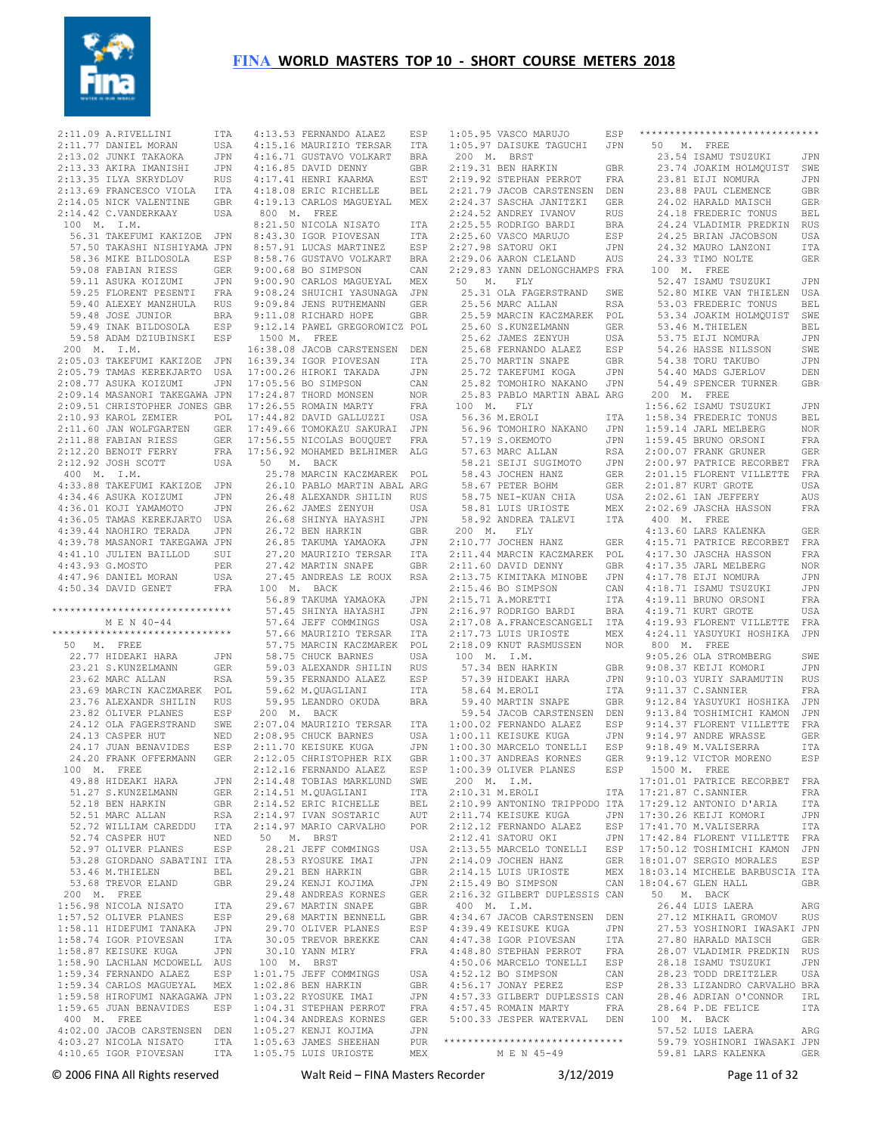

 $2:11.09$  A.RIVELLINI  $2:11.77$  DANIEL MORAN 2:13.02 JUNKI TAKAOKA 2:13.33 AKIRA IMANISHI JPN 2:13.35 ILYA SKRYDLOV RUS 2:13.69 FRANCESCO VIOLA ITA 2:14.05 NICK VALENTINE GBR 2:14.42 C.VANDERKAAY USA 100 M. I.M. 56.31 TAKEFUMI KAKIZOE JPN 57.50 TAKASHI NISHIYAMA JPN 58.36 MIKE BILDOSOLA ESP 59.08 FABIAN RIESS GER 59.11 ASUKA KOIZUMI JPN 59.25 FLORENT PESENTI FRA 59.40 ALEXEY MANZHULA RUS 59.48 JOSE JUNIOR BRA 59.49 INAK BILDOSOLA ESP 59.58 ADAM DZIUBINSKI ESP 200 M. I.M. 2:05.03 TAKEFUMI KAKIZOE JPN 16:39.34 IGOR PIOVESAN ITA 2:05.79 TAMAS KEREKJARTO USA 2:08.77 ASUKA KOIZUMI JPN 17:00.26 HIROKI TAKADA JPN 17:05.56 BO SIMPSON CAN 2:09.14 MASANORI TAKEGAWA JPN 2:09.51 CHRISTOPHER JONES GBR 2:10.93 KAROL ZEMIER POL 2:11.60 JAN WOLFGARTEN GER 2:11.88 FABIAN RIESS GER 2:12.20 BENOIT FERRY FRA 2:12.92 JOSH SCOTT USA 400 M. I.M. 4:33.88 TAKEFUMI KAKIZOE JPN 4:34.46 ASUKA KOIZUMI JPN 4:36.01 KOJI YAMAMOTO JPN 4:36.05 TAMAS KEREKJARTO USA 4:39.44 NAOHIRO TERADA JPN 4:39.78 MASANORI TAKEGAWA JPN 4:41.10 JULIEN BAILLOD SUI 4:43.93 G.MOSTO PER 4:47.96 DANIEL MORAN USA 4:50.34 DAVID GENET FRA \*\*\*\*\*\*\*\*\*\*\*\*\*\*\*\*\*\*\*\*\*\*\*\*\*\*\*\*\*\* M E N 40-44 \*\*\*\*\*\*\*\*\*\*\*\*\*\*\*\*\*\*\*\*\*\*\*\*\*\*\*\*\*\* 50 M. FREE 22.77 HIDEAKI HARA JPN 23.21 S.KUNZELMANN GER 23.62 MARC ALLAN RSA 23.69 MARCIN KACZMAREK POL 23.76 ALEXANDR SHILIN RUS 23.82 OLIVER PLANES ESP 24.12 OLA FAGERSTRAND SWE<br>24.13 CASPER HUT NED  $24.13$  CASPER HUT 24.17 JUAN BENAVIDES ESP 24.20 FRANK OFFERMANN GER 100 M. FREE 49.88 HIDEAKI HARA JPN 51.27 S.KUNZELMANN GER 52.18 BEN HARKIN GBR 52.51 MARC ALLAN RSA 52.72 WILLIAM CAREDDU ITA 52.74 CASPER HUT NED 52.97 OLIVER PLANES ESP 53.28 GIORDANO SABATINI ITA 53.46 M.THIELEN BEL 53.68 TREVOR ELAND GBR 200 M. FREE 1:56.98 NICOLA NISATO ITA 1:57.52 OLIVER PLANES ESP<br>1:58.11 HIDEFUMI TANAKA JPN  $1:58.11$  HIDEFUMI TANAKA 1:58.74 IGOR PIOVESAN ITA 1:58.87 KEISUKE KUGA JPN 1:58.90 LACHLAN MCDOWELL AUS 1:59.34 FERNANDO ALAEZ ESP 1:59.34 CARLOS MAGUEYAL MEX 1:59.58 HIROFUMI NAKAGAWA JPN 1:59.65 JUAN BENAVIDES ESP 1:04.31 STEPHAN PERROT FRA 400 M. FREE 4:02.00 JACOB CARSTENSEN DEN 4:03.27 NICOLA NISATO ITA 1:05.27 KENJI KOJIMA JPN 1:05.63 JAMES SHEEHAN PUR 4:10.65 IGOR PIOVESAN

 4:13.53 FERNANDO ALAEZ ESP 4:15.16 MAURIZIO TERSAR ITA 4:16.71 GUSTAVO VOLKART BRA 4:16.85 DAVID DENNY GBR 4:17.41 HENRI KAARMA EST 4:18.08 ERIC RICHELLE BEL 4:19.13 CARLOS MAGUEYAL MEX 800 M. FREE 8:21.50 NICOLA NISATO ITA 8:43.30 IGOR PIOVESAN ITA 8:57.91 LUCAS MARTINEZ ESP 8:58.76 GUSTAVO VOLKART BRA 9:00.68 BO SIMPSON CAN 9:00.90 CARLOS MAGUEYAL MEX 9:08.24 SHUICHI YASUNAGA JPN 9:09.84 JENS RUTHEMANN GER 9:11 08 RICHARD HOPE GBR 9:12.14 PAWEL GREGOROWICZ POL 1500 M. FREE 16:38.08 JACOB CARSTENSEN DEN 17:24.87 THORD MONSEN NOR 17:26.55 ROMAIN MARTY FRA 17:44.82 DAVID GALLUZZI USA 17:49.66 TOMOKAZU SAKURAI JPN 17:56.55 NICOLAS BOUQUET FRA 17:56.92 MOHAMED BELHIMER ALG 50 M. BACK 25.78 MARCIN KACZMAREK POL 26.10 PABLO MARTIN ABAL ARG 26.48 ALEXANDR SHILIN RUS 26.62 JAMES ZENYUH USA 26.68 SHINYA HAYASHI JPN 26.72 BEN HARKIN GBR 26.85 TAKUMA YAMAOKA JPN 27.20 MAURIZIO TERSAR ITA 27.42 MARTIN SNAPE GBR 27.45 ANDREAS LE ROUX RSA 100 M. BACK 56.89 TAKUMA YAMAOKA JPN 57.45 SHINYA HAYASHI JPN 57.64 JEFF COMMINGS USA 57.66 MAURIZIO TERSAR ITA 57.75 MARCIN KACZMAREK POL 58.75 CHUCK BARNES USA 59.03 ALEXANDR SHILIN RUS 59.35 FERNANDO ALAEZ ESP 59.62 M.QUAGLIANI ITA 59.95 LEANDRO OKUDA BRA 200 M. BACK 2:07.04 MAURIZIO TERSAR ITA 2:08.95 CHUCK BARNES USA 1:00.11 KEISUKE KUGA JPN 2:11.70 KEISUKE KUGA JPN 2:12.05 CHRISTOPHER RIX GBR 2:12.16 FERNANDO ALAEZ ESP 2:14.48 TOBIAS MARKLUND SWE<br>2:14.51 M OUAGLIANI ITA 2:14.51 M.QUAGLIANI<br>2:14.52 ERIC RICHELLE 2:14.52 ERIC RICHELLE BEL 2:14.97 IVAN SOSTARIC AUT 2:14.97 MARIO CARVALHO POR 2:12.12 FERNANDO ALAEZ ESP 50 M. BRST 28.21 JEFF COMMINGS USA 28.53 RYOSUKE IMAI JPN 29.21 BEN HARKIN GBR 29.24 KENJI KOJIMA JPN 29.48 ANDREAS KORNES GER 29.67 MARTIN SNAPE GBR 29.68 MARTIN BENNELL GBR 29.70 OLIVER PLANES ESP 30.05 TREVOR BREKKE CAN 30.10 YANN MIRY FRA 100 M. BRST 1:01.75 JEFF COMMINGS USA للحاف المستقدم المستقدم بين المستقدم المستقدم المستقدم المستقدم المستقدم المستقدم المستقدم المستقدم المستقدمة<br>1.03.22 DVOCUUM TMAT 1:03.22 RYOSUKE IMAI JPN 1:04.34 ANDREAS KORNES GER ITA 1:05.75 LUIS URIOSTE

 1:05.95 VASCO MARUJO ESP 1:05.97 DAISUKE TAGUCHI JPN 50 M. FREE 200 M. BRST  $2:19.31$  BEN HARKIN GBR<br> $2:19.31$  BEN HARKIN GBR 2:19.92 STEPHAN PERROT FRA 2:21.79 JACOB CARSTENSEN DEN<br>2:24.37 SASCHA JANITZKI GER 2:24.37 SASCHA JANITZKI 2:24.52 ANDREY IVANOV RUS 2:25.55 RODRIGO BARDI BRA 2:25.60 VASCO MARUJO ESP 2:27.98 SATORU OKI JPN 2:29.06 AARON CLELAND AUS 2:29.83 YANN DELONGCHAMPS FRA 50 M. FLY 25.31 OLA FAGERSTRAND SWE 25.56 MARC ALLAN RSA 25.59 MARCIN KACZMAREK POL 25.60 S.KUNZELMANN GER 25.62 JAMES ZENYUH USA 25.62 CHILL LAND ALAEZ ESP 25.70 MARTIN SNAPE GBR 25.72 TAKEFUMI KOGA JPN 25.82 TOMOHIRO NAKANO JPN 25.83 PABLO MARTIN ABAL ARG  $100$  M. FLY 56.36 M.EROLI ITA 56.96 TOMOHIRO NAKANO JPN 57.19 S.OKEMOTO JPN 57.19 S.OKEMOTO JPN<br>57.63 MARC ALLAN RSA<br>58.21 SEIJI SUGIMOTO JPN<br>58.43 JOCHEN HANZ GER 58.21 SEIJI SUGIMOTO 58.43 JOCHEN HANZ GER 58.67 PETER BOHM GER<br>58.75 NEI-KUAN CHIA USA<br>58.81 LUIS URIOSTE MEX<br>58.92 ANDREA TALEVI ITA 58.75 NEI-KUAN CHIA 58.81 LUIS URIOSTE MEX 58.92 ANDREA TALEVI ITA 200 M. FLY 2:10.77 JOCHEN HANZ GER 2:11.44 MARCIN KACZMAREK POL 2:11.60 DAVID DENNY GBR 4:17.30 JASCHA HASSON FRA 4:17.35 JARL MELBERG NOR 2:11.00 DIVID ----<br>2:13.75 KIMITAKA MINOBE JPN  $2:15.46$  BO SIMPSON CAN 2:15.71 A.MORETTI ITA 2:16.97 RODRIGO BARDI BRA 2:17.08 A.FRANCESCANGELI ITA 2:17.73 LUIS URIOSTE MEX 2:17.08 A.FRANCECO...<br>2:17.73 LUIS URIOSTE MEX<br>-- PROMUSSEN NOR 100 M. I.M. 57.34 BEN HARKIN GBR 57.39 HIDEAKI HARA JPN 58.64 M.EROLI ITA 59.40 MARTIN SNAPE GBR 59.54 JACOB CARSTENSEN DEN  $1:00.02$  FERNANDO ALAEZ 1:00.30 MARCELO TONELLI ESP 1:00.37 ANDREAS KORNES 1:00.39 OLIVER PLANES ESP 200 M. I.M. 2:10.31 M.EROLI ITA 2:10.99 ANTONINO TRIPPODO ITA 2:11.74 KEISUKE KUGA JPN 17:29.12 ANTONIO D'ARIA ITA 17:30.26 KEIJI KOMORI JPN  $2:12.41$  SATORU OKI 2:13.55 MARCELO TONELLI ESP  $2:14.09$  JOCHEN HANZ  $2 \cdot 14$  15 LUIS URIOSTE  $2 \cdot 15$  49 BO SIMPSON 2:16.32 GILBERT DUPLESSIS CAN 50 M. BACK 400 M. I.M. 4:34.67 JACOB CARSTENSEN DEN<br>4:39.49 KEISUKE KUGA JPN 4:39.49 KEISUKE KUGA JPN 4:47.38 IGOR PIOVESAN ITA 4:48.80 STEPHAN PERROT FRA 4:50.06 MARCELO TONELLI ESP 4:50.00 MARCHES --<br>4:52.12 BO SIMPSON 4:56.17 JONAY PEREZ ESP 4:57.33 GILBERT DUPLESSIS CAN 4:57.45 ROMAIN MARTY FRA 5:00.33 JESPER WATERVAL DEN \*\*\*\*\*\*\*\*\*\*\*\*\*\*\*\*\*\*\*\*\*\*\*\*\*\*\*\*\*\* MEX M E N 45-49

\*\*\*\*\*\*\*\*\*\*\*\*\*\*\*\*\*\*\*\*\*\*\*\*\*\*\*\*\*\* 23.54 ISAMU TSUZUKI JPN 23.74 JOAKIM HOLMQUIST SWE 23.81 EIJI NOMURA JPN 23.88 PAUL CLEMENCE GBR<br>24.02 HARALD MAISCH GER 24.02 HARALD MAISCH 24.18 FREDERIC TONUS BEL 24.24 VLADIMIR PREDKIN RUS 24.25 BRIAN JACOBSON USA 24.32 MAURO LANZONI TTA 24.33 TIMO NOLTE GER 100 M. FREE 52.47 ISAMU TSUZUKI JPN 52.80 MIKE VAN THIELEN USA 53.03 FREDERIC TONUS BEL 53.34 JOAKIM HOLMQUIST SWE 53.46 M. THIELEN BEL 53.75 EIJI NOMURA JPN 54.26 HASSE NILSSON SWE 54.38 TORU TAKUBO JPN 54.40 MADS GJERLOV DEN 54.49 SPENCER TURNER GBR 200 M. FREE 1:56.62 ISAMU TSUZUKI JPN 1:58.34 FREDERIC TONUS BEL 1:59.14 JARL MELBERG NOR 1:59.45 BRUNO ORSONI FRA 2:00.07 FRANK GRUNER GER 2:00.97 PATRICE RECORBET FRA 2:01.15 FLORENT VILLETTE FRA  $2 \cdot 01$  87 KURT GROTE USA 2:02.61 IAN JEFFERY AUS 2:02.69 JASCHA HASSON FRA 400 M. FREE 4:13.60 LARS KALENKA GER GER 4:15.71 PATRICE RECORBET FRA 4:17.78 EIJI NOMURA JPN 4:18.71 ISAMU TSUZUKI JPN 4:19.11 BRUNO ORSONI FRA 4:19.71 KURT GROTE USA 4:19.93 FLORENT VILLETTE FRA 4:24.11 YASUYUKI HOSHIKA JPN 800 M. FREE 9:05.26 OLA STROMBERG SWE 9:08.37 KEIJI KOMORI JPN 9:10.03 YURIY SARAMUTIN RUS 9:11.37 C. SANNIER FRA 9:12 RA VASUVUKI HOSHIKA JPN 9:13.84 TOSHIMICHI KAMON JPN 9:14.37 FLORENT VILLETTE FRA 9:14.97 ANDRE WRASSE GER 9:18.49 M.VALISERRA ITA 9:19.12 VICTOR MORENO ESP 1500 M. FREE 17:01.01 PATRICE RECORBET FRA 17:21.87 C.SANNIER FRA 17:41.70 M.VALISERRA ITA 17:42.84 FLORENT VILLETTE FRA 17:50.12 TOSHIMICHI KAMON JPN GER 18:01.07 SERGIO MORALES ESP 18:03.14 MICHELE BARBUSCIA ITA 18:04.67 GLEN HALL GBR 26.44 LUIS LAERA ARG 27.12 MIKHAIL GROMOV RUS 27.53 YOSHINORI IWASAKI JPN 27.80 HARALD MAISCH GER 28.07 VLADIMIR PREDKIN RUS 28.18 ISAMU TSUZUKI JPN 28.23 TODD DREITZLER USA 28.33 LIZANDRO CARVALHO BRA 28.46 ADRIAN O'CONNOR IRL 28.64 P.DE FELICE ITA 100 M. BACK 57.52 LUIS LAERA ARG 59.79 YOSHINORI IWASAKI JPN 59.81 LARS KALENKA GER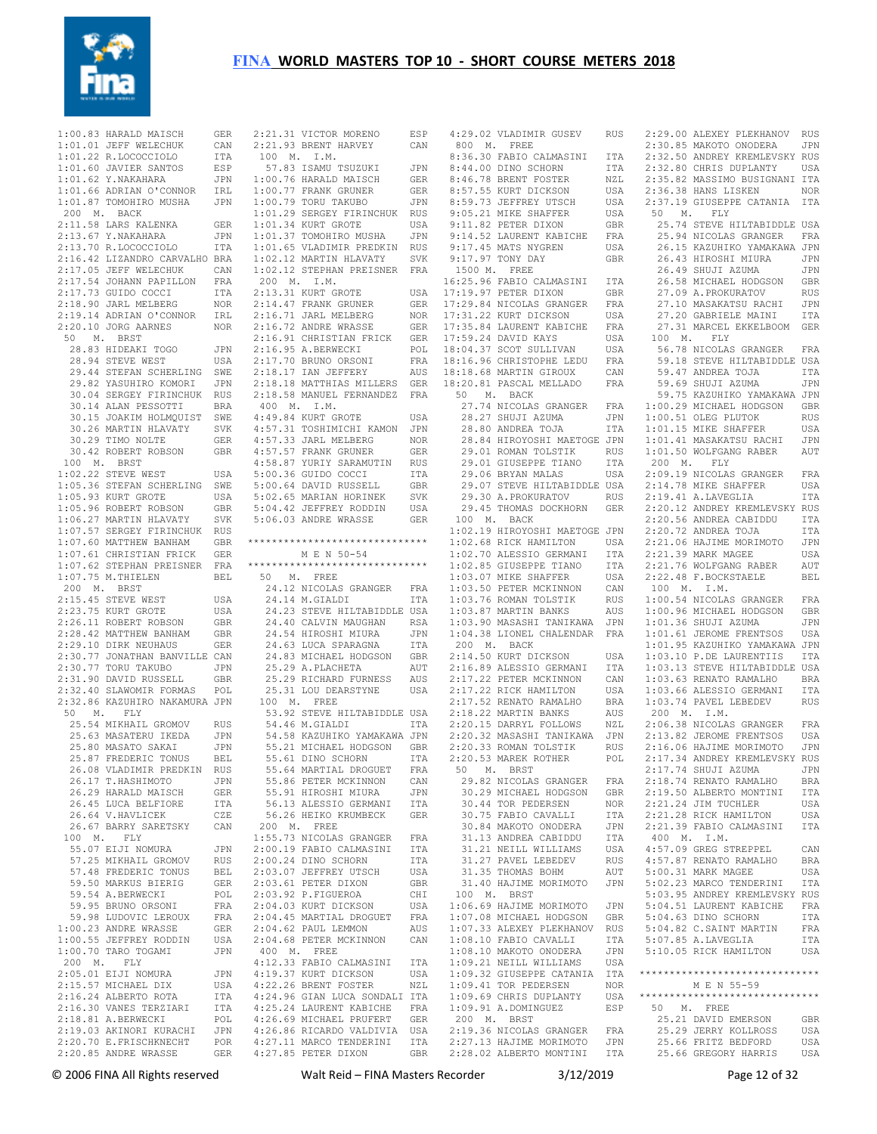

 1:00.83 HARALD MAISCH GER 1:01.01 JEFF WELECHUK CAN 1:01.22 R.LOCOCCIOLO ITA 1:01.60 JAVIER SANTOS ESP  $1 \cdot 01$  62 Y.NAKAHARA JPN 1:01.66 ADRIAN O'CONNOR IRL 1:01.87 TOMOHIRO MUSHA JPN 200 M. BACK 2:11.58 LARS KALENKA GER 2:13.67 Y.NAKAHARA JPN 2:13.70 R.LOCOCCIOLO ITA 2:16.42 LIZANDRO CARVALHO BRA 2:17.05 JEFF WELECHUK CAN 2:17.54 JOHANN PAPILLON FRA 2:17.73 GUIDO COCCI ITA 2:18.90 JARL MELBERG NOR 2:19.14 ADRIAN O'CONNOR IRL 2:20.10 JORG AARNES NOR 50 M. BRST 28.83 HIDEAKI TOGO JPN<br>28.94 STEVE WEST USA 28.94 STEVE WEST 29.44 STEFAN SCHERLING SWE 29.82 YASUHIRO KOMORI JPN 30.04 SERGEY FIRINCHUK RUS 30.14 ALAN PESSOTTI BRA 30.15 JOAKIM HOLMQUIST SWE 30.26 MARTIN HLAVATY SVK 30.29 TIMO NOLTE GER 30.42 ROBERT ROBSON GBR 100 M. BRST<br>1:02.22 STEVE WEST USA 1:05.36 STEFAN SCHERLING SWE 1:05.93 KURT GROTE USA 1:05.96 ROBERT ROBSON GBR 1:06.27 MARTIN HLAVATY SVK 1:07.57 SERGEY FIRINCHUK RUS 1:07.60 MATTHEW BANHAM GBR 1:07.61 CHRISTIAN FRICK GER 1:07.62 STEPHAN PREISNER FRA 1:07.75 M.THIELEN BEL 200 M. BRST 2:15.45 STEVE WEST USA 2:23.75 KURT GROTE USA 2:26.11 ROBERT ROBSON GBR 2:28.42 MATTHEW BANHAM GBR 2:29.10 DIRK NEUHAUS GER 2:30.77 JONATHAN BANVILLE CAN 2:30.77 TORU TAKUBO JPN 2:31.90 DAVID RUSSELL GBR 2:32.40 SLAWOMIR FORMAS POL 2:32.86 KAZUHIRO NAKAMURA JPN 50 M. FLY 25.54 MIKHAIL GROMOV RUS 25.63 MASATERU IKEDA JPN 25.80 MASATO SAKAI JPN 25.87 FREDERIC TONUS BEL 26.08 VLADIMIR PREDKIN RUS 26.17 T.HASHIMOTO JPN 26.29 HARALD MAISCH GER 26.45 LUCA BELFIORE ITA 26.64 V.HAVLICEK CZE 26.67 BARRY SARETSKY CAN 100 M. FLY 55.07 EIJI NOMURA JPN 57.25 MIKHAIL GROMOV RUS 57.48 FREDERIC TONUS BEL 59.50 MARKUS BIERIG GER 59.54 A.BERWECKI POL<br>59.95 BRUNO ORSONI FRA 59.95 BRUNO ORSONI 59.98 LUDOVIC LEROUX FRA 1:00.23 ANDRE WRASSE GER 1:00.55 JEFFREY RODDIN USA 1:00.70 TARO TOGAMI JPN 200 M. FLY 2:05.01 EIJI NOMURA JPN 2:15.57 MICHAEL DIX USA 2:16.24 ALBERTO ROTA ITA 2:16.30 VANES TERZIARI ITA 2:18.81 A.BERWECKI POL<br>2:19.03 AKINORI KURACHI JPN 2:19.03 AKINORI KURACHI JPN 2:20.70 E.FRISCHKNECHT POR 2:20.85 ANDRE WRASSE GER 4:27.85 PETER DIXON GBR

 2:21.31 VICTOR MORENO ESP 4:29.02 VLADIMIR GUSEV RUS 2:29.00 ALEXEY PLEKHANOV RUS 2:21.93 BRENT HARVEY CAN 100 M. I.M. 57.83 ISAMU TSUZUKI JPN 1:00.76 HARALD MAISCH GER 1:00.77 FRANK GRUNER GER 1:00.79 TORU TAKUBO JPN 1:01.29 SERGEY FIRINCHUK RUS 1:01.34 KURT GROTE USA 1:01.37 TOMOHIRO MUSHA JPN 1:01.65 VLADIMIR PREDKIN RUS 1:02.12 MARTIN HLAVATY SVK 1:02.12 STEPHAN PREISNER FRA 200 M. I.M. 2:13.31 KURT GROTE USA 2:14.47 FRANK GRUNER GER 2:16.71 JARL MELBERG NOR 2:16.72 ANDRE WRASSE GER 2:16.91 CHRISTIAN FRICK GER 2:16.95 A.BERWECKI POL 2:17.70 BRUNO ORSONI FRA 2:18.17 IAN JEFFERY AUS 2:18.18 MATTHIAS MILLERS GER 2:18.58 MANUEL FERNANDEZ FRA 400 M. I.M. 400 M. I.M.<br>4·49.84 KURT GROTE USA 4:57.31 TOSHIMICHI KAMON JPN 4:57.33 JARL MELBERG NOR 4:57.57 FRANK GRUNER GER 4:58.87 YURIY SARAMUTIN RUS 5:00.36 GUIDO COCCI ITA 5:00.64 DAVID RUSSELL GBR 5:02.65 MARIAN HORINEK SVK 5:04.42 JEFFREY RODDIN USA 5:06.03 ANDRE WRASSE GER \*\*\*\*\*\*\*\*\*\*\*\*\*\*\*\*\*\*\*\*\*\*\*\*\*\*\*\*\*\* M E N 50-54 \*\*\*\*\*\*\*\*\*\*\*\*\*\*\*\*\*\*\*\*\*\*\*\*\*\*\*\*\*\* 50 M. FREE 24.12 NICOLAS GRANGER FRA 24.14 M.GIALDI ITA 24.23 STEVE HILTABIDDLE USA 24.40 CALVIN MAUGHAN RSA 24.54 HIROSHI MIURA JPN 24.63 LUCA SPARAGNA ITA 24.83 MICHAEL HODGSON GBR 25.29 A.PLACHETA AUT 25.29 RICHARD FURNESS AUS 25.31 LOU DEARSTYNE USA 100 M. FREE 53.92 STEVE HILTABIDDLE USA 54.46 M.GIALDI ITA 54.58 KAZUHIKO YAMAKAWA JPN 55.21 MICHAEL HODGSON GBR 55.61 DINO SCHORN ITA 55.64 MARTIAL DROGUET FRA 55.86 PETER MCKINNON CAN 55.91 HIROSHI MIURA JPN 56.13 ALESSIO GERMANI ITA 56.26 HEIKO KRUMBECK GER 200 M. FREE 1:55.73 NICOLAS GRANGER FRA 2:00.19 FABIO CALMASINI ITA 2:00.24 DINO SCHORN ITA<br>2:03.07 JEFFREY UTSCH USA 2:03.07 JEFFREY UTSCH 2:03.07 SECRET DIXON GBR 2:03.92 P.FIGUEROA CHI<br>2:04.03 KURT DICKSON USA 2:04.03 KURT DICKSON 2:04.45 MARTIAL DROGUET FRA 2:04.62 PAUL LEMMON AUS 2:04.68 PETER MCKINNON CAN 400 M. FREE 4:12.33 FABIO CALMASINI ITA 4:19.37 KURT DICKSON USA 4:22.26 BRENT FOSTER NZL 4:24.96 GIAN LUCA SONDALI ITA 4:25.24 LAURENT KABICHE FRA 4:26.69 MICHAEL PRUFERT GER 4:26.86 RICARDO VALDIVIA USA 4:27.11 MARCO TENDERINI ITA

 800 M. FREE 8:36.30 FABIO CALMASINI ITA<br>8:44.00 DINO SCHORN ITA<br>8:46.78 BRENT FOSTER NZL 8:44.00 DINO SCHORN  $8.46$  78 BRENT FOSTER 8:57.55 KURT DICKSON USA<br>8:59.73 JEFFREY UTSCH USA 8:59.73 JEFFREY UTSCH 9:05.21 MIKE SHAFFER USA 9:11.82 PETER DIXON GBR 9:14.52 LAURENT KABICHE FRA 9:17.45 MATS NYGREN USA 9:17.97 TONY DAY GBR 1500 M. FREE 16:25.96 FABIO CALMASINI ITA 17:19.97 PETER DIXON GBR 17:29.84 NICOLAS GRANGER FRA 17:31.22 KURT DICKSON USA<br>17:35.84 LAURENT KABICHE FRA 17:35.84 LAURENT KABICHE 17:59.24 DAVID KAYS USA 18:04.37 SCOT SULLIVAN USA 18:16.96 CHRISTOPHE LEDU FRA 18:18.68 MARTIN GIROUX CAN 18:20.81 PASCAL MELLADO FRA 50 M. BACK 27.74 NICOLAS GRANGER FRA  $28.27$  SHUJI AZUMA 28.80 ANDREA TOJA 28.84 HIROYOSHI MAETOGE JPN 29.01 ROMAN TOLSTIK RUS 29.01 GIUSEPPE TIANO ITA 29.06 BRYAN MALAS USA 29.07 STEVE HILTABIDDLE USA 29.30 A.PROKURATOV RUS 29.45 THOMAS DOCKHORN GER 100 M. BACK 1:02.19 HIROYOSHI MAETOGE JPN 1:02.68 RICK HAMILTON USA<br>1:02.70 ALESSIO GERMANI ITA 1:02.70 ALESSIO GERMANI 1:02.85 GIUSEPPE TIANO ITA  $1.03$  07 MIKE SHAFFER 1:03.50 PETER MCKINNON CAN 1:03.76 ROMAN TOLSTIK RUS<br>1:03.87 MARTIN BANKS AHS  $1:03.87$  MARTIN BANKS 1:03.90 MASASHI TANIKAWA JPN 1:04.38 LIONEL CHALENDAR FRA 200 M. BACK<br>2:14.50 KURT DICKSON 2:14.50 KURT DICKSON USA 2:16.89 ALESSIO GERMANI ITA 2:17.22 PETER MCKINNON CAN 2:17.22 RICK HAMILTON USA  $2 \cdot 17$ .52 RENATO RAMALHO 2:18.22 MARTIN BANKS AUS 2:20.15 DARRYL FOLLOWS NZL 2:20.32 MASASHI TANIKAWA JPN 2:20.33 ROMAN TOLSTIK RUS 2:20.53 MAREK ROTHER POL 50 M. BRST 29.82 NICOLAS GRANGER FRA 30.29 MICHAEL HODGSON GBR 30.44 TOR PEDERSEN 30.75 FABIO CAVALLI ITA 30.84 MAKOTO ONODERA JPN<br>31.13 ANDREA CABIDDU ITA 31.13 ANDREA CABIDDU ITA 31.21 NEILL WILLIAMS USA 31.27 PAVEL LEBEDEV RUS<br>31.35 THOMAS BOHM AUT<br>31.35 THOMAS MORTMORO TEM 31.35 THOMAS BOHM 31.40 HAJIME MORIMOTO JPN 100 M. BRST 1:06.69 HAJIME MORIMOTO JPN 1:07.08 MICHAEL HODGSON GBR<br>1:07.33 ALEXEY PLEKHANOV RUS 1:07.33 ALEXEY PLEKHANOV RUS 1:08.10 FABIO CAVALLI ITA 1:08.10 MAKOTO ONODERA JPN 1:09.21 NEILL WILLIAMS USA 1:09.32 GIUSEPPE CATANIA ITA 1:09.41 TOR PEDERSEN NOR  $1:09.69$  CHRIS DUPLANTY 1:09.91 A.DOMINGUEZ ESP 50 M. FREE 200 M. BRST 2:19.36 NICOLAS GRANGER FRA 2:27.13 HAJIME MORIMOTO JPN

 2:28.02 ALBERTO MONTINI ITA 25.66 GREGORY HARRIS USA 2:30.85 MAKOTO ONODERA JPN 2:32.50 ANDREY KREMLEVSKY RUS 2:32.80 CHRIS DUPLANTY USA 2:35.82 MASSIMO BUSIGNANI ITA 2:36.38 HANS LISKEN NOR 2:37.19 GIUSEPPE CATANIA ITA<br>50 M. FLY M. FLY 25.74 STEVE HILTABIDDLE USA 25.94 NICOLAS GRANGER FRA 26.15 KAZUHIKO YAMAKAWA JPN 26.43 HIROSHI MIURA JPN 26.49 SHUJI AZUMA JPN 26.58 MICHAEL HODGSON GBR 27.09 A.PROKURATOV RUS 27.10 MASAKATSU RACHI JPN 27.20 GABRIELE MAINI ITA 27.31 MARCEL EKKELBOOM GER 100 M. FLY 56.78 NICOLAS GRANGER FRA 59.18 STEVE HILTABIDDLE USA 59.47 ANDREA TOJA ITA 59.69 SHUJI AZUMA JPN 59.75 KAZUHIKO YAMAKAWA JPN 1:00.29 MICHAEL HODGSON GBR 1:00.51 OLEG PLUTOK RUS 1:01.15 MIKE SHAFFER USA 1:01.41 MASAKATSU RACHI JPN 1:01.50 WOLFGANG RABER AUT 200 M. FLY 2:09.19 NICOLAS GRANGER FRA 2:14.78 MIKE SHAFFER USA 2:19.41 A.LAVEGLIA ITA 2:20.12 ANDREY KREMLEVSKY RUS 2:20.56 ANDREA CABIDDU ITA 2:20.72 ANDREA TOJA ITA 2:21.06 HAJIME MORIMOTO JPN 2:21.39 MARK MAGEE USA 2:21.76 WOLFGANG RABER AUT 2:22.48 F.BOCKSTAELE BEL 100 M. I.M. 1:00.54 NICOLAS GRANGER FRA 1:00.96 MICHAEL HODGSON GBR 1:01.36 SHUJI AZUMA JPN 1:01.61 JEROME FRENTSOS USA 1:01.95 KAZUHIKO YAMAKAWA JPN 1:03.10 P.DE LAURENTIIS ITA 1:03.13 STEVE HILTABIDDLE USA 1:03.63 RENATO RAMALHO BRA 1:03.66 ALESSIO GERMANI ITA 1:03.74 PAVEL LEBEDEV RUS 200 M. I.M. 2:06.38 NICOLAS GRANGER FRA 2:13.82 JEROME FRENTSOS USA 2:16.06 HAJIME MORIMOTO JPN 2:17.34 ANDREY KREMLEVSKY RUS 2:17.74 SHUJI AZUMA JPN 2:18.74 RENATO RAMALHO BRA 2:19.50 ALBERTO MONTINI ITA 2:21.24 JIM TUCHLER USA 2:21.28 RICK HAMILTON USA 2:21.39 FABIO CALMASINI ITA 400 M. I.M. 4:57.09 GREG STREPPEL CAN 4:57.87 RENATO RAMALHO BRA 5:00.31 MARK MAGEE USA 5:02.23 MARCO TENDERINI ITA 5:03.95 ANDREY KREMLEVSKY RUS 5:04.51 LAURENT KABICHE FRA 5:04.63 DINO SCHORN ITA 5:04.82 C.SAINT MARTIN FRA 5:07.85 A.LAVEGLIA ITA 5:10.05 RICK HAMILTON USA \*\*\*\*\*\*\*\*\*\*\*\*\*\*\*\*\*\*\*\*\*\*\*\*\*\*\*\*\*\* M E N 55-59 \*\*\*\*\*\*\*\*\*\*\*\*\*\*\*\*\*\*\*\*\*\*\*\*\*\*\*\*\*\* 25.21 DAVID EMERSON GBR 25.29 JERRY KOLLROSS USA 25.66 FRITZ BEDFORD USA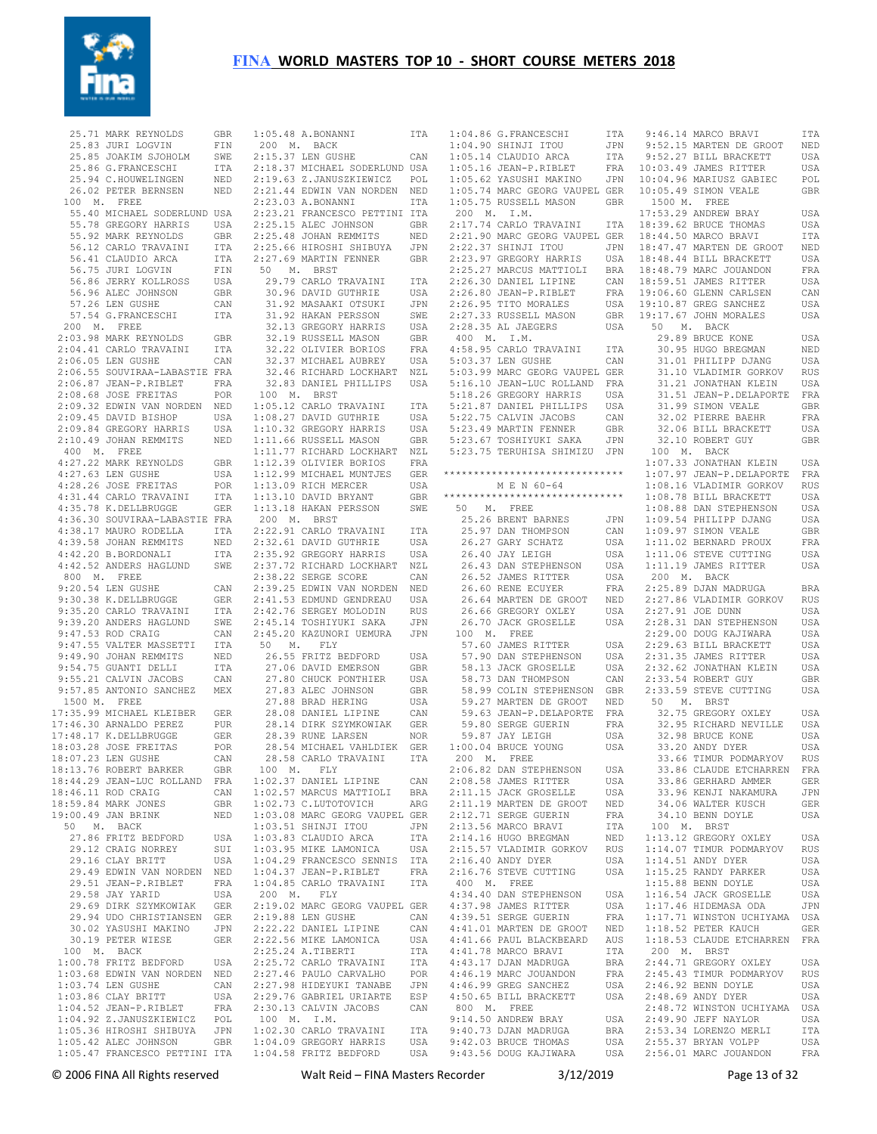

 $\star \star$ 

| 25.71 MARK REYNOLDS GBR<br>25.83 JURI LOGVIN FIN<br>25.85 JOAKIM SJOHOLM SWE<br>25.86 G.FRANCESCHI ITA<br>25.94 C.HOUWELINGEN NED<br>26.02 PETER BERNSEN NED                                                                                              |                   |
|-----------------------------------------------------------------------------------------------------------------------------------------------------------------------------------------------------------------------------------------------------------|-------------------|
|                                                                                                                                                                                                                                                           |                   |
|                                                                                                                                                                                                                                                           |                   |
|                                                                                                                                                                                                                                                           |                   |
|                                                                                                                                                                                                                                                           |                   |
| 100 M. FREE<br>55.40 MICHAEL SODERLUND USA                                                                                                                                                                                                                |                   |
|                                                                                                                                                                                                                                                           |                   |
|                                                                                                                                                                                                                                                           |                   |
|                                                                                                                                                                                                                                                           |                   |
|                                                                                                                                                                                                                                                           |                   |
|                                                                                                                                                                                                                                                           |                   |
|                                                                                                                                                                                                                                                           |                   |
| 55.40 MICHAEL SODERLUND USA<br>55.78 GREGORY HARRIS USA<br>55.92 MARK REYNOLDS GBR<br>56.12 CARLO TRAVAINI ITA<br>56.41 CLAUDIO ARCA ITA<br>56.75 JURI LOGVIN FIN<br>56.86 JERRY KOLLROSS USA<br>56.96 ALEC JOHNSON GBR<br>57.26 LEN GUSHE CAN<br>57.26 L |                   |
| 200 M. FREE                                                                                                                                                                                                                                               |                   |
| 200 M. FREE<br>2:03.98 MARK REYNOLDS<br>2:04.41 CARLO TRAVAINI                                                                                                                                                                                            | GBR               |
|                                                                                                                                                                                                                                                           | ITA               |
|                                                                                                                                                                                                                                                           |                   |
|                                                                                                                                                                                                                                                           |                   |
|                                                                                                                                                                                                                                                           |                   |
|                                                                                                                                                                                                                                                           |                   |
|                                                                                                                                                                                                                                                           |                   |
|                                                                                                                                                                                                                                                           |                   |
| 2:04.41 CARLO TRAVAINI ITA<br>2:06.55 SOUVIRAA-LABASTIE FRA<br>2:06.55 SOUVIRAA-LABASTIE FRA<br>2:06.67 JEAN-P.RIBLET FRA<br>2:09.68 JOSE FREITAS POR<br>2:09.45 DAVID BISHOP NED<br>2:09.45 DAVID BISHOP NSA<br>2:09.45 DAVID BISHOP NSA<br>2:09.44 G    |                   |
|                                                                                                                                                                                                                                                           | <b>GBR</b>        |
| 4:27.22 MARK REYNOLDS<br>4:27.22 MARK REYNOLDS<br>4:28.26 JOSE FREITAS<br>4:31.44 CARLO TRAVAINI<br>4:35.78 K.DELLERNOGE                                                                                                                                  | USA               |
|                                                                                                                                                                                                                                                           | POR               |
|                                                                                                                                                                                                                                                           | ITA               |
|                                                                                                                                                                                                                                                           | GER               |
|                                                                                                                                                                                                                                                           |                   |
| 4:36.30 SOUVIRAA-LABASTIE FRA<br>4:38.17 MAURO RODELLA ITA<br>4:39.58 JOHAN REMMITS NED<br>4:42.20 B.BORDONALI ITA                                                                                                                                        |                   |
|                                                                                                                                                                                                                                                           |                   |
| 4:42.52 ANDERS HAGLUND SWE                                                                                                                                                                                                                                |                   |
| 800 M. FREE                                                                                                                                                                                                                                               | CAN               |
| 9:20.54 LEN GUSHE<br>9:30.38 K.DELLBRUGGE                                                                                                                                                                                                                 | GER               |
|                                                                                                                                                                                                                                                           |                   |
|                                                                                                                                                                                                                                                           |                   |
|                                                                                                                                                                                                                                                           |                   |
|                                                                                                                                                                                                                                                           |                   |
|                                                                                                                                                                                                                                                           |                   |
|                                                                                                                                                                                                                                                           |                   |
| 9:30.38 K.DELLERUGGE GER<br>9:39.20 CARLO TRAVAINI TTA<br>9:39.20 ANDERS HAGLUND SWE<br>9:47.53 ROD CRAIG CAN<br>9:47.55 VALTER MASSETTI TTA<br>9:49.90 JOHAN REMMITS NED<br>9:54.75 GUANTI DELLI<br>9:55.21 CALVIN JACOBS CAN<br>9:57.85 ANTO            |                   |
| 17:35.99 MICHAEL KLEIBER GER<br>17:46.30 ARNALDO PEREZ PUR<br>17:48.17 K.DELLBRUGGE GER<br>18:03.28 JOSE FREITAS POR<br>18:07.23 LENGUSHER CAP                                                                                                            |                   |
|                                                                                                                                                                                                                                                           |                   |
|                                                                                                                                                                                                                                                           |                   |
|                                                                                                                                                                                                                                                           |                   |
| 18:13.76 ROBERT BARKER                                                                                                                                                                                                                                    | GBR               |
|                                                                                                                                                                                                                                                           | FRA               |
| 18:44.29 JEAN-LUC ROLLAND<br>18:46.11 ROD CRAIG                                                                                                                                                                                                           | CAN               |
| 18:59.84 MARK JONES                                                                                                                                                                                                                                       | GBR               |
| 19:00.49 JAN BRINK<br>50 M. BACK                                                                                                                                                                                                                          | NED               |
| 27.86 FRITZ BEDFORD                                                                                                                                                                                                                                       | USA               |
| 29.12 CRAIG NORREY                                                                                                                                                                                                                                        | SUI               |
| 29.16 CLAY BRITT                                                                                                                                                                                                                                          | USA               |
| 29.49 EDWIN VAN NORDEN                                                                                                                                                                                                                                    | NED<br>FRA        |
| 29.51 JEAN-P.RIBLET<br>29.58 JAY YARID                                                                                                                                                                                                                    | USA               |
| 29.69 DIRK SZYMKOWIAK                                                                                                                                                                                                                                     | <b>GER</b>        |
| 29.94 UDO CHRISTIANSEN GER                                                                                                                                                                                                                                |                   |
| 30.02 YASUSHI MAKINO<br>30.19 PETER WIESE                                                                                                                                                                                                                 | JPN<br><b>GER</b> |
| 100 M. BACK                                                                                                                                                                                                                                               |                   |
| $1:00.78$ FRITZ BEDFORD                                                                                                                                                                                                                                   | USA               |
| 1:03.68 EDWIN VAN NORDEN<br>1:03.74 LEN GUSHE                                                                                                                                                                                                             | NED               |
|                                                                                                                                                                                                                                                           | CAN               |
| $1:03.86$ CLAY BRITT<br>$1:04.52$ JEAN-P.RIBLET                                                                                                                                                                                                           | USA<br>FRA        |
|                                                                                                                                                                                                                                                           | POL               |
| 1:04.92 Z.JANUSZKIEWICZ<br>1:05.36 HIROSHI SHIBUYA                                                                                                                                                                                                        | JPN               |
| 1:05.42 ALEC JOHNSON GBR<br>1:05.47 FRANCESCO PETTINI ITA                                                                                                                                                                                                 |                   |
|                                                                                                                                                                                                                                                           |                   |

| 1:05.48 A.BONANNI                                                                                                                                                                | ITA          |
|----------------------------------------------------------------------------------------------------------------------------------------------------------------------------------|--------------|
| 200 M. BACK                                                                                                                                                                      |              |
| 2:15.37 LEN GUSHE                                                                                                                                                                |              |
|                                                                                                                                                                                  | CAN          |
| 2:18.37 MICHAEL SODERLUND USA                                                                                                                                                    |              |
| 2:19.63 Z.JANUSZKIEWICZ POL<br>2:21.44 EDWIN VAN NORDEN NED                                                                                                                      |              |
|                                                                                                                                                                                  |              |
| $2:23.03$ A.BONANNI                                                                                                                                                              | ITA          |
| 2:23.21 FRANCESCO PETTINI ITA                                                                                                                                                    |              |
| 2:25.15 ALEC JOHNSON                                                                                                                                                             | GBR          |
| 2:25.48 JOHAN REMMITS<br>2:25.66 HIROSHI SHIBUYA                                                                                                                                 | NED          |
|                                                                                                                                                                                  | JPN          |
| 2:27.69 MARTIN FENNER                                                                                                                                                            | <b>GBR</b>   |
| 50 M. BRST                                                                                                                                                                       |              |
| 29.79 CARLO TRAVAINI                                                                                                                                                             | ITA          |
| 30.96 DAVID GUTHRIE                                                                                                                                                              | USA          |
| 31.92 MASAAKI OTSUKI<br>31.92 HAKAN PERSSON<br>32.13 GEESSON                                                                                                                     | JPN          |
|                                                                                                                                                                                  | SWE          |
| 32.13 GREGORY HARRIS<br>32.19 RUSSELL MASON                                                                                                                                      | USA<br>GBR   |
|                                                                                                                                                                                  |              |
| 32.22 OLIVIER BORIOS<br>32.37 MICHAEL AUBREY                                                                                                                                     | $_{\rm FRA}$ |
|                                                                                                                                                                                  | USA          |
| 32.46 RICHARD LOCKHART NZL<br>32.83 DANIEL PHILLIPS USA                                                                                                                          |              |
|                                                                                                                                                                                  |              |
| 100 M. BRST                                                                                                                                                                      |              |
|                                                                                                                                                                                  |              |
|                                                                                                                                                                                  |              |
|                                                                                                                                                                                  |              |
| 1:05.12 CARLO TRAVAINI ITA<br>1:08.27 DAVID GUTHRIE USA<br>1:10.32 GREGORY HARRIS USA<br>1:11.66 RUSSELL MASON GBR<br>1:11.77 RICHARD LOCKHART NZL<br>1:12.39 OLIVIER BORIOS FRA |              |
|                                                                                                                                                                                  |              |
|                                                                                                                                                                                  |              |
|                                                                                                                                                                                  |              |
|                                                                                                                                                                                  |              |
| 1:12.99 MICHAEL MUNTJES GER<br>1:13.09 RICH MERCER USA<br>1:13.10 DAVID BRYANT GBR                                                                                               |              |
| 1:13.18 HAKAN PERSSON                                                                                                                                                            | SWE          |
| 200 M. BRST                                                                                                                                                                      |              |
| 2:22.91 CARLO TRAVAINI                                                                                                                                                           | ITA          |
| 2:32.61 DAVID GUTHRIE                                                                                                                                                            | USA          |
| 2:35.92 GREGORY HARRIS<br>2:37.72 RICHARD LOCKHART                                                                                                                               | USA          |
|                                                                                                                                                                                  | $_{\rm NZL}$ |
| 2:38.22 SERGE SCORE                                                                                                                                                              | CAN          |
|                                                                                                                                                                                  |              |
| 2:39.25 EDWIN VAN NORDEN NED<br>2:41.53 EDMUND GENDREAU USA                                                                                                                      |              |
|                                                                                                                                                                                  |              |
|                                                                                                                                                                                  |              |
| 2:42.76 SERGEY MOLODIN RUS<br>2:45.14 TOSHIYUKI SAKA JPN<br>2:45.20 KAZUNORI UEMURA JPN                                                                                          |              |
| 50 M. FLY                                                                                                                                                                        |              |
| 26.55 FRITZ BEDFORD                                                                                                                                                              | USA          |
| 27.06 DAVID EMERSON<br>27.06 DAVID EMERSON<br>27.80 OUT                                                                                                                          | GBR          |
|                                                                                                                                                                                  | USA          |
| 27.80 CHUCK PONTHIER<br>27.83 ALEC JOHNSON<br>27.88 BRAD HERING                                                                                                                  | GBR          |
|                                                                                                                                                                                  | USA          |
| 27.88 BRAD HERING<br>28.08 DANIEL LIPINE<br>28.14 DIRK SZYMKOWIAK                                                                                                                | CAN          |
|                                                                                                                                                                                  | GER          |
| 28.39 RUNE LARSEN                                                                                                                                                                | NOR          |
| 28.54 MICHAEL VAHLDIEK                                                                                                                                                           | <b>GER</b>   |
| 28.58 CARLO TRAVAINI                                                                                                                                                             | ITA          |
| 100 M. FLY                                                                                                                                                                       |              |
| 1:02.37 DANIEL LIPINE                                                                                                                                                            | CAN          |
| 1:02.57 MARCUS MATTIOLI                                                                                                                                                          | BRA          |
|                                                                                                                                                                                  | ${\tt ARG}$  |
| $1:02.73$ C.LUTOTOVICH                                                                                                                                                           |              |
| 1:03.08 MARC GEORG VAUPEL GER<br>1:03.51 SHINJI ITOU JPN                                                                                                                         |              |
|                                                                                                                                                                                  |              |
| $1:03.83$ CLAUDIO ARCA                                                                                                                                                           | ITA          |
| $1:03.95$ MIKE LAMONICA                                                                                                                                                          | USA          |
| 1:04.29 FRANCESCO SENNIS<br>1:04.37 JEAN-P.RIBLET                                                                                                                                | ITA          |
|                                                                                                                                                                                  | FRA          |
| $1:04.85$ CARLO TRAVAINI                                                                                                                                                         | ITA          |
| 200 M. FLY                                                                                                                                                                       |              |
| 2:19.02 MARC GEORG VAUPEL GER                                                                                                                                                    |              |
| 2:19.88 LEN GUSHE<br>2:22.22 DANIEL LIPINE                                                                                                                                       | CAN          |
|                                                                                                                                                                                  | CAN          |
| 2:22.56 MIKE LAMONICA                                                                                                                                                            | USA          |
| $2:25.24$ A.TIBERTI                                                                                                                                                              | ITA          |
| 2:25.72 CARLO TRAVAINI                                                                                                                                                           | ITA          |
| 2:27.46 PAULO CARVALHO<br>2:27.98 HIDEYUKI TANABE                                                                                                                                | POR<br>JPN   |
|                                                                                                                                                                                  |              |
| 2:29.76 GABRIEL URIARTE                                                                                                                                                          | ESP          |
| 2:30.13 CALVIN JACOBS                                                                                                                                                            | CAN          |
| 100 M. I.M.<br>1:02.30 CARLO TRAVAINI<br>1:04.09 GREGORY HARRIS                                                                                                                  |              |
|                                                                                                                                                                                  | ITA          |
|                                                                                                                                                                                  | USA          |
| $1:04.58$ FRITZ BEDFORD                                                                                                                                                          | USA          |

| 1:04.86 G.FRANCESCHI                                                                      | ITA                              | 9:4                            |
|-------------------------------------------------------------------------------------------|----------------------------------|--------------------------------|
| 1:04.90 SHINJI ITOU                                                                       | JPN                              | 9:5                            |
|                                                                                           |                                  |                                |
| 1:05.14 CLAUDIO ARCA                                                                      | ITA                              | 9:5                            |
| $1:05.16$ JEAN-P.RIBLET                                                                   | FRA                              | 10:0                           |
|                                                                                           |                                  |                                |
| 1:05.62 YASUSHI MAKINO                                                                    | JPN                              | 10:0                           |
| 1:05.74 MARC GEORG VAUPEL GER                                                             |                                  | 10:0                           |
| 1:05.75 RUSSELL MASON                                                                     | GBR                              | 15                             |
|                                                                                           |                                  |                                |
| 200 M. I.M.                                                                               |                                  | $17:5$<br>$18:3$               |
| 2:17.74 CARLO TRAVALINA<br>2:21.90 MARC GEORG VAUPEL GER<br>2:21.90 MARC GEORG VAUPEL GER |                                  |                                |
|                                                                                           |                                  |                                |
|                                                                                           |                                  | 18:4                           |
|                                                                                           |                                  | 18:4                           |
| 2:23.97 GREGORY HARRIS                                                                    |                                  | 18:4                           |
|                                                                                           | USA                              |                                |
| $2:25.27$ MARCUS MATTIOLI                                                                 | $_{\rm BRA}$                     | 18:4                           |
|                                                                                           | CAN                              | 18:5                           |
| 2:26.30 DANIEL LIPINE<br>2:26.80 JEAN-P.RIBLET                                            |                                  |                                |
|                                                                                           | FRA                              | 19:0                           |
| 2:26.95 TITO MORALES                                                                      | USA                              | 19:1                           |
|                                                                                           |                                  |                                |
| 2:27.33 RUSSELL MASON                                                                     | $\mathbb{G}\mathbb{B}\mathbb{R}$ | 19:1                           |
| 2:28.35 AL JAEGERS                                                                        | USA                              | 5(                             |
| 400 M. I.M.                                                                               |                                  |                                |
|                                                                                           |                                  |                                |
| 4:58.95 CARLO TRAVAINI                                                                    | ITA                              |                                |
| 5:03.37 LEN GUSHE                                                                         | CAN                              |                                |
|                                                                                           |                                  |                                |
|                                                                                           |                                  |                                |
| 5:03.99 MARC GEORG VAUPEL GER<br>5:16.10 JEAN-LUC ROLLAND FRA                             |                                  |                                |
| 5:18.26 GREGORY HARRIS                                                                    | USA                              |                                |
|                                                                                           |                                  |                                |
| 5:21.87 DANIEL PHILLIPS                                                                   | USA                              |                                |
| 5:22.75 CALVIN JACOBS                                                                     | CAN                              |                                |
|                                                                                           | GBR                              |                                |
| 5:22:75 CHEVIN SHOODS<br>5:23.49 MARTIN FENNER<br>5:23.67 TOSHIYUKI SAKA                  |                                  |                                |
|                                                                                           | JPN                              |                                |
| 5:23.75 TERUHISA SHIMIZU JPN                                                              |                                  | $\frac{2}{3}$<br>$\frac{1}{3}$ |
|                                                                                           |                                  |                                |
|                                                                                           |                                  | 1:0                            |
| ******************************                                                            |                                  | 1:0                            |
| M E N 60-64                                                                               |                                  | 1:0                            |
|                                                                                           |                                  |                                |
| ******************************                                                            |                                  | 1:0                            |
| 50 M. FREE                                                                                |                                  | 1:0                            |
| 25.26 BRENT BARNES                                                                        | JPN                              | 1:0                            |
|                                                                                           |                                  |                                |
| 25.97 DAN THOMPSON                                                                        | CAN                              | 1:0                            |
| 26.27 GARY SCHATZ                                                                         | USA                              | 1:1                            |
| 26.40 JAY LEIGH                                                                           |                                  |                                |
|                                                                                           | USA                              | 1:1                            |
| 26.43 DAN STEPHENSON                                                                      | USA                              | 1:1                            |
| 26.52 JAMES RITTER                                                                        | USA                              | 2 <sup>0</sup>                 |
|                                                                                           |                                  |                                |
| 26.60 RENE ECUYER                                                                         | FRA                              | 2:2                            |
| 26.64 MARTEN DE GROOT                                                                     | NED                              | 2:2                            |
| 26.66 GREGORY OXLEY                                                                       | USA                              | 2:2                            |
|                                                                                           |                                  |                                |
| 26.70 JACK GROSELLE                                                                       | USA                              | 2:2                            |
| 100 M. FREE                                                                               |                                  | 2:2                            |
| 57.60 JAMES RITTER                                                                        |                                  |                                |
|                                                                                           | USA                              | 2:2                            |
| 57.90 DAN STEPHENSON                                                                      | USA                              | 2:3                            |
| 58.13 JACK GROSELLE                                                                       | USA                              | 2:3                            |
|                                                                                           |                                  |                                |
| 58.73 DAN THOMPSON                                                                        | CAN                              | 2:3                            |
| 58.99 COLIN STEPHENSON                                                                    | GBR                              | 2:3                            |
| 59.27 MARTEN DE GROOT                                                                     |                                  |                                |
|                                                                                           | NED                              | 5(                             |
| 59.63 JEAN-P.DELAPORTE FRA                                                                |                                  |                                |
| 59.80 SERGE GUERIN                                                                        | FRA                              |                                |
|                                                                                           |                                  |                                |
| 59.87 JAY LEIGH                                                                           | USA                              |                                |
| $1:00.04$ BRUCE YOUNG                                                                     | USA                              | TAX TAX TAX TAX TAX            |
| 200 M. FREE                                                                               |                                  |                                |
|                                                                                           |                                  |                                |
| 2:06.82 DAN STEPHENSON                                                                    | USA                              |                                |
| 2:08.58 JAMES RITTER                                                                      | USA                              | í.                             |
| $2:11.15$ JACK GROSELLE                                                                   | USA                              |                                |
|                                                                                           |                                  | <b>CONTRACTOR</b>              |
| 2:11.19 MARTEN DE GROOT                                                                   | NED                              |                                |
| 2:12.71 SERGE GUERIN                                                                      | FRA                              | t i                            |
| 2:13.56 MARCO BRAVI                                                                       | ITA                              | 1(                             |
|                                                                                           |                                  |                                |
| 2:14.16 HUGO BREGMAN                                                                      | NED                              | 1:1                            |
| 2:15.57 VLADIMIR GORKOV RUS                                                               |                                  | 1:1                            |
|                                                                                           |                                  |                                |
| 2:16.40 ANDY DYER                                                                         | USA                              | 1:1                            |
| 2:16.76 STEVE CUTTING                                                                     | USA                              | 1:1                            |
| 400 M. FREE                                                                               |                                  | 1:1                            |
|                                                                                           |                                  |                                |
| 4:34.40 DAN STEPHENSON                                                                    | USA                              | 1:1                            |
| 4:37.98 JAMES RITTER                                                                      | USA                              | 1:1                            |
| 4:39.51 SERGE GUERIN FRA<br>4:41.01 MARTEN DE GROOT NED                                   |                                  | 1:1                            |
|                                                                                           |                                  |                                |
|                                                                                           |                                  | 1:1                            |
| 4:41.66 PAUL BLACKBEARD                                                                   | AUS                              | 1:1                            |
| 4:41.78 MARCO BRAVI                                                                       |                                  | 2 <sup>0</sup>                 |
|                                                                                           | ITA                              |                                |
| $4:43.17$ DJAN MADRUGA                                                                    | BRA                              | 2:4                            |
| $4:46.19$ MARC JOUANDON                                                                   | $_{\rm FRA}$                     | 2:4                            |
|                                                                                           |                                  |                                |
|                                                                                           |                                  |                                |
| 4:46.99 GREG SANCHEZ                                                                      | USA                              | 2:4                            |
| 4:50.65 BILL BRACKETT                                                                     | USA                              | 2:4                            |
|                                                                                           |                                  |                                |
| 800 M. FREE                                                                               |                                  | 2:4                            |
| 9:14.50 ANDREW BRAY                                                                       | USA                              | 2:4                            |
| 9:40.73 DJAN MADRUGA                                                                      | BRA                              |                                |
|                                                                                           |                                  | 2:5                            |
| 9:42.03 BRUCE THOMAS<br>9:43.56 DOUG KAJIWARA USA 2:5                                     | USA                              | 2:5                            |

|               | 9:46.14 MARCO BRAVI                                                                                                                                | ITA                 |
|---------------|----------------------------------------------------------------------------------------------------------------------------------------------------|---------------------|
|               | 9:52.15 MARTEN DE GROOT<br>9:52.27 BILL BRACKETT                                                                                                   | NED                 |
|               | 9:52.27 BILL BRACKETT                                                                                                                              | USA                 |
|               | 10:03.49 JAMES RITTER                                                                                                                              | USA                 |
|               | 10:04.96 MARIUSZ GABIEC                                                                                                                            | POL                 |
|               | 10:05.49 SIMON VEALE                                                                                                                               | <b>GBR</b>          |
| 1500 M. FREE  |                                                                                                                                                    |                     |
|               | 17:53.29 ANDREW BRAY                                                                                                                               | USA                 |
|               | 18:39.62 BRUCE THOMAS<br>18:44.50 MARCO BRAVI                                                                                                      | USA                 |
|               |                                                                                                                                                    |                     |
|               |                                                                                                                                                    |                     |
|               | 18:44.50 MARCO BRAV1<br>18:44.50 MARCO BRAV1 18:47.47 MARTEN DE GROOT NED<br>18:48.44 BILL BRACKETT USA<br>18:48.79 MARC JOUANDON FRA              |                     |
|               |                                                                                                                                                    |                     |
|               | 18:59.51 JAMES RITTER                                                                                                                              |                     |
|               | 19:06.60 GLENN CARLSEN<br>19:10.87 GREG SANCHEZ                                                                                                    | CAN                 |
|               |                                                                                                                                                    | USA                 |
|               | 19:17.67 JOHN MORALES                                                                                                                              | <b>USA</b>          |
| 50 M. BACK    | 29.89 BRUCE KONE                                                                                                                                   |                     |
|               |                                                                                                                                                    | USA                 |
|               | 30.95 HUGO BREGMAN                                                                                                                                 | NED                 |
|               | NED 1911<br>1911 PHILIPP DJANG USA<br>31.10 VLADIMIR GORKOV RUS<br>31.21 JONATHAN KLEIN USA<br>31.51 JEAN-P.DELAPORTE FRA<br>31.99 SIMON VEALE GBR |                     |
|               |                                                                                                                                                    |                     |
|               |                                                                                                                                                    |                     |
|               |                                                                                                                                                    |                     |
|               | 32.02 PIERRE BAEHR                                                                                                                                 | FRA                 |
|               | 32.06 BILL BRACKETT                                                                                                                                | USA                 |
|               | 32.10 ROBERT GUY                                                                                                                                   | GBR                 |
|               | 100 M. BACK                                                                                                                                        |                     |
|               | 1:07.33 JONATHAN KLEIN                                                                                                                             | USA                 |
|               | $1:07.97$ JEAN-P.DELAPORTE                                                                                                                         |                     |
|               |                                                                                                                                                    | FRA<br>RUS          |
|               | 1:08.16 VLADIMIR GORKOV<br>1:08.78 BILL BRACKETT                                                                                                   | USA                 |
|               |                                                                                                                                                    |                     |
|               |                                                                                                                                                    |                     |
|               | 1:08.88 DAN STEPHENSON USA<br>1:09.54 PHILIPP DJANG USA<br>1:09.97 SIMON VEALE GBR                                                                 |                     |
|               | $1:11.02$ BERNARD PROUX                                                                                                                            | FRA                 |
|               | 1:11.06 STEVE CUTTING                                                                                                                              | USA                 |
|               | $1:11.19$ JAMES RITTER                                                                                                                             | USA                 |
| $200$ M. BACK |                                                                                                                                                    |                     |
|               |                                                                                                                                                    |                     |
|               | 2:25.89 DJAN MADRUGA                                                                                                                               | BRA                 |
|               | 2:27.86 VLADIMIR GORKOV                                                                                                                            | <b>RUS</b>          |
|               |                                                                                                                                                    | USA                 |
|               | 2:27.91 JOE DUNN<br>2:28.31 DAN STEPHENSON                                                                                                         | USA                 |
|               | 2:29.00 DOUG KAJIWARA                                                                                                                              | USA                 |
|               |                                                                                                                                                    | USA                 |
|               |                                                                                                                                                    | USA                 |
|               | 1.00 DOUG KAJIWARA<br>2:29.63 BILL BRACKETT<br>2:31.35 JAMES RITTER<br>2:32.62 JOUNG<br>$2:32.62$ JONATHAN KLEIN                                   | USA                 |
|               |                                                                                                                                                    | GBR                 |
|               | 2:33.54 ROBERT GUY<br>2:33.59 STEVE CUTTING                                                                                                        | USA                 |
|               | 50 M. BRST                                                                                                                                         |                     |
|               |                                                                                                                                                    | USA                 |
|               | 32.75 GREGORY OXLEY<br>32.95 RICHARD NEVILLE                                                                                                       | USA                 |
|               |                                                                                                                                                    | USA<br>USA          |
|               | 32.98 BRUCE KONE<br>22.98 BRUCE KONE<br>33.20 ANDY DYER                                                                                            | <b>RUS</b>          |
|               | 33.66 TIMUR PODMARYOV                                                                                                                              |                     |
|               | 33.86 CLAUDE ETCHARREN<br>33.86 GERHARD AMMER                                                                                                      | $_{\rm FRA}$<br>GER |
|               |                                                                                                                                                    | JPN                 |
|               | 33.96 KENJI NAKAMURA<br>34.06 WALTER KUSCH                                                                                                         | GER                 |
|               | 34.10 BENN DOYLE                                                                                                                                   | USA                 |
|               | 100 M. BRST                                                                                                                                        |                     |
|               |                                                                                                                                                    | USA                 |
|               |                                                                                                                                                    | <b>RUS</b>          |
|               | 1:13.12 GREGORY OXLEY<br>1:14.07 TIMUR PODMARYOV<br>1:14.51 ANDY DYER                                                                              | USA                 |
|               |                                                                                                                                                    | USA                 |
|               | 1:15.25 RANDY PARKER<br>1:15.88 BENN DOYLE                                                                                                         | USA                 |
|               | 1:16.54 JACK GROSELLE                                                                                                                              | USA                 |
|               | $1:17.46$ HIDEMASA ODA                                                                                                                             | JPN                 |
|               |                                                                                                                                                    | USA                 |
|               | 1:17.71 WINSTON UCHIYAMA<br>1:18.52 PETER KAUCH                                                                                                    | GER                 |
|               | 1:18.53 CLAUDE ETCHARREN FRA                                                                                                                       |                     |
| $200$ M. BRST |                                                                                                                                                    | USA                 |
|               |                                                                                                                                                    |                     |
|               | 2:44.71 GREGORY OXLEY<br>2:45.43 TIMUR PODMARYOV                                                                                                   | RUS<br>USA          |
|               | 2:46.92 BENN DOYLE<br>2:48.69 ANDY DYER                                                                                                            | USA                 |
|               | 2:48.72 WINSTON UCHIYAMA                                                                                                                           | USA                 |
|               | 2:49.90 JEFF NAYLOR                                                                                                                                | USA                 |
|               |                                                                                                                                                    | ITA                 |
|               | 2:53.34 LORENZO MERLI<br>2:55.37 BRYAN VOLPP<br>2:56.01 MARC JOUANDON                                                                              | USA<br>FRA          |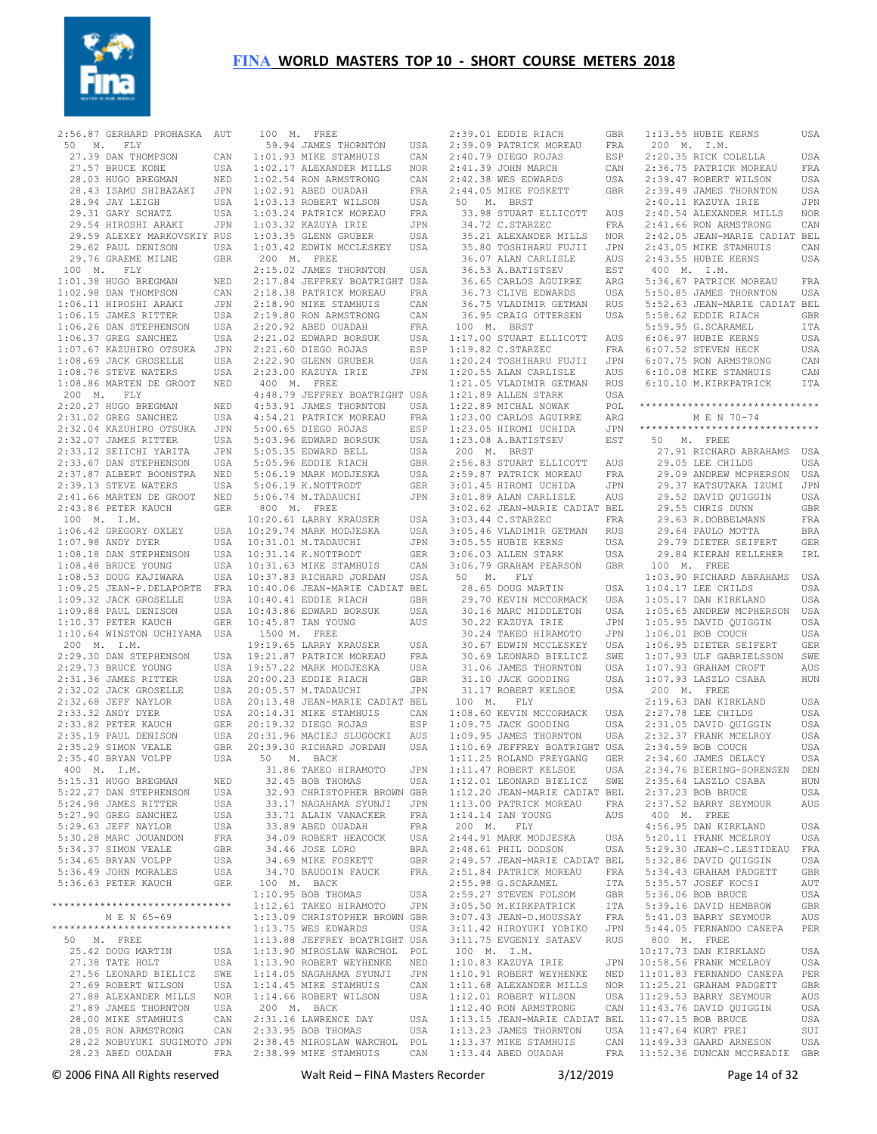

| 2:56.87 GERHARD PROHASKA AUT<br>50 M. FLY |            | 1              |
|-------------------------------------------|------------|----------------|
| 27.39 DAN THOMPSON                        | CAN        | 1:             |
| 27.57 BRUCE KONE                          | USA        | 1:             |
| 28.03 HUGO BREGMAN                        | NED        | 1:             |
| 28.43 ISAMU SHIBAZAKI                     | JPN        | 1:             |
|                                           |            |                |
| 28.94 JAY LEIGH<br>29.31 GARY SCHATZ      | USA        | 1:             |
|                                           | USA        | 1:             |
| 29.54 HIROSHI ARAKI                       | JPN        | 1:             |
| 29.59 ALEXEY MARKOVSKIY RUS               |            | 1:             |
| 29.62 PAUL DENISON                        | USA        | 1:             |
| 29.76 GRAEME MILNE                        | <b>GBR</b> | $\overline{c}$ |
| 100 M. FLY                                |            | 2:             |
| 1:01.38 HUGO BREGMAN                      | NED        | 2:             |
| 1:02.98 DAN THOMPSON                      | CAN        | 2:             |
| 1:06.11 HIROSHI ARAKI                     | JPN        | 2:             |
| 1:06.15 JAMES RITTER                      |            | 2:             |
|                                           | USA        |                |
| 1:06.26 DAN STEPHENSON                    | USA        | 2:             |
| 1:06.37 GREG SANCHEZ                      | USA        | 2:             |
| 1:07.67 KAZUHIRO OTSUKA                   | JPN        | 2:             |
| 1:08.69 JACK GROSELLE                     | USA        | 2:             |
| 1:08.76 STEVE WATERS                      | USA        | 2:             |
| 1:08.86 MARTEN DE GROOT                   | NED        | $\overline{4}$ |
| 200 M. FLY                                |            | 4:             |
| 2:20.27 HUGO BREGMAN                      | NED        | 4:             |
| 2:31.02 GREG SANCHEZ                      |            | $4:$           |
|                                           | USA        |                |
| 2:32.04 KAZUHIRO OTSUKA                   | JPN        | 5:             |
| 2:32.07 JAMES RITTER                      | USA        | 5:             |
| 2:33.12 SEIICHI YARITA                    | JPN        | 5:             |
| 2:33.67 DAN STEPHENSON                    | USA        | 5:             |
| 2:37.87 ALBERT BOONSTRA                   | NED        | 5:             |
| 2:39.13 STEVE WATERS                      | USA        | 5:             |
| 2:41.66 MARTEN DE GROOT                   | NED        | 5:             |
| 2:43.86 PETER KAUCH                       | GER        | 8              |
| 100 M. I.M.                               |            | 10:            |
|                                           |            |                |
| 1:06.42 GREGORY OXLEY                     | USA        | 10:            |
| 1:07.98 ANDY DYER                         | USA        | 10:            |
| 1:08.18 DAN STEPHENSON                    | USA        | 10:            |
| 1:08.48 BRUCE YOUNG                       | USA        | 10:            |
| 1:08.53 DOUG KAJIWARA                     | USA        | 10:            |
| 1:09.25 JEAN-P.DELAPORTE                  | FRA        | 10:            |
| 1:09.32 JACK GROSELLE                     | USA        | 10:            |
| 1:09.88 PAUL DENISON                      | USA        | 10:            |
| 1:10.37 PETER KAUCH                       | GER        | 10:            |
| 1:10.64 WINSTON UCHIYAMA USA              |            | $\mathbf{1}$   |
|                                           |            |                |
| 200 M. I.M.                               |            | 19:            |
| 2:29.30 DAN STEPHENSON                    | USA        | 19:            |
| 2:29.73 BRUCE YOUNG                       | USA        | 19:            |
| 2:31.36 JAMES RITTER                      | USA        | 20:            |
| 2:32.02 JACK GROSELLE                     | USA        | 20:            |
| 2:32.68 JEFF NAYLOR                       | USA        | 20:            |
| 2:33.32 ANDY DYER                         | USA        | 20:            |
| 2:33.82 PETER KAUCH                       | GER        | 20:            |
| 2:35.19 PAUL DENISON                      | USA        | 20:            |
| 2:35.29 SIMON VEALE                       | GBR        | 20:            |
|                                           |            |                |
| 2:35.40 BRYAN VOLPP                       | USA        | 5              |
| 400 M. I.M.                               |            |                |
| 5:15.31 HUGO BREGMAN                      | NED        |                |
| 5:22.27 DAN STEPHENSON                    | USA        |                |
| 5:24.98 JAMES RITTER                      | USA        |                |
| 5:27.90 GREG SANCHEZ                      | USA        |                |
| 5:29.63 JEFF NAYLOR                       | USA        |                |
| 5:30.28 MARC JOUANDON                     | FRA        |                |
| 5:34.37 SIMON VEALE                       | GBR        |                |
|                                           |            |                |
| 5:34.65 BRYAN VOLPP                       | USA        |                |
| 5:36.49 JOHN MORALES                      | USA        |                |
| 5:36.63 PETER KAUCH                       | GER        | $\overline{1}$ |
|                                           |            | 1:             |
| ******************************            |            | 1:             |
| M E N 65-69                               |            | 1:             |
| *****************************             |            | 1:             |
| 50 M. FREE                                |            | 1:             |
| 25.42 DOUG MARTIN                         | USA        | 1:             |
|                                           |            |                |
| 27.38 TATE HOLT                           | USA        | 1:             |
| 27.56 LEONARD BIELICZ                     | SWE        | 1:             |
| 27.69 ROBERT WILSON                       | USA        | 1:             |
| 27.88 ALEXANDER MILLS                     | NOR        | 1:             |
| 27.89 JAMES THORNTON                      | USA        | $\overline{c}$ |
| 28.00 MIKE STAMHUIS                       | CAN        | 2:             |
| 28.05 RON ARMSTRONG                       | CAN        | 2:             |
|                                           |            |                |
| 28.22 NOBUYUKI SUGIMOTO JPN               |            | 2:             |
| 28.23 ABED OUADAH                         | FRA        | 2:             |

| 100 M. FREE                                                                                                          |                   |
|----------------------------------------------------------------------------------------------------------------------|-------------------|
| 59.94 JAMES THORNTON<br>1:01.93 MIKE STAMHUIS<br>1:02.17 ALEXANDER MILLS                                             | USA               |
|                                                                                                                      | CAN               |
|                                                                                                                      | $_{\rm NOR}$      |
| 1:02.54 RON ARMSTRONG<br>1:02.91 ABED OUADAH<br>1:03.13 ROBERT WILSON                                                | CAN               |
|                                                                                                                      | FRA               |
|                                                                                                                      | USA               |
| 1:03.24 PATRICK MOREAU<br>1:03.32 KAZUYA IRIE                                                                        | FRA               |
|                                                                                                                      | JPN               |
| $1:03.35$ GLENN GRUBER                                                                                               | USA               |
| 1:03.42 EDWIN MCCLESKEY                                                                                              | USA               |
| 200 M. FREE                                                                                                          |                   |
| 2:15.02 JAMES THORNTON USA                                                                                           |                   |
|                                                                                                                      |                   |
| 2:17.84 JEFFREY BOATRIGHT USA<br>2:18.38 PATRICK MOREAU FRA<br>2:18.90 MIKE STAMHUIS CAN                             |                   |
|                                                                                                                      |                   |
|                                                                                                                      | CAN               |
| 2:19.80 RON ARMSTRONG<br>2:20.92 ABED OUADAH<br>2:21.02 EDWARD BORSUK                                                | $_{\rm FRA}$      |
| $2:21.60$ DIEGO ROJAS                                                                                                | USA               |
|                                                                                                                      | ESP               |
| 2:22.90 GLENN GRUBER<br>2:23.00 KAZUYA IRIE                                                                          | USA               |
| $400$ M. FREE                                                                                                        | JPN               |
|                                                                                                                      |                   |
| 4:48.79 JEFFREY BOATRIGHT USA<br>4:53.91 JAMES THORNTON USA<br>4:54.21 PATRICK MOREAU FRA<br>5:00.65 DIEGO ROJAS ESP |                   |
|                                                                                                                      |                   |
| 4:54.21 PATRICK MOREAU<br>5:00.65 DIEGO ROJAS                                                                        |                   |
|                                                                                                                      | ESP<br>USA        |
|                                                                                                                      | USA               |
|                                                                                                                      |                   |
| 5:03.96 EDWARD BORSUK<br>5:03.96 EDWARD BELL<br>5:05.96 EDDIE RIACH<br>5:06.19 MARK MODJESKA<br>5:06.19 K NOTTPODT   | GBR               |
|                                                                                                                      | USA               |
| 5:06.19 K.NOTTRODT<br>5:06.74 M.TADAUCHI                                                                             | GER               |
| $5:06.74$ M.TADAUCHI<br>800 M. FREE                                                                                  | JPN               |
| 10:20.61 LARRY KRAUSER USA                                                                                           |                   |
|                                                                                                                      | USA               |
| 10:29.74 MARK MODJESKA<br>10:31.01 M.TADAUCHI<br>10:31.14 K.NOTTRODT                                                 | JPN               |
|                                                                                                                      |                   |
| 10:31.63 MIKE STAMHUIS<br>10:31.63 MIKE STAMHUIS                                                                     | GER               |
|                                                                                                                      | CAN               |
|                                                                                                                      |                   |
| 10:31.63 MIKE STAMHUIS CAN<br>10:37.83 RICHARD JORDAN USA                                                            |                   |
| 10:40.06 JEAN-MARIE CADIAT BEL                                                                                       |                   |
|                                                                                                                      | GBR               |
| 10:40.41 EDDIE RIACH<br>10:43.86 EDWARD BORSUK                                                                       | USA               |
|                                                                                                                      | AUS               |
| 10:45.87 IAN YOUNG<br>1500 M. FREE                                                                                   |                   |
|                                                                                                                      | USA               |
| 19:19.65 LARRY KRAUSER<br>19:21.87 PATRICK MOREAU                                                                    | FRA               |
|                                                                                                                      | USA               |
|                                                                                                                      | GBR               |
| 19:57.22 MARK MODJESKA<br>20:00.23 EDDIE RIACH<br>20:05.57 M.TADAUCHI                                                | JPN               |
|                                                                                                                      |                   |
|                                                                                                                      |                   |
| 20:13.48 JEAN-MARIE CADIAT BEL<br>20:14.31 MIKE STAMHUIS CAN<br>20:19.32 DIEGO ROJAS ESP<br>20:19.32 DIEGO ROJAS     | ESP               |
|                                                                                                                      | AVS               |
| 20:31.96 MACIEJ SLUGOCKI<br>20:31.96 MACIEJ SLUGOCKI<br>20:39.30 RICHARD JORDAN<br>20:39.30 RICHARD JORDAN           | USA               |
| 50 M. BACK<br>31.86<br>TAKEO HIRAMOTO JPN                                                                            |                   |
| 32.45 BOB THOMAS                                                                                                     | USA               |
| 32.93 CHRISTOPHER BROWN GBR                                                                                          |                   |
|                                                                                                                      | JPN               |
| 33.17 NAGAHAMA SYUNJI                                                                                                | FRA               |
| 33.71 ALAIN VANACKER                                                                                                 | FRA               |
| 33.89 ABED OUADAH                                                                                                    | USA               |
| 34.09 ROBERT HEACOCK                                                                                                 |                   |
| 34.46 JOSE LORO<br>34.69 MIKE FOSKETT                                                                                | <b>BRA</b><br>GBR |
| 34.70 BAUDOIN FAUCK                                                                                                  | FRA               |
|                                                                                                                      |                   |
| 100 M. BACK<br>1:10.95 BOB THOMAS                                                                                    | USA               |
| 1:12.61 TAKEO HIRAMOTO                                                                                               | $_{\rm JPN}$      |
| 1:13.09 CHRISTOPHER BROWN GBR                                                                                        |                   |
| 1:13.75 WES EDWARDS                                                                                                  | USA               |
| 1:13.88 JEFFREY BOATRIGHT USA                                                                                        |                   |
|                                                                                                                      |                   |
|                                                                                                                      |                   |
|                                                                                                                      |                   |
| 1:13.90 MIROSLAW WARCHOL POL<br>1:13.90 ROBERT WEYHENKE NED<br>1:14.05 NAGAHAMA SYUNJI JPN<br>1:14.45 MIKE STAMHUIS  | CAN               |
| 1:14.66 ROBERT WILSON                                                                                                | USA               |
| 200 M. BACK                                                                                                          |                   |
| $2:31.16$ LAWRENCE DAY                                                                                               | USA               |
| 2:33.95 BOB THOMAS                                                                                                   | USA               |
| 2:38.45 MIROSLAW WARCHOL POL<br>2:38.99 MIKE STAMHUIS                                                                | CAN               |

|             | 2:39.01 EDDIE RIACH                                                                                                   | GBR        |
|-------------|-----------------------------------------------------------------------------------------------------------------------|------------|
|             | 2:39.09 PATRICK MOREAU                                                                                                | FRA        |
|             | 2:40.79 DIEGO ROJAS                                                                                                   | fka<br>ESP |
|             | 2:41.39 JOHN MARCH                                                                                                    | CAN        |
|             |                                                                                                                       |            |
|             | 2:42.38 WES EDWARDS                                                                                                   | USA        |
|             | 2:44.05 MIKE FOSKETT                                                                                                  | <b>GBR</b> |
| 50 M. BRST  |                                                                                                                       |            |
|             | 33.98 STUART ELLICOTT<br>34.72 C STARZEC                                                                              | AUS        |
|             | 34.72 C.STARZEC                                                                                                       | FRA        |
|             | 35.21 ALEXANDER MILLS NOR                                                                                             |            |
|             |                                                                                                                       | JPN        |
|             | 35.80 TOSHIHARU FUJII<br>36.07 ALAN CARLISLE                                                                          | AUS        |
|             | 36.53 A.BATISTSEV                                                                                                     | EST        |
|             |                                                                                                                       | ARG        |
|             | 36.65 CARLOS AGUIRRE<br>36.73 CLIVE EDWARDS                                                                           |            |
|             |                                                                                                                       | USA        |
|             | 36.75 VLADIMIR GETMAN RUS                                                                                             |            |
|             | 36.95 CRAIG OTTERSEN                                                                                                  | USA        |
|             | 100 M. BRST                                                                                                           |            |
|             | 1:17.00 STUART ELLICOTT AUS                                                                                           |            |
|             | 1:19.82 C.STARZEC                                                                                                     | FRA        |
|             |                                                                                                                       | JPN        |
|             |                                                                                                                       |            |
|             | 1:19.02 C.C.MARED<br>1:20.24 TOSHIHARU FUJII<br>1:20.55 ALAN CARLISLE<br>1:21.05 VLADIMIR GETMAN                      | AUS<br>RUS |
|             | 1:21.89 ALLEN STARK                                                                                                   | USA        |
|             |                                                                                                                       |            |
|             |                                                                                                                       |            |
|             | 1:21.09 ADDEN STAND TO THE 122.89 MICHAL NOWAK POL<br>1:23.00 CARLOS AGUIRRE ARG                                      |            |
|             |                                                                                                                       | JPN        |
|             | 1:23.05 HIROMI UCHIDA<br>1:23.08 A.BATISTSEV                                                                          | EST        |
| 200 M. BRST |                                                                                                                       |            |
|             |                                                                                                                       | AUS        |
|             |                                                                                                                       | FRA        |
|             |                                                                                                                       | JPN        |
|             | 2:56.83 STUART ELLICOTT<br>2:59.87 PATRICK MOREAU<br>3:01.45 HIROMI UCHIDA<br>3:01.89 ALAN CARLISLE                   | AUS        |
|             |                                                                                                                       |            |
|             | 3:02.62 JEAN-MARIE CADIAT BEL<br>3:03.44 C.STARZEC FRA                                                                |            |
|             |                                                                                                                       |            |
|             | 3:05.46 VLADIMIR GETMAN<br>3:05.55 HUBIE KERNS<br>3:06.03 ALLEN STARK                                                 | RUS        |
|             |                                                                                                                       | USA        |
|             | $3:06.03$ ALLEN STARK                                                                                                 | USA        |
|             | 3:06.79 GRAHAM PEARSON                                                                                                | GBR        |
|             |                                                                                                                       |            |
|             |                                                                                                                       |            |
| 50 M. FLY   |                                                                                                                       | USA        |
|             | 28.65 DOUG MARTIN                                                                                                     |            |
|             |                                                                                                                       | USA        |
|             | 29.70 KEVIN MCCORMACK<br>30.16 MARC MIDDLETON                                                                         | USA        |
|             |                                                                                                                       | JPN        |
|             |                                                                                                                       | JPN        |
|             |                                                                                                                       | USA        |
|             |                                                                                                                       | SWE        |
|             | 30.22 KAZUYA IRIE<br>30.24 TAKEO HIRAMOTO<br>30.69 LEONARD BIELICZ<br>30.69 LEONARD BIELICZ                           | USA        |
|             | 31.06 JAMES THORNTON<br>31.10 JACK GOODING                                                                            | USA        |
|             |                                                                                                                       | USA        |
|             | 31.17 ROBERT KELSOE                                                                                                   |            |
|             | 100 M. FLY                                                                                                            |            |
|             | 1:08.60 KEVIN MCCORMACK USA                                                                                           |            |
|             |                                                                                                                       | USA        |
|             | 1:09.75 JACK GOODING<br>1:09.95 JAMES THORNTON                                                                        | USA        |
|             |                                                                                                                       |            |
|             | 1:10.69 JEFFREY BOATRIGHT USA<br>1:11.25 ROLAND FREYGANG GER                                                          |            |
|             | 1:11.47 ROBERT KELSOE                                                                                                 | USA        |
|             | 1:12.01 LEONARD BIELICZ                                                                                               | SWE        |
|             | 1:12.20 JEAN-MARIE CADIAT BEL                                                                                         |            |
|             | 1:13.00 PATRICK MOREAU                                                                                                | FRA        |
|             |                                                                                                                       | AUS        |
| 200 M. FLY  | $1:14.14$ IAN YOUNG                                                                                                   |            |
|             |                                                                                                                       |            |
|             | 2:44.91 MARK MODJESKA                                                                                                 | USA        |
|             |                                                                                                                       |            |
|             |                                                                                                                       |            |
|             | 2:48.61 PHIL DODSON USA<br>2:49.57 JEAN-MARIE CADIAT BEL<br>2:51.84 PATRICK MOREAU FRA                                |            |
|             |                                                                                                                       | ITA        |
|             | 2:55.98 G.SCARAMEL<br>2:59.27 STEVEN FOLSOM                                                                           | GBR        |
|             |                                                                                                                       | ITA        |
|             |                                                                                                                       | FRA        |
|             | STRIP STEVEN FOLSOM<br>3:05.50 M.KIRKPATRICK<br>3:07.43 JEAN-D.MOUSSAY<br>3:11.42 HIROVIVT<br>3:11.42 HIROYUKI YOBIKO | JPN        |
|             |                                                                                                                       | RUS        |
|             | 3:11.75 EVGENIY SATAEV                                                                                                |            |
| 100 M. I.M. |                                                                                                                       |            |
|             | 1:10.83 KAZUYA IRIE                                                                                                   | JPN        |
|             | 1:10.91 ROBERT WEYHENKE                                                                                               | NED        |
|             |                                                                                                                       | NOR        |
|             | 1:11.68 ALEXANDER MILLS<br>1:12.01 ROBERT WILSON                                                                      | USA        |
|             | $1:12.40$ RON ARMSTRONG                                                                                               | CAN        |
|             |                                                                                                                       |            |
|             | 1:13.15 JEAN-MARIE CADIAT BEL<br>1:13.23 JAMES THORNTON USA                                                           |            |
|             | 1:13.37 MIKE STAMHUIS<br>1:13.44 ABED OUADAH                                                                          | CAN        |

| 1:13.55 HUBIE KERNS                                                         | USA                                      |
|-----------------------------------------------------------------------------|------------------------------------------|
| 200 M. I.M.                                                                 |                                          |
| 2:20.35 RICK COLELLA<br>2:36.75 PATRICK MOREAU                              | USA                                      |
|                                                                             | FRA                                      |
| 2:39.47 ROBERT WILSON                                                       | USA                                      |
| 2:39.49 JAMES THORNTON<br>2:40.11 KAZUYA IRIE                               | USA                                      |
|                                                                             | JPN                                      |
| 2:40.54 ALEXANDER MILLS NOR<br>2:41.66 RON ARMSTRONG CAN                    |                                          |
| 2:42.05 JEAN-MARIE CADIAT BEL                                               |                                          |
|                                                                             |                                          |
| 2:43.05 MIKE STAMHUIS<br>2:43.55 HUBIE KERNS                                | CAN                                      |
| 400 M. I.M.                                                                 | USA                                      |
|                                                                             | FRA                                      |
| 5:36.67 PATRICK MOREAU<br>5:50.85 JAMES THORNTON                            | <b>USA</b>                               |
| 5:52.63 JEAN-MARIE CADIAT BEL                                               |                                          |
| 5:58.62 EDDIE RIACH                                                         | <b>GBR</b>                               |
| 5:59.95 G.SCARAMEL                                                          | ITA                                      |
| 6:06.97 HUBIE KERNS                                                         | USA                                      |
| 6:07.52 STEVEN HECK<br>6:07.52 STEVEN HECK<br>6:07.75 RON ARMSTRONG         | USA                                      |
|                                                                             | CAN                                      |
| 6:10.08 MIKE STAMHUIS                                                       | CAN                                      |
| 6:10.10 M.KIRKPATRICK                                                       | ITA                                      |
|                                                                             |                                          |
| ******************************                                              |                                          |
| M E N 70-74                                                                 |                                          |
| ******************************<br>50 M. FREE                                |                                          |
| 27.91 RICHARD ABRAHAMS                                                      | USA                                      |
| 29.05 LEE CHILDS                                                            | USA                                      |
| 29.09 ANDREW MCPHERSON                                                      | USA                                      |
|                                                                             | JPN                                      |
| 29.37 KATSUTAKA IZUMI<br>29.37 KATSUTAKA IZUMI                              | USA                                      |
| 29.55 CHRIS DUNN                                                            | <b>GBR</b>                               |
|                                                                             | FRA                                      |
| 29.63 R.DOBBELMANN<br>29.64 PAULO MOTTA<br>29.79 DIETER SEIFERT             | <b>BRA</b>                               |
|                                                                             | GER                                      |
| 29.84 KIERAN KELLEHER                                                       | IRL                                      |
| 100 M. FREE                                                                 |                                          |
| 1:03.90 RICHARD ABRAHAMS                                                    | USA                                      |
| 1:04.17 LEE CHILDS<br>1:05.17 DAN KIRKLAND                                  | USA                                      |
|                                                                             | USA                                      |
| 1:05.65 ANDREW MCPHERSON                                                    | USA                                      |
| 1:05.95 DAVID QUIGGIN<br>1:06.01 BOB COUCH<br>1:06.95 DIETER SEIFERT        | USA                                      |
|                                                                             | USA                                      |
|                                                                             | GER                                      |
| $1:07.93$ ULF GABRIELSSON                                                   | SWE                                      |
| 1:07.93 GRAHAM CROFT                                                        | AUS                                      |
| $1:07.93$ LASZLO CSABA                                                      | HUN                                      |
| 200 M. FREE                                                                 | USA                                      |
| 2:19.63 DAN KIRKLAND<br>2·27 78 LEE CHILDS<br>$2:27.78$ LEE CHILDS          | <b>USA</b>                               |
|                                                                             | USA                                      |
| 2:31.05 DAVID QUIGGIN<br>2:32.37 FRANK MCELROY<br>2:34.59 BOB COUCH         | USA                                      |
|                                                                             | USA                                      |
| $2:34.60$ JAMES DELACY                                                      | USA                                      |
| 2:34.76 BIERING-SORENSEN                                                    | DEN                                      |
| 2:35.64 LASZLO CSABA                                                        | HUN                                      |
| 2:37.23 BOB BRUCE                                                           | USA                                      |
| 2:37.52 BARRY SEYMOUR                                                       | AUS                                      |
| 400 M. FREE                                                                 |                                          |
| 4:56.95 DAN KIRKLAND<br>5:20.11 FRANK MCELROY                               | USA                                      |
|                                                                             | USA                                      |
| 5:29.30 JEAN-C.LESTIDEAU FRA<br>5:32.86 DAVID QUIGGIN USA                   |                                          |
| 5:34.43 GRAHAM PADGETT                                                      | GBR                                      |
|                                                                             | AUT                                      |
| 5:35.57 JOSEF KOCSI<br>5:36.06 BOB BRUCE<br>5:39.16 DAVID HEMBROW           | USA                                      |
|                                                                             | GBR                                      |
|                                                                             | AUS                                      |
| 5:41.03 BARRY SEYMOUR<br>5:44.05 FERNANDO CANEPA                            | PER                                      |
| 800 M. FREE                                                                 |                                          |
| 10:17.73 DAN KIRKLAND<br>10:58.56 FRANK MCELROY<br>11:01.83 FERNANDO CANEPA | USA                                      |
|                                                                             | USA                                      |
|                                                                             | $\ensuremath{\mathop{\rm PER}}\nolimits$ |
| 11:25.21 GRAHAM PADGETT<br>11:29.53 BARRY SEYMOUR                           | GBR                                      |
|                                                                             | AUS<br>USA                               |
|                                                                             | USA                                      |
| 11:43.76 DAVID QUIGGIN<br>11:47.15 BOB BRUCE<br>11:47.64 KURT FREI          | SUI                                      |
| 11:49.33 GAARD ARNESON                                                      | USA                                      |
| 11:52.36 DUNCAN MCCREADIE GBR                                               |                                          |
|                                                                             |                                          |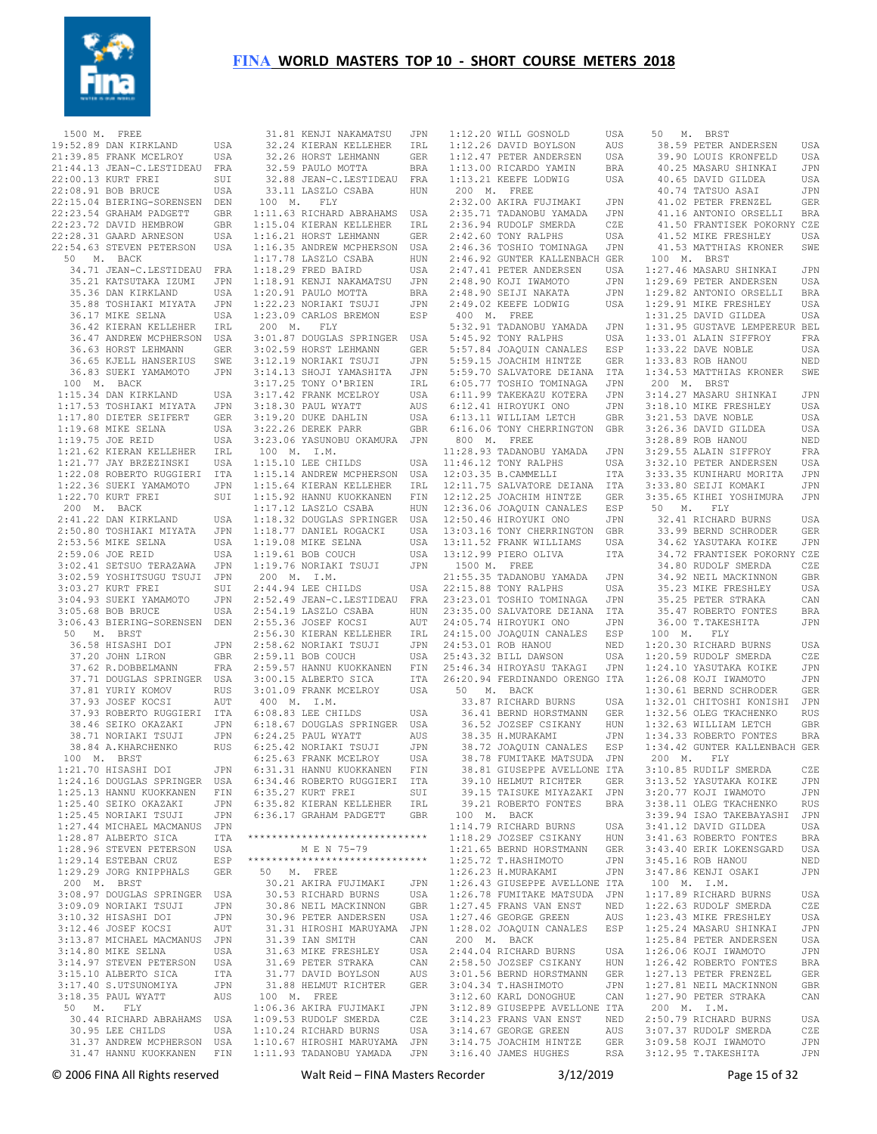

 1500 M. FREE 19:52.89 DAN KIRKLAND USA USA<br>21:39.85 FRANK MCELROY USA 21:44.13 JEAN-C.LESTIDEAU FRA 22:00.13 KURT FREI SUI 22:08.91 BOB BRUCE USA 22:15.04 BIERING-SORENSEN DEN 22:23.54 GRAHAM PADGETT GBR 22:23.72 DAVID HEMBROW GBR 22:28.31 GAARD ARNESON USA 22:54.63 STEVEN PETERSON USA 50 M. BACK 34.71 JEAN-C.LESTIDEAU FRA 35.21 KATSUTAKA IZUMI JPN 35.36 DAN KIRKLAND USA 35.88 TOSHIAKI MIYATA JPN 36.17 MIKE SELNA USA 36.42 KIERAN KELLEHER IRL 36.47 ANDREW MCPHERSON USA 36.63 HORST LEHMANN GER 36.65 KJELL HANSERIUS SWE 36.83 SUEKI YAMAMOTO JPN 100 M. BACK 1:15.34 DAN KIRKLAND USA 1:17.53 TOSHIAKI MIYATA JPN 1:17.80 DIETER SEIFERT GER 1:19.68 MIKE SELNA USA 1:19.75 JOE REID USA 1:21.62 KIERAN KELLEHER IRL 1:21.77 JAY BRZEZINSKI USA 1:22.08 ROBERTO RUGGIERI ITA 1:22.36 SUEKI YAMAMOTO JPN 1:22.70 KURT FREI SUI 200 M. BACK 2:41.22 DAN KIRKLAND USA 2:50.80 TOSHIAKI MIYATA JPN 2:53.56 MIKE SELNA USA 2:59.06 JOE REID USA 3:02.41 SETSUO TERAZAWA JPN 3:02.59 YOSHITSUGU TSUJI JPN 3:03.27 KURT FREI SUI 3:04.93 SUEKI YAMAMOTO JPN 3:05.68 BOB BRUCE USA 3:06.43 BIERING-SORENSEN DEN 50 M. BRST 36.58 HISASHI DOI JPN 37.20 JOHN LIRON GBR 37.62 R.DOBBELMANN FRA 37.71 DOUGLAS SPRINGER USA 37.81 YURIY KOMOV RUS 37.93 JOSEF KOCSI AUT 37.93 ROBERTO RUGGIERI ITA 38.46 SEIKO OKAZAKI JPN 38.71 NORIAKI TSUJI JPN 38.84 A.KHARCHENKO RUS 100 M. BRST 1:21.70 HISASHI DOI JPN 1:24.16 DOUGLAS SPRINGER USA 1:25.13 HANNU KUOKKANEN FIN 1:25.40 SEIKO OKAZAKI JPN 1:25.45 NORIAKI TSUJI JPN 1:27.44 MICHAEL MACMANUS JPN 1:28.87 ALBERTO SICA ITA<br>1·28.96 STEVEN PETERSON USA  $1:28.96$  STEVEN PETERSON 1:29.14 ESTEBAN CRUZ ESP 1:29.29 JORG KNIPPHALS GER 200 M. BRST 3:08.97 DOUGLAS SPRINGER USA 3:09.09 NORIAKI TSUJI JPN 3:10.32 HISASHI DOI JPN<br>3:12.46 JOSEF KOCSJ AUT 3:12.46 JOSEF KOCSI AUT 3:13.87 MICHAEL MACMANUS JPN 3:14.80 MIKE SELNA USA 3:14.97 STEVEN PETERSON USA 3:15.10 ALBERTO SICA ITA 3:17.40 S.UTSUNOMIYA JPN 3:18.35 PAUL WYATT AUS 50 M. FLY 30.44 RICHARD ABRAHAMS USA 30.95 LEE CHILDS USA 31.37 ANDREW MCPHERSON USA 31.47 HANNU KUOKKANEN FIN 1:11.93 TADANOBU YAMADA JPN

 31.81 KENJI NAKAMATSU JPN 32.24 KIERAN KELLEHER IRL 32.26 HORST LEHMANN GER 32.59 PAULO MOTTA BRA 32.88 JEAN-C.LESTIDEAU FRA 33.11 LASZLO CSABA HUN 100 M. FLY 1:11.63 RICHARD ABRAHAMS USA 1:15.04 KIERAN KELLEHER IRL 1:16.21 HORST LEHMANN GER 1:16.35 ANDREW MCPHERSON USA 1:17.78 LASZLO CSABA HUN 1:18.29 FRED BAIRD USA 1:18.91 KENJI NAKAMATSU JPN 1:20.91 PAULO MOTTA BRA 1:22.23 NORIAKI TSUJI JPN 1:23.09 CARLOS BREMON ESP 200 M. FLY 3:01.87 DOUGLAS SPRINGER USA 3:02.59 HORST LEHMANN GER 3:12.19 NORIAKI TSUJI JPN 3:14.13 SHOJI YAMASHITA JPN 3:17.25 TONY O'BRIEN IRL 3:17.42 FRANK MCELROY USA 3:18.30 PAUL WYATT AUS 3:19.20 DUKE DAHLIN USA 3:22.26 DEREK PARR GBR 3:23.06 YASUNOBU OKAMURA JPN 100 M. I.M. 100 M. I.M.<br>1·15.10 LEE CHILDS USA 1:15.14 ANDREW MCPHERSON USA 1:15.64 KIERAN KELLEHER IRL 1:15.92 HANNU KUOKKANEN FIN 1:17.12 LASZLO CSABA HUN 1:18.32 DOUGLAS SPRINGER USA  $1:18.77$  DANIEL ROGACKI 1:19.08 MIKE SELNA USA  $1 \cdot 19$  61 BOB COUCH 1:19.76 NORTAKI TSUJI JPN 200 M. I.M. 2:44.94 LEE CHILDS USA 2:52.49 JEAN-C.LESTIDEAU FRA 2:54.19 LASZLO CSABA HUN 2:55.36 JOSEF KOCSI AUT 2:56.30 KIERAN KELLEHER IRL 2:58.62 NORIAKI TSUJI JPN 2:59.11 BOB COUCH USA 2:59.57 HANNU KUOKKANEN FIN 3:00.15 ALBERTO SICA ITA<br>3:01.09 FRANK MCELROY USA 3:01.09 FRANK MCELROY 400 M. I.M. 6:08.83 LEE CHILDS USA 6:18.67 DOUGLAS SPRINGER USA 6:24.25 PAUL WYATT AUS 6:25.42 NORIAKI TSUJI JPN 6:25.63 FRANK MCELROY USA 6:31.31 HANNU KUOKKANEN FIN 6:34.46 ROBERTO RUGGIERI ITA 6:35.27 KURT FREI SUI 6:35.82 KIERAN KELLEHER IRL 6:36.17 GRAHAM PADGETT GBR \*\*\*\*\*\*\*\*\*\*\*\*\*\*\*\*\*\*\*\*\*\*\*\*\*\*\*\*\*\* M E N 75-79 \*\*\*\*\*\*\*\*\*\*\*\*\*\*\*\*\*\*\*\*\*\*\*\*\*\*\*\*\*\* 50 M. FREE 30.21 AKIRA FUJIMAKI JPN 30.53 RICHARD BURNS USA 30.86 NEIL MACKINNON GBR 30.96 PETER ANDERSEN USA 31.31 HIROSHI MARUYAMA JPN 31.39 IAN SMITH CAN 31.63 MIKE FRESHLEY USA 31.69 PETER STRAKA CAN 31.77 DAVID BOYLSON AUS 31.88 HELMUT RICHTER GER 100 M. FREE 1:06.36 AKIRA FUJIMAKI JPN 1:09.53 RUDOLF SMERDA CZE 1:10.24 RICHARD BURNS USA 1:10.67 HIROSHI MARUYAMA JPN

 1:12.20 WILL GOSNOLD USA 1:12.26 DAVID BOYLSON AUS 1:12.47 PETER ANDERSEN USA 1:13.00 RICARDO YAMIN BRA 1:13.21 KEEFE LODWIG USA 200 M. FREE 2:32.00 AKIRA FUJIMAKI JPN 2:35.71 TADANOBU YAMADA JPN 2:36.94 RUDOLF SMERDA CZE 2:42.60 TONY RALPHS USA 2:46.36 TOSHIO TOMINAGA JPN 2:46.92 GUNTER KALLENBACH GER 2:47.41 PETER ANDERSEN USA 2:48.90 KOJI IWAMOTO JPN 2:48.90 SEIJI NAKATA JPN 2:49.02 KEEFE LODWIG USA 400 M. FREE 5:32.91 TADANOBU YAMADA JPN 5:45.92 TONY RALPHS USA 5:57.84 JOAQUIN CANALES ESP 5:59.15 JOACHIM HINTZE GER 5:59.70 SALVATORE DEIANA ITA 6:05.77 TOSHIO TOMINAGA JPN 6:11.99 TAKEKAZU KOTERA JPN 6:12.41 HIROYUKI ONO JPN 6:13.11 WILLIAM LETCH GBR 6:16.06 TONY CHERRINGTON GBR 800 M. FREE 11:28.93 TADANOBU YAMADA JPN 11:46.12 TONY RALPHS USA 12:03.35 B.CAMMELLI ITA 12:11.75 SALVATORE DEIANA ITA 12:12.25 JOACHIM HINTZE GER 12:36.06 JOAQUIN CANALES ESP 12:50.46 HIROYUKI ONO JPN 13:03.16 TONY CHERRINGTON GBR 13:11.52 FRANK WILLIAMS USA 13:12.99 PIERO OLIVA ITA 1500 M. FREE 21:55.35 TADANOBU YAMADA JPN 22:15.88 TONY RALPHS USA 23:23.01 TOSHIO TOMINAGA JPN 23:35.00 SALVATORE DEIANA ITA 24:05.74 HIROYUKI ONO JPN 24:15.00 JOAQUIN CANALES ESP 24:53.01 ROB HANOU NED 25:43.32 BILL DAWSON USA 25:46.34 HIROYASU TAKAGI JPN 26:20.94 FERDINANDO ORENGO ITA 50 M. BACK 33.87 RICHARD BURNS USA 36.41 BERND HORSTMANN GER 36.52 JOZSEF CSIKANY HUN ر ہے۔<br>38.35 H.MURAKAMI JPN<br>38.72 JOAOUIN CANALES 38.72 JOAQUIN CANALES 38.78 FUMITAKE MATSUDA JPN 38.81 GIUSEPPE AVELLONE ITA 39.10 HELMUT RICHTER GER 39.15 TAISUKE MIYAZAKI JPN 39.21 ROBERTO FONTES BRA 100 M. BACK 1:14.79 RICHARD BURNS USA 1:18.29 JOZSEF CSIKANY HUN<br>1:21 65 BERND HORSTMANN GER 1:21.65 BERND HORSTMANN GER 1:25.72 T.HASHIMOTO JPN 1:26.23 H.MURAKAMI JPN 1:26.43 GIUSEPPE AVELLONE ITA 1:26.78 FUMITAKE MATSUDA JPN 1:27.45 FRANS VAN ENST NED 1:27.46 GEORGE GREEN AUS 1:28.02 JOAQUIN CANALES ESP 200 M. BACK 2:44.04 RICHARD BURNS USA 2:58.50 JOZSEF CSIKANY HUN 3:01.56 BERND HORSTMANN GER 3:04.34 T.HASHIMOTO JPN 3:12.60 KARL DONOGHUE CAN 3:12.89 GIUSEPPE AVELLONE ITA 3:14.23 FRANS VAN ENST NED 3:14.67 GEORGE GREEN AUS 3:14.75 JOACHIM HINTZE GER

 50 M. BRST 38.59 PETER ANDERSEN USA 39.90 LOUIS KRONFELD USA 40.25 MASARU SHINKAI JPN 40.65 DAVID GILDEA USA<br>40.74 TATSUO ASAI JEN 40.74 TATSUO ASAI JPN 41.02 PETER FRENZEL 41.16 ANTONIO ORSELLI BRA 41.50 FRANTISEK POKORNY CZE 41.52 MIKE FRESHLEY USA 41.53 MATTHIAS KRONER SWE 100 M. BRST 1:27.46 MASARU SHINKAI JPN 1:29.69 PETER ANDERSEN USA 1:29.82 ANTONIO ORSELLI BRA 1:29.91 MIKE FRESHLEY 1:31.25 DAVID GILDEA USA 1:31.95 GUSTAVE LEMPEREUR BEL 1:33.01 ALAIN SIFFROY FRA 1:33.22 DAVE NOBLE USA 1:33.83 ROB HANOU NED 1:34.53 MATTHIAS KRONER SWE 200 M. BRST 3:14.27 MASARU SHINKAI JPN 3:18.10 MIKE FRESHLEY USA 3:21.53 DAVE NOBLE USA 3:26.36 DAVID GILDEA USA 3:28.89 ROB HANOU NED 3:29.55 ALAIN SIFFROY FRA 3:32.10 PETER ANDERSEN USA 3:33.35 KUNIHARU MORITA JPN 3:33.80 SEIJI KOMAKI JPN 3:35.65 KIHEI YOSHIMURA JPN 50 M. FLY 32.41 RICHARD BURNS USA 33.99 BERND SCHRODER GER 34.62 YASUTAKA KOIKE JPN 34.72 FRANTISEK POKORNY CZE 34.80 RUDOLF SMERDA CZE 34.92 NEIL MACKINNON GBR 35.23 MIKE FRESHLEY USA 35.25 PETER STRAKA CAN 35.47 ROBERTO FONTES BRA 36.00 T.TAKESHITA JPN 100 M. FLY 1:20.30 RICHARD BURNS USA 1:20.59 RUDOLF SMERDA CZE 1:24.10 YASUTAKA KOIKE JPN 1:26.08 KOJI IWAMOTO JPN 1:30.61 BERND SCHRODER GER 1:32.01 CHITOSHI KONISHI JPN 1:32.56 OLEG TKACHENKO RUS 1:32.63 WILLIAM LETCH GBR 1:34.33 ROBERTO FONTES BRA 1:34.42 GUNTER KALLENBACH GER 200 M. FLY 3:10.85 RUDILF SMERDA CZE 3:13.52 YASUTAKA KOIKE JPN 3:20.77 KOJI IWAMOTO JPN 3:38.11 OLEG TKACHENKO RUS 3:39.94 ISAO TAKEBAYASHI JPN 3:41.12 DAVID GILDEA USA 3:41.63 ROBERTO FONTES BRA 3:43.40 ERIK LOKENSGARD USA 3:45.16 ROB HANOU NED 3:47.86 KENJI OSAKI JPN 100 M. I.M. 1:17.89 RICHARD BURNS USA 1:22.63 RUDOLF SMERDA CZE 1:23.43 MIKE FRESHLEY USA 1:25.24 MASARU SHINKAI JPN 1:25.84 PETER ANDERSEN USA 1:26.06 KOJI IWAMOTO JPN 1:26.42 ROBERTO FONTES BRA 1:27.13 PETER FRENZEL GER 1:27.81 NEIL MACKINNON GBR 1:27.90 PETER STRAKA CAN 200 M. I.M. 2:50.79 RICHARD BURNS USA 3:07.37 RUDOLF SMERDA CZE 3:09.58 KOJI IWAMOTO JPN 3:12.95 T.TAKESHITA JPN

 $3:16.40$  JAMES HUGHES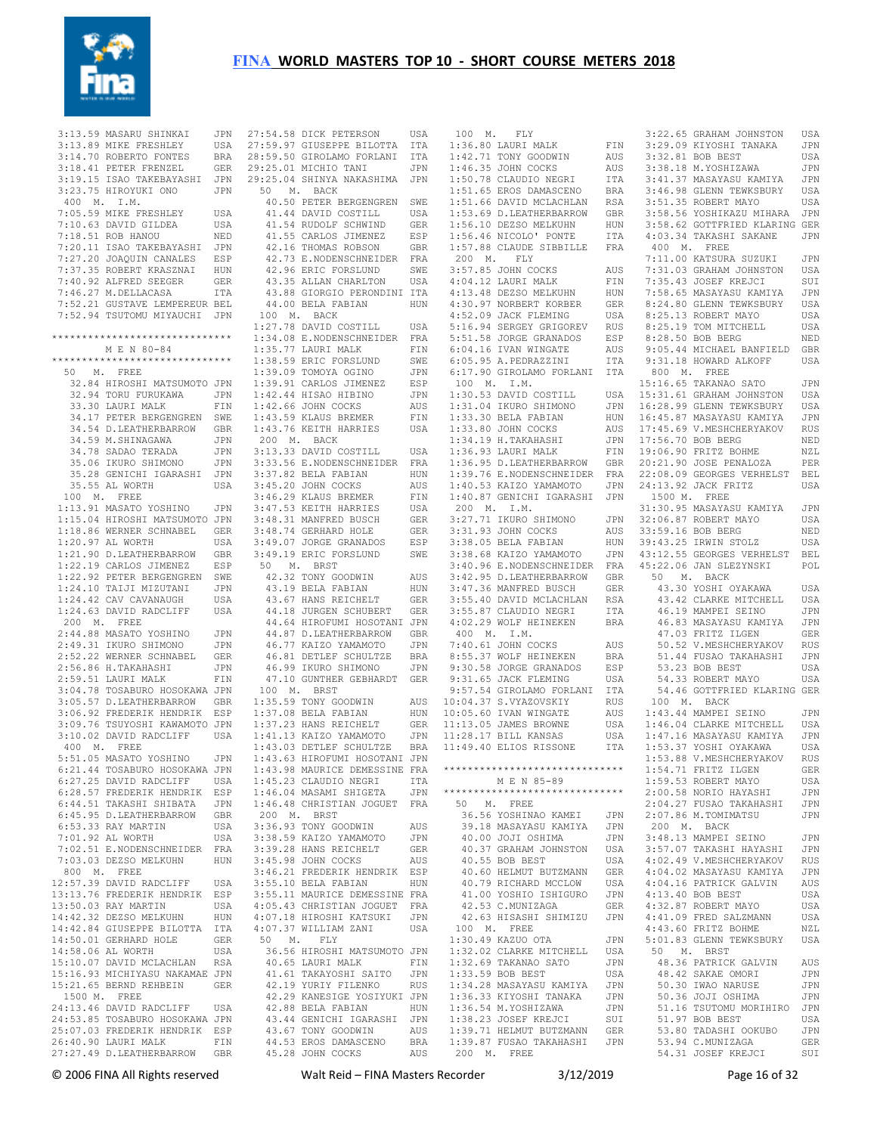

 3:13.59 MASARU SHINKAI JPN 27:54.58 DICK PETERSON USA 3:13.89 MIKE FRESHLEY 3:14.70 ROBERTO FONTES BRA 3:18.41 PETER FRENZEL GER 3:19.15 ISAO TAKEBAYASHI JPN 3:23.75 HIROYUKI ONO JPN 400 M. I.M. 7:05.59 MIKE FRESHLEY USA 7:10.63 DAVID GILDEA USA 7:18.51 ROB HANOU NED 7:20.11 ISAO TAKEBAYASHI JPN 7:27.20 JOAQUIN CANALES ESP 7:37.35 ROBERT KRASZNAI HUN 7:40.92 ALFRED SEEGER GER 7:46.27 M.DELLACASA ITA 7:52.21 GUSTAVE LEMPEREUR BEL 7:52.94 TSUTOMU MIYAUCHI JPN \*\*\*\*\*\*\*\*\*\*\*\*\*\*\*\*\*\*\*\*\*\*\*\*\*\*\*\*\*\* M E N 80-84 \*\*\*\*\*\*\*\*\*\*\*\*\*\*\*\*\*\*\*\*\*\*\*\*\*\*\*\*\*\* 50 M. FREE 32.84 HIROSHI MATSUMOTO JPN 32.94 TORU FURUKAWA JPN 33.30 LAURT MALK FIN 34.17 PETER BERGENGREN SWE 34.54 D.LEATHERBARROW GBR 34.59 M.SHINAGAWA JPN<br>34.78 SADAO TERADA JPN 34.78 SADAO TERADA 35.06 IKURO SHIMONO JPN 35.28 GENICHI IGARASHI JPN 35.55 AL WORTH USA 100 M. FREE 1:13.91 MASATO YOSHINO JPN 1:15.04 HIROSHI MATSUMOTO JPN 1:18.86 WERNER SCHNABEL GER  $1 \cdot 20$  97 AL WORTH USA 1:21.90 D.LEATHERBARROW GBR 1:22.19 CARLOS JIMENEZ ESP 1:22.92 PETER BERGENGREN SWE 1:24.10 TAIJI MIZUTANI JPN 1:24.42 CAV CAVANAUGH USA 1:24.63 DAVID RADCLIFF USA 200 M. FREE 2:44.88 MASATO YOSHINO JPN 2:49.31 IKURO SHIMONO JPN 2:52.22 WERNER SCHNABEL GER<br>2:56.86 H. TAKAHASHI JPN  $2:55...$   $\overline{6.86}$  H.TAKAHASHI 2:59.51 LAURI MALK FIN 3:04.78 TOSABURO HOSOKAWA JPN 3:05.57 D.LEATHERBARROW GBR 3:06.92 FREDERIK HENDRIK ESP 3:09.76 TSUYOSHI KAWAMOTO JPN 3:10.02 DAVID RADCLIFF USA 400 M. FREE 5:51.05 MASATO YOSHINO JPN 6:21.44 TOSABURO HOSOKAWA JPN 6:27.25 DAVID RADCLIFF USA 6:28.57 FREDERIK HENDRIK ESP 6:44.51 TAKASHI SHIBATA JPN 6:45.95 D.LEATHERBARROW GBR 6:53.33 RAY MARTIN USA 7:01.92 AL WORTH USA 7:02.51 E.NODENSCHNEIDER FRA 7:03.03 DEZSO MELKUHN HUN 800 M. FREE 12:57.39 DAVID RADCLIFF USA 13:13.76 FREDERIK HENDRIK ESP 13:50.03 RAY MARTIN USA 14:42.32 DEZSO MELKUHN HUN 14:42.84 GIUSEPPE BILOTTA ITA 14:50.01 GERHARD HOLE GER<br>14:58 06 AL WORTH USA  $14:58.06$  AL WORTH 15:10.07 DAVID MCLACHLAN RSA 15:16.93 MICHIYASU NAKAMAE JPN 15:21.65 BERND REHBEIN GER 1500 M. FREE 24:13.46 DAVID RADCLIFF USA 24:53.85 TOSABURO HOSOKAWA JPN 25:07.03 FREDERIK HENDRIK ESP 26:40.90 LAURI MALK FIN 27:27.49 D.LEATHERBARROW GBR

27:59.97 GIUSEPPE BILOTTA ITA 28:59.50 GIROLAMO FORLANI ITA 29:25.01 MICHIO TANI JPN 29:25.04 SHINYA NAKASHIMA JPN 50 M. BACK 40.50 PETER BERGENGREN SWE 41.44 DAVID COSTILL USA 41.54 RUDOLF SCHWIND GER 41.55 CARLOS JIMENEZ ESP 41.00 United States of GBR<br>42.16 THOMAS ROBSON GBR 42.73 E.NODENSCHNEIDER FRA 42.96 ERIC FORSLUND SWE 43.35 ALLAN CHARLTON USA 43.88 GIORGIO PERONDINI ITA 44.00 BELA FABIAN HUN 100 M. BACK 1:27.78 DAVID COSTILL USA 1:34.08 E.NODENSCHNEIDER FRA  $1:35.77$  LAURI MALK FIN 1:38.59 ERIC FORSLUND SWE 1:39.09 TOMOYA OGINO JPN 1:39.91 CARLOS JIMENEZ ESP 1:42.44 HISAO HIBINO JPN 1:42.66 JOHN COCKS AUS 1:43.59 KLAUS BREMER FIN 1:43.76 KEITH HARRIES USA 200 M. BACK 3:13.33 DAVID COSTILL USA 3:33.56 E.NODENSCHNEIDER FRA 3:37.82 BELA FABIAN HUN 3:45.20 JOHN COCKS AUS 3:46.29 KLAUS BREMER FIN 3:47.53 KEITH HARRIES USA 3:48.31 MANFRED BUSCH GER 3:48.74 GERHARD HOLE GER 3:49.07 JORGE GRANADOS ESP 3:49.19 ERIC FORSLUND SWE 3:38.68 KAIZO YAMAMOTO JPN 50 M. BRST 42.32 TONY GOODWIN AUS 43.19 BELA FABIAN HUN 43.67 HANS REICHELT GER 44.18 JURGEN SCHUBERT GER 44.64 HIROFUMI HOSOTANI JPN 44.87 D.LEATHERBARROW GBR 46.77 KAIZO YAMAMOTO JPN 46.81 DETLEF SCHULTZE BRA 46.99 IKURO SHIMONO JPN 47.10 GUNTHER GEBHARDT GER 100 M. BRST 1:35.59 TONY GOODWIN AUS 1:37.08 BELA FABIAN HUN 1:37.23 HANS REICHELT GER 1:41.13 KAIZO YAMAMOTO 1:43.03 DETLEF SCHULTZE BRA 1:43.63 HIROFUMI HOSOTANI JPN 1:43.98 MAURICE DEMESSINE FRA 1:45.23 CLAUDIO NEGRI ITA 1:46.04 MASAMI SHIGETA JPN 1:46.48 CHRISTIAN JOGUET FRA 200 M. BRST 3:36.93 TONY GOODWIN AUS 3:38.59 KAIZO YAMAMOTO JPN 3:39.28 HANS REICHELT GER 3:45.98 JOHN COCKS AUS 3:46.21 FREDERIK HENDRIK ESP 3:55.10 BELA FABIAN HUN 3:55.11 MAURICE DEMESSINE FRA 4:05.43 CHRISTIAN JOGUET FRA 4:07.18 HIROSHI KATSUKI JPN 4:07.37 WILLIAM ZANI USA 50 M. FLY 36.56 HIROSHI MATSUMOTO JPN 40.65 LAURI MALK FIN 41.61 TAKAYOSHI SAITO JPN 42.19 YURIY FILENKO RUS 42.29 KANESIGE YOSIYUKI JPN 42.88 BELA FABIAN 43.44 GENICHI IGARASHI JPN<br>43.67 TONY GOODWIN AUS 43.67 TONY GOODWIN AUS 44.53 EROS DAMASCENO BRA 45.28 JOHN COCKS AUS

 100 M. FLY 1:36.80 LAURI MALK FIN<br>1:36.80 LAURI MALK FIN 1:42.71 TONY GOODWIN AUS 1:46.35 JOHN COCKS AUS 1:50.78 CLAUDIO NEGRI ITA 1:51.65 EROS DAMASCENO BRA 1:51.66 DAVID MCLACHLAN RSA 1:53.69 D.LEATHERBARROW GBR 1:56.10 DEZSO MELKUHN HUN 1:56.46 NICOLO' PONTE ITA 1:57.88 CLAUDE SIBBILLE FRA 200 M. FLY 3:57.85 JOHN COCKS AUS 4:04.12 LAURI MALK FIN 4:13.48 DEZSO MELKUHN HUN 4:30.97 NORBERT KORBER GER 4:52.09 JACK FLEMING USA 5:16.94 SERGEY GRIGOREV RUS 5:51.58 JORGE GRANADOS ESP 6:04.16 IVAN WINGATE AUS 6:05.95 A.PEDRAZZINI ITA 6:17.90 GIROLAMO FORLANI ITA 100 M. I.M. 1:30.53 DAVID COSTILL USA 1:31.04 IKURO SHIMONO JPN  $1:33.30$  BELA FABIAN  $1:33.80$  JOHN COCKS AUS 1:34.19 H.TAKAHASHI JPN  $1:36.93$  LAURI MALK 1:36.95 D.LEATHERBARROW GBR  $1 \cdot 40.53$  Kaizo Yamamoto 1:40.87 GENICHI IGARASHI JPN 200 M. I.M.  $3:27.71$  IKURO SHIMONO 3:31.93 JOHN COCKS AUS 3:38.05 BELA FABIAN 3:42.95 D.LEATHERBARROW GBR 3:47.36 MANFRED BUSCH GER 3:55.40 DAVID MCLACHLAN RSA 3:55.87 CLAUDIO NEGRI ITA 4:02.29 WOLF HEINEKEN BRA 400 M. I.M. 7:40.61 JOHN COCKS AUS 8:55.37 WOLF HEINEKEN BRA 9:30.58 JORGE GRANADOS ESP 9:31.65 JACK FLEMING USA 9:57.54 GIROLAMO FORLANI ITA AUS 10:04.37 S.VYAZOVSKIY RUS 10:05.60 IVAN WINGATE AUS  $11 \cdot 13$  05 JAMES BROWNE JPN 11:28.17 BILL KANSAS 11:49.40 ELIOS RISSONE ITA \*\*\*\*\*\*\*\*\*\*\*\*\*\*\*\*\*\*\*\*\*\*\*\*\*\*\*\*\*\* M F. N 85-89 \*\*\*\*\*\*\*\*\*\*\*\*\*\*\*\*\*\*\*\*\*\*\*\*\*\*\*\*\*\* 50 M. FREE 36.56 YOSHINAO KAMEI JPN 39.18 MASAYASU KAMIYA JPN 40.00 JOJI OSHIMA JPN<br>40 37 GRAHAM JOHNSTON USA 40.37 GRAHAM JOHNSTON USA 40.55 BOB BEST USA 40.60 HELMUT BUTZMANN GER 40.79 RICHARD MCCLOW USA 41.00 YOSHIO ISHIGURO JPN 42.53 C.MUNIZAGA GER 42.63 HISASHI SHIMIZU JPN 100 M. FREE 1:30.49 KAZUO OTA JPN 1:32.02 CLARKE MITCHELL USA 1:32.69 TAKANAO SATO JPN 1:33.59 BOB BEST USA 1:34.28 MASAYASU KAMIYA JPN 1:36.33 KIYOSHI TANAKA JPN<br>1:36.54 M.YOSHIZAWA JPN 1:36.54 M.YOSHIZAWA JPN 1:38.23 JOSEF KREJCI SUI 1:39.71 HELMUT BUTZMANN GER 1:39.87 FUSAO TAKAHASHI JPN 200 M. FREE

 1:39.76 E.NODENSCHNEIDER FRA 22:08.09 GEORGES VERHELST BEL 3:40.96 E.NODENSCHNEIDER FRA 45:22.06 JAN SLEZYNSKI POL 3:22.65 GRAHAM JOHNSTON USA<br>3:29.09 KIYOSHI TANAKA JPN 3:29.09 KIYOSHI TANAKA 3:32.81 BOB BEST USA 3:38.18 M.YOSHIZAWA JPN 3:41.37 MASAYASU KAMIYA JPN 3:46.98 GLENN TEWKSBURY USA 3:51.35 ROBERT MAYO USA 3:58.56 YOSHIKAZU MIHARA JPN 3:58.62 GOTTFRIED KLARING GER 4:03.34 TAKASHI SAKANE JPN 400 M. FREE 7:11.00 KATSURA SUZUKI JPN 7:31.03 GRAHAM JOHNSTON USA 7:35.43 JOSEF KREJCI SUI 7:58.65 MASAYASU KAMIYA JPN 8:24.80 GLENN TEWKSBURY USA 8:25.13 ROBERT MAYO USA 8:25.19 TOM MITCHELL USA 8:28.50 BOB BERG NED 9:05.44 MICHAEL BANFIELD GBR 9:31.18 HOWARD ALKOFF USA 800 M. FREE 15:16.65 TAKANAO SATO JPN 15:31.61 GRAHAM JOHNSTON USA 16:28.99 GLENN TEWKSBURY USA 16:45.87 MASAYASU KAMIYA JPN 17:45.69 V.MESHCHERYAKOV RUS 17:56.70 BOB BERG NED FIN 19:06.90 FRITZ BOHME NZL 20:21.90 JOSE PENALOZA PER 24:13.92 JACK FRITZ USA 1500 M. FREE 31:30.95 MASAYASU KAMIYA JPN JPN 32:06.87 ROBERT MAYO USA 33:59.16 BOB BERG NED 39:43.25 IRWIN STOLZ USA 43:12.55 GEORGES VERHELST BEL 50 M. BACK 43.30 YOSHI OYAKAWA USA 43.42 CLARKE MITCHELL USA 46.19 MAMPEI SEINO JPN 46.83 MASAYASU KAMIYA JPN 47.03 FRITZ ILGEN GER 50.52 V.MESHCHERYAKOV RUS 51.44 FUSAO TAKAHASHI JPN 53.23 BOB BEST USA 54.33 ROBERT MAYO USA 54.46 GOTTFRIED KLARING GER 100 M. BACK 1:43.44 MAMPEI SEINO JPN 1:46.04 CLARKE MITCHELL USA 1:47.16 MASAYASU KAMIYA JPN 1:53.37 YOSHI OYAKAWA USA 1:53.88 V.MESHCHERYAKOV RUS 1:54.71 FRITZ ILGEN GER 1:59.53 ROBERT MAYO USA 2:00.58 NORIO HAYASHI JPN 2:04.27 FUSAO TAKAHASHI JPN 2:07.86 M.TOMIMATSU JPN 200 M. BACK 3:48.13 MAMPEI SEINO JPN 3:57.07 TAKASHI HAYASHI JPN 4:02.49 V.MESHCHERYAKOV RUS 4:04.02 MASAYASU KAMIYA JPN 4:04.16 PATRICK GALVIN AUS 4:13.40 BOB BEST USA 4:32.87 ROBERT MAYO USA 4:41.09 FRED SALZMANN USA<br>4:43.60 FRITZ BOHME NZL 4:43.60 FRITZ BOHME NZL 5:01.83 GLENN TEWKSBURY USA 50 M. BRST 48.36 PATRICK GALVIN AUS 48.42 SAKAE OMORI JPN 50.30 IWAO NARUSE JPN 50.36 JOJI OSHIMA JPN 51.16 TSUTOMU MORIHIRO JPN 51.97 BOB BEST USA<br>53 80 TADASHI OOKUBO JPN 53.80 TADASHI OOKUBO 53.94 C.MUNIZAGA GER 54.31 JOSEF KREJCI SUI

© 2006 FINA All Rights reserved Walt Reid – FINA Masters Recorder 3/12/2019 Page 16 of 32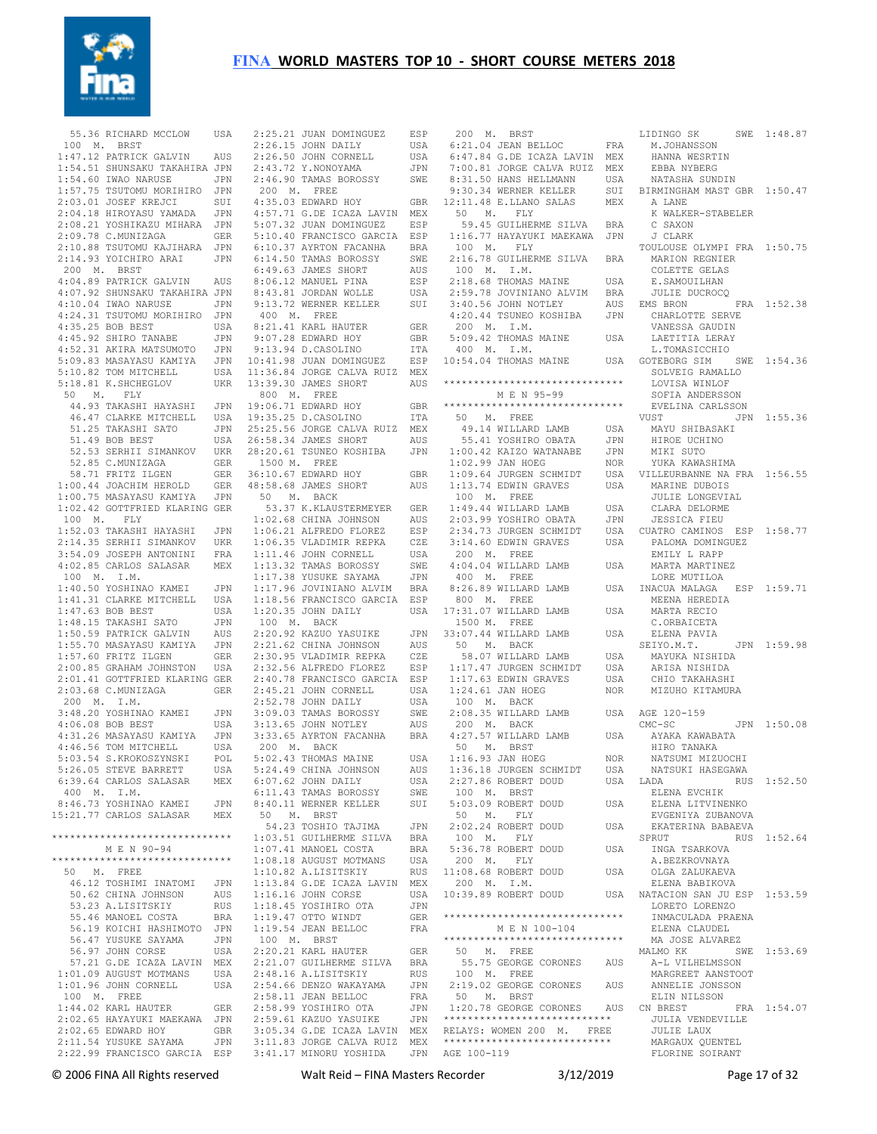

 55.36 RICHARD MCCLOW USA 2:25.21 JUAN DOMINGUEZ ESP 200 M. BRST 100 M. BRST 1:47.12 PATRICK GALVIN AUS 1:54.51 SHUNSAKU TAKAHIRA JPN 1:54.60 TWAO NARUSE JPN 1:57.75 TSUTOMU MORIHIRO JPN 2:03.01 JOSEF KREJCI SUI 2:04.18 HIROYASU YAMADA JPN 2:08.21 YOSHIKAZU MIHARA JPN 2:09.78 C.MUNIZAGA GER 2:10.88 TSUTOMU KAJIHARA JPN 2:14.93 YOICHIRO ARAI JPN 200 M. BRST 4:04.89 PATRICK GALVIN AUS 4:07.92 SHUNSAKU TAKAHIRA JPN  $4:10.04$  IWAO NARUSE 4:24.31 TSUTOMU MORIHIRO JPN 4:35.25 BOB BEST USA 4:45.92 SHIRO TANABE JPN 4:52.31 AKIRA MATSUMOTO JPN 5:09.83 MASAYASU KAMIYA JPN 10:41.98 JUAN DOMINGUEZ ESP 5:10.82 TOM MITCHELL 5:18.81 K. SHCHEGLOV 50 M. FLY 44.93 TAKASHI HAYASHI JPN 46.47 CLARKE MITCHELL 51.25 TAKASHI SATO JPN 51.49 BOB BEST USA 52.53 SERHII SIMANKOV UKR 52.85 C.MUNIZAGA GER 58.71 FRITZ ILGEN GER 1:00.44 JOACHIM HEROLD GER  $1:00.75$  MASAYASU KAMIYA 1:02.42 GOTTFRIED KLARING GER 100 M. FLY 1:52.03 TAKASHI HAYASHI JPN 2:14.35 SERHII SIMANKOV UKR 3:54.09 JOSEPH ANTONINI FRA 4:02.85 CARLOS SALASAR MEX 100 M. I.M. 1:40.50 YOSHINAO KAMEI JPN 1:41.31 CLARKE MITCHELL USA 1:47.63 BOB BEST USA 1:48.15 TAKASHI SATO JPN 1:50.59 PATRICK GALVIN AUS 1:55.70 MASAYASU KAMIYA JPN 1:57.60 FRITZ ILGEN GER 2:00.85 GRAHAM JOHNSTON USA 2:01.41 GOTTFRIED KLARING GER 2:03.68 C.MUNIZAGA GER 200 M. I.M. 3:48.20 YOSHINAO KAMEI JPN  $4 \cdot 06$   $08$  BOB BEST USA 4:31.26 MASAYASU KAMIYA JPN 4:46.56 TOM MITCHELL USA 5:03.54 S.KROKOSZYNSKI POL 5:26.05 STEVE BARRETT USA 6:39.64 CARLOS SALASAR MEX 400 M. I.M.<br>8:46.73 YOSHINAO KAMEI 8:46.73 YOSHINAO KAMEI JPN 15:21.77 CARLOS SALASAR MEX \*\*\*\*\*\*\*\*\*\*\*\*\*\*\*\*\*\*\*\*\*\*\*\*\*\*\*\*\*\* M E N 90-94 \*\*\*\*\*\*\*\*\*\*\*\*\*\*\*\*\*\*\*\*\*\*\*\*\*\*\*\*\*\* 50 M. FREE 46.12 TOSHIMI INATOMI JPN 50.62 CHINA JOHNSON AUS 53.23 A.LISITSKIY RUS 55.46 MANOEL COSTA BRA 56.19 KOICHI HASHIMOTO JPN SONNE SAYAMA JPN<br>56.47 YUSUKE SAYAMA JPN<br>56.97 JOHN CORSE USA 56.97 JOHN CORSE 57.21 G.DE ICAZA LAVIN MEX 1:01.09 AUGUST MOTMANS USA 1:01.96 JOHN CORNELL USA 100 M. FREE 1:44.02 KARL HAUTER GER 2:02.65 HAYAYUKI MAEKAWA JPN  $2:02.65$  EDWARD HOY 2:11.54 YUSUKE SAYAMA JPN 2:22.99 FRANCISCO GARCIA ESP 3:41.17 MINORU YOSHIDA JPN AGE 100-119

 2:26.15 JOHN DAILY USA  $2 \cdot 26$  50 JOHN CORNELL USA 2:43.72 Y.NONOYAMA JPN 2:46.90 TAMAS BOROSSY SWE 200 M. FREE 4:35.03 EDWARD HOY GBR 4:57.71 G.DE ICAZA LAVIN MEX 5:07.32 JUAN DOMINGUEZ ESP 5:10.40 FRANCISCO GARCIA ESP 6:10.37 AYRTON FACANHA BRA 6:14.50 TAMAS BOROSSY SWE 6:49.63 JAMES SHORT AUS 8:06.12 MANUEL PINA ESP 8:43.81 JORDAN WOLLE USA 9:13.72 WERNER KELLER SUI 400 M. FREE 8:21.41 KARL HAUTER GER 9:07.28 EDWARD HOY GBR 9:13.94 D.CASOLINO ITA 11:36.84 JORGE CALVA RUIZ MEX 13:39.30 JAMES SHORT AUS 800 M. FREE 19:06.71 EDWARD HOY GBR USA 19:35.25 D.CASOLINO 25:25.56 JORGE CALVA RUIZ MEX 26:58.34 JAMES SHORT AUS 28:20.61 TSUNEO KOSHIBA JPN 1500 M. FREE 36:10.67 EDWARD HOY GBR 48:58.68 JAMES SHORT AUS 50 M. BACK 53.37 K.KLAUSTERMEYER GER 1:02.68 CHINA JOHNSON AUS 1:06.21 ALFREDO FLOREZ ESP 1:06.35 VLADIMIR REPKA CZE 1:11.46 JOHN CORNELL USA 1:11.30 SOMM PTP<br>1:13.32 TAMAS BOROSSY SWE 1:17.38 YUSUKE SAYAMA JPN 1:17.96 JOVINIANO ALVIM BRA 1:18.56 FRANCISCO GARCIA ESP  $1:20.35$  JOHN DAILY 100 M. BACK 2:20.92 KAZUO YASUIKE JPN 2:21.62 CHINA JOHNSON AUS 2:30.95 VLADIMIR REPKA CZE 2:32.56 ALFREDO FLOREZ ESP 2:40.78 FRANCISCO GARCIA ESP 2:45.21 JOHN CORNELL USA 2:52.78 JOHN DAILY USA 3:09.03 TAMAS BOROSSY SWE 3:13.65 JOHN NOTLEY AUS 3:33.65 AYRTON FACANHA BRA 200 M. BACK 5:02.43 THOMAS MAINE USA 5:24.49 CHINA JOHNSON AUS 6:07.62 JOHN DAILY USA 6:11.43 TAMAS BOROSSY SWE 8:40.11 WERNER KELLER SUI 50 M. BRST 54.23 TOSHIO TAJIMA JPN 1:03.51 GUILHERME SILVA BRA 1:07.41 MANOEL COSTA BRA 1:08.18 AUGUST MOTMANS USA 1:10.82 A.LISITSKIY RUS 1:13.84 G.DE ICAZA LAVIN MEX 1:16.16 JOHN CORSE USA 1:18.45 YOSIHIRO OTA JPN 1:19.47 OTTO WINDT GER 1:19.54 JEAN BELLOC FRA 100 M. BRST 2:20.21 KARL HAUTER GER 2:21.07 GUILHERME SILVA BRA 2:48.16 A.LISITSKIY RUS<br>2:54.66 DENZO WAKAYAMA JPN  $2:54.66$  DENZO WAKAYAMA 2:58.11 JEAN BELLOC FRA<br>2:58.99 YOSTHIRO OTA JIPN 2:58.99 YOSIHIRO OTA 2:59.61 KAZUO YASUIKE JPN 3:05.34 G.DE ICAZA LAVIN MEX 3:11.83 JORGE CALVA RUIZ MEX

 6:21.04 JEAN BELLOC FRA 6:47.84 G.DE ICAZA LAVIN MEX 7:00.81 JORGE CALVA RUIZ MEX 8:31.50 HANS HELLMANN USA 9:30.34 WERNER KELLER SUI 12:11.48 E.LLANO SALAS MEX 50 M. FLY 59.45 GUILHERME SILVA BRA 1:16.77 HAYAYUKI MAEKAWA JPN 100 M. FLY 2:16.78 GUILHERME SILVA BRA 100 M. I.M. 2:18.68 THOMAS MAINE USA 2:59.78 JOVINIANO ALVIM BRA JULIE DU<br>3:40 56 JOHN NOTLEY AUS EMS BRON  $3:40.56$  JOHN NOTLEY 4:20.44 TSUNEO KOSHIBA JPN 200 M. I.M. 5:09.42 THOMAS MAINE 400 M. I.M. \*\*\*\*\*\*\*\*\*\*\*\*\*\*\*\*\*\*\*\*\*\*\*\*\*\*\*\*\*\* M E N 95-99 \*\*\*\*\*\*\*\*\*\*\*\*\*\*\*\*\*\*\*\*\*\*\*\*\*\*\*\*\*\* ITA 50 M. FREE 49.14 WILLARD LAMB USA 55.41 YOSHIRO OBATA JPN 1:00.42 KAIZO WATANABE JPN 1:02.99 JAN HOEG NOR 1:09.64 JURGEN SCHMIDT  $1:13.74$  EDWIN GRAVES 100 M. FREE 1:49.44 WILLARD LAMB USA 2:03.99 YOSHIRO OBATA JPN 2:34.73 JURGEN SCHMIDT 3:14.60 EDWIN GRAVES USA 200 M. FREE  $4 \cdot 04$  04 WILLARD LAMB 400 M. FREE 8:26.89 WILLARD LAMB 800 M. FREE USA 17:31.07 WILLARD LAMB USA 1500 M. FREE 33:07.44 WILLARD LAMB USA 50 M. BACK 58.07 WILLARD LAMB USA 1:17.47 JURGEN SCHMIDT USA 1:17.63 EDWIN GRAVES USA  $1:24.61$  JAN HOEG 100 M. BACK  $2:08.35$  WILLARD LAMB 200 M. BACK 4:27.57 WILLARD LAMB USA 50 M. BRST 1:16.93 JAN HOEG NOR 1:36.18 JURGEN SCHMIDT USA 2:27.86 ROBERT DOUD USA 100 M. BRST 5:03.09 ROBERT DOUD USA 50 M. FLY 2:02.24 ROBERT DOUD USA 100 M. FLY 5:36.78 ROBERT DOUD 200 M. FLY 11:08.68 ROBERT DOUD USA 200 M. I.M.  $10:39.89$  ROBERT DOUD \*\*\*\*\*\*\*\*\*\*\*\*\*\*\*\*\*\*\*\*\*\*\*\*\*\*\*\*\*\* M E N 100-104 \*\*\*\*\*\*\*\*\*\*\*\*\*\*\*\*\*\*\*\*\*\*\*\*\*\*\*\*\*\* 50 M. FREE 55.75 GEORGE CORONES AUS A-L VILHELMSSON 100 M. FREE 2:19.02 GEORGE CORONES AUS ANNELIE JONSSON 50 M. BRST 1:20.78 GEORGE CORONES AUS \*\*\*\*\*\*\*\*\*\*\*\*\*\*\*\*\*\*\*\*\*\*\*\*\*\*\*\* RELAYS: WOMEN 200 M. FREE \*\*\*\*\*\*\*\*\*\*\*\*\*\*\*\*\*\*\*\*\*\*\*

10:54.04 THOMAS MAINE USA GOTEBORG SIM SWE 1:54.36 M.JOHANSSON HANNA WESRTIN EBBA NYBERG NATASHA SUNDIN BIRMINGHAM MAST GBR 1:50.47 A LANE K WALKER-STABELER C SAXON J CLARK TOULOUSE OLYMPI FRA 1:50.75 MARION REGNIER COLETTE GELAS<br>E SAMOUITLHAN E.SAMOUILHAN JULIE DUCROCQ EMS BRON FRA 1:52.38 CHARLOTTE SERVE VANESSA GAUDIN USA LAETITIA LERAY L.TOMASICCHIO SOLVEIG RAMALLO LOVISA WINLOF SOFIA ANDERSSON EVELINA CARLSSON  $VIIST$   $IPN$   $1.55$  36 MAYU SHIBASAKI HIROE UCHINO MIKI SUTO YUKA KAWASHIMA USA VILLEURBANNE NA FRA 1:56.55 USA MARINE DUBOIS JULIE LONGEVIAL CLARA DELORME JESSICA FIEU USA CUATRO CAMINOS ESP 1:58.77 PALOMA DOMINGUEZ EMILY L RAPP MARTA MARTINEZ LORE MUTILOA USA INACUA MALAGA ESP 1:59.71 MEENA HEREDIA<br>MEENA HEREDIA MARTA RECIO C.ORBAICETA ELENA PAVIA SEIYO.M.T. JPN 1:59.98 MAYUKA NISHIDA ARISA NISHIDA CHIO TAKAHASHI NOR MIZUHO KITAMURA USA AGE 120-159  $CMC-SC$   $JPN$   $1.50$   $0.8$  AYAKA KAWABATA HIRO TANAKA NATSUMI MIZUOCHI NATSUKI HASEGAWA RUS 1:52.50 ELENA EVCHIK ELENA LITVINENKO EVGENIYA ZUBANOVA EKATERINA BABAEVA SPRUT RUS 1:52.64 INGA TSARKOVA A.BEZKROVNAYA OLGA ZALUKAEVA ELENA BABIKOVA USA NATACION SAN JU ESP 1:53.59 LORETO LORENZO INMACULADA PRAENA ELENA CLAUDEL MA JOSE ALVAREZ<br>MALMO KK SW SWE 1:53.69 MARGREET AANSTOOT ELIN NILSSON FRA 1:54.07 JULIA VENDEVILLE JULIE LAUX MARGAUX OUENTEL FLORINE SOIRANT

LIDINGO SK SWE 1:48.87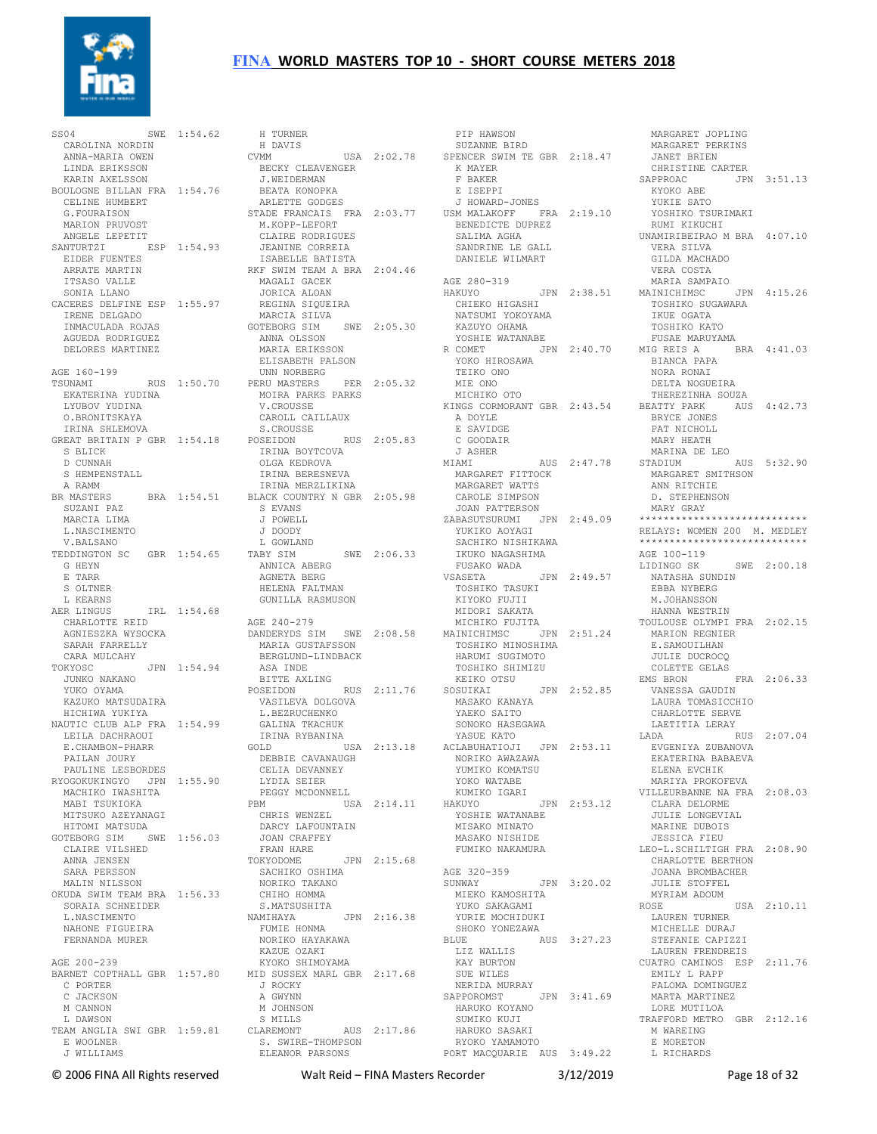

SS04 SWE 1:54.62 CAROLINA NORDIN ANNA-MARIA OWEN LINDA ERIKSSON KARIN AXELSSON BOULOGNE BILLAN FRA 1:54.76 CELINE HUMBERT G.FOURAISON MARION PRUVOST ANGELE LEPETIT SANTURTZI ESP 1:54.93 EIDER FUENTES ARRATURITES<br>EIDER FUENTES<br>ARRATE MARTIN ITSASO VALLE SONIA LLANO CACERES DELFINE ESP 1:55.97 IRENE DELGADO INMACULADA ROJAS AGUEDA RODRIGUEZ DELORES MARTINEZ AGE 160-199 EKATERINA YUDINA LYUBOV YUDINA O.BRONITSKAYA IRINA SHLEMOVA GREAT BRITAIN P GBR 1:54.18 S BLICK D CUNNAH S HEMPENSTALL A RAMM BR MASTERS BRA 1:54.51 SUZANI PAZ MARCIA LIMA L.NASCIMENTO V.BALSANO TEDDINGTON SC GBR 1:54.65 G HEYN E TARR S OLTNER L KEARNS AER LINGUS IRL 1:54.68<br>
CHARLOTTE REID<br>
AGNIESZKA WYSOCKA<br>
SARAH FARRELLY<br>
CARA MULCAHY<br>
TOKYOSC JPN 1:54.94<br>
JUNKO NAKANO YUKO OYAMA<br>KAZUKO MATSUDAIRA<br>HICHIWA YUKIYA<br>NAUTIC CLUB ALP FRA 1:54.99<br>LEILA DACHRAOUI E.CHAMBON-PHARR<br>PAILAN JOURY<br>PAULINE LESBORDES<br>RYOGOKUKINGYO JPN 1:55.90<br>MACHIKO IWASHITA MABI TSUKIOKA MITSUKO AZEYANAGI HITOMI MATSUDA GOTEBORG SIM SWE 1:56.03 CLAIRE VILSHED ANNA JENSEN SARA PERSSON MALIN NILSSON OKUDA SWIM TEAM BRA 1:56.33 CHIHO HOMMA SORAIA SCHNEIDER L.NASCIMENTO NAHONE FIGUEIRA FERNANDA MURER AGE 200-239 BARNET COPTHALL GBR 1:57.80 C PORTER C JACKSON M CANNON L DAWSON TEAM ANGLIA SWI GBR 1:59.81 E WOOLNER J WILLIAMS

TSUNAMI RUS 1:50.70 UNN NORBERG PERU MASTERS PER 2:05.32 TEIKO ONO MIE ONO SWE 1:54.62 H TURNER H DAVIS<br>CVMM CVMM USA 2:02.78 BECKY CLEAVENGER J.WEIDERMAN BEATA KONOPKA ARLETTE GODGES STADE FRANCAIS FRA 2:03.77 M.KOPP-LEFORT USM MALAKOFF FRA 2:19.10 BENEDICTE DUPREZ RUMI KIKUCHI CLAIRE RODRIGUES JEANINE CORREIA ISABELLE BATISTA ISABELLE BATISTA<br>RKF SWIM TEAM A BRA 2:04.46 MAGALI GACEK JORICA ALOAN REGINA SIQUEIRA MARCIA SILVA GOTEBORG SIM SWE 2:05.30 ANNA OLSSON ANNA OLSSON<br>MARIA ERIKSSON ELISABETH PALSON MOIRA PARKS PARKS V.CROUSSE CAROLL CAILLAUX S.CROUSSE E SAVIDGE C GOODAIR POSEIDON RUS 2:05.83 IRINA BOYTCOVA OLGA KEDROVA IRINA BERESNEVA IRINA MERZLIKINA BLACK COUNTRY N GBR 2:05.98 S EVANS J POWELL J DOODY L GOWLAND TABY SIM SWE 2:06.33 ANNICA ABERG AGNETA BERG HELENA FALTMAN GUNILLA RASMUSON AGE 240-279 DANDERYDS SIM SWE 2:08.58 MARIA GUSTAFSSON BERGLUND-LINDBACK ASA INDE BITTE AXLING POSEIDON RUS 2:11.76 VASILEVA DOLGOVA L.BEZRUCHENKO GALINA TKACHUK IRINA RYBANINA GOLD USA 2:13.18 DEBBIE CAVANAUGH CELIA DEVANNEY LYDIA SEIER PEGGY MCDONNELL PBM USA 2:14.11 CHRIS WENZEL DARCY LAFOUNTAIN JOAN CRAFFEY FRAN HARE UCHA -<br>FRAN HARE<br>TOKYODOME - JPN 2:15.68 SACHIKO OSHIMA NORIKO TAKANO AGE 320-359 SUNWAY JPN 3:20.02 S.MATSUSHITA NAMIHAYA JPN 2:16.38 FUMIE HONMA NORIKO HAYAKAWA KAZUE OZAKI KYOKO SHIMOYAMA MID SUSSEX MARL GBR 2:17.68 J ROCKY A GWYNN M JOHNSON S MILLS CLAREMONT AUS 2:17.86 LAREMONT<br>S. SWIRE-THOMPSON ELEANOR PARSONS

 PIP HAWSON SUZANNE BIRD SPENCER SWIM TE GBR 2:18.47 JANET BRIEN K MAYER F BAKER E ISEPPI J HOWARD-JONES SALIMA AGHA SANDRINE LE GALL DANIELE WILMART AGE 280-319 HAKUYO JPN 2:38.51 CHIEKO HIGASHI NATSUMI YOKOYAMA KAZUYO OHAMA YOSHIE WATANABE R COMET JPN 2:40.70 YOKO HIROSAWA MICHIKO OTO KINGS CORMORANT GBR 2:43.54 A DOYLE<br>E SAVIDGE J ASHER MIAMI AUS 2:47.78 MARGARET FITTOCK MARGARET WATTS CAROLE SIMPSON JOAN PATTERSON ZABASUTSURUMI JPN 2:49.09 \*\*\*\*\*\*\*\*\*\*\*\*\*\*\*\*\*\*\*\*\*\*\*\*\*\*\*\*\* YUKIKO AOYAGI SACHIKO NISHIKAWA IKUKO NAGASHIMA FUSAKO WADA VSASETA JPN 2:49.57 NATASHA SUNDIN TOSHIKO TASUKI KIYOKO FUJII MIDORI SAKATA<br>
MICHIKO FUJITA<br>
MAINICHIMSC JPN 2:51.24<br>
TOSHIKO MINOSHIMA<br>
HARUMI SUGIMOTO<br>
TOSHIKO SHIMIZU<br>
KEIKO OTSU SOSUIKAI JPN 2:52.85<br>MASAKO KANAYA<br>YAEKO SAITO<br>SONOKO HASEGAWA<br>YASUE KATO RYBANINA<br>
USA 2:13.18 ACLABUHATIOJI JPN 2:53.11 NORIKO AWAZAWA YUMIKO KOMATSU YOKO WATABE KUMIKO IGARI HAKUYO JPN 2:53.12 YOSHIE WATANABE MISAKO MINATO MASAKO NISHIDE FUMIKO NAKAMURA MIEKO KAMOSHITA YUKO SAKAGAMI YURIE MOCHIDUKI SHOKO YONEZAWA BLUE AUS 3:27.23 LIZ WALLIS KAY BURTON SUE WILES NERIDA MURRAY SAPPOROMST JPN 3:41.69 HARUKO KOYANO SUMIKO KUJI LORE MUTILOA TRAFFORD METRO GBR 2:12.16 HARUKO SASAKI RYOKO YAMAMOTO PORT MACQUARIE AUS 3:49.22 L RICHARDS

 MARGARET JOPLING MARGARET PERKINS CHRISTINE CARTER<br>SAPPROAC JPN SAPPROAC JPN 3:51.13 KYOKO ABE YUKIE SATO YOSHIKO TSURIMAKI UNAMIRIBEIRAO M BRA 4:07.10 VERA SILVA GILDA MACHADO VERA COSTA MARIA SAMPAIO JPN 2:38.51 MAINICHIMSC JPN 4:15.26 TOSHIKO SUGAWARA IKUE OGATA TOSHIKO KATO FUSAE MARUYAMA BRA 4:41.03 BIANCA PAPA NORA RONAI DELTA NOGUEIRA THEREZINHA SOUZA AUS 4:42.73 BRYCE JONES PAT NICHOLL MARY HEATH MARINA DE LEO STADIUM AUS 5:32.90 MARGARET SMITHSON ANN RITCHIE D. STEPHENSON MARY GRAY RELAYS: WOMEN 200 M. MEDLEY \*\*\*\*\*\*\*\*\*\*\*\*\*\*\*\*\*\*\*\*\*\*\*\*\*\*\*\* AGE 100-119<br>LIDINGO SK SWE 2:00.18 EBBA NYBERG M.JOHANSSON HANNA WESTRIN TOULOUSE OLYMPI FRA 2:02.15 MARION REGNIER E. SAMOUILHAN JULIE DUCROCQ COLETTE GELAS EMS BRON FRA 2:06.33 VANESSA GAUDIN LAURA TOMASICCHIO CHARLOTTE SERVE LAETITIA LERAY LADA RUS 2:07.04 EVGENIYA ZUBANOVA EKATERINA BABAEVA ELENA EVCHIK MARIYA PROKOFEVA VILLEURBANNE NA FRA 2:08.03 CLARA DELORME JULIE LONGEVIAL MARINE DUBOIS JESSICA FIEU LEO-L.SCHILTIGH FRA 2:08.90 CHARLOTTE BERTHON JOANA BROMBACHER JOANA BROMBACE<br>JULIE STOFFEL MYRIAM ADOUM<br>ROSE USA 2:10.11 LAUREN TURNER MICHELLE DURAJ STEFANIE CAPIZZI LAUREN FRENDREIS CUATRO CAMINOS ESP 2:11.76 EMILY L RAPP PALOMA DOMINGUEZ MARTA MARTINEZ M WAREING E MORETON

© 2006 FINA All Rights reserved Walt Reid – FINA Masters Recorder 3/12/2019 Page 18 of 32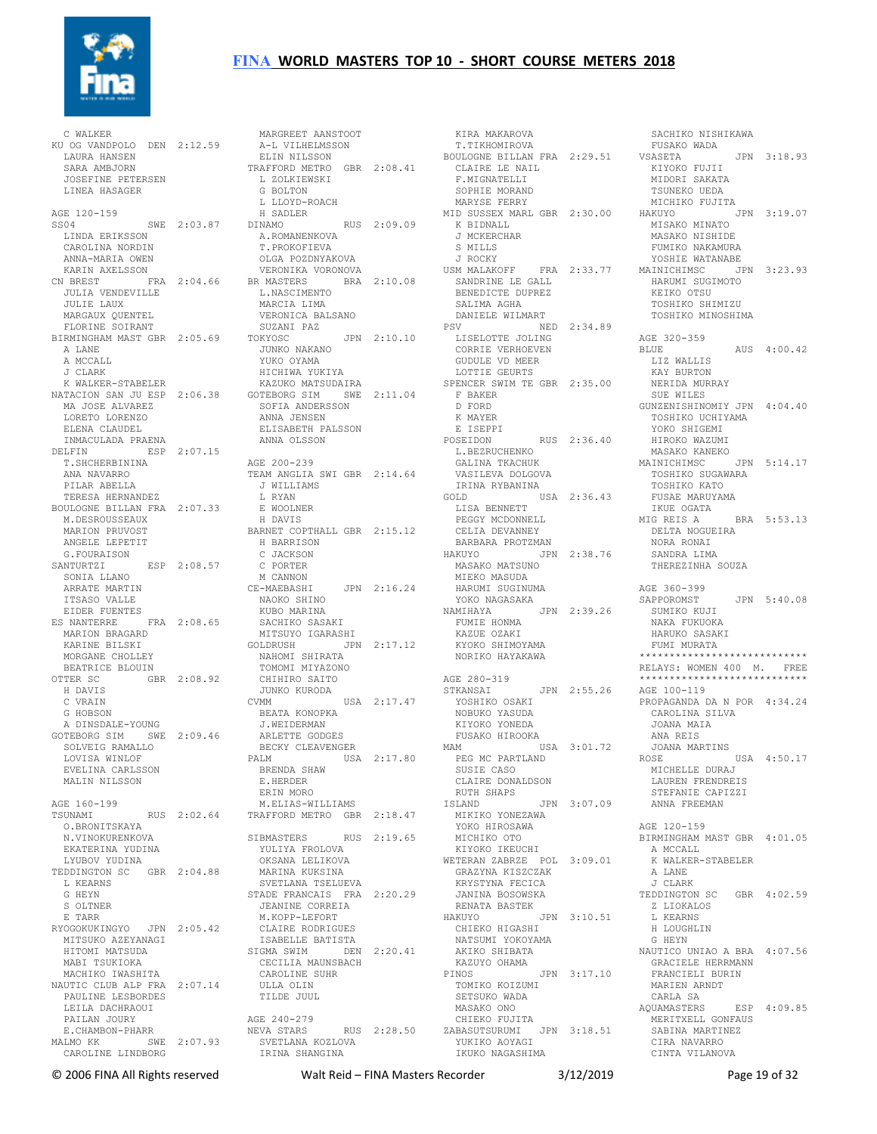

 C WALKER KU OG VANDPOLO DEN 2:12.59 LAURA HANSEN SARA AMBJORN JOSEFINE PETERSEN LINEA HASAGER AGE 120-159 AGE 120-100<br>SS04 SWE 2:03.87 DINAMO LINDA ERIKSSON CAROLINA NORDIN A.ROMANENKOVA T.PROKOFIEVA ANNA-MARIA OWEN KARIN AXELSSON CN BREST FRA 2:04.66 JULIA VENDEVILLE JULIE LAUX MARGAUX QUENTEL FLORINE SOIRANT BIRMINGHAM MAST GBR 2:05.69 TOKYOSC A LANE A MCCALL J CLARK K WALKER-STABELER NATACION SAN JU ESP 2:06.38 MA JOSE ALVAREZ LORETO LORENZO ELENA CLAUDEL INMACULADA PRAENA DELFIN ESP 2:07.15 T.SHCHERBININA ANA NAVARRO PILAR ABELLA TERESA HERNANDEZ BOULOGNE BILLAN FRA 2:07.33 M. DESROUSSEAUX MARION PRUVOST ANGELE LEPETIT G.FOURAISON SANTURTZI ESP 2:08.57 SONIA LLANO ARRATE MARTIN<br>
ITSASO VALLE<br>EIDER FUENTES<br>ES NANTERRE FRA 2:08.65<br>MARION BRAGARD KARINE BILSKI MORGANE CHOLLEY BEATRICE BLOUIN OTTER SC GBR 2:08.92 CHIHIRO SAITO H DAVIS C VRAIN G HOBSON A DINSDALE-YOUNG GOTEBORG SIM SWE 2:09.46 ARLETTE GODGES SOLVEIG RAMALLO LOVISA WINLOF EVELINA CARLSSON MALIN NILSSON AGE 160-199 TSUNAMI RUS 2:02.64 TRAFFORD METRO GBR 2:18.47 O.BRONITSKAYA N.VINOKURENKOVA EKATERINA YUDINA LYUBOV YUDINA TEDDINGTON SC GBR 2:04.88 L KEARNS G HEYN S OLTNER E TARR RYOGOKUKINGYO JPN 2:05.42 MITSUKO AZEYANAGI HITOMI MATSUDA MABI TSUKIOKA MACHIKO IWASHITA NAUTIC CLUB ALP FRA 2:07.14 PAULINE LESBORDES ULLA OLIN TILDE JUUL LEILA DACHRAOUI PAILAN JOURY E.CHAMBON-PHARR MALMO KK SWE 2:07.93 CAROLINE LINDBORG

 MARGREET AANSTOOT A-L VILHELMSSON ELIN NILSSON TRAFFORD METRO GBR 2:08.41 L ZOLKIEWSKI CLAIRE LE NAIL F.MIGNATELLI L ZOLKIEWSKI<br>G BOLTON L LLOYD-ROACH H SADLER DINAMO RUS 2:09.09 MID SUSSEX MARL GBR 2:30.00 K BIDNALL OLGA POZDNYAKOVA VERONIKA VORONOVA BR MASTERS BRA 2:10.08 L.NASCIMENTO MARCIA LIMA VERONICA BALSANO SUZANI PAZ TOKYOSC JPN 2:10.10 PSV NED 2:34.89 LISELOTTE JOLING CORRIE VERHOEVEN GUDULE VD MEER JUNKO NAKANO YUKO OYAMA HICHIWA YUKIYA<br>KAZUKO MATSUDAIRA KAZUKO MATSUDAIRA GOTEBORG SIM SWE 2:11.04 SOFIA ANDERSSON ANNA JENSEN ELISABETH PALSSON ANNA OLSSON AGE 200-239 TEAM ANGLIA SWI GBR 2:14.64 J WILLIAMS L RYAN E WOOLNER H DAVIS BARNET COPTHALL GBR 2:15.12 H BARRISON C JACKSON C PORTER M CANNON<br>CE-MAEBASHI CE-MAEBASHI JPN 2:16.24 HARUMI SUGINUMA<br>
NAOKO SHINO YOKO NAGASAKA<br>
KUBO MARINA NAMIHAYA NAMIHAYA JPN 2:39.26<br>
SACHIKO SASAKI FUMIE HONMA<br>
MITSUYO IGARASHI KAZUE OZAKI<br>
NAHOMI SHIRATA JPN 2:17.12 KYOKO SHIMOYAMA<br>
NAHOMI SH NAOKO SHINO<br>KUBO MARINA<br>SACHIKO SASAKI MITSUYO IGARASHI GOLDRUSH JPN 2:17.12 NAHOMI SHIRATA TOMOMI MIYAZONO JUNKO KURODA CVMM USA 2:17.47 BEATA KONOPKA<br>J.WEIDERMAN J.WEIDERMAN BECKY CLEAVENGER<br>PALM USA PALM USA 2:17.80 BRENDA SHAW E.HERDER ERIN MORO M.ELIAS-WILLIAMS SIBMASTERS RUS 2:19.65 YULIYA FROLOVA OKSANA LELIKOVA MARINA KUKSINA SVETLANA TSELUEVA STADE FRANCAIS FRA 2:20.29 JANINA BOSOWSKA JEANINE CORREIA M.KOPP-LEFORT RENATA BASTEK HAKUYO JPN 3:10.51 Z LIOKALOS L KEARNS CLAIRE RODRIGUES ISABELLE BATISTA SIGMA SWIM DEN 2:20.41 CECILIA MAUNSBACH<br>CECILIA MAUNSBACH<br>CAROLINE CUUR CAROLINE SUHR AGE 240-279 NEVA STARS RUS 2:28.50 SVETLANA KOZLOVA IRINA SHANGINA

 KIRA MAKAROVA T.TIKHOMIROVA BOULOGNE BILLAN FRA 2:29.51 SOPHIE MORAND MARYSE FERRY J MCKERCHAR S MILLS J ROCKY SANDRINE LE GALL BENEDICTE DUPREZ HARUMI SUGIMOTO KEIKO OTSU SALIMA AGHA DANIELE WILMART <del>COLITI</del>E VD MEER<br>LOTTIE GEURTS SPENCER SWIM TE GBR 2:35.00 F BAKER D FORD K MAYER <sup>IN</sup> INCLESSED IN THE LETTER POST THAN 1999.<br>POSE TRON POSEIDON RUS 2:36.40 HIROKO WAZUMI L.BEZRUCHENKO<br>GALINA TKACHUK<br>VASILEVA DOLGOVA<br>IRINA RYBANINA GOLD USA 2:36.43 LISA BENNETT PEGGY MCDONNELL CELIA DEVANNEY BARBARA PROTZMAN HAKUYO JPN 2:38.76 MASAKO MATSUNO MIEKO MASUDA AGE 280-319 STKANSAI JPN 2:55.26 YOSHIKO OSAKI NOBUKO YASUDA KIYOKO YONEDA FUSAKO HIROOKA MAM USA 3:01.72 PEG MC PARTLAND SUSIE CASO CLAIRE DONALDSON RUTH SHAPS<br>ISLAND JPN 3:07.09 MIKIKO YONEZAWA YOKO HIROSAWA YOKO HIROSAW.<br>MICHIKO OTO KIYOKO IKEUCHI WETERAN ZABRZE POL 3:09.01 GRAZYNA KISZCZAK KRYSTYNA FECICA CHIEKO HIGASHI NATSUMI YOKOYAMA AKIKO SHIBATA KAZUYO OHAMA PINOS JPN 3:17.10 TOMIKO KOIZUMI SETSUKO WADA MASAKO ONO CHIEKO FUJITA ZABASUTSURUMI JPN 3:18.51 YUKIKO AOYAGI IKUKO NAGASHIMA

USM MALAKOFF FRA 2:33.77 MAINICHIMSC JPN 3:23.93 SACHIKO NISHIKAWA FUSAKO WADA  $JPN$  3:18.93 KIYOKO FUJII MIDORI SAKATA TSUNEKO UEDA<br>MICHIKO FUJITA MICHIKO FUJITA HAKUYO JPN 3:19.07 MISAKO MINATO MASAKO NISHIDE FUMIKO NAKAMURA YOSHIE WATANABE TOSHIKO SHIMIZU TOSHIKO MINOSHIMA AGE 320-359 BLUE AUS 4:00.42 LIZ WALLIS KAY BURTON NERIDA MURRAY SUE WILES GUNZENISHINOMIY JPN 4:04.40 TOSHIKO UCHIYAMA YOKO SHIGEMI MASAKO KANEKO MAINICHIMSC JPN 5:14.17 TOSHIKO SUGAWARA TOSHIKO KATO FUSAE MARUYAMA IKUE OGATA FUSAE ......<br>IKUE OGATA<br>--- 1 BRA 5:53.13 DELTA NOGUEIRA<br>NORA RONAI NORA RONAI SANDRA LIMA THEREZINHA SOUZA AGE 360-399 SAPPOROMST JPN 5:40.08 SUMIKO KUJI NAKA FUKUOKA HARUKO SASAKI FUMI MURATA \*\*\*\*\*\*\*\*\*\*\*\*\*\*\*\*\*\*\*\*\*\*\*\*\*\*\*\* RELAYS: WOMEN 400 M. FREE \*\*\*\*\*\*\*\*\*\*\*\*\*\*\*\*\*\*\*\*\*\*\*\*\*\*\*\* AGE 100-119 PROPAGANDA DA N POR 4:34.24 CAROLINA SILVA JOANA MAIA ANA REIS JOANA MARTINS ROSE MICHELLE DURAJ LAUREN FRENDREIS STEFANIE CAPIZZI ANNA FREEMAN AGE 120-159 BIRMINGHAM MAST GBR 4:01.05 A MCCALL K WALKER-STABELER A LANE J CLARK TEDDINGTON SC GBR 4:02.59 H LOUGHLIN G HEYN NAUTICO UNIAO A BRA 4:07.56 GRACIELE HERRMANN FRANCIELI BURIN MARIEN ARNDT CARLA SA<br>AQUAMASTERS AQUAMASTERS ESP 4:09.85 MERITXELL GONFAUS SABINA MARTINEZ CIRA NAVARRO CINTA VILANOVA

© 2006 FINA All Rights reserved Walt Reid – FINA Masters Recorder 3/12/2019 Page 19 of 32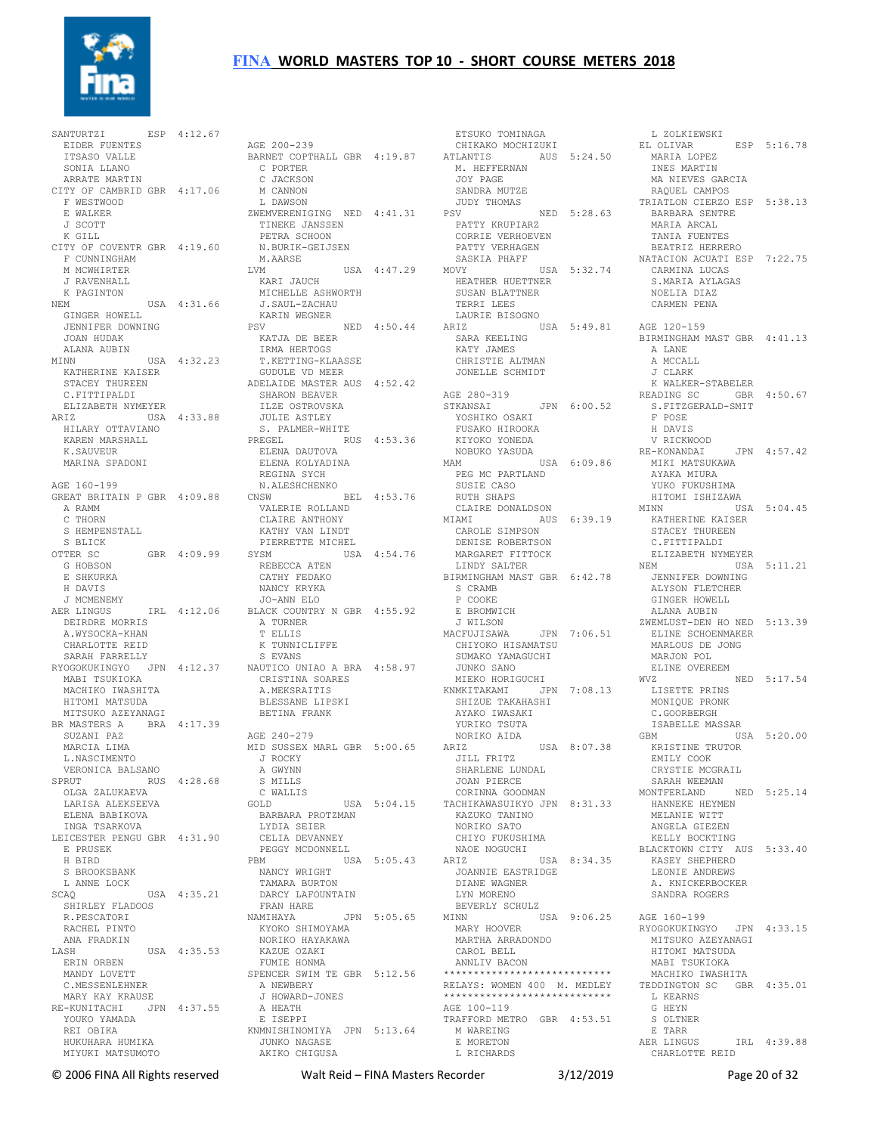

SANTURTZI ESP  $4:12.67$  EIDER FUENTES ITSASO VALLE SONIA LLANO ARRATE MARTIN CITY OF CAMBRID GBR 4:17.06 F WESTWOOD E WALKER J SCOTT K GILL CITY OF COVENTR GBR 4:19.60 F CUNNINGHAM M MCWHIRTER J RAVENHALL K PAGINTON<br>NEM USA 4:31.66 J.:<br>NEM KAI<br>NEM PSV GINGER HOWELL JENNIFER DOWNING JOAN HUDAK ALANA AUBIN MINN USA 4:32.23 IRMA HERTOGS T.KETTING-KLAASSE KATHERINE KAISER STACEY THUREEN C.FITTIPALDI ELIZABETH NYMEYER ARIZ USA 4:33.88 HILARY OTTAVIANO KAREN MARSHALL K.SAUVEUR MARINA SPADONI AGE 160-199 GREAT BRITAIN P GBR 4:09.88 A RAMM C THORN S HEMPENSTALL S BLICK OTTER SC GBR 4:09.99 G HOBSON E SHKURKA H DAVIS J MCMENEMY AER LINGUS IRL 4:12.06 DEIRDRE MORRIS A.WYSOCKA-KHAN CHARLOTTE REID SARAH FARRELLY RYOGOKUKINGYO JPN 4:12.37 NAUTICO UNIAO A BRA 4:58.97 MABI TSUKIOKA MACHIKO IWASHITA HITOMI MATSUDA MITSUKO AZEYANAGI BR MASTERS A BRA 4:17.39 SUZANI PAZ MARCIA LIMA L.NASCIMENTO<br>
VERONICA BALSANO<br>
SPRUT<br>
OLGA ZALUKAEVA<br>
LARISA ALEKSEEVA ELENA BABIKOVA INGA TSARKOVA LEICESTER PENGU GBR 4:31.90 E PRUSEK H BIRD S BROOKSBANK L ANNE LOCK SCAQ USA 4:35.21 DARCY LAFOUNTAIN SHIRLEY FLADOOS R.PESCATORI RACHEL PINTO ANA FRADKIN LASH USA 4:35.53 KAZUE OZAKI FUMIE HONMA ERIN ORBEN MANDY LOVETT C.MESSENLEHNER MARY KAY KRAUSE RE-KUNITACHI JPN 4:37.55 A HEATH<br>YOUKO YAMADA E ISEPPI REI OBIKA HUKUHARA HUMIKA MIYUKI MATSUMOTO

 AGE 200-239 BARNET COPTHALL GBR 4:19.87 C PORTER C JACKSON M CANNON L DAWSON ZWEMVERENIGING NED 4:41.31 TINEKE JANSSEN PETRA SCHOON N.BURIK-GEIJSEN M.AARSE LVM USA 4:47.29 KARI JAUCH MICHELLE ASHWORTH J.SAUL-ZACHAU KARIN WEGNER PSV NED 4:50.44 KATJA DE BEER GUDULE VD MEER ADELAIDE MASTER AUS 4:52.42 SHARON BEAVER ILZE OSTROVSKA<br>
JULIE ASTLEY<br>
S. PALMER-WHITE<br>
PREGEL<br>
ELENA DAUTOVA<br>
ELENA KOLYADINA REGINA SYCH<br>
N.ALESHCHENKO<br>
CNSW BEL 4:53.76<br>
VALERIE ROLLAND CLAIRE ANTHONY MIAMI AUS 6:39.19 KATHY VAN LINDT PIERRETTE MICHEL SYSM USA 4:54.76 REBECCA ATEN MARGARET FITTOCK LINDY SALTER CATHY FEDAKO NANCY KRYKA JO-ANN ELO BLACK COUNTRY N GBR 4:55.92 A TURNER T ELLIS K TUNNICLIFFE S EVANS CRISTINA SOARES A.MEKSRAITIS BLESSANE LIPSKI BETINA FRANK AGE 240-279 MID SUSSEX MARL GBR 5:00.65 J ROCKY A GWYNN S MILLS C WALLIS GOLD USA 5:04.15 TACHIKAWASUIKYO JPN 8:31.33 BARBARA PROTZMAN LYDIA SEIER CELIA DEVANNEY PEGGY MCDONNELL<br>PRM US  $USA$  5:05.43  $ARIZ$  NANCY WRIGHT TAMARA BURTON FRAN HARE NAMIHAYA JPN 5:05.65 NAMIHAYA JPN 5:05.65<br>KYOKO SHIMOYAMA<br>NORIKO HAMAKAMA NORIKO HAYAKAWA SPENCER SWIM TE GBR 5:12.56 A NEWBERY J HOWARD-JONES KNMNISHINOMIYA JPN 5:13.64 M WAREING JUNKO NAGASE AKIKO CHIGUSA

 ETSUKO TOMINAGA CHIKAKO MOCHIZUKI ATLANTIS AUS 5:24.50 M. HEFFERNAN JOY PAGE SANDRA MUTZE<br>JUDY THOMAS JUDY THOMAS PSV NED 5:28.63 PATTY KRUPIARZ CORRIE VERHOEVEN PATTY VERHAGEN SASKIA PHAFF MOVY USA 5:32.74 USA<br>HEATHER HUETTNER<br>CHOAN FILE SUSAN BLATTNER TERRI LEES LAURIE BISOGNO ARIZ USA 5:49.81 SARA KEELING KATY JAMES CHRISTIE ALTMAN JONELLE SCHMIDT AGE 280-319 STKANSAI JPN 6:00.52<br>
YOSHIKO OSAKI<br>
FUSAKO HIROOKA<br>
KIYOKO YONEDA<br>
MOBUKO YASUDA<br>
MAM USA 6:09.86 PEG MC PARTLAND<br>SUSIE CASO<br>RUTH SHAPS<br>CLAIRE DONALDSON CAROLE SIMPSON DENISE ROBERTSON BIRMINGHAM MAST GBR 6:42.78 S CRAMB P COOKE E BROMWICH J WILSON MACFUJISAWA JPN 7:06.51 CHIYOKO HISAMATSU SUMAKO YAMAGUCHI JUNKO SANO MIEKO HORIGUCHI KNMKITAKAMI JPN 7:08.13 SHIZUE TAKAHASHI AYAKO IWASAKI YURIKO TSUTA NORIKO AIDA ARIZ USA 8:07.38 JILL FRITZ SHARLENE LUNDAL JOAN PIERCE CORINNA GOODMAN KAZUKO TANINO NORIKO SATO CHIYO FUKUSHIMA NAOE NOGUCHI ARIZ USA 8:34.35 JOANNIE EASTRIDGE DIANE WAGNER LYN MORENO BEVERLY SCHULZ MINN USA 9:06.25 AGE 160-199 MARY HOOVER MARTHA ARRADONDO<br>MARTHA ARRADONDO CAROL BELL ANNLIV BACON \*\*\*\*\*\*\*\*\*\*\*\*\*\*\*\*\*\*\*\*\*\*\*\*\*\*\*\* RELAYS: WOMEN 400 M. MEDLEY \*\*\*\*\*\*\*\*\*\*\*\*\*\*\*\*\*\*\*\*\*\*\*\*\*\*\*\* AGE 100-119 TRAFFORD METRO GBR 4:53.51 E MORETON L RICHARDS

L ZOLKIEWSKI<br>L OLIVAR ESP 5:16.78 EL OLIVAR ESP 5:16.78 MARIA LOPEZ INES MARTIN MA NIEVES GARCIA RAQUEL CAMPOS TRIATLON CIERZO ESP 5:38.13 BARBARA SENTRE<br>MARIA ARCAL<br>TANIA FUENTES<br>BEATRIZ HERRERO NATACION ACUATI ESP 7:22.75 CARMINA LUCAS S. MARTA AYLAGAS NOELIA DIAZ CARMEN PENA AGE 120-159 BIRMINGHAM MAST GBR 4:41.13 A LANE A MCCALL J CLARK K WALKER-STABELER READING SC GBR 4:50.67 S.FITZGERALD-SMIT F POSE H DAVIS V RICKWOOD RE-KONANDAI JPN 4:57.42 MIKI MATSUKAWA AYAKA MIURA YUKO FUKUSHIMA HITOMI ISHIZAWA<br>INN USA 5:04.45 MINN USA 5:04.45 KATHERINE KAISER STACEY THUREEN C.FITTIPALDI ELIZABETH NYMEYER<br>NEM 11SA  $IISA$  5:11.21 JENNIFER DOWNING ALYSON FLETCHER GINGER HOWELL ALANA AUBIN ZWEMLUST-DEN HO NED 5:13.39 ELINE SCHOENMAKER MARLOUS DE JONG MARJON POL ELINE OVEREEM WVZ NED 5:17.54 LISETTE PRINS MONIQUE PRONK C.GOORBERGH ISABELLE MASSAR GBM USA 5:20.00 KRISTINE TRUTOR EMILY COOK CRYSTIE MCGRAIL SARAH WEEMAN MONTFERLAND NED 5:25.14 HANNEKE HEYMEN MELANIE WITT ANGELA GIEZEN KELLY BOCKTING BLACKTOWN CITY AUS 5:33.40 KASEY SHEPHERD LEONIE ANDREWS A. KNICKERBOCKER SANDRA ROGERS RYOGOKUKINGYO JPN 4:33.15 MITSUKO AZEYANAGI HITOMI MATSUDA MABI TSUKIOKA MACHIKO IWASHITA TEDDINGTON SC GBR 4:35.01 L KEARNS G HEYN S OLTNER E TARR<br>AER LINGUS IRL 4:39.88 CHARLOTTE REID

© 2006 FINA All Rights reserved Walt Reid – FINA Masters Recorder 3/12/2019 Page 20 of 32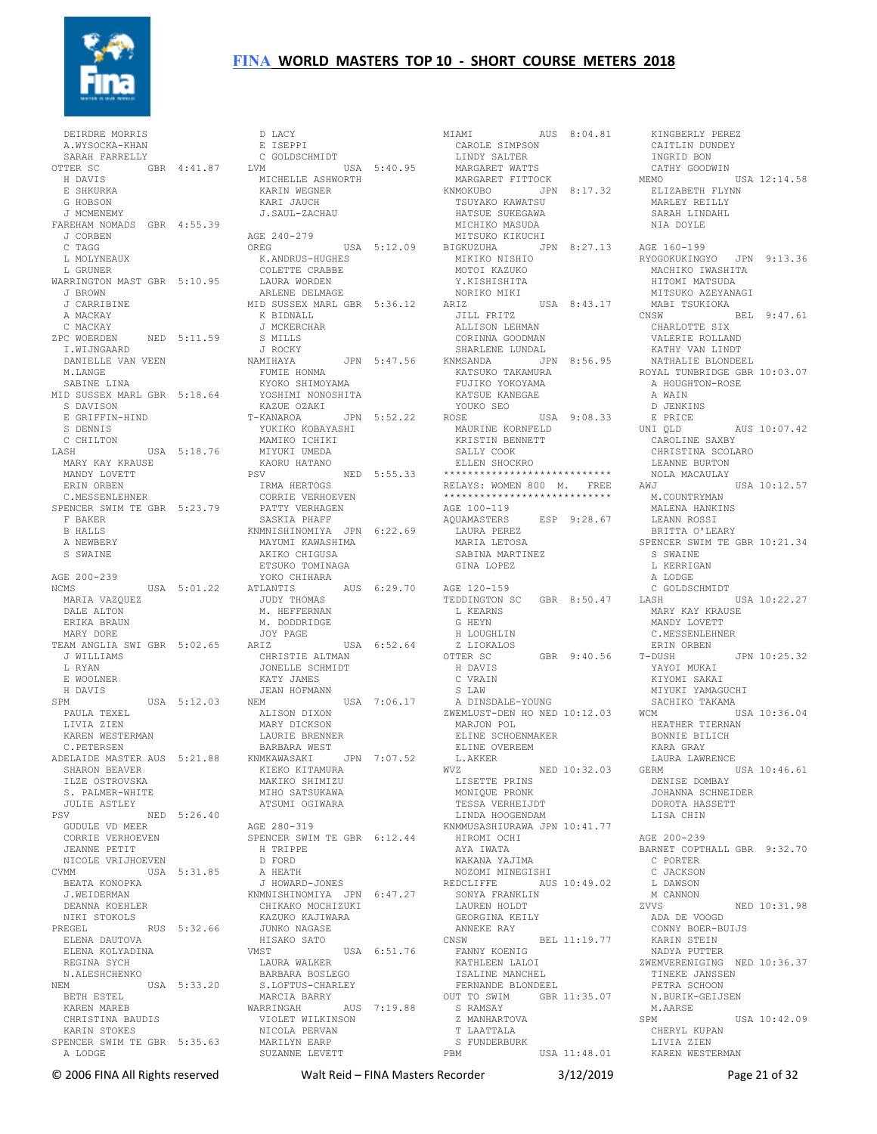

 DEIRDRE MORRIS A.WYSOCKA-KHAN SARAH FARRELLY OTTER SC GBR 4:41.87 H DAVIS E SHKURKA G HOBSON J MCMENEMY FAREHAM NOMADS GBR 4:55.39 J CORBEN C TAGG L MOLYNEAUX L GRUNER WARRINGTON MAST GBR 5:10.95 J BROWN J CARRIBINE A MACKAY C MACKAY ZPC WOERDEN NED 5:11.59 I.WIJNGAARD DANIELLE VAN VEEN M.LANGE SABINE LINA MID SUSSEX MARL GBR 5:18.64 S DAVISON E GRIFFIN-HIND S DENNIS C CHILTON LASH USA 5:18.76 MARY KAY KRAUSE MANDY LOVETT ERIN ORBEN C.MESSENLEHNER SPENCER SWIM TE GBR 5:23.79 F BAKER B HALLS A NEWBERY S SWAINE AGE 200-239 NCMS USA 5:01.22 MARIA VAZQUEZ DALE ALTON ERIKA BRAUN MARY DORE TEAM ANGLIA SWI GBR 5:02.65 J WILLIAMS L RYAN E WOOLNER H DAVIS SPM USA 5:12.03 NEM USA 7:06.17 PAULA TEXEL LIVIA ZIEN KAREN WESTERMAN C.PETERSEN ADELAIDE MASTER AUS 5:21.88 BARBARA WEST KNMKAWASAKI JPN 7:07.52 SHARON BEAVER ILZE OSTROVSKA S. PALMER-WHITE JULIE ASTLEY PSV NED 5:26.40 GUDULE VD MEER CORRIE VERHOEVEN JEANNE PETIT NICOLE VRIJHOEVEN CVMM USA 5:31.85 BEATA KONOPKA J.WEIDERMAN DEANNA KOEHLER NIKI STOKOLS PREGEL RUS 5:32.66 ELENA DAUTOVA ELENA KOLYADINA REGINA SYCH N.ALESHCHENKO NEM USA 5:33.20 S.LOFTUS-CHARLEY MARCIA BARRY BETH ESTEL KAREN MAREB CHRISTINA BAUDIS KARIN STOKES SPENCER SWIM TE GBR 5:35.63 A LODGE USA 5:18.76 MIYUKI UMEDA<br>USE KAORU HATANO NOLISA 5:31.85 A HEATH<br>USA 5:31.85 A HEATH<br>KA J HOWARD-JONES

 D LACY E ISEPPI C GOLDSCHMIDT<br>VM USA 5:40.95 LVM USA 5:40.95 MICHELLE ASHWORTH KARIN WEGNER KARI JAUCH J.SAUL-ZACHAU AGE 240-279 OREG USA 5:12.09 BIGKUZUHA JPN 8:27.13 MIKIKO NISHIO K.ANDRUS-HUGHES COLETTE CRABBE LAURA WORDEN ARLENE DELMAGE MID SUSSEX MARL GBR 5:36.12 K BIDNALL J MCKERCHAR S MILLS J ROCKY<br>NAMIHAYA NAMIHAYA JPN 5:47.56 FUMIE HONMA KYOKO SHIMOYAMA YOSHIMI NONOSHITA KAZUE OZAKI T-KANAROA JPN 5:52.22 YUKIKO KOBAYASHI MAMIKO ICHIKI KAORU HATANO PSV NED 5:55.33 IRMA HERTOGS CORRIE VERHOEVEN PATTY VERHAGEN SASKIA PHAFF KNMNISHINOMIYA JPN 6:22.69 MAYUMI KAWASHIMA AKIKO CHIGUSA ETSUKO TOMINAGA YOKO CHIHARA ATLANTIS AUS 6:29.70 JUDY THOMAS M. HEFFERNAN M. DODDRIDGE JOY PAGE ARIZ USA 6:52.64 CHRISTIE ALTMAN JONELLE SCHMIDT KATY JAMES JEAN HOFMANN ALISON DIXON MARY DICKSON LAURIE BRENNER KIEKO KITAMURA MAKIKO SHIMIZU MIHO SATSUKAWA ATSUMI OGIWARA AGE 280-319 SPENCER SWIM TE GBR 6:12.44 H TRIPPE D FORD J HOWARD-JONES KNMNISHINOMIYA JPN 6:47.27 CHIKAKO MOCHIZUKI KAZUKO KAJIWARA JUNKO NAGASE HISAKO SATO<br>VMST USA 6:51.76 LAURA WALKER BARBARA BOSLEGO WARRINGAH AUS 7:19.88 VIOLET WILKINSON NICOLA PERVAN MARILYN EARP SUZANNE LEVETT

MIAMI AUS 8:04.81 KINGBERLY PEREZ CAROLE SIMPSON LINDY SALTER MARGARET WATTS MARGARET FITTOCK KNMOKUBO JPN 8:17.32 TSUYAKO KAWATSU ELIZABETH FLYNN MARLEY REILLY HATSUE SUKEGAWA MICHIKO MASUDA MITSUKO KIKUCHI MOTOI KAZUKO Y.KISHISHITA NORIKO MIKI ARIZ USA 8:43.17 JILL FRITZ ALLISON LEHMAN CORINNA GOODMAN SHARLENE LUNDAL KNMSANDA JPN 8:56.95 KATSUKO TAKAMURA FUJIKO YOKOYAMA KATSUE KANEGAE YOUKO SEO ROSE USA 9:08.33 MAURINE KORNFELD<br>KRISTIN RENNETT KRISTIN BENNETT SALLY COOK ELLEN SHOCKRO \*\*\*\*\*\*\*\*\*\*\*\*\*\*\*\*\*\*\*\*\*\*\*\*\*\*\*\* RELAYS: WOMEN 800 M. FREE \*\*\*\*\*\*\*\*\*\*\*\*\*\*\*\*\*\*\*\*\*\*\*\*\*\*\*\* AGE 100-119<br>AQUAMASTERS ESP 9:28.67 LAURA PEREZ<br>MARIA LETOSA SABINA MARTINEZ GINA LOPEZ AGE 120-159 TEDDINGTON SC GBR 8:50.47 L KEARNS G HEYN H LOUGHLIN Z LIOKALOS OTTER SC GBR 9:40.56 H DAVIS C VRAIN S LAW A DINSDALE-YOUNG ZWEMLUST-DEN HO NED 10:12.03 MARJON POL<br>ELINE SCHOENMAKER ELINE SCHOENMAKER<br>
ELINE OVEREEM<br>
L.AKKER NED 10:32.03<br>
LISETTE PRINS<br>
MONIQUE PRONK<br>
TESSA VERHEIJDT LINDA HOOGENDAM KNMMUSASHIURAWA JPN 10:41.77 HIROMI OCHI AYA IWATA WAKANA YAJIMA NOZOMI MINEGISHI REDCLIFFE AUS 10:49.02 SONYA FRANKLIN LAUREN HOLDT GEORGINA KEILY ANNEKE RAY CNSW BEL 11:19.77 FANNY KOENIG KATHLEEN LALOI ISALINE MANCHEL FERNANDE BLONDEEL OUT TO SWIM GBR 11:35.07 S RAMSAY Z MANHARTOVA T LAATTALA S FUNDERBURK<br>PBM U USA 11:48.01

 CAITLIN DUNDEY INGRID BON CATHY GOODWIN MEMO USA 12:14.58 SARAH LINDAHL NIA DOYLE AGE 160-199 RYOGOKUKINGYO JPN 9:13.36 MACHIKO IWASHITA HITOMI MATSUDA MITSUKO AZEYANAGI MABI TSUKIOKA CNSW BEL 9:47.61 CHARLOTTE SIX VALERIE ROLLAND KATHY VAN LINDT NATHALIE BLONDEEL ROYAL TUNBRIDGE GBR 10:03.07 A HOUGHTON-ROSE A WAIN D JENKINS E PRICE UNI QLD AUS 10:07.42 CAROLINE SAXBY CHRISTINA SCOLARO LEANNE BURTON NOLA MACAULAY AWJ USA 10:12.57 M.COUNTRYMAN MALENA HANKINS LEANN ROSSI BRITTA O'LEARY SPENCER SWIM TE GBR 10:21.34 S SWAINE L KERRIGAN A LODGE C GOLDSCHMIDT<br>LASH  $IISA 10:22.27$  MARY KAY KRAUSE MANDY LOVETT C.MESSENLEHNER ERIN ORBEN<br>T-DUSH  $JPN 10:25.32$ YAYOT MUKAT KIYOMI SAKAI MIYUKI YAMAGUCHI SACHIKO TAKAMA  $USSA$  10:36.04 ...<br>HEATHER TIERNAN BONNIE BILICH<br>
KARA GRAY<br>
LAURA LAWRENCE<br>
GERM<br>
DENISE DOMBAY<br>
JOHANNA SCHNEIDER<br>
DOROTA HASSETT LISA CHIN AGE 200-239 BARNET COPTHALL GBR 9:32.70 C PORTER C JACKSON L DAWSON M CANNON ZVVS NED 10:31.98 ADA DE VOOGD CONNY BOER-BUIJS KARIN STEIN NADYA PUTTER ZWEMVERENIGING NED 10:36.37 TINEKE JANSSEN PETRA SCHOON N.BURIK-GEIJSEN M.AARSE  $IISA 10:42.09$  CHERYL KUPAN LIVIA ZIEN KAREN WESTERMAN

© 2006 FINA All Rights reserved Walt Reid – FINA Masters Recorder 3/12/2019 Page 21 of 32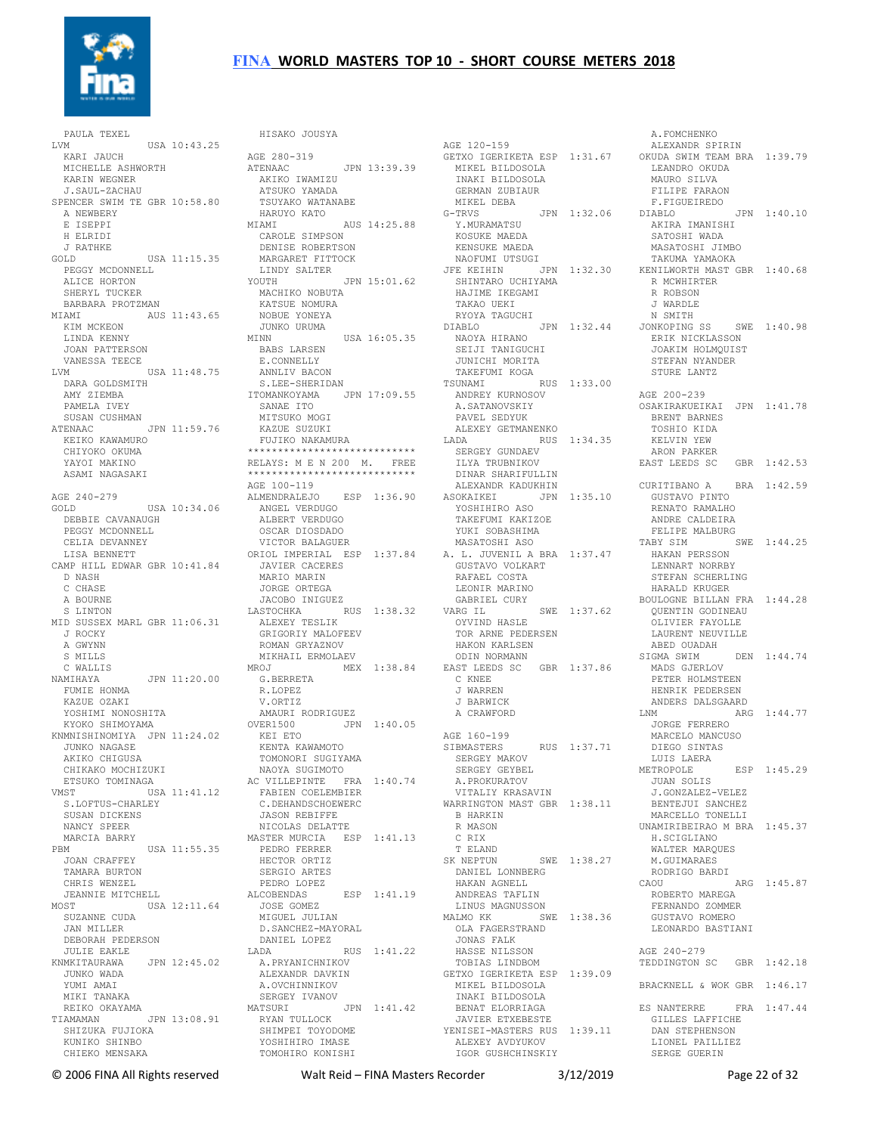

 PAULA TEXEL LVM USA 10:43.25 KARI JAUCH MICHELLE ASHWORTH KARIN WEGNER J.SAUL-ZACHAU SPENCER SWIM TE GBR 10:58 80 A NEWBERY E ISEPPI H ELRIDI J RATHKE GOLD USA 11:15.35 PEGGY MCDONNELL<br>ALICE HORTON<br>SHERYL TUCKER<br>BARBARA PROTZMAN<br>MIAMI AUS 11:43.65 KIM MCKEON LINDA KENNY JOAN PATTERSON VANESSA TEECE LVM USA 11:48.75 ANNLIV BACON DARA GOLDSMITH AMY ZIEMBA PAMELA IVEY SUSAN CUSHMAN ATENAAC JPN 11:59.76 KEIKO KAWAMURO KEIKO KAWAMURO<br>CHIYOKO OKUMA YAYOI MAKINO ASAMI NAGASAKI AGE 240-279 AGE 240-279<br>GOLD USA 10:34.06 DEBBIE CAVANAUGH PEGGY MCDONNELL CELIA DEVANNEY LISA BENNETT CAMP HILL EDWAR GBR 10:41.84 ORIOL IMPERIAL ESP 1:37.84 JAVIER CACERES A. L. JUVENIL A BRA 1:37.47 GUSTAVO VOLKART HAKAN PERSSON LENNART NORRBY D NASH C CHASE A BOURNE S LINTON MID SUSSEX MARL GBR 11:06.31 J ROCKY A GWYNN S MILLS C WALLIS NAMIHAYA JPN 11:20.00 FUMIE HONMA KAZUE OZAKI YOSHIMI NONOSHITA KYOKO SHIMOYAMA KNMNISHINOMIYA JPN 11:24.02 JUNKO NAGASE AKIKO CHIGUSA CHIKAKO MOCHIZUKI<br>ETSUKO TOMINAGA<br>VMST<br>S.LOFTUS-CHARLEY<br>SUSAN DICKENS NANCY SPEER MARCIA BARRY<br>PRM PBM USA 11:55.35 JOAN CRAFFEY PEDRO FERRER HECTOR ORTIZ TAMARA BURTON CHRIS WENZEL JEANNIE MITCHELL MOST USA 12:11.64 ...<br>SUZANNE CUDA JAN MILLER DEBORAH PEDERSON JULIE EAKLE KNMKITAURAWA JPN 12:45.02 JUNKO WADA YUMI AMAI MIKI TANAKA REIKO OKAYAMA TIAMAMAN JPN 13:08.91 SHIZUKA FUJIOKA KUNIKO SHINBO CHIEKO MENSAKA

AGE 280-319<br>ATENAAC ATENAAC JPN 13:39.39 AKIKO IWAMIZU ATSUKO YAMADA TSUYAKO WATANABE HARUYO KATO MIAMI AUS 14:25.88 G-TRVS JPN 1:32.06 Y.MURAMATSU CAROLE SIMPSON DENISE ROBERTSON MARGARET FITTOCK LINDY SALTER MARGARET ...<br>LINDY SALTER<br>-... JPN 15:01.62 MACHIKO NOBUTA KATSUE NOMURA NOBUE YONEYA JUNKO URUMA<br>MINN  $<sub>IISA</sub>$  16:05.35</sub> BABS LARSEN E. CONNELLY S.LEE-SHERIDAN ITOMANKOYAMA JPN 17:09.55 SANAE ITO MITSUKO MOGI KAZUE SUZUKI FUJIKO NAKAMURA \*\*\*\*\*\*\*\*\*\*\*\*\*\*\*\*\*\*\*\*\*\*\*\*\*\*\*\* RELAYS: M E N 200 M. FREE \*\*\*\*\*\*\*\*\*\*\*\*\*\*\*\*\*\*\*\*\*\*\*\*\*\*\*\* AGE 100-119 ALMENDRALEJO ESP 1:36.90 ANGEL VERDUGO ALBERT VERDUGO OSCAR DIOSDADO VICTOR BALAGUER MARIO MARIN JORGE ORTEGA JACOBO INIGUEZ LASTOCHKA RUS 1:38.32 ALEXEY TESLIK GRIGORIY MALOFEEV ROMAN GRYAZNOV MIKHAIL ERMOLAEV<br>MROJ MEX MROJ MEX 1:38.84 EAST LEEDS SC GBR 1:37.86 G.BERRETA R.LOPEZ V.ORTIZ AMAURI RODRIGUEZ OVER1500 JPN 1:40.05 KEI ETO KENTA KAWAMOTO TOMONORI SUGIYAMA NAOYA SUGIMOTO<br>AC VILLEPINTE FRA 1:40.74<br>FABIEN COELEMBIER<br>C.DEHANDSCHOEWERC<br>JASON REBIFFE NICOLAS DELATTE MASTER MURCIA ESP 1:41.13 SERGIO ARTES PEDRO LOPEZ ALCOBENDAS ESP 1:41.19 JOSE GOMEZ MIGUEL JULIAN D.SANCHEZ-MAYORAL DANIEL LOPEZ<br>LADA |<br>A.PRYANICHNIKO LADA RUS 1:41.22 A.PRYANICHNIKOV ALEXANDR DAVKIN GETXO IGERIKETA ESP 1:39.09 A.OVCHINNIKOV SERGEY IVANOV MATSURI JPN 1:41.42 RYAN TULLOCK SHIMPEI TOYODOME JAVIER ETXEBESTE YENISEI-MASTERS RUS 1:39.11 YOSHIHIRO IMASE TOMOHIRO KONISHI

HISAKO JOUSYA

AGE 120-159 MIKEL BILDOSOLA INAKI BILDOSOLA GERMAN ZUBIAUR MIKEL DEBA KOSUKE MAEDA KENSUKE MAEDA NAOFUMI UTSUGI SHINTARO UCHIYAMA HAJIME IKEGAMI TAKAO UEKI RYOYA TAGUCHI DIABLO JPN 1:32.44 NAOYA HIRANO SEIJI TANIGUCHI JUNICHI MORITA TAKEFUMI KOGA TSUNAMI RUS 1:33.00 ANDREY KURNOSOV A.SATANOVSKIY PAVEL SEDYUK ALEXEY GETMANENKO LADA RUS 1:34.35 SERGEY GUNDAEV ILYA TRUBNIKOV DINAR SHARIFULLIN ALEXANDR KADUKHIN ASOKAIKEI JPN 1:35.10 YOSHIHIRO ASO TAKEFUMI KAKIZOE YUKI SOBASHIMA MASATOSHI ASO RAFAEL COSTA LEONIR MARINO GABRIEL CURY VARG IL SWE 1:37.62 OYVIND HASLE TOR ARNE PEDERSEN HAKON KARLSEN ODIN NORMANN C KNEE J WARREN J BARWICK A CRAWFORD AGE 160-199 SIBMASTERS RUS 1:37.71<br>SERGEY MAKOV<br>SERGEY GEYBEL<br>A.PROKURATOV VITALIY KRASAVIN WARRINGTON MAST GBR 1:38.11 B HARKIN R MASON C RIX T ELAND<br>SK NEPTUN SWE 1:38.27 DANIEL LONNBERG HAKAN AGNELL ANDREAS TAFLIN LINUS MAGNUSSON MALMO KK SWE 1:38.36 OLA FAGERSTRAND JONAS FALK HASSE NILSSON TOBIAS LINDBOM MIKEL BILDOSOLA INAKI BILDOSOLA BENAT ELORRIAGA ALEXEY AVDYUKOV IGOR GUSHCHINSKIY

GETXO IGERIKETA ESP 1:31.67 OKUDA SWIM TEAM BRA 1:39.79 JFE KEIHIN JPN 1:32.30 KENILWORTH MAST GBR 1:40.68 A.FOMCHENKO ALEXANDR SPIRIN LEANDRO OKUDA MAURO SILVA FILIPE FARAON F.FIGUEIREDO DIABLO JPN 1:40.10 AKIRA IMANISHI SATOSHI WADA MASATOSHI JIMBO TAKUMA YAMAOKA R MCWHIRTER R ROBSON J WARDLE N SMITH JONKOPING SS SWE 1:40.98 ERIK NICKLASSON JOAKIM HOLMQUIST STEFAN NYANDER STURE LANTZ AGE 200-239 OSAKIRAKUEIKAI JPN 1:41.78 BRENT BARNES TOSHIO KIDA KELVIN YEW ARON PARKER EAST LEEDS SC GBR 1:42.53 CURITIBANO A BRA 1:42.59 GUSTAVO PINTO RENATO RAMALHO ANDRE CALDEIRA FELIPE MALBURG<br>TABY SIM SWE 1:44.25 STEFAN SCHERLING HARALD KRUGER BOULOGNE BILLAN FRA 1:44.28 QUENTIN GODINEAU OLIVIER FAYOLLE LAURENT NEUVILLE ABED OUADAH<br>SIGMA SWIM DEN 1:44.74 MADS GJERLOV PETER HOLMSTEEN HENRIK PEDERSEN ANDERS DALSGAARD LNM ARG 1:44.77 JORGE FERRERO MARCELO MANCUSO DIEGO SINTAS LUIS LAERA METROPOLE ESP 1:45.29 JUAN SOLIS J.GONZALEZ-VELEZ BENTEJUI SANCHEZ MARCELLO TONELLI UNAMIRIBEIRAO M BRA 1:45.37 H.SCIGLIANO WALTER MARQUES M.GUIMARAES RODRIGO BARDI CAOU ARG 1:45.87 ROBERTO MAREGA FERNANDO ZOMMER GUSTAVO ROMERO LEONARDO BASTIANI AGE 240-279 TEDDINGTON SC GBR 1:42.18 BRACKNELL & WOK GBR 1:46.17 ES NANTERRE FRA 1:47.44 GILLES LAFFICHE DAN STEPHENSON LIONEL PAILLIEZ SERGE GUERIN

© 2006 FINA All Rights reserved Walt Reid – FINA Masters Recorder 3/12/2019 Page 22 of 32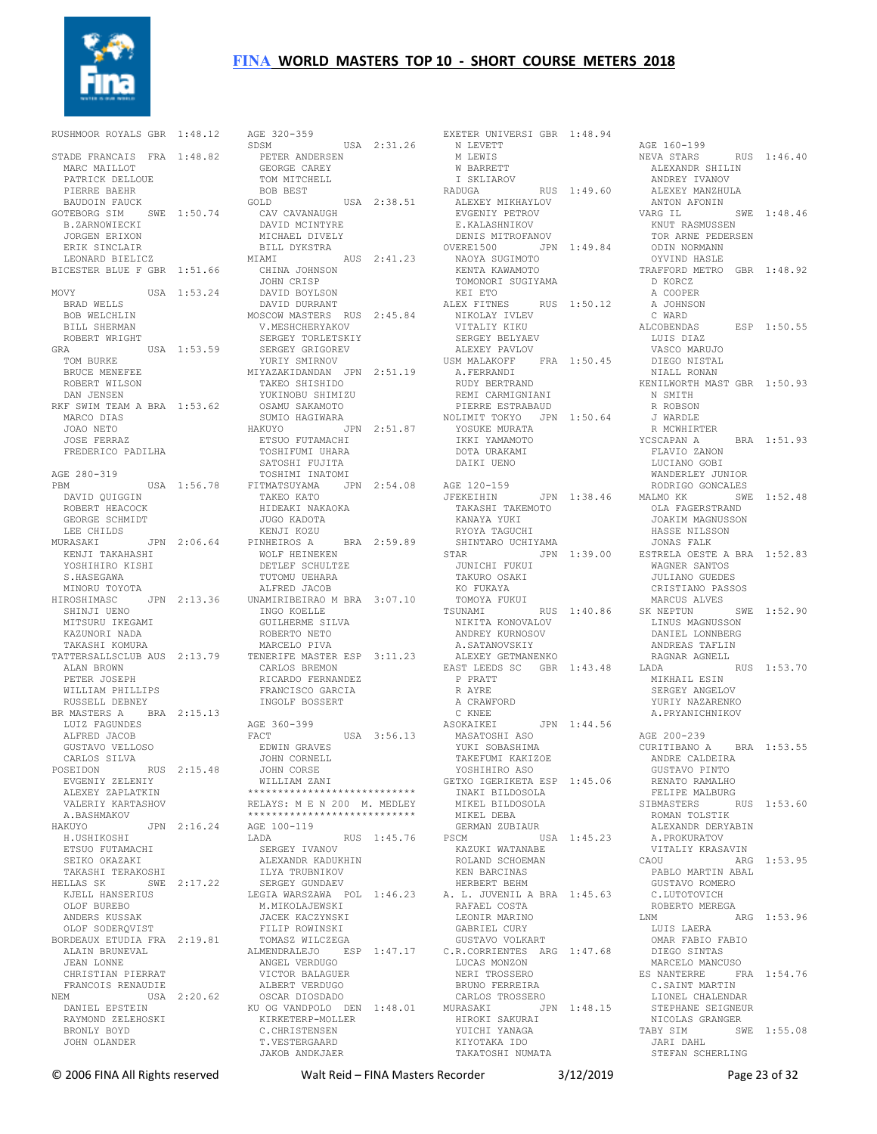

RUSHMOOR ROYALS GBR 1:48.12 STADE FRANCAIS FRA 1:48.82 MARC MAILLOT PATRICK DELLOUE PIERRE BAEHR BAUDOIN FAUCK GOTEBORG SIM SWE 1:50.74 B.ZARNOWIECKI JORGEN ERIXON ERIK SINCLAIR LEONARD BIELICZ BICESTER BLUE F GBR 1:51.66 MOVY USA 1:53.24 BRAD WELLS BOB WELCHLIN BILL SHERMAN ROBERT WRIGHT<br>GRA GRA USA 1:53.59 SERGEY TORLETSKIY SERGEY GRIGOREV YURIY SMIRNOV TOM BURKE BRUCE MENEFEE ROBERT WILSON DAN JENSEN RKF SWIM TEAM A BRA 1:53.62 MARCO DIAS JOAO NETO JOSE FERRAZ FREDERICO PADILHA AGE 280-319 PBM USA 1:56.78 FITMATSUYAMA JPN 2:54.08 TAKEO KATO DAVID QUIGGIN ROBERT HEACOCK HIDEAKI NAKAOKA GEORGE SCHMIDT LEE CHILDS MURASAKI JPN 2:06.64 KENJI KOZU PINHEIROS A BRA 2:59.89 KENJI TAKAHASHI YOSHIHIRO KISHI WOLF HEINEKEN DETLEF SCHULTZE S.HASEGAWA MINORU TOYOTA HIROSHIMASC JPN 2:13.36 SHINJI UENO MITSURU IKEGAMI<br>KASUNGTI KAZUNORI NADA TAKASHI KOMURA TATTERSALLSCLUB AUS 2:13.79 TENERIFE MASTER ESP 3:11.23 ALAN BROWN PETER JOSEPH WILLIAM PHILLIPS RUSSELL DEBNEY BR MASTERS A BRA 2:15.13 LUIZ FAGUNDES AGE 360-399 A PARTICUR<br>LUIZ FAGUNDES<br>ALFRED JACOB GUSTAVO VELLOSO CARLOS SILVA POSEIDON RUS 2:15.48 EVGENIY ZELENIY ALEXEY ZAPLATKIN VALERIY KARTASHOV RELAYS: M E N 200 M. MEDLEY A.BASHMAKOV HAKUYO JPN 2:16.24 H.USHIKOSHI AGE 100-119 ETSUO FUTAMACHI SEIKO OKAZAKI TAKASHI TERAKOSHI HELLAS SK SWE 2:17.22 ILYA TRUBNIKOV SERGEY GUNDAEV KJELL HANSERIUS OLOF BUREBO ANDERS KUSSAK OLOF SODERQVIST BORDEAUX ETUDIA FRA 2:19.81 ALAIN BRUNEVAL JEAN LONNE CHRISTIAN PIERRAT FRANCOIS RENAUDIE NEM USA 2:20.62 DANIEL EPSTEIN RAYMOND ZELEHOSKI BRONLY BOYD JOHN OLANDER

AGE 320-359 SDSM USA 2:31.26 PETER ANDERSEN GEORGE CAREY TOM MITCHELL BOB BEST GOLD USA 2:38.51 ALEXEY MIKHAYLOV CAV CAVANAUGH DAVID MCINTYRE MICHAEL DIVELY BILL DYKSTRA<br>MIAMI MIAMI AUS 2:41.23 NAOYA SUGIMOTO CHINA JOHNSON JOHN CRISP<br>DAVID BOYLSON DAVID BOYLSON DAVID DURRANT MOSCOW MASTERS RUS 2:45.84 V.MESHCHERYAKOV MIYAZAKIDANDAN JPN 2:51.19 TAKEO SHISHIDO A.FERRANDI RUDY BERTRAND YUKINOBU SHIMIZU OSAMU SAKAMOTO SUMIO HAGIWARA HAKUYO JPN 2:51.87 ETSUO FUTAMACHI HINGIO<br>ETSUO FUTAMACHI<br>TOSHIFUMI UHARA SATOSHI FUJITA TOSHIMI INATOMI JUGO KADOTA TUTOMU UEHARA ALFRED JACOB UNAMIRIBEIRAO M BRA 3:07.10 INGO KOELLE SIUTING CONSUMING SILVA SIUTING SILVA SIMPLES<br>GUILHERME SILVA<br>DOSTING SILVA ROBERTO NETO MARCELO PIVA CARLOS BREMON ALANDO DREMON<br>RICARDO FERNANDEZ<br>ERANGE FRANCISCO GARCIA INGOLF BOSSERT FACT USA 3:56.13 ASOKAIKEI JPN 1:44.56 MASATOSHI ASO EDWIN GRAVES JOHN CORNELL JOHN CORSE WILLIAM ZANI \*\*\*\*\*\*\*\*\*\*\*\*\*\*\*\*\*\*\*\*\*\*\*\*\*\*\*\* \*\*\*\*\*\*\*\*\*\*\*\*\*\*\*\*\*\*\*\*\*\*\*\*\*\*\*\* LADA RUS 1:45.76 SERGEY IVANOV ALEXANDR KADUKHIN LEGIA WARSZAWA POL 1:46.23 A. L. JUVENIL A BRA 1:45.63 C.LUTOTOVICH M.MIKOLAJEWSKI JACEK KACZYNSKI FILIP ROWINSKI TOMASZ WILCZEGA ALMENDRALEJO ESP 1:47.17 ANGEL VERDUGO VICTOR BALAGUER VICION DADAGODIN<br>ALBERT VERDUGO<br>OSCAR DIOSDADO OSCAR DIOSDADO KU OG VANDPOLO DEN 1:48.01 KIRKETERP-MOLLER MURASAKI JPN 1:48.15 HIROKI SAKURAI CU UG VANDIVIV<br>KIRKETERP-MOLLER<br>C.CHRISTENSEN T.VESTERGAARD JAKOB ANDKJAER

EXETER UNIVERSI GBR 1:48.94 N LEVETT M LEWIS W BARRETT I SKLIAROV RADUGA RUS 1:49.60 EVGENIY PETROV E.KALASHNIKOV DENIS MITROFANOV OVERE1500 JPN 1:49.84 TOR ARNE PEDERSEN ODIN NORMANN KENTA KAWAMOTO TOMONORI SUGIYAMA KEI ETO ALEX FITNES RUS 1:50.12 NIKOLAY IVLEV VITALIY KIKU C WARD VITALIY KIKU<br>SERGEY BELYAEV<br>----- ----- ^\*\* ALEXEY PAVLOV USM MALAKOFF FRA 1:50.45 DIEGO NISTAL REMI CARMIGNIANI PIERRE ESTRABAUD NOLIMIT TOKYO JPN 1:50.64 YOSUKE MURATA IKKI YAMAMOTO DOTA URAKAMI DAIKI UENO AGE 120-159 JFEKEIHIN JPN 1:38.46 RODRIGO GONCALES MALMO KK SWE 1:52.48 TAKASHI TAKEMOTO KANAYA YUKI RYOYA TAGUCHI SHINTARO UCHIYAMA STAR JPN 1:39.00 JUNICHI FUKUI ESTRELA OESTE A BRA 1:52.83 WAGNER SANTOS TAKURO OSAKI KO FUKAYA TOMOYA FUKUI TSUNAMI RUS 1:40.86 NIKITA KONOVALOV ANDREY KURNOSOV A.SATANOVSKIY ALEXEY GETMANENKO EAST LEEDS SC GBR 1:43.48 LADA P PRATT R AYRE A CRAWFORD C KNEE<br>ASOKAIKEI YUKI SOBASHIMA TAKEFUMI KAKIZOE YOSHIHIRO ASO GETXO IGERIKETA ESP 1:45.06 INAKI BILDOSOLA MIKEL BILDOSOLA MIKEL DEBA GERMAN ZUBIAUR PSCM USA 1:45.23 KAZUKI WATANABE ROLAND SCHOEMAN KEN BARCINAS HERBERT BEHM RAFAEL COSTA LEONIR MARINO GABRIEL CURY GUSTAVO VOLKART C.R.CORRIENTES ARG 1:47.68 LUCAS MONZON NERI TROSSERO BRUNO FERREIRA CARLOS TROSSERO HIROKI SAKURAI<br>HIROKI SAKURAI<br>YUICHI YANAGA KIYOTAKA IDO TAKATOSHI NUMATA

AGE 160-199 NEVA STARS RUS 1:46.40 ALEXANDR SHILIN ANDREY IVANOV . .<br>ALEXEY MANZHULA<br>ANTON AFONIN ANTITUDE ANTITION AFTER A STRIP AND THE RAS VARG IL SWE 1:48.46 KNUT RASMUSSEN OYVIND HASLE TRAFFORD METRO GBR 1:48.92 D KORCZ A COOPER A JOHNSON  $ESP = 1:50.55$  LUIS DIAZ VASCO MARUJO NIALL RONAN KENILWORTH MAST GBR 1:50.93 N SMITH R ROBSON J WARDLE R MCWHIRTER<br>YCSCAPAN A BRA 1:51.93 FLAVIO ZANON LUCIANO GOBI WANDERLEY JUNIOR<br>RODRIGO GONCALES OLA FAGERSTRAND<br>TOATER JOAKIM MAGNUSSON HASSE NILSSON JONAS FALK JULIANO GUEDES CRISTIANO PASSOS MARCUS ALVES SK NEPTUN SWE 1:52.90 LINUS MAGNUSSON DANIEL LONNBERG ANDREAS TAFLIN RAGNAR AGNELL LADA RUS 1:53.70 MIKHAIL ESIN SERGEY ANGELOV YURIY NAZARENKO A.PRYANICHNIKOV AGE 200-239 CURITIBANO A BRA 1:53.55 ANDRE CALDEIRA GUSTAVO PINTO RENATO RAMALHO FELIPE MALBURG RUS 1:53.60 ROMAN TOLSTIK ALEXANDR DERYABIN A.PROKURATOV VITALIY KRASAVIN<br>CAOU ARG 1:53.95 PABLO MARTIN ABAL GUSTAVO ROMERO ROBERTO MEREGA ARG 1:53.96 LUIS LAERA OMAR FABIO FABIO DIEGO SINTAS MARCELO MANCUSO ES NANTERRE FRA 1:54.76 C.SAINT MARTIN LIONEL CHALENDAR STEPHANE SEIGNEUR NICOLAS GRANGER TABY SIM SWE 1:55.08 JARI DAHL STEFAN SCHERLING

© 2006 FINA All Rights reserved Walt Reid – FINA Masters Recorder 3/12/2019 Page 23 of 32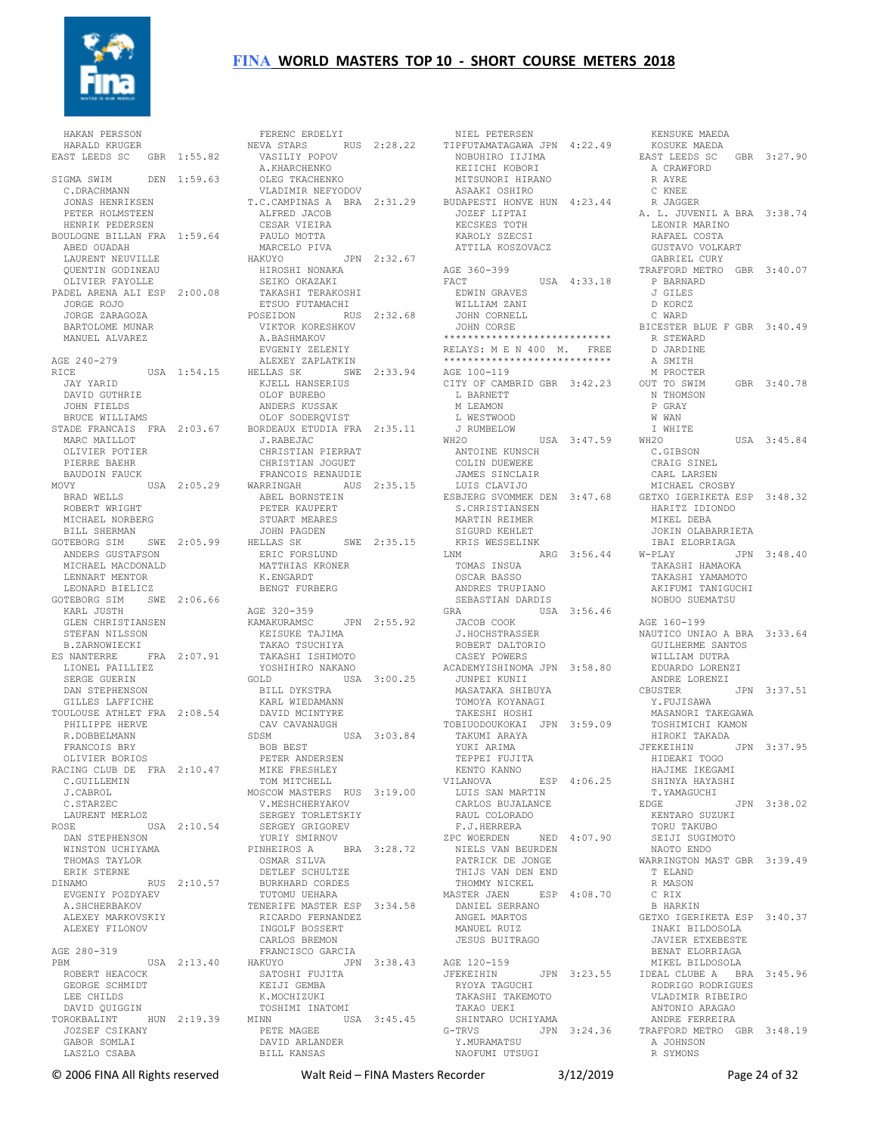

 HAKAN PERSSON HARALD KRUGER EAST LEEDS SC GBR 1:55.82 SIGMA SWIM DEN 1:59.63 C.DRACHMANN JONAS HENRIKSEN PETER HOLMSTEEN HENRIK PEDERSEN BOULOGNE BILLAN FRA 1:59.64 ABED OUADAH LAURENT NEUVILLE QUENTIN GODINEAU OLIVIER FAYOLLE PADEL ARENA ALI ESP 2:00.08 JORGE ROJO JORGE ZARAGOZA BARTOLOME MUNAR MANUEL ALVAREZ AGE 240-279 JAY YARID DAVID GUTHRIE JOHN FIELDS BRUCE WILLIAMS STADE FRANCAIS FRA 2:03.67 BORDEAUX ETUDIA FRA 2:35.11 MARC MAILLOT OLIVIER POTIER PIERRE BAEHR BAUDOIN FAUCK<br>MOVY BRAD WELLS ROBERT WRIGHT MICHAEL NORBERG BILL SHERMAN GOTEBORG SIM SWE 2:05.99 HELLAS SK ANDERS GUSTAFSON MICHAEL MACDONALD LENNART MENTOR LEONARD BIELICZ GOTEBORG SIM SWE 2:06.66 KARL JUSTH KARL JUSTH<br>GLEN CHRISTIANSEN GLEN CHRISTIANSEN<br>STEFAN NILSSON B.ZARNOWIECKI ES NANTERRE FRA 2:07.91 TAKAO TSUCHIYA TAKASHI ISHIMOTO YOSHIHIRO NAKANO LIONEL PAILLIEZ SERGE GUERIN DAN STEPHENSON GILLES LAFFICHE TOULOUSE ATHLET FRA 2:08.54 PHILIPPE HERVE DAVID MCINTYRE CAV CAVANAUGH R.DOBBELMANN FRANCOIS BRY OLIVIER BORIOS RACING CLUB DE FRA 2:10.47 MIKE FRESHLEY C.GUILLEMIN J.CABROL C.STARZEC LAURENT MERLOZ ROSE USA 2:10.54 SERGEY GRIGOREV DAN STEPHENSON WINSTON UCHIYAMA THOMAS TAYLOR ERIK STERNE DINAMO RUS 2:10.57 DETLEF SCHULTZE BURKHARD CORDES EVGENIY POZDYAEV A.SHCHERBAKOV ALEXEY MARKOVSKIY ALEXEY FILONOV AGE 280-319 PBM USA 2:13.40 HAKUYO ROBERT HEACOCK GEORGE SCHMIDT LEE CHILDS DAVID QUIGGIN TOROKBALINT HUN 2:19.39 JOZSEF CSIKANY GABOR SOMLAT LASZLO CSABA

RICE USA 1:54.15 HELLAS SK SWE 2:33.94 AGE 100-119 MOVY USA 2:05.29 WARRINGAH AUS 2:35.15 ABEL BORNSTEIN LUIS CLAVIJO ESBJERG SVOMMEK DEN 3:47.68 MICHAEL CROSBY GETXO IGERIKETA ESP 3:48.32 FERENC ERDELYI NEVA STARS RUS 2:28.22 VASILIY POPOV A.KHARCHENKO OLEG TKACHENKO VLADIMIR NEFYODOV T.C.CAMPINAS A BRA 2:31.29 BUDAPESTI HONVE HUN 4:23.44 ALFRED JACOB CESAR VIEIRA PAULO MOTTA MARCELO PIVA HAKUYO JPN 2:32.67 HIROSHI NONAKA SEIKO OKAZAKI TAKASHI TERAKOSHI ETSUO FUTAMACHI POSEIDON RUS 2:32.68 VIKTOR KORESHKOV A.BASHMAKOV EVGENIY ZELENIY ALEXEY ZAPLATKIN KJELL HANSERIUS<br>KJELL HANSERIUS<br>OLOF BUPPPO OLOF BUREBO ANDERS KUSSAK OLOF SODERQVIST J.RABEJAC CHRISTIAN PIERRAT CHRISTIAN JOGUET FRANCOIS RENAUDIE PETER KAUPERT STUART MEARES JOHN PAGDEN HELLAS SK SWE 2:35.15 ERIC FORSLUND MATTHIAS KRONER K.ENGARDT BENGT FURBERG AGE 320-359 KAMAKURAMSC JPN 2:55.92 KEISUKE TAJIMA GOLD USA 3:00.25 BILL DYKSTRA KARL WIEDAMANN SDSM USA 3:03.84 BOB BEST PETER ANDERSEN TOM MITCHELL MOSCOW MASTERS RUS 3:19.00 V.MESHCHERYAKOV V.MESHCHERYAKOV<br>SERGEY TORLETSKIY YURIY SMIRNOV PINHEIROS A BRA 3:28.72 OSMAR SILVA NIELS VAN BEURDEN PATRICK DE JONGE THIJS VAN DEN END TUTOMU UEHARA TENERIFE MASTER ESP 3:34.58 RICARDO FERNANDEZ INGOLF BOSSERT<br>CARLOS BREMON CARLOS BREMON FRANCISCO GARCIA HAKUYO JPN 3:38.43 SATOSHI FUJITA<br>KEIJI GEMBA<br>K.MOCHIZUKI<br>TOSHIMI INATOMI MINN USA 3:45.45 PETE MAGEE PETE MAGEE<br>DAVID ARLANDER BILL KANSAS

 NIEL PETERSEN TIPFUTAMATAGAWA JPN 4:22.49 NOBUHIRO IIJIMA KEIICHI KOBORI MITSUNORI HIRANO ASAAKI OSHIRO JOZEF LIPTAI KECSKES TOTH KAROLY SZECSI ATTILA KOSZOVACZ AGE 360-399 FACT USA 4:33.18 EDWIN GRAVES WILLIAM ZANI JOHN CORNELL JOHN CORSE \*\*\*\*\*\*\*\*\*\*\*\*\*\*\*\*\*\*\*\*\*\*\*\*\*\*\*\* RELAYS: M E N 400 M. FREE \*\*\*\*\*\*\*\*\*\*\*\*\*\*\*\*\*\*\*\*\*\*\*\*\*\*\*\* CITY OF CAMBRID GBR 3:42.23 L BARNETT M LEAMON L WESTWOOD J RUMBELOW<br>WH2O USA 3:47.59 ANTOINE KUNSCH COLIN DUEWEKE JAMES SINCLAIR S.CHRISTIANSEN MARTIN REIMER SIGURD KEHLET KRIS WESSELINK LNM ARG 3:56.44 TOMAS INSUA W-PLAY JPN 3:48.40 TAKASHI HAMAOKA OSCAR BASSO ANDRES TRUPIANO SEBASTIAN DARDIS GRA USA 3:56.46 JACOB COOK J.HOCHSTRASSER ROBERT DALTORIO CASEY POWERS ACADEMYISHINOMA JPN 3:58.80 EDUARDO<br>JUNPEI KUNII – ANDRE J<br>MASATAKA SHIBUYA – CBUSTER<br>WATITA JUNPEI KUNII MASATAKA SHIBUYA TOMOYA KOYANAGI TAKESHI HOSHI TOBIUODOUKOKAI JPN 3:59.09 TAKUMI ARAYA YUKI ARIMA TEPPEI FUJITA KENTO KANNO<br>KENTO KANNO ESP 4:06.25 VILANOVA ESP 4:06.25 LUIS SAN MARTIN CARLOS BUJALANCE RAUL COLORADO F.J.HERRERA ZPC WOERDEN NED 4:07.90 THOMMY NICKEL MASTER JAEN ESP 4:08.70 DANIEL SERRANO ANGEL MARTOS MANUEL RUIZ JESUS BUITRAGO AGE 120-159 JFEKEIHIN JPN 3:23.55 IDEAL CLUBE A BRA 3:45.96 RYOYA TAGUCHI TAKASHI TAKEMOTO TAKAO UEKI SHINTARO UCHIYAMA G-TRVS JPN 3:24.36 Y.MURAMATSU TRAFFORD METRO GBR 3:48.19 NAOFUMI UTSUGI

 KENSUKE MAEDA KOSUKE MAEDA EAST LEEDS SC GBR 3:27.90 A CRAWFORD R AYRE C KNEE R JAGGER A. L. JUVENIL A BRA 3:38.74 LEONIR MARINO RAFAEL COSTA GUSTAVO VOLKART GABRIEL CURY TRAFFORD METRO GBR 3:40.07 P BARNARD J GILES D KORCZ C WARD BICESTER BLUE F GBR 3:40.49 R STEWARD<br>R STEWARD D JARDINE A SMITH M PROCTER<br>OUT TO SWIM  $GBR$  3:40.78 N THOMSON P GRAY W WAN I WHITE WH2O USA 3:45.84 C.GIBSON CRAIG SINEL CARL LARSEN HARITZ IDIONDO MIKEL DEBA JOKIN OLABARRIETA IBAI ELORRIAGA TAKASHI YAMAMOTO AKIFUMI TANIGUCHI NOBUO SUEMATSU AGE 160-199 NAUTICO UNIAO A BRA 3:33.64 GUILHERME SANTOS WILLIAM DUTRA EDUARDO LORENZI ANDRE LORENZI CBUSTER JPN 3:37.51 Y.FUJISAWA MASANORI TAKEGAWA TOSHIMICHI KAMON HIROKI TAKADA JFEKEIHIN JPN 3:37.95 HIDEAKI TOGO HAJIME IKEGAMI SHINYA HAYASHI T.YAMAGUCHI  $FPM 3.38.02$  KENTARO SUZUKI TORU TAKUBO SEIJI SUGIMOTO NAOTO ENDO WARRINGTON MAST GBR 3:39.49 T ELAND R MASON C RIX B HARKIN GETXO IGERIKETA ESP 3:40.37 INAKI BILDOSOLA JAVIER ETXEBESTE BENAT ELORRIAGA MIKEL BILDOSOLA RODRIGO RODRIGUES VLADIMIR RIBEIRO ANTONIO ARAGAO ANDRE FERREIRA A JOHNSON R SYMONS

© 2006 FINA All Rights reserved Walt Reid – FINA Masters Recorder 3/12/2019 Page 24 of 32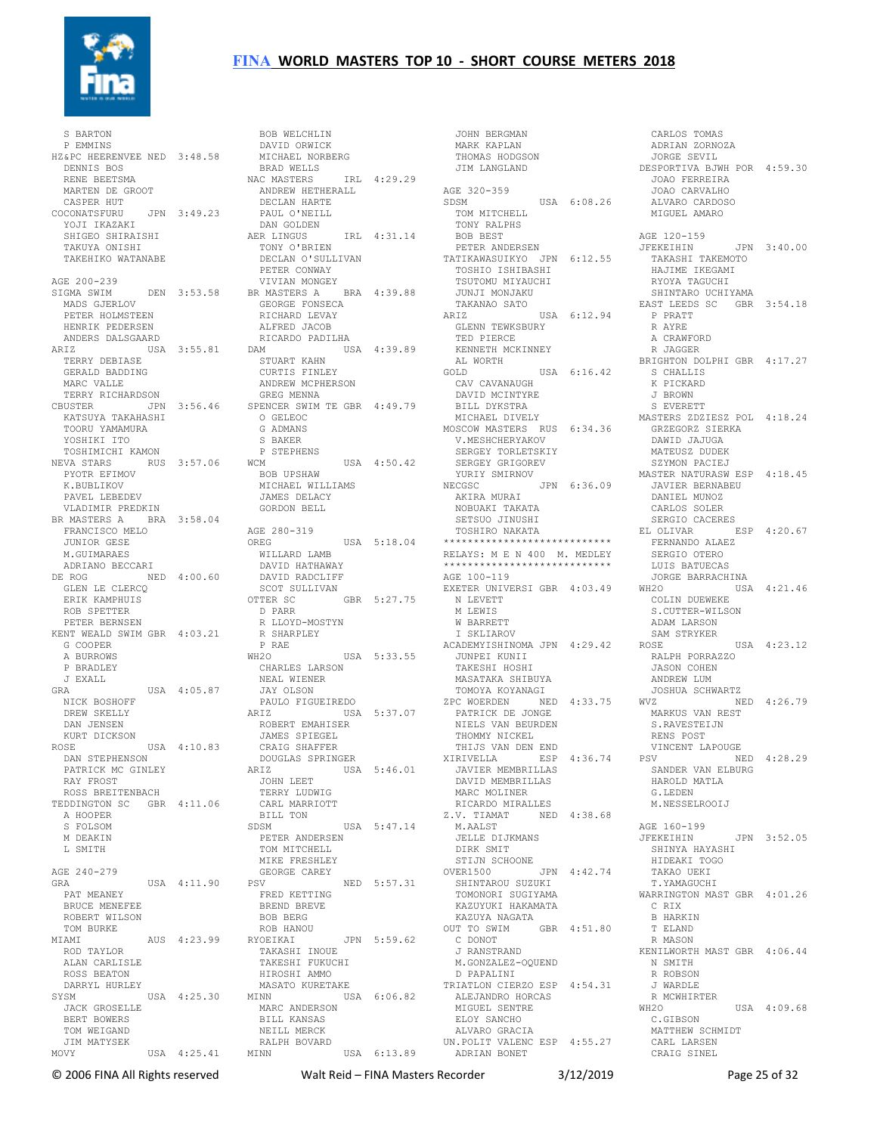

 S BARTON P EMMINS HZ&PC HEERENVEE NED 3:48.58 DENNIS BOS RENE BEETSMA MARTEN DE GROOT CASPER HUT COCONATSFURU JPN 3:49.23<br>YOJI IKAZAKI<br>SHIGEO SHIRAISHI<br>TAKUYA ONISHI<br>TAKEHIKO WATANABE AGE 200-239 SIGMA SWIM DEN 3:53.58 MADS GJERLOV PETER HOLMSTEEN HENRIK PEDERSEN ANDERS DALSGAARD ARIZ USA 3:55.81 DAM TERRY DEBIASE GERALD BADDING MARC VALLE TERRY RICHARDSON KATSUYA TAKAHASHI TOORU YAMAMURA YOSHIKI ITO TOSHIMICHI KAMON NEVA STARS RUS 3:57.06 PYOTR EFIMOV K.BUBLIKOV PAVEL LEBEDEV VLADIMIR PREDKIN BR MASTERS A BRA 3:58.04 FRANCISCO MELO JUNIOR GESE M.GUIMARAES ADRIANO BECCARI DE ROG NED 4:00.60 GLEN LE CLERCQ ROB SPETTER PETER BERNSEN KENT WEALD SWIM GBR 4:03.21 G COOPER A BURROWS P BRADLEY J EXALL GRA USA 4:05.87 NICK BOSHOFF DREW SKELLY DAN JENSEN KURT DICKSON ROSE USA 4:10.83 DAN STEPHENSON PATRICK MC GINLEY RAY FROST ROSS BREITENBACH TEDDINGTON SC GBR 4:11.06 A HOOPER S FOLSOM M DEAKIN L SMITH AGE 240-279 GRA USA 4:11.90 PAT MEANEY BRUCE MENEFEE ROBERT WILSON TOM BURKE MIAMI AUS 4:23.99 ROD TAYLOR ALAN CARLISLE ROSS BEATON DARRYL HURLEY SYSM USA 4:25.30 JACK GROSELLE BERT BOWERS TOM WEIGAND JIM MATYSEK

CBUSTER JPN 3:56.46 SPENCER SWIM TE GBR 4:49.79 ERIK KAMPHUIS OTTER SC GBR 5:27.75 MOVY USA 4:25.41 MINN USA 6:13.89 BOB WELCHLIN DAVID ORWICK MICHAEL NORBERG BRAD WELLS NAC MASTERS IRL 4:29.29 ANDREW HETHERALL DECLAN HARTE PAUL O'NEILL<br>
DAN GOLDEN<br>
AER LINGUS IRL 4:31.14<br>
TONY O'BRIEN<br>
DECLAN O'SULLIVAN PETER CONWAY VIVIAN MONGEY BR MASTERS A BRA 4:39.88 GEORGE FONSECA RICHARD LEVAY ALFRED JACOB RICARDO PADILHA DAM USA 4:39.89 STUART KAHN CURTIS FINLEY ANDREW MCPHERSON GREG MENNA O GELEOC G ADMANS S BAKER P STEPHENS WCM USA 4:50.42 BOB UPSHAW MICHAEL WILLIAMS JAMES DELACY GORDON BELL AGE 280-319<br>OREG OREG USA 5:18.04 WILLARD LAMB DAVID HATHAWAY DAVID RADCLIFF SCOT SULLIVAN D PARR R LLOYD-MOSTYN R SHARPLEY P RAE WH2O USA 5:33.55 TO USA<br>CHARLES LARSON NEAL WIENER JAY OLSON PAULO FIGUEIREDO ARIZ USA 5:37.07 ROBERT EMAHISER JAMES SPIEGEL CRAIG SHAFFER DOUGLAS SPRINGER<br>ARIZ USA ARIZ USA 5:46.01 JOHN LEET TERRY LUDWIG CARL MARRIOTT BILL TON SDSM USA 5:47.14 PETER ANDERSEN TOM MITCHELL MIKE FRESHLEY GEORGE CAREY<br>PSV NED 5:57.31 FRED KETTING BREND BREVE BOB BERG ROB HANOU RYOEIKAI JPN 5:59.62 TAKASHI INOUE TAKESHI FUKUCHI HIROSHI AMMO MASATO KURETAKE<br>MINN USA USA 6:06.82 MARC ANDERSON BILL KANSAS NEILL MERCK RALPH BOVARD

 JOHN BERGMAN MARK KAPLAN THOMAS HODGSON JIM LANGLAND AGE 320-359 SDSM USA 6:08.26 TOM MITCHELL TONY RALPHS BOB BEST PETER ANDERSEN TATIKAWASUIKYO JPN 6:12.55 TOSHIO ISHIBASHI TSUTOMU MIYAUCHI JUNJI MONJAKU TAKANAO SATO ARIZ USA 6:12.94 GLENN TEWKSBURY TED PIERCE KENNETH MCKINNEY AL WORTH GOLD USA 6:16.42 S CHALLIS K PICKARD US<br>CAV CAVANAUGH<br>DAMAT DAVID MCINTYRE BILL DYKSTRA MICHAEL DIVELY MOSCOW MASTERS RUS 6:34.36 V.MESHCHERYAKOV SERGEY TORLETSKIY SERGEY GRIGOREV YURIY SMIRNOV<br>NECGSC NECGSC JPN 6:36.09 AKIRA MURAI JAVIER BERNABEU DANIEL MUNOZ NOBUAKI TAKATA SETSUO JINUSHI TOSHIRO NAKATA \*\*\*\*\*\*\*\*\*\*\*\*\*\*\*\*\*\*\*\*\*\*\*\*\*\*\*\* RELAYS: M E N 400 M. MEDLEY \*\*\*\*\*\*\*\*\*\*\*\*\*\*\*\*\*\*\*\*\*\*\*\*\*\*\*\* AGE 100-119 EXETER UNIVERSI GBR 4:03.49 N LEVETT M LEWIS W BARRETT I SKLIAROV ACADEMYISHINOMA JPN 4:29.42 JUNPEI KUNII TAKESHI HOSHI MASATAKA SHIBUYA TOMOYA KOYANAGI ZPC WOERDEN NED 4:33.75 PATRICK DE JONGE NIELS VAN BEURDEN THOMMY NICKEL THIJS VAN DEN END XIRIVELLA ESP 4:36.74 JAVIER MEMBRILLAS DAVID MEMBRILLAS MARC MOLINER RICARDO MIRALLES Z.V. TIAMAT NED 4:38.68 M.AALST JELLE DIJKMANS DIRK SMIT STIJN SCHOONE OVER1500 JPN 4:42.74 SHINTAROU SUZUKI TOMONORI SUGIYAMA KAZUYUKI HAKAMATA KAZUYA NAGATA OUT TO SWIM GBR 4:51.80 C DONOT J RANSTRAND M.GONZALEZ-OQUEND D PAPALINI TRIATLON CIERZO ESP 4:54.31 ALEJANDRO HORCAS MIGUEL SENTRE ELOY SANCHO ALVARO GRACIA UN.POLIT VALENC ESP 4:55.27 ADRIAN BONET

 CARLOS TOMAS ADRIAN ZORNOZA JORGE SEVIL DESPORTIVA BJWH POR 4:59.30 JOAO FERREIRA JOAO CARVALHO ALVARO CARDOSO MIGUEL AMARO AGE 120-159 JFEKEIHIN JPN 3:40.00 TAKASHI TAKEMOTO HAJIME IKEGAMI RYOYA TAGUCHI SHINTARO UCHIYAMA EAST LEEDS SC GBR 3:54.18 P PRATT R AYRE A CRAWFORD R JAGGER BRIGHTON DOLPHI GBR 4:17.27 J BROWN S EVERETT MASTERS ZDZIESZ POL 4:18.24 GRZEGORZ SIERKA DAWID JAJUGA MATEUSZ DUDEK SZYMON PACIEJ MASTER NATURASW ESP 4:18.45 CARLOS SOLER SERGIO CACERES EL OLIVAR ESP 4:20.67 FERNANDO ALAEZ SERGIO OTERO LUIS BATUECAS JORGE BARRACHINA<br>WH2O USA 4:21.46<br>COLIN DUEWEKE<br>S.CUTTER-WILSON ADAM LARSON SAM STRYKER<br>ROSE  $HSA \quad 4:23.12$  RALPH PORRAZZO JASON COHEN ANDREW LUM JOSHUA SCHWARTZ WVZ NED 4:26.79 MARKUS VAN REST S.RAVESTEIJN RENS POST VINCENT LAPOUGE PSV NED 4:28.29 SANDER VAN ELBURG HAROLD MATLA G.LEDEN M.NESSELROOIJ AGE 160-199<br>JFEKEIHIN JPN 3:52.05 SHINYA HAYASHI HIDEAKI TOGO TAKAO UEKI T.YAMAGUCHI WARRINGTON MAST GBR 4:01.26 C RIX B HARKIN T ELAND R MASON KENILWORTH MAST GBR 4:06.44 N SMITH R ROBSON J WARDLE R MCWHIRTER WH2O USA 4:09.68 C.GIBSON MATTHEW SCHMIDT CARL LARSEN CRAIG SINEL

© 2006 FINA All Rights reserved Walt Reid – FINA Masters Recorder 3/12/2019 Page 25 of 32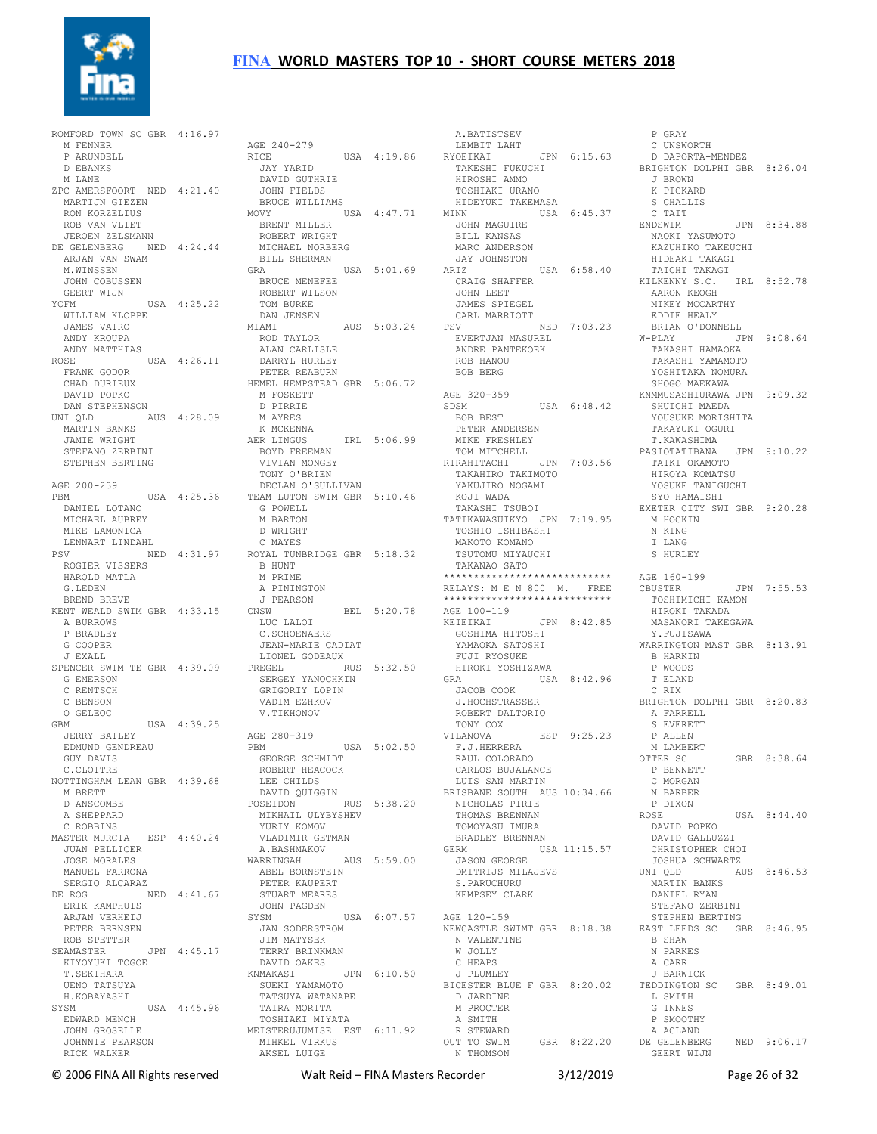

ROMFORD TOWN SC GBR 4:16.97 M FENNER P ARUNDELL D EBANKS M LANE ZPC AMERSFOORT NED 4:21.40 MARTIJN GIEZEN RON KORZELIUS ROB VAN VLIET JEROEN ZELSMANN DE GELENBERG NED 4:24.44 ROBERT WRIGHT MICHAEL NORBERG ARJAN VAN SWAM M.WINSSEN JOHN COBUSSEN GEERT WIJN<br>YCFM YCFM USA 4:25.22 WILLIAM KLOPPE JAMES VAIRO ANDY KROUPA ANDY MATTHIAS ROSE USA 4:26.11 FRANK GODOR CHAD DURIEUX DAVID POPKO DAN STEPHENSON UNI QLD AUS 4:28.09 MARTIN BANKS JAMIE WRIGHT STEFANO ZERBINI STEPHEN BERTING AGE 200-239 PBM USA 4:25.36 TEAM LUTON SWIM GBR 5:10.46 DANIEL LOTANO MICHAEL AUBREY MIKE LAMONICA LENNART LINDAHL PSV NED 4:31.97 ROYAL TUNBRIDGE GBR 5:18.32 SV ....<br>ROGIER VISSERS HAROLD MATLA G.LEDEN BREND BREVE KENT WEALD SWIM GBR 4:33.15 A BURROWS P BRADLEY G COOPER J EXALL SPENCER SWIM TE GBR 4:39.09 G EMERSON C RENTSCH C BENSON O GELEOC GBM USA 4:39.25 JERRY BAILEY EDMUND GENDREAU GUY DAVIS C.CLOITRE NOTTINGHAM LEAN GBR 4:39.68 M BRETT D ANSCOMBE A SHEPPARD C ROBBINS MASTER MURCIA ESP 4:40.24 JUAN PELLICER JOSE MORALES MANUEL FARRONA SERGIO ALCARAZ DE ROG NED 4:41.67 STUART MEARES ERIK KAMPHUIS ARJAN VERHEIJ PETER BERNSEN ROB SPETTER SEAMASTER JPN 4:45.17 TERRY BRINKMAN DAVID OAKES KIYOYUKI TOGOE T.SEKIHARA UENO TATSUYA H.KOBAYASHI SYSM USA 4:45.96 EDWARD MENCH JOHN GROSELLE JOHNNIE PEARSON RICK WALKER

AGE 240-279<br>
RICE USA 4:19.86<br>
JAY YARID<br>
DAVID GUTHRIE<br>
JOHN FIELDS<br>
BRUCE WILLIAMS MOVY USA 4:47.71 BRENT MILLER BILL SHERMAN<br>GRA GRA USA 5:01.69 BRUCE MENEFEE ROBERT WILSON TOM BURKE DAN JENSEN MIAMI AUS 5:03.24 ROD TAYLOR ALAN CARLISLE DARRYL HURLEY PETER REABURN HEMEL HEMPSTEAD GBR 5:06.72 M FOSKETT D PIRRIE M AYRES K MCKENNA AER LINGUS IRL 5:06.99 BOYD FREEMAN VIVIAN MONGEY TONY O'BRIEN DECLAN O'SULLIVAN G POWELL M BARTON D WRIGHT C MAYES  $B$  HUNT M PRIME A PININGTON J PEARSON CNSW BEL 5:20.78 \*\*\*\*\*\*\*\*\*\*\*\*\*\*\*\*\*\*\*\*\*\*\*\*\*\*\*\* AGE 100-119 KEIEIKAI JPN 8:42.85 LUC LALOI C.SCHOENAERS JEAN-MARIE CADIAT LIONEL GODEAUX PREGEL RUS 5:32.50 SERGEY YANOCHKIN GRIGORIY LOPIN VADIM EZHKOV V.TIKHONOV AGE 280-319 PBM USA 5:02.50 GEORGE SCHMIDT ROBERT HEACOCK LEE CHILDS DAVID QUIGGIN POSEIDON RUS 5:38.20 POSEIDON RUS<br>MIKHAIL ULYBYSHEV YURIY KOMOV<br>VLADIMIR GETMAN VLADIMIR GETMAN A.BASHMAKOV WARRINGAH AUS 5:59.00 ABEL BORNSTEIN PETER KAUPERT JOHN PAGDEN SYSM USA 6:07.57 AGE 120-159 JAN SODERSTROM JIM MATYSEK KNMAKASI JPN 6:10.50 SUEKI YAMAMOTO TATSUYA WATANABE BICESTER BLUE F GBR 8:20.02 TAIRA MORITA TOSHIAKI MIYATA MEISTERUJUMISE EST 6:11.92 MIHKEL VIRKUS AKSEL LUIGE

 A.BATISTSEV LEMBIT LAHT LEMBIT LAHT<br>LEMBIT LAHT<br>YOEIKAI JPN 6:15.63 ISIINII<br>TAKESHI FUKUCHI<br>HIROSHI AMMO HIROSHI AMMO TOSHIAKI URANO HIDEYUKI TAKEMASA MINN USA 6:45.37 S CHALLIS C TAIT JOHN MAGUIRE BILL KANSAS MARC ANDERSON JAY JOHNSTON ARIZ USA 6:58.40 CRAIG SHAFFER JOHN LEET JAMES SPIEGEL CARL MARRIOTT PSV NED 7:03.23 EVERTJAN MASUREL ANDRE PANTEKOEK ROB HANOU BOB BERG AGE 320-359<br>SDSM )<br>USA 6:48.42 BOB BEST PETER ANDERSEN MIKE FRESHLEY TOM MITCHELL RIRAHITACHI JPN 7:03.56 TAKAHIRO TAKIMOTO YAKUJIRO NOGAMI TAKAHIRO TAKIMOTO<br>YAKUJIRO NOGAMI<br>KOJI WADA TAKASHI TSUBOI TATIKAWASUIKYO JPN 7:19.95 TOSHIO ISHIBASHI MAKOTO KOMANO TSUTOMU MIYAUCHI TAKANAO SATO \*\*\*\*\*\*\*\*\*\*\*\*\*\*\*\*\*\*\*\*\*\*\*\*\*\*\*\* RELAYS: M E N 800 M. FREE GOSHIMA HITOSHI YAMAOKA SATOSHI Y.FUJISAWA WARRINGTON MAST GBR 8:13.91 FUJI RYOSUKE HIROKI YOSHIZAWA GRA USA 8:42.96 JACOB COOK J.HOCHSTRASSER ROBERT DALTORIO TONY COX VILANOVA ESP 9:25.23 F.J.HERRERA RAUL COLORADO CARLOS BUJALANCE LUIS SAN MARTIN BRISBANE SOUTH AUS 10:34.66 N BARBER NICHOLAS PIRIE THOMAS BRENNAN TOMOYASU IMURA BRADLEY BRENNAN GERM USA 11:15.57 JASON GEORGE DMITRIJS MILAJEVS S. PARUCHURU KEMPSEY CLARK NEWCASTLE SWIMT GBR 8:18.38 N VALENTINE W JOLLY C HEAPS J PLUMLEY D JARDINE M PROCTER A SMITH R STEWARD OUT TO SWIM GBR 8:22.20 DE GELENBERG N THOMSON

 P GRAY C UNSWORTH D DAPORTA-MENDEZ BRIGHTON DOLPHI GBR 8:26.04 J BROWN K PICKARD<br>S CHALLIS C<br>CTAIT<br>NDSWIM JPN 8:34.88 NAOKI YASUMOTO KAZUHIKO TAKEUCHI HIDEAKI TAKAGI TAICHI TAKAGI KILKENNY S.C. IRL 8:52.78 AARON KEOGH MIKEY MCCARTHY EDDIE HEALY BRIAN O'DONNELL  $W-PIAY$  JPN 9:08.64 TAKASHI HAMAOKA TAKASHI YAMAMOTO YOSHITAKA NOMURA SHOGO MAEKAWA KNMMUSASHIURAWA JPN 9:09.32 SHUICHI MAEDA YOUSUKE MORISHITA TAKAYUKI OGURI T.KAWASHIMA<br>PASIOTATIBANA JPN 9:10.22<br>TAIKI OKAMOTO<br>HIROYA KOMATSU<br>YOSUKE TANIGUCHI SYO HAMAISHI EXETER CITY SWI GBR 9:20.28 M HOCKIN N KING T LANG S HURLEY AGE 160-199 JPN 7:55.53 TOSHIMICHI KAMON HIROKI TAKADA MASANORI TAKEGAWA B HARKIN P WOODS T ELAND C RIX BRIGHTON DOLPHI GBR 8:20.83 A FARRELL S EVERETT P ALLEN M LAMBERT<br>OTTER SC GBR 8:38.64 P BENNETT C MORGAN P DIXON  $IISA$   $8.44.40$  DAVID POPKO DAVID GALLUZZI CHRISTOPHER CHOI JOSHUA SCHWARTZ UNI QLD AUS 8:46.53 MARTIN BANKS DANIEL RYAN STEFANO ZERBINI STEPHEN BERTING EAST LEEDS SC GBR 8:46.95 B SHAW N PARKES A CARR J BARWICK TEDDINGTON SC GBR 8:49.01 L SMITH G INNES P SMOOTHY A ACLAND NED 9:06.17 GEERT WIJN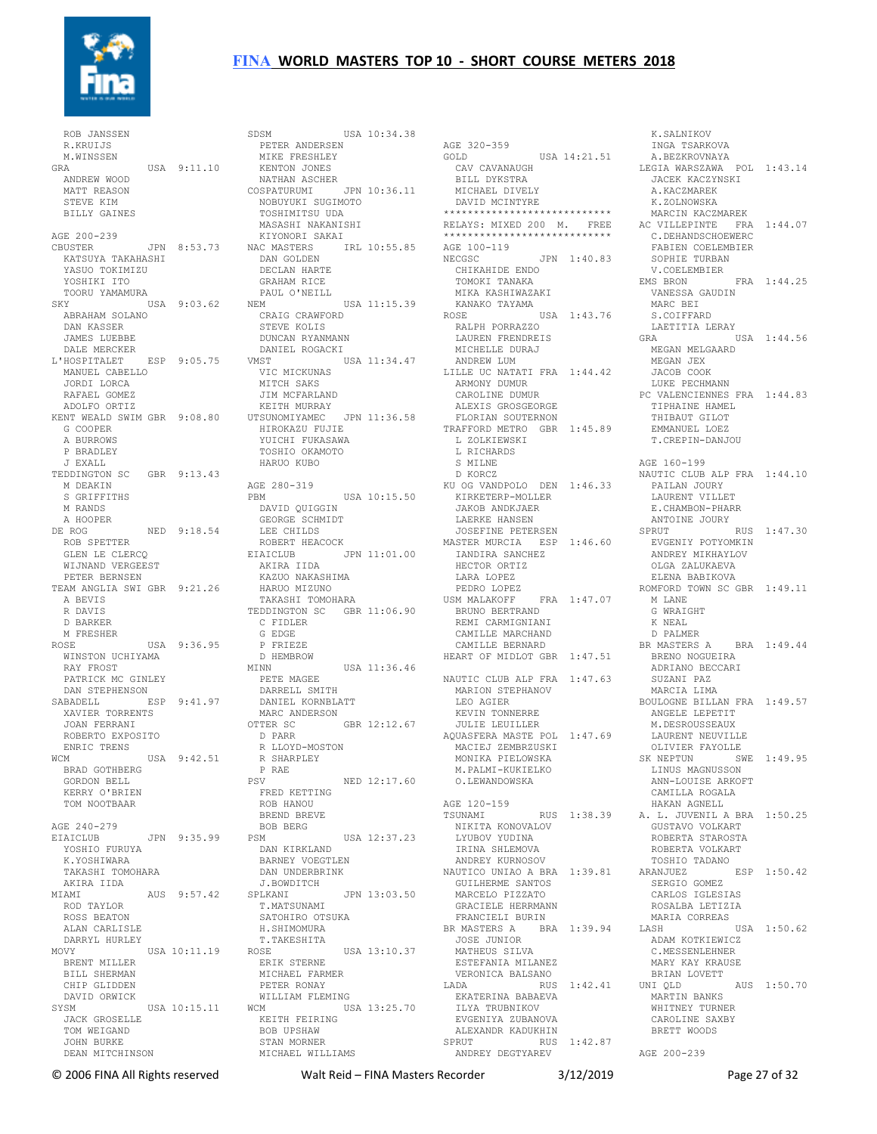

 ROB JANSSEN R.KRUIJS M.WINSSEN<br>GRA USA 9:11.10 ANDREW WOOD MATT REASON STEVE KIM BILLY GAINES AGE 200-239 CBUSTER JPN 8:53.73 KATSUYA TAKAHASHI YASUO TOKIMIZU YOSHIKI ITO TOORU YAMAMURA<br>SKY  $USA 9:03.62$  ABRAHAM SOLANO DAN KASSER JAMES LUEBBE DALE MERCKER L'HOSPITALET ESP 9:05.75 MANUEL CABELLO JORDI LORCA RAFAEL GOMEZ ADOLFO ORTIZ KENT WEALD SWIM GBR 9:08.80 G COOPER A BURROWS P BRADLEY J EXALL TEDDINGTON SC GBR 9:13.43 M DEAKIN S GRIFFITHS M RANDS A HOOPER DE ROG NED 9:18.54 ROB SPETTER GLEN LE CLERCQ WIJNAND VERGEEST PETER BERNSEN TEAM ANGLIA SWI GBR 9:21.26 HARUO MIZUNO A BEVIS R DAVIS D BARKER M FRESHER ROSE USA 9:36.95 WINSTON UCHIYAMA RAY FROST PATRICK MC GINLEY DAN STEPHENSON SABADELL ESP 9:41.97 DARRELL SMITH DANIEL KORNBLATT XAVIER TORRENTS JOAN FERRANI ROBERTO EXPOSITO ENRIC TRENS WCM USA 9:42.51 R SHARPLEY BRAD GOTHBERG GORDON BELL KERRY O'BRIEN TOM NOOTBAAR AGE 240-279 AGE 240-273<br>EIAICLUB JPN 9:35.99 YOSHIO FURUYA K.YOSHIWARA TAKASHI TOMOHARA AKIRA IIDA MIAMI AUS 9:57.42 ROD TAYLOR ROSS BEATON ALAN CARLISLE DARRYL HURLEY MOVY USA 10:11.19 ...<br>BRENT MILLER BILL SHERMAN CHIP GLIDDEN DAVID ORWICK SYSM USA 10:15.11 JACK GROSELLE TOM WEIGAND JOHN BURKE DEAN MITCHINSON

SDSM USA 10:34.38 PETER ANDERSEN MIKE FRESHLEY KENTON JONES NATHAN ASCHER COSPATURUMI JPN 10:36.11 NOBUYUKI SUGIMOTO TOSHIMITSU UDA MASASHI NAKANISHI KIYONORI SAKAI NAC MASTERS IRL 10:55.85 AGE 100-119 DAN GOLDEN DECLAN HARTE GRAHAM RICE PAUL O'NEILL NEM USA 11:15.39 CRAIG CRAWFORD KANAKO TAYAMA ROSE USA 1:43.76 STEVE KOLIS DUNCAN RYANMANN DANIEL ROGACKI VMST USA 11:34.47 VIC MICKUNAS MITCH SAKS JIM MCFARLAND KEITH MURRAY UTSUNOMIYAMEC JPN 11:36.58<br>HIROKAZU FUJIE<br>VUICHI FUKACANA HIROKAZU FUJIE YUICHI FUKASAWA TOSHIO OKAMOTO HARUO KUBO AGE 280-319 PBM USA 10:15.50 DAVID QUIGGIN GEORGE SCHMIDT LEE CHILDS ROBERT HEACOCK EIAICLUB JPN 11:01.00 AKIRA IIDA KAZUO NAKASHIMA TAKASHI TOMOHARA TEDDINGTON SC GBR 11:06.90 C FIDLER G EDGE P FRIEZE D HEMBROW<br>MINN  $HSSA$  11:36.46 PETE MAGEE MARC ANDERSON OTTER SC GBR 12:12.67 D PARR R LLOYD-MOSTON P RAE PSV NED 12:17.60 FRED KETTING ROB HANOU BREND BREVE BOB BERG<br>PSM PSM USA 12:37.23 DAN KIRKLAND BARNEY VOEGTLEN DAN UNDERBRINK J.BOWDITCH SPLKANI JPN 13:03.50 T.MATSUNAMI T.MATSUNAMI<br>SATOHIRO OTSUKA H.SHIMOMURA T.TAKESHITA ROSE USA 13:10.37 JOSE JUNIOR MATHEUS SILVA ERIK STERNE MICHAEL FARMER PETER RONAY WILLIAM FLEMING WCM USA 13:25.70 KEITH FEIRING BOB UPSHAW STAN MORNER MICHAEL WILLIAMS

AGE 320-359 GOLD USA 14:21.51 CAV CAVANAUGH BILL DYKSTRA MICHAEL DIVELY DAVID MCINTYRE \*\*\*\*\*\*\*\*\*\*\*\*\*\*\*\*\*\*\*\*\*\*\*\*\*\*\*\* RELAYS: MIXED 200 M. FREE \*\*\*\*\*\*\*\*\*\*\*\*\*\*\*\*\*\*\*\*\*\* NECGSC JPN 1:40.83 CHIKAHIDE ENDO TOMOKI TANAKA MIKA KASHIWAZAKI<br>KANAKO TAYAMA RALPH PORRAZZO LAUREN FRENDREIS MICHELLE DURAJ ANDREW LUM LILLE UC NATATI FRA 1:44.42 ARMONY DUMUR CAROLINE DUMUR ALEXIS GROSGEORGE FLORIAN SOUTERNON TRAFFORD METRO GBR 1:45.89 L ZOLKIEWSKI L RICHARDS S MILNE D KORCZ KU OG VANDPOLO DEN 1:46.33 KIRKETERP-MOLLER JAKOB ANDKJAER LAERKE HANSEN JOSEFINE PETERSEN MASTER MURCIA ESP 1:46.60 IANDIRA SANCHEZ HECTOR ORTIZ LARA LOPEZ PEDRO LOPEZ USM MALAKOFF FRA 1:47.07 BRUNO BERTRAND REMI CARMIGNIANI CAMILLE MARCHAND CAMILLE BERNARD HEART OF MIDLOT GBR 1:47.51 NAUTIC CLUB ALP FRA 1:47.63 MARION STEPHANOV LEO AGIER KEVIN TONNERRE JULIE LEUILLER AQUASFERA MASTE POL 1:47.69 MACIEJ ZEMBRZUSKI MONIKA PIELOWSKA SK NEPTUN SWE 1:49.95 M.PALMI-KUKIELKO O.LEWANDOWSKA AGE 120-159 TSUNAMI RUS 1:38.39 A. L. JUVENIL A BRA 1:50.25 NIKITA KONOVALOV LYUBOV YUDINA IRINA SHLEMOVA ANDREY KURNOSOV NAUTICO UNIAO A BRA 1:39.81 GUILHERME SANTOS MARCELO PIZZATO GRACIELE HERRMANN FRANCIELI BURIN BR MASTERS A BRA 1:39.94 ESTEFANIA MILANEZ VERONICA BALSANO RUS 1:42.41 UNIQLD EKATERINA BABAEVA ILYA TRUBNIKOV EVGENIYA ZUBANOVA ALEXANDR KADUKHIN SPRUT RUS 1:42.87 ANDREY DEGTYAREV

 K.SALNIKOV INGA TSARKOVA A.BEZKROVNAYA LEGIA WARSZAWA POL 1:43.14 JACEK KACZYNSKI A.KACZMAREK K.ZOLNOWSKA MARCIN KACZMAREK AC VILLEPINTE FRA 1:44.07 C.DEHANDSCHOEWERC FABIEN COELEMBIER SOPHIE TURBAN V.COELEMBIER EMS BRON FRA 1:44.25 VANESSA GAUDIN<br>MARG TI MARC BEI S.COIFFARD<br>LAETITIA LERAY LAETITIA LERAY GRA USA 1:44.56 MEGAN MELGAARD MEGAN JEX JACOB COOK LUKE PECHMANN PC VALENCIENNES FRA 1:44.83 TIPHAINE HAMEL THIBAUT GILOT EMMANUEL LOEZ T.CREPIN-DANJOU AGE 160-199 NAUTIC CLUB ALP FRA 1:44.10 PAILAN JOURY LAURENT VILLET E.CHAMBON-PHARR ANTOINE JOURY SPRUT RUS 1:47.30 EVGENIY POTYOMKIN ANDREY MIKHAYLOV OLGA ZALUKAEVA ELENA BABIKOVA ROMFORD TOWN SC GBR 1:49.11 M LANE G WRAIGHT K NEAL D PALMER BR MASTERS A BRA 1:49.44 BRENO NOGUEIRA ADRIANO BECCARI SUZANI PAZ MARCIA LIMA BOULOGNE BILLAN FRA 1:49.57 ANGELE LEPETIT M. DESROUSSEAUX LAURENT NEUVILLE OLIVIER FAYOLLE<br>K NEPTUN SWE 1:49.95 LINUS MAGNUSSON ANN-LOUISE ARKOFT CAMILLA ROGALA HAKAN AGNELL GUSTAVO VOLKART ROBERTA STAROSTA ROBERTA VOLKART TOSHIO TADANO ARANJUEZ ESP 1:50.42 SERGIO GOMEZ CARLOS IGLESIAS ROSALBA LETIZIA MARIA CORREAS<br>LASH USA 1:50.62 ADAM KOTKIEWICZ C.MESSENLEHNER MARY KAY KRAUSE BRIAN LOVETT AUS 1:50.70 MARTIN BANKS WHITNEY TURNER CAROLINE SAXBY BRETT WOODS AGE 200-239

© 2006 FINA All Rights reserved Walt Reid – FINA Masters Recorder 3/12/2019 Page 27 of 32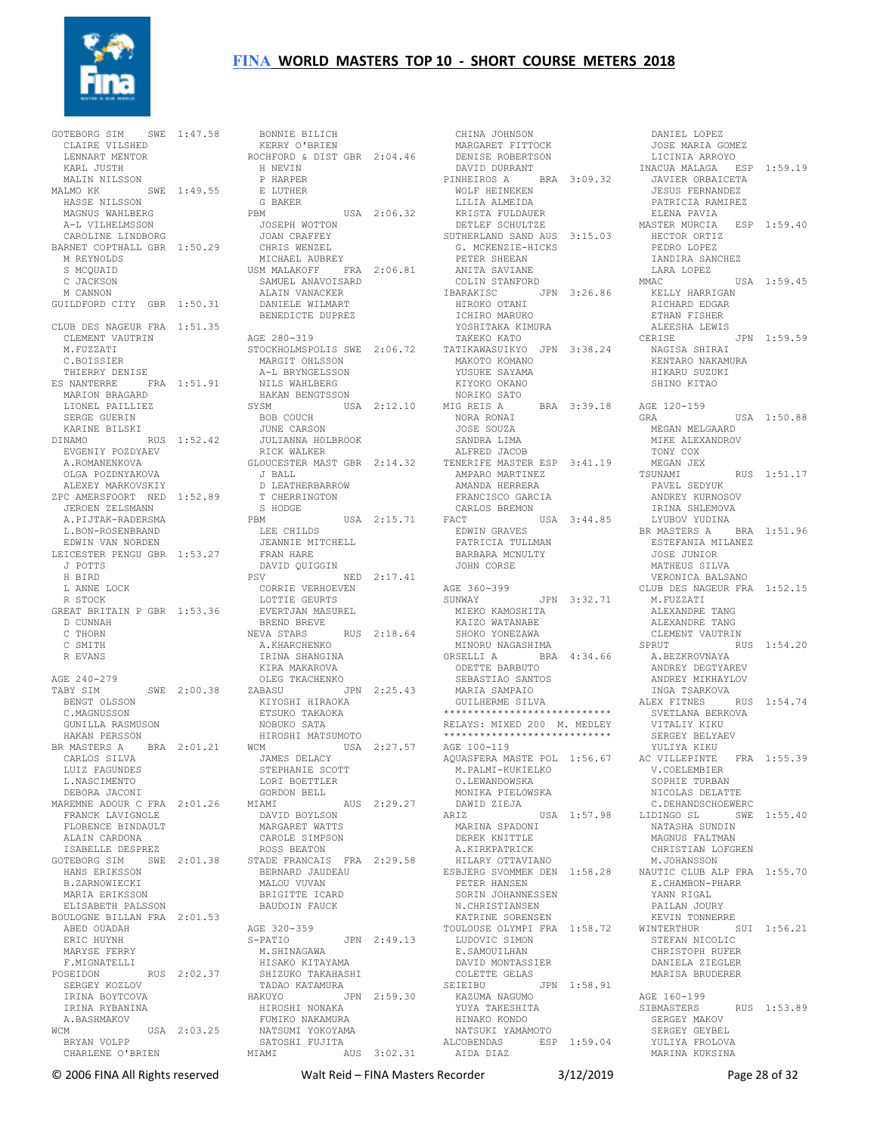

GOTEBORG SIM SWE 1:47.58 CLAIRE VILSHED LENNART MENTOR KARL JUSTH MALIN NILSSON MALMO KK SWE 1:49.55 HASSE NILSSON MAGNUS WAHLBERG A-L VILHELMSSON CAROLINE LINDBORG BARNET COPTHALL GBR 1:50.29 M REYNOLDS S MCQUAID C JACKSON M CANNON GUILDFORD CITY GBR 1:50.31 CLUB DES NAGEUR FRA 1:51.35 CLEMENT VAUTRIN M.FUZZATI C.BOISSIER THIERRY DENISE ES NANTERRE FRA 1:51.91 MARION BRAGARD LIONEL PAILLIEZ<br>
SERGE GUERIN<br>
KARINE BILSKI<br>DINAMO<br>
EVGENIY POZDYAEV<br>
A.ROMANENKOVA<br>
OLGA POZDNYAKOVA ALEXEY MARKOVSKIY ZPC AMERSFOORT NED 1:52.89 T CHERRINGTON JEROEN ZELSMANN A.PIJTAK-RADERSMA L.BON-ROSENBRAND EDWIN VAN NORDEN LEICESTER PENGU GBR 1:53.27 J POTTS H BIRD L ANNE LOCK R STOCK GREAT BRITAIN P GBR 1:53.36 D CUNNAH C THORN C SMITH R EVANS AGE 240-279 TABY SIM SWE 2:00.38 BENGT OLSSON C.MAGNUSSON C.MAGNUSSON<br>GUNILLA RASMUSON HAKAN PERSSON BR MASTERS A BRA 2:01.21 CARLOS SILVA LUIZ FAGUNDES L.NASCIMENTO DEBORA JACONI MAREMNE ADOUR C FRA 2:01.26 MIAMI FRANCK LAVIGNOLE FLORENCE BINDAULT ALAIN CARDONA ISABELLE DESPREZ GOTEBORG SIM SWE 2:01.38 HANS ERIKSSON B.ZARNOWIECKI MARIA ERIKSSON ELISABETH PALSSON BOULOGNE BILLAN FRA 2:01.53 ABED OUADAH ERIC HUYNH MARYSE FERRY F.MIGNATELLI POSEIDON RUS 2:02.37 SERGEY KOZLOV IRINA BOYTCOVA IRINA RYBANINA A.BASHMAKOV WCM USA 2:03.25 BRYAN VOLPP NATSUMI YOKOYAMA SATOSHI FUJITA CHARLENE O'BRIEN MIAMI AUS 3:02.31

 BONNIE BILICH KERRY O'BRIEN ROCHFORD & DIST GBR 2:04.46 MARGARET FITTOCK DENISE ROBERTSON H NEVIN P HARPER E LUTHER G BAKER PBM USA 2:06.32 JOSEPH WOTTON JOAN CRAFFEY CHRIS WENZEL MICHAEL AUBREY USM MALAKOFF FRA 2:06.81 SAMUEL ANAVOISARD ALAIN VANACKER DANIELE WILMART BENEDICTE DUPREZ AGE 280-319 STOCKHOLMSPOLIS SWE 2:06.72 TATIKAWASUIKYO JPN 3:38.24 MARGIT OHLSSON A-L BRYNGELSSON NILS WAHLBERG HAKAN BENGTSSON SYSM USA 2:12.10 BOB COUCH<br>
JUNE CARSON<br>
JULIANNA HOLBROOK<br>
RICK WALKER<br>
GLOUCESTER MAST GBR 2:14.32<br>
J BALL<br>
J BALL D LEATHERBARROW S HODGE PBM USA 2:15.71 CARLOS BREMON FACT USA 3:44.85 LEE CHILDS JEANNIE MITCHELL FRAN HARE DAVID QUIGGIN PSV NED 2:17.41 CORRIE VERHOEVEN LOTTIE GEURTS EVERTJAN MASUREL BREND BREVE NEVA STARS RUS 2:18.64 A.KHARCHENKO IRINA SHANGINA KIRA MAKAROVA **LAN FIAKAROVA**<br>OLEG TKACHENKO<br>ABASII ZABASU JPN 2:25.43 KIYOSHI HIRAOKA ETSUKO TAKAOKA NOBUKO SATA HIROSHI MATSUMOTO WCM USA 2:27.57 JAMES DELACY AGE 100-119 STEPHANIE SCOTT LORI BOETTLER<br>GORDON BELL GORDON BELL MIAMI AUS 2:29.27 DAVID BOYLSON MARGARET WATTS CAROLE SIMPSON ROSS BEATON STADE FRANCAIS FRA 2:29.58 BERNARD JAUDEAU MALOU VUVAN BRIGITTE ICARD BAUDOIN FAUCK AGE 320-359 S-PATIO JPN 2:49.13 LUDOVIC SIMON<br>M.SHINAGAWA E.SAMOUILHAN M.SHINAGAWA HISAKO KITAYAMA SHIZUKO TAKAHASHI TADAO KATAMURA<br>HAKUYO JP HAKUYO JPN 2:59.30 HIROSHI NONAKA FUMIKO NAKAMURA

 CHINA JOHNSON DAVID DURRANT PINHEIROS A BRA 3:09.32 WOLF HEINEKEN LILIA ALMEIDA KRISTA FULDAUER DETLEF SCHULTZE SUTHERLAND SAND AUS 3:15.03 G. MCKENZIE-HICKS PETER SHEEAN ANITA SAVIANE COLIN STANFORD IBARAKISC JPN 3:26.86 HIROKO OTANI ICHIRO MARUKO YOSHITAKA KIMURA TAKEKO KATO MAKOTO KOMANO YUSUKE SAYAMA KIYOKO OKANO NORIKO SATO MIG REIS A BRA 3:39.18<br>
NORA RONAI<br>
JOSE SOUZA<br>
SANDRA LIMA<br>
ALFRED JACOB<br>
TENERIFE MASTER ESP 3:41.19<br>
AMPARO MARTINEZ AMPARO MARTINEZ<br>AMANDA HERRERA FRANCISCO GARCIA EDWIN GRAVES PATRICIA TULLMAN BARBARA MCNULTY DARDARA MUN<br>JOHN CORSE AGE 360-399 JPN 3:32.71 MIEKO KAMOSHITA<br>Kaiko mamanarr KAIZO WATANABE SHOKO YONEZAWA MINORU NAGASHIMA ORSELLI A BRA 4:34.66 ODETTE BARBUTO SEBASTIAO SANTOS MARIA SAMPAIO GUILHERME SILVA \*\*\*\*\*\*\*\*\*\*\*\*\*\*\*\*\*\*\*\*\*\*\*\*\*\*\*\* RELAYS: MIXED 200 M. MEDLEY \*\*\*\*\*\*\*\*\*\*\*\*\*\*\*\*\*\*\*\*\*\*\*\*\*\*\*\* M.PALMI-KUKIELKO O.LEWANDOWSKA MONIKA PIELOWSKA DAWID ZIEJA ARIZ USA 1:57.98 MARINA SPADONI DEREK KNITTLE A.KIRKPATRICK A.KIRKPATRICK<br>HILARY OTTAVIANO PETER HANSEN SORIN JOHANNESSEN N.CHRISTIANSEN KATRINE SORENSEN E.SAMOUILHAN DAVID MONTASSIER COLETTE GELAS<br>SEIEIBU JPN 1:58.91<br>KAZUMA NAGUMO<br>YUYA TAKESHITA<br>HINAKO KONDO<br>NATSUKI YAMAMOTO ALCOBENDAS ESP 1:59.04 AIDA DIAZ 3<br>
JPN 1:58.91<br>
<br>
AGE 160-199<br>
SIBMASTERS<br>
SIRMASTERS

AQUASFERA MASTE POL 1:56.67 AC VILLEPINTE FRA 1:55.39 ESBJERG SVOMMEK DEN 1:58.28 NAUTIC CLUB ALP FRA 1:55.70 TOULOUSE OLYMPI FRA 1:58.72 LUDOVIC SIMON WINTERTHUR SUI 1:56.21 STEFAN NICOLIC DANIEL LOPEZ JOSE MARIA GOMEZ LICINIA ARROYO INACUA MALAGA ESP 1:59.19 JAVIER ORBAICETA JESUS FERNANDEZ PATRICIA RAMIREZ ELENA PAVIA MASTER MURCIA ESP 1:59.40 HECTOR ORTIZ PEDRO LOPEZ IANDIRA SANCHEZ LARA LOPEZ MMAC USA 1:59.45 KELLY HARRIGAN RICHARD EDGAR ETHAN FISHER ALEESHA LEWIS CERISE JPN 1:59.59 NAGISA SHIRAI KENTARO NAKAMURA HIKARU SUZUKI SHINO KITAO AGE 120-159 GRA USA 1:50.88 MEGAN MELGAARD MIKE ALEXANDROV TONY COX MEGAN JEX RUS 1:51.17 PAVEL SEDYUK ANDREY KURNOSOV IRINA SHLEMOVA LYUBOV YUDINA BR MASTERS A BRA 1:51.96 ESTEFANIA MILANEZ JOSE JUNIOR MATHEIIS SILVA VERONICA BALSANO CLUB DES NAGEUR FRA 1:52.15 M.FUZZATI ALEXANDRE TANG ALEXANDRE TANG CLEMENT VAUTRIN<br>SPRUT RUS 1:54.20<br>A.BEZKROVNAYA<br>ANDREY DEGTYAREV ANDREY MIKHAYLOV INGA TSARKOVA ALEX FITNES RUS 1:54.74 SVETLANA BERKOVA VITALIY KIKU SERGEY BELYAEV YULIYA KIKU V.COELEMBIER<br>SOPHIE TURBAN<br>NICOLAS DELATTE<br>C.DEHANDSCHOEWERC<br>LIDINGO SL SWE 1:55.40 NATASHA SUNDIN MAGNUS FALTMAN CHRISTIAN LOFGREN CHRISTIAN LOFGREN<br>M.JOHANSSON E.CHAMBON-PHARR<br>E.CHAMBON-PHARR YANN RIGAL PAILAN JOURY KEVIN TONNERRE CHRISTOPH RUFER DANIELA ZIEGLER MARISA BRUDERER AGE 160-199 SIBMASTERS RUS 1:53.89 SERGEY MAKOV SERGEY GEYBEL YULIYA FROLOVA MARINA KUKSINA

© 2006 FINA All Rights reserved Walt Reid – FINA Masters Recorder 3/12/2019 Page 28 of 32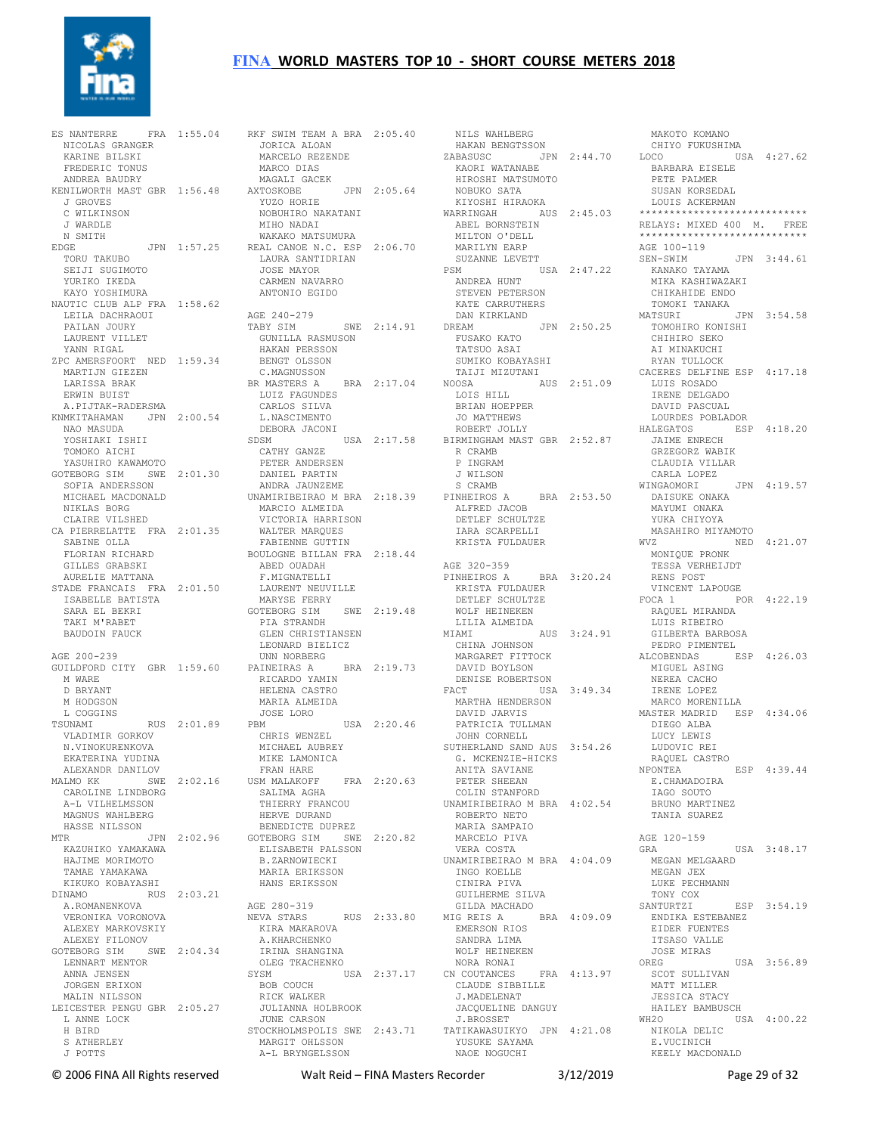

 NICOLAS GRANGER KARINE BILSKI FREDERIC TONUS ANDREA BAUDRY KENILWORTH MAST GBR 1:56.48 J GROVES C WILKINSON J WARDLE N SMITH EDGE JPN 1:57.25 TORU TAKUBO SEIJI SUGIMOTO YURIKO IKEDA KAYO YOSHIMURA NAUTIC CLUB ALP FRA 1:58.62 LEILA DACHRAOUI PATLAN JOURY LAURENT VILLET YANN RIGAL ZPC AMERSFOORT NED 1:59.34 MARTIJN GIEZEN LARISSA BRAK ERWIN BUIST A.PIJTAK-RADERSMA KNMKITAHAMAN JPN 2:00.54 NAO MASUDA YOSHIAKI ISHII<br>TOMOVC 1-11 TOMOKO AICHI YASUHIRO KAWAMOTO GOTEBORG SIM SWE 2:01.30 SOFIA ANDERSSON NICHAEL MACDONALD NIKLAS BORG CLAIRE VILSHED CA PIERRELATTE FRA 2:01.35 SABINE OLLA WALTER MARQUES FABIENNE GUTTIN FLORIAN RICHARD GILLES GRABSKI AURELIE MATTANA STADE FRANCAIS FRA 2:01.50 ISABELLE BATISTA ....<br>ISABELLE BATISTA<br>SARA EL BEKRI TAKI M'RABET BAUDOIN FAUCK AGE 200-239 GUILDFORD CITY GBR 1:59.60 M WARE D BRYANT M HODGSON L COGGINS TSUNAMI RUS 2:01.89 VLADIMIR GORKOV N.VINOKURENKOVA EKATERINA YUDINA ALEXANDR DANILOV MALMO KK SWE 2:02.16 USM MALAKOFF CAROLINE LINDBORG A-L VILHELMSSON MAGNUS WAHLBERG HASSE NILSSON KAZUHIKO YAMAKAWA HAJIME MORIMOTO TAMAE YAMAKAWA KIKUKO KOBAYASHI A.ROMANENKOVA VERONIKA VORONOVA ALEXEY MARKOVSKIY ALEXEY FILONOV GOTEBORG SIM SWE 2:04.34 LENNART MENTOR IRINA SHANGINA OLEG TKACHENKO ANNA JENSEN JORGEN ERIXON MALIN NILSSON LEICESTER PENGU GBR 2:05.27 L ANNE LOCK H BIRD S ATHERLEY J POTTS PC AMERISPOURD AND THE CONSTRUCT OF MASTERS A BRITISH OF MASTERS A BRITISH CONSTRUCT OF A SAMPLE OF A SAMPLE OF A SAMPLE OF A SAMPLE OF A SAMPLE OF A SAMPLE OF A SAMPLE OF A SAMPLE OF A SAMPLE OF A SAMPLE OF A SAMPLE OF A

ES NANTERRE FRA 1:55.04 RKF SWIM TEAM A BRA 2:05.40 MTR JPN 2:02.96 GOTEBORG SIM SWE 2:20.82 DINAMO RUS 2:03.21 AGE 280-319 NEVA STARS RUS 2:33.80 KIRA MAKAROVA A.KHARCHENKO JORICA ALOAN MARCELO REZENDE HAKAN BENGTSSON ZABASUSC JPN 2:44.70 CHIYO FUKUSHIMA LOCO USA 4:27.62 MARCO DIAS<br>MAGALI GACEK MAGALI GACEK AXTOSKOBE JPN 2:05.64 YUZO HORIE NOBUHIRO NAKATANI MIHO NADAI WAKAKO MATSUMURA REAL CANOE N.C. ESP 2:06.70 LAURA SANTIDRIAN JOSE MAYOR CARMEN NAVARRO ANTONIO EGIDO AGE 240-279<br>TABY SIM SWE 2:14.91 SWE<br>GUNILLA RASMUSON<br>HAKAN PTTT HAKAN PERSSON BENGT OLSSON BENGE COMMISSON<br>C.MAGNUSSON BRA 2:17.04 NOOSA<br>LOIS HIL LUIZ FAGUNDES CARLOS SILVA L.NASCIMENTO DEBORA JACONI SDSM USA 2:17.58 ROBERT JOLLY BIRMINGHAM MAST GBR 2:52.87 CATHY GANZE PETER ANDERSEN DANIEL PARTIN ANDRA JAUNZEME UNAMIRIBEIRAO M BRA 2:18.39 MARCIO ALMEIDA VICTORIA HARRISON FABILANNE GOTILLAN<br>BOULOGNE BILLAN FRA 2:18.44 ABED OUADAH F.MIGNATELLI LAURENT NEUVILLE MARYSE FERRY GOTEBORG SIM SWE 2:19.48 WOLF HEINEKEN PIA STRANDH GLEN CHRISTIANSEN LEONARD BIELICZ UNN NORBERG<br>PAINEIRAS A RICARDO YAMIN HELENA CASTRO MARIA ALMEIDA JOSE LORO PBM USA 2:20.46 CHRIS WENZEL MICHAEL AUBREY MIKE LAMONICA FRAN HARE FRA 2:20.63 SALIMA AGHA THIERRY FRANCOU THIERRY FRANCO<br>HERVE DURAND BENEDICTE DUPREZ ELISABETH PALSSON B.ZARNOWIECKI MARIA ERIKSSON HANS ERIKSSON SYSM USA 2:37.17 BOB COUCH RICK WALKER JULIANNA HOLBROOK JUNE CARSON STOCKHOLMSPOLIS SWE 2:43.71 TATIKAWASUIKYO JPN 4:21.08 NIKOLA DELIC MARGIT OHLSSON A-L BRYNGELSSON

BRA 2:19.73 DAVID BOYLSON<br>N DENISE ROBERTSON NILS WAHLBERG KAORI WATANABE HIROSHI MATSUMOTO NOBUKO SATA KIYOSHI HIRAOKA WARRINGAH AUS 2:45.03 ABEL BORNSTEIN \*\*\*\*\*\*\*\*\*\*\*\*\*\*\*\*\*\*\*\*\*\*\*\*\*\*\*\* RELAYS: MIXED 400 M. FREE \*\*\*\*\*\*\*\*\*\*\*\*\*\*\*\*\*\*\*\*\*\*\*\*\*\*\*\* MILTON O'DELL MARILYN EARP SUZANNE LEVETT PSM USA 2:47.22 ANDREA HUNT STEVEN PETERSON KATE CARRUTHERS DAN KIRKLAND<br>DREAM DREAM JPN 2:50.25 FUSAKO KATO TATSUO ASAI SUMIKO KOBAYASHI TAIJI MIZUTANI NOOSA AUS 2:51.09 LOIS HILL BRIAN HOEPPER JO MATTHEWS R CRAMB P INGRAM J WILSON S CRAMB PINHEIROS A BRA 2:53.50 ALFRED JACOB DETLEF SCHULTZE IARA SCARPELLI KRISTA FULDAUER AGE 320-359 PINHEIROS A BRA 3:20.24 KRISTA FULDAUER DETLEF SCHULTZE VINCENT LAPOUGE FOCA 1 POR 4:22.19 LILIA ALMEIDA<br>
MIAMI<br>
CHINA JOHNSON<br>
MARGARET FITTOCK<br>
DAVID BOYLSON<br>
DENISE ROBERTSON FACT USA 3:49.34 MARTHA HENDERSON DAVID JARVIS PATRICIA TULLMAN JOHN CORNELL SUTHERLAND SAND AUS 3:54.26 G. MCKENZIE-HICKS ANITA SAVIANE PETER SHEEAN COLIN STANFORD UNAMIRIBEIRAO M BRA 4:02.54 ROBERTO NETO MARIA SAMPAIO MARCELO PIVA VERA COSTA UNAMIRIBEIRAO M BRA 4:04.09 INGO KOELLE CINIRA PIVA GUILHERME SILVA GILDA MACHADO MIG REIS A BRA 4:09.09 EMERSON RIOS SANDRA LIMA WOLF HEINEKEN NORA RONAI CN COUTANCES FRA 4:13.97 CLAUDE SIBBILLE J.MADELENAT JACQUELINE DANGUY J.BROSSET YUSUKE SAYAMA NAOE NOGUCHI  $BRA = 3:20.24$  RENS POST

 BARBARA EISELE PETE PALMER SUSAN KORSEDAL LOUIS ACKERMAN AGE 100-119 SEN-SWIM JPN 3:44.61 KANAKO TAYAMA MIKA KASHIWAZAKI CHIKAHIDE ENDO TOMOKI TANAKA MATSURI JPN 3:54.58 TOMOHIRO KONISHI CHIHIRO SEKO AT MINAKUCHI RYAN TULLOCK CACERES DELFINE ESP 4:17.18 LUIS ROSADO IRENE DELGADO DAVID PASCUAL LOURDES POBLADOR HALEGATOS ESP 4:18.20 JAIME ENRECH GRZEGORZ WABIK CLAUDIA VILLAR CARLA LOPEZ WINGAOMORI JPN 4:19.57 DAISUKE ONAKA MAYUMI ONAKA YUKA CHIYOYA MASAHIRO MIYAMOTO<br>NWZ NED NED  $4:21.07$  MONIQUE PRONK TESSA VERHEIJDT RAQUEL MIRANDA LUIS RIBEIRO GILBERTA BARBOSA PEDRO PIMENTEL ALCOBENDAS ESP 4:26.03 MIGUEL ASING NEREA CACHO IRENE LOPEZ MARCO MORENILLA MASTER MADRID ESP 4:34.06 DIEGO ALBA LUCY LEWIS LUDOVIC REI RAQUEL CASTRO NPONTEA ESP 4:39.44 E.CHAMADOIRA IAGO SOUTO BRUNO MARTINEZ TANIA SUAREZ AGE 120-159 GRA USA 3:48.17 MEGAN MELGAARD MEGAN JEX LUKE PECHMANN TONY COX SANTURTZI ESP 3:54.19 ENDIKA ESTEBANEZ EIDER FUENTES ITSASO VALLE JOSE MIRAS<br>OREG  $TISA$  3:56.89 SCOT SULLIVAN MATT MILLER JESSICA STACY HAILEY BAMBUSCH<br>WH2O US  $HSA$   $4:00.22$  E.VUCINICH KEELY MACDONALD

MAKOTO KOMANO

© 2006 FINA All Rights reserved Walt Reid – FINA Masters Recorder 3/12/2019 Page 29 of 32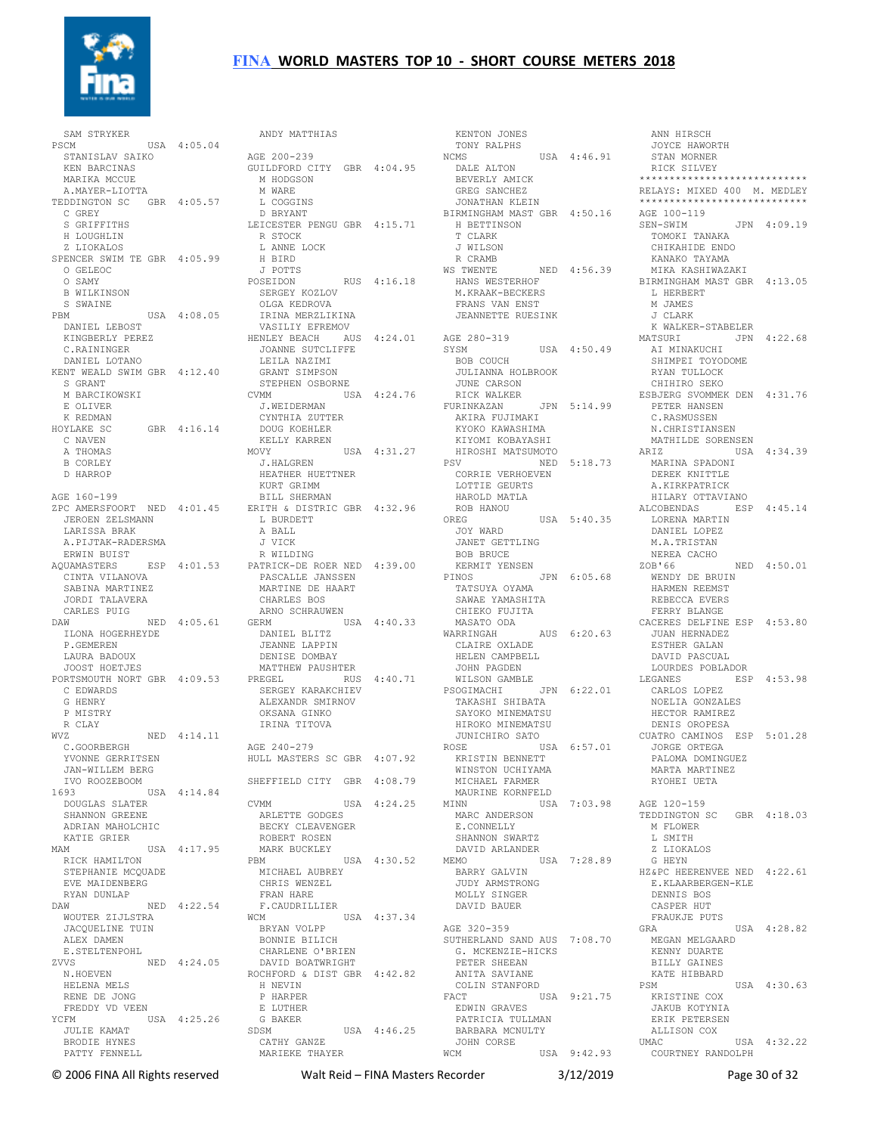

 SAM STRYKER PSCM USA 4:05.04 STANISLAV SAIKO KEN BARCINAS MARIKA MCCUE A.MAYER-LIOTTA TEDDINGTON SC GBR 4:05.57 C GREY S GRIFFITHS H LOUGHLIN Z LIOKALOS SPENCER SWIM TE GBR 4:05.99 O GELEOC O SAMY B WILKINSON S SWAINE PBM USA 4:08.05 DANIEL LEBOST KINGBERLY PEREZ C.RAININGER DANIEL LOTANO KENT WEALD SWIM GBR 4:12.40 S GRANT M BARCIKOWSKI E OLIVER K REDMAN HOYLAKE SC GBR 4:16.14 C NAVEN A THOMAS B CORLEY D HARROP AGE 160-199 ZPC AMERSFOORT NED 4:01.45 JEROEN ZELSMANN LARISSA BRAK A.PIJTAK-RADERSMA ERWIN BUIST AQUAMASTERS ESP 4:01.53 PATRICK-DE ROER NED 4:39.00 CINTA VILANOVA SABINA MARTINEZ JORDI TALAVERA CARLES PUIG DAW NED 4:05.61 TLONA HOGERHEYDE P.GEMEREN LAURA BADOUX JOOST HOETJES PORTSMOUTH NORT GBR 4:09.53 C EDWARDS G HENRY P MISTRY R CLAY WVZ NED 4:14.11 C.GOORBERGH YVONNE GERRITSEN JAN-WILLEM BERG IVO ROOZEBOOM 1693 USA 4:14.84 DOUGLAS SLATER SHANNON GREENE ADRIAN MAHOLCHIC KATIE GRIER MAM USA 4:17.95 RICK HAMILTON STEPHANIE MCQUADE EVE MAIDENBERG RYAN DUNLAP DAW NED 4:22.54 WOUTER ZIJLSTRA JACQUELINE TUIN ALEX DAMEN E.STELTENPOHL ZVVS NED 4:24.05 N.HOEVEN HELENA MELS RENE DE JONG FREDDY VD VEEN YCFM USA 4:25.26 JULIE KAMAT BRODIE HYNES PATTY FENNELL

 ANDY MATTHIAS AGE 200-239 GUILDFORD CITY GBR 4:04.95 M HODGSON M WARE L COGGINS D BRYANT LEICESTER PENGU GBR 4:15.71 R STOCK L ANNE LOCK H BIRD J POTTS POSEIDON RUS 4:16.18 SERGEY KOZLOV OLGA KEDROVA IRINA MERZLIKINA VASILIY EFREMOV HENLEY BEACH AUS 4:24.01 AGE 280-319 JOANNE SUTCLIFFE LEILA NAZIMI GRANT SIMPSON STEPHEN OSBORNE CVMM USA 4:24.76 RICK WALKER J.WEIDERMAN CYNTHIA ZUTTER DOUG KOEHLER KELLY KARREN MOVY USA 4:31.27 J.HALGREN HEATHER HUETTNER KURT GRIMM BILL SHERMAN ERITH & DISTRIC GBR 4:32.96 L BURDETT A BALL J VICK R WILDING PASCALLE JANSSEN MARTINE DE HAART PINOS JPN 6:05.68 TATSUYA OYAMA CHARLES BOS ARNO SCHRAUWEN GERM USA 4:40.33 DANIEL BLITZ JEANNE LAPPIN DENISE DOMBAY MATTHEW PAUSHTER PREGEL RUS 4:40.71 SERGEY KARAKCHIEV ALEXANDR SMIRNOV OKSANA GINKO IRINA TITOVA AGE 240-279 HULL MASTERS SC GBR 4:07.92 SHEFFIELD CITY GBR 4:08.79 **CVMM**  $USA \ 4:24.25$  ARLETTE GODGES BECKY CLEAVENGER ROBERT ROSEN MARK BUCKLEY  $USA = 4:30.52$  MICHAEL AUBREY CHRIS WENZEL FRAN HARE F.CAUDRILLIER WCM USA 4:37.34 BRYAN VOLPP BONNIE BILICH CHARLENE O'BRIEN DAVID BOATWRIGHT ROCHFORD & DIST GBR 4:42.82 H NEVIN P HARPER E LUTHER G BAKER SDSM USA 4:46.25 CATHY GANZE MARIEKE THAYER

 KENTON JONES TONY RALPHS NCMS USA 4:46.91 DALE ALTON BEVERLY AMICK GREG SANCHEZ JONATHAN KLEIN BIRMINGHAM MAST GBR 4:50.16 H BETTINSON T CLARK J WILSON R CRAMB WS TWENTE NED 4:56.39 HANS WESTERHOF M.KRAAK-BECKERS FRANS VAN ENST JEANNETTE RUESINK  $SYSM$  USA 4:50.49 BOB COUCH JULIANNA HOLBROOK<br>JULIANNA HOLBROOK JUNE CARSON<br>JUNE CARSON<br>RICK WALKER FURINKAZAN JPN 5:14.99 AKIRA FUJIMAKI KYOKO KAWASHIMA KIYOMI KOBAYASHI HIROSHI MATSUMOTO PSV NED 5:18.73 CORRIE VERHOEVEN LOTTIE GEURTS HAROLD MATLA ROB HANOU<br>OREG USA 5:40.35 JOY WARD JANET GETTLING BOB BRUCE KERMIT YENSEN SAWAE YAMASHITA<br>CHIEKO FUJITA<br>MASATO ODA<br>WARRINGAH AUS 6:20.63<br>CLAIRE OXLADE CLAIRE OXLADE<br>CLAIRE OXLADE<br>HELEN CAMPBELL JOHN PAGDEN WILSON GAMBLE PSOGIMACHI JPN 6:22.01 CARLOS LOPEZ TAKASHI SHIBATA SAYOKO MINEMATSU HIROKO MINEMATSU JUNICHIRO SATO<br>ROSE US USA 6:57.01 KRISTIN BENNETT WINSTON UCHIYAMA MICHAEL FARMER MAURINE KORNFELD<br>MINN USA MINN USA 7:03.98 AGE 120-159 MARC ANDERSON E.CONNELLY SHANNON SWARTZ DAVID ARLANDER MEMO USA 7:28.89 BARRY GALVIN JUDY ARMSTRONG MOLLY SINGER DAVID BAUER AGE 320-359 SUTHERLAND SAND AUS 7:08.70 G. MCKENZIE-HICKS PETER SHEEAN FETER SHEEAN<br>ANITA SAVIANE COLIN STANFORD FACT USA 9:21.75 EDWIN GRAVES --..... GRAVES<br>PATRICIA TULLMAN<br>DIII BARBARA MCNULTY JOHN CORSE WCM USA 9:42.93

 JOYCE HAWORTH STAN MORNER RICK SILVEY \*\*\*\*\*\*\*\*\*\*\*\*\*\*\*\*\*\*\*\*\*\*\*\*\*\*\*\* RELAYS: MIXED 400 M. MEDLEY \*\*\*\*\*\*\*\*\*\*\*\*\*\*\*\*\*\*\*\*\*\*\*\*\*\*\*\* AGE 100-119 SEN-SWIM JPN 4:09.19 TOMOKI TANAKA CHIKAHIDE ENDO KANAKO TAYAMA MIKA KASHIWAZAKI BIRMINGHAM MAST GBR 4:13.05 L HERBERT M JAMES J CLARK<br>K WALKER-STABELER K WALKER-STABELER MATSURI JPN 4:22.68 AI MINAKUCHI SHIMPEI TOYODOME RYAN TULLOCK CHIHIRO SEKO ESBJERG SVOMMEK DEN 4:31.76 PETER HANSEN C.RASMUSSEN N.CHRISTIANSEN MATHILDE SORENSEN ARIZ USA 4:34.39 MARINA SPADONI DEREK KNITTLE A.KIRKPATRICK HILARY OTTAVIANO ALCOBENDAS ESP 4:45.14 LORENA MARTIN DANIEL LOPEZ M.A.TRISTAN NEREA CACHO<br>ZOB'66  $NED \quad 4:50.01$ WENDY DE BRUIN HARMEN REEMST REBECCA EVERS FERRY BLANGE CACERES DELFINE ESP 4:53.80 JUAN HERNADEZ ESTHER GALAN DAVID PASCUAL LOURDES POBLADOR LEGANES ESP  $4:53.98$  NOELIA GONZALES HECTOR RAMIREZ DENIS OROPESA CUATRO CAMINOS ESP 5:01.28 JORGE ORTEGA PALOMA DOMINGUEZ MARTA MARTINEZ RYOHEI UETA TEDDINGTON SC GBR 4:18.03 M FLOWER L SMITH Z LIOKALOS G HEYN HZ&PC HEERENVEE NED 4:22.61 E.KLAARBERGEN-KLE DENNIS BOS CASPER HUT FRAUKJE PUTS GRA USA 4:28.82 MEGAN MELGAARD KENNY DUARTE BILLY GAINES KATE HIBBARD PSM USA 4:30.63 KRISTINE COX JAKUB KOTYNIA ERIK PETERSEN ALLISON COX<br>UMAC  $USSA = 4:32.22$ COURTNEY RANDOLPH

ANN HIRSCH

© 2006 FINA All Rights reserved Walt Reid – FINA Masters Recorder 3/12/2019 Page 30 of 32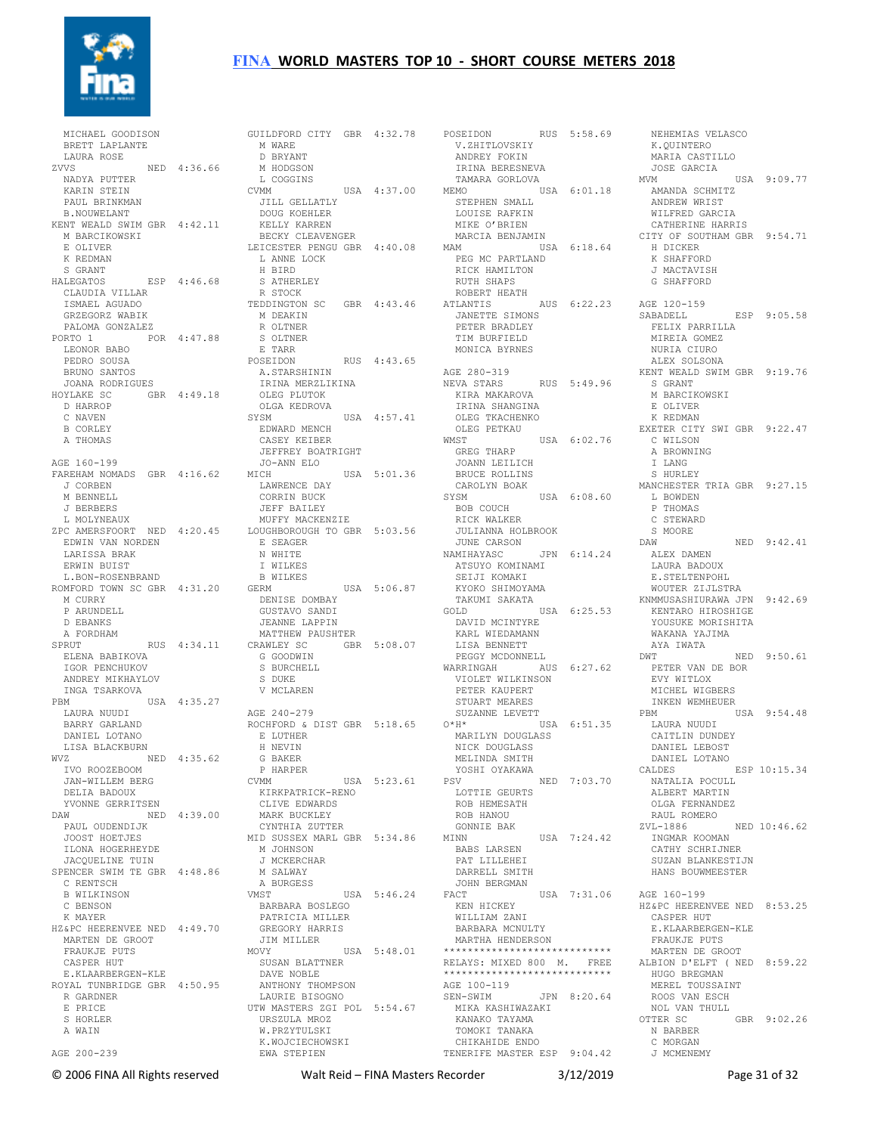

 MICHAEL GOODISON BRETT LAPLANTE LAURA ROSE ZVVS NED 4:36.66 NADYA PUTTER KARIN STEIN PAUL BRINKMAN B.NOUWELANT KENT WEALD SWIM GBR 4:42.11 M BARCIKOWSKI E OLIVER K REDMAN S GRANT HALEGATOS ESP 4:46.68 CLAUDIA VILLAR ISMAEL AGUADO GRZEGORZ WABIK PALOMA GONZALEZ PORTO 1 POR 4:47.88 LEONOR BABO PEDRO SOUSA BRUNO SANTOS JOANA RODRIGUES HOYLAKE SC GBR 4:49.18 OLEG PLUTOK D HARROP C NAVEN B CORLEY A THOMAS AGE 160-199 FAREHAM NOMADS GBR 4:16.62 J CORBEN M BENNELL. J BERBERS L MOLYNEAUX ZPC AMERSFOORT NED 4:20.45 EDWIN VAN NORDEN LARISSA BRAK ERWIN BUIST L.BON-ROSENBRAND ROMFORD TOWN SC GBR 4:31.20 M CURRY P ARUNDELL D EBANKS A FORDHAM  $SPRIIT$  RIIS  $4 \cdot 34$  11 ELENA BABIKOVA IGOR PENCHUKOV ANDREY MIKHAYLOV INGA TSARKOVA PBM USA 4:35.27 LAURA NUUDI BARRY GARLAND DANIEL LOTANO LISA BLACKBURN WVZ NED 4:35.62 H NEVIN G BAKER P HARPER IVO ROOZEBOOM JAN-WILLEM BERG DELIA BADOUX YVONNE GERRITSEN DAW NED 4:39.00 PAUL OUDENDIJK JOOST HOETJES ILONA HOGERHEYDE JACQUELINE TUIN SPENCER SWIM TE GBR 4:48.86 C RENTSCH B WILKINSON C BENSON K MAYER HZ&PC HEERENVEE NED 4:49.70 MARTEN DE GROOT FRAUKJE PUTS CASPER HUT E.KLAARBERGEN-KLE ROYAL TUNBRIDGE GBR 4:50.95 R GARDNER E PRICE S HORLER A WAIN AGE 200-239

GUILDFORD CITY GBR 4:32.78 M WARE D BRYANT M HODGSON L COGGINS<br>CVMM  $USA = 4:37.00$  JILL GELLATLY DOUG KOEHLER KELLY KARREN BECKY CLEAVENGER LEICESTER PENGU GBR 4:40.08 L ANNE LOCK H BIRD S ATHERLEY R STOCK TEDDINGTON SC GBR 4:43.46 M DEAKIN R OLTNER K OLINER<br>S OLTNER E TARR<br>POSEIDON RUS 4:43.65 A.STARSHININ<br>IRINA MERZLIKINA OLGA KEDROVA SYSM USA 4:57.41 EDWARD MENCH CASEY KEIBER JEFFREY BOATRIGHT JO-ANN ELO MICH USA 5:01.36 LAWRENCE DAY CORRIN BUCK JEFF BAILEY MUFFY MACKENZIE LOUGHBOROUGH TO GBR 5:03.56 E SEAGER N WHITE I WILKES B WILKES<br>GERM USA 5:06.87 DENISE DOMBAY GUSTAVO SANDI JEANNE LAPPIN MATTHEW PAUSHTER GBR 5:08.07 G GOODWIN S BURCHELL S DUKE V MCLAREN AGE 240-279 ROCHFORD & DIST GBR 5:18.65 E LUTHER P HARPER<br>CVMM USA 5:23.61 KIRKPATRICK-RENO CLIVE EDWARDS MARK BUCKLEY CYNTHIA ZUTTER MID SUSSEX MARL GBR 5:34.86 M JOHNSON J MCKERCHAR M SALWAY A BURGESS VMST USA 5:46.24 BARBARA BOSLEGO PATRICIA MILLER GREGORY HARRIS JIM MILLER<br>MOVY MOVY USA 5:48.01 \*\*\*\*\*\*\*\*\*\*\*\*\*\*\*\*\*\*\*\*\*\*\*\*\*\*\*\* SUSAN BLATTNER DAVE NOBLE ANTHONY THOMPSON LAURIE BISOGNO UTW MASTERS ZGI POL 5:54.67 URSZULA MROZ W.PRZYTULSKI K.WOJCIECHOWSKI EWA STEPIEN

POSEIDON RUS 5:58.69 V.ZHITLOVSKIY ANDREY FOKIN IRINA BERESNEVA TAMARA GORLOVA MEMO USA 6:01.18 STEPHEN SMALL LOUISE RAFKIN MIKE O'BRIEN MARCIA BENJAMIN MAM USA 6:18.64 PEG MC PARTLAND RICK HAMILTON RUTH SHAPS ROBERT HEATH<br>ATLANTIS ATLANTIS AUS 6:22.23 AGE 120-159 JANETTE SIMONS PETER BRADLEY TIM BURFIELD MONICA BYRNES AGE 280-319 NEVA STARS RUS 5:49.96 KIRA MAKAROVA IRINA SHANGINA OLEG TKACHENKO OLEG PETKAU<br>WMST USA 6:02.76 GREG THARP JOANN LEILICH BRUCE ROLLINS CAROLYN BOAK SYSM USA 6:08.60 BOB COUCH RICK WALKER JULIANNA HOLBROOK JUNE CARSON NAMIHAYASC JPN 6:14.24 ATSUYO KOMINAMI SEIJI KOMAKI KYOKO SHIMOYAMA<br>KYOKO SHIMOYAMA TAKUMI SAKATA GOLD USA 6:25.53 DAVID MCINTYRE KARL WIEDAMANN LISA BENNETT PEGGY MCDONNELL WARRINGAH AUS 6:27.62 VIOLET WILKINSON PETER KAUPERT STUART MEARES SUZANNE LEVETT nn 2001<br>USA 6:51.35 MARILYN DOUGLASS NICK DOUGLASS MELINDA SMITH YOSHI OYAKAWA PSV NED 7:03.70 LOTTIE GEURTS ROB HEMESATH ROB HANOU GONNIE BAK<br>MINN USA 7:24.42 BABS LARSEN PAT LILLEHEI DARRELL SMITH JOHN BERGMAN FACT USA 7:31.06 AGE 160-199 KEN HICKEY WILLIAM ZANI BARBARA MCNULTY MARTHA HENDERSON RELAYS: MIXED 800 M. FREE \*\*\*\*\*\*\*\*\*\*\*\*\*\*\*\*\*\*\*\*\*\*\*\*\*\*\*\* AGE 100-119<br>SEN-SWIM JPN 8:20.64 MIKA KASHIWAZAKI KANAKO TAYAMA TOMOKI TANAKA CHIKAHIDE ENDO TENERIFE MASTER ESP 9:04.42

 NEHEMIAS VELASCO K.QUINTERO MARIA CASTILLO JOSE GARCIA MVM USA 9:09.77 AMANDA SCHMITZ ANDREW WRIST WILFRED GARCIA CATHERINE HARRIS CITY OF SOUTHAM GBR 9:54.71 H DICKER K SHAFFORD J MACTAVISH G SHAFFORD SABADELL ESP 9:05.58 FELIX PARRILLA MIREIA GOMEZ NURIA CIURO ALEX SOLSONA KENT WEALD SWIM GBR 9:19.76 S GRANT M BARCIKOWSKI E OLIVER K REDMAN EXETER CITY SWI GBR 9:22.47 C WILSON A BROWNING T LANG S HURLEY MANCHESTER TRIA GBR 9:27 15 L BOWDEN P THOMAS C STEWARD S MOORE DAW NED 9:42.41 ALEX DAMEN LAURA BADOUX E.STELTENPOHL WOUTER ZIJLSTRA KNMMUSASHIURAWA JPN 9:42.69 KENTARO HIROSHIGE<br>WOMANY YOUSUKE MORISHITA WAKANA YAJIMA AYA IWATA DWT NED 9:50.61 PETER VAN DE BOR EVY WITLOX MICHEL WIGBERS INKEN WEMHEUER<br>PBM USA 9:54.48 LAURA NUUDI CAITLIN DUNDEY DANIEL LEBOST DANIEL LOTANO CALDES ESP 10:15.34 NATALIA POCULL ALBERT MARTIN OLGA FERNANDEZ RAUL ROMERO ZVL-1886 NED 10:46.62 INGMAR KOOMAN CATHY SCHRIJNER SUZAN BLANKESTIJN HANS BOUWMEESTER HZ&PC HEERENVEE NED 8:53.25 CASPER HUT E.KLAARBERGEN-KLE FRAUKJE PUTS MARTEN DE GROOT ALBION D'ELFT ( NED 8:59.22 HUGO BREGMAN MEREL TOUSSAINT ROOS VAN ESCH NOL VAN THULL<br>OTTER SC  $GRR$  9:02.26 N BARBER C MORGAN J MCMENEMY

© 2006 FINA All Rights reserved Walt Reid – FINA Masters Recorder 3/12/2019 Page 31 of 32